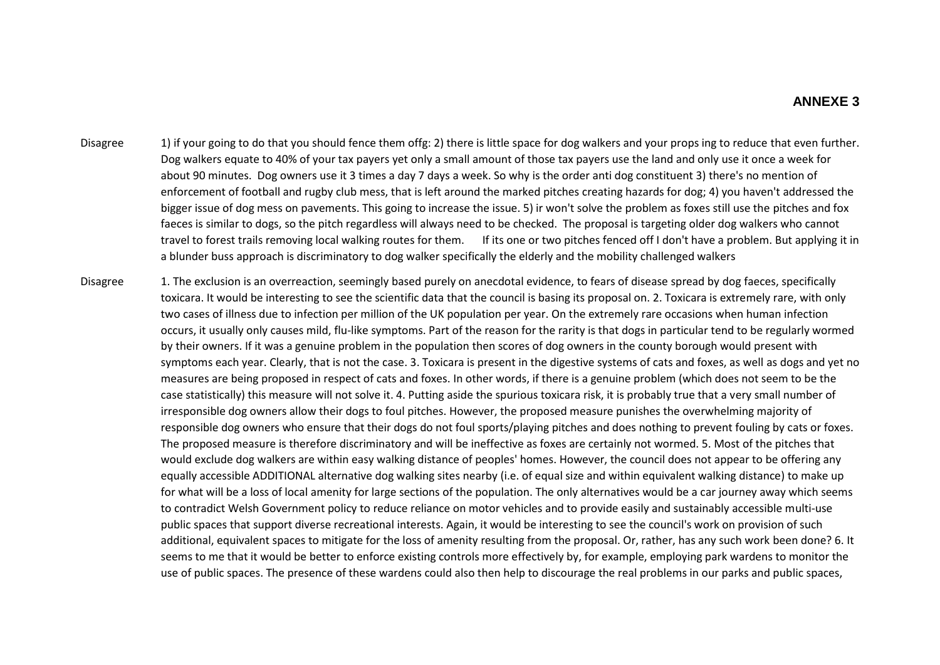- Disagree 1) if your going to do that you should fence them offg: 2) there is little space for dog walkers and your props ing to reduce that even further. Dog walkers equate to 40% of your tax payers yet only a small amount of those tax payers use the land and only use it once a week for about 90 minutes. Dog owners use it 3 times a day 7 days a week. So why is the order anti dog constituent 3) there's no mention of enforcement of football and rugby club mess, that is left around the marked pitches creating hazards for dog; 4) you haven't addressed the bigger issue of dog mess on pavements. This going to increase the issue. 5) ir won't solve the problem as foxes still use the pitches and fox faeces is similar to dogs, so the pitch regardless will always need to be checked. The proposal is targeting older dog walkers who cannot travel to forest trails removing local walking routes for them. If its one or two pitches fenced off I don't have a problem. But applying it in a blunder buss approach is discriminatory to dog walker specifically the elderly and the mobility challenged walkers
- Disagree 1. The exclusion is an overreaction, seemingly based purely on anecdotal evidence, to fears of disease spread by dog faeces, specifically toxicara. It would be interesting to see the scientific data that the council is basing its proposal on. 2. Toxicara is extremely rare, with only two cases of illness due to infection per million of the UK population per year. On the extremely rare occasions when human infection occurs, it usually only causes mild, flu-like symptoms. Part of the reason for the rarity is that dogs in particular tend to be regularly wormed by their owners. If it was a genuine problem in the population then scores of dog owners in the county borough would present with symptoms each year. Clearly, that is not the case. 3. Toxicara is present in the digestive systems of cats and foxes, as well as dogs and yet no measures are being proposed in respect of cats and foxes. In other words, if there is a genuine problem (which does not seem to be the case statistically) this measure will not solve it. 4. Putting aside the spurious toxicara risk, it is probably true that a very small number of irresponsible dog owners allow their dogs to foul pitches. However, the proposed measure punishes the overwhelming majority of responsible dog owners who ensure that their dogs do not foul sports/playing pitches and does nothing to prevent fouling by cats or foxes. The proposed measure is therefore discriminatory and will be ineffective as foxes are certainly not wormed. 5. Most of the pitches that would exclude dog walkers are within easy walking distance of peoples' homes. However, the council does not appear to be offering any equally accessible ADDITIONAL alternative dog walking sites nearby (i.e. of equal size and within equivalent walking distance) to make up for what will be a loss of local amenity for large sections of the population. The only alternatives would be a car journey away which seems to contradict Welsh Government policy to reduce reliance on motor vehicles and to provide easily and sustainably accessible multi-use public spaces that support diverse recreational interests. Again, it would be interesting to see the council's work on provision of such additional, equivalent spaces to mitigate for the loss of amenity resulting from the proposal. Or, rather, has any such work been done? 6. It seems to me that it would be better to enforce existing controls more effectively by, for example, employing park wardens to monitor the use of public spaces. The presence of these wardens could also then help to discourage the real problems in our parks and public spaces,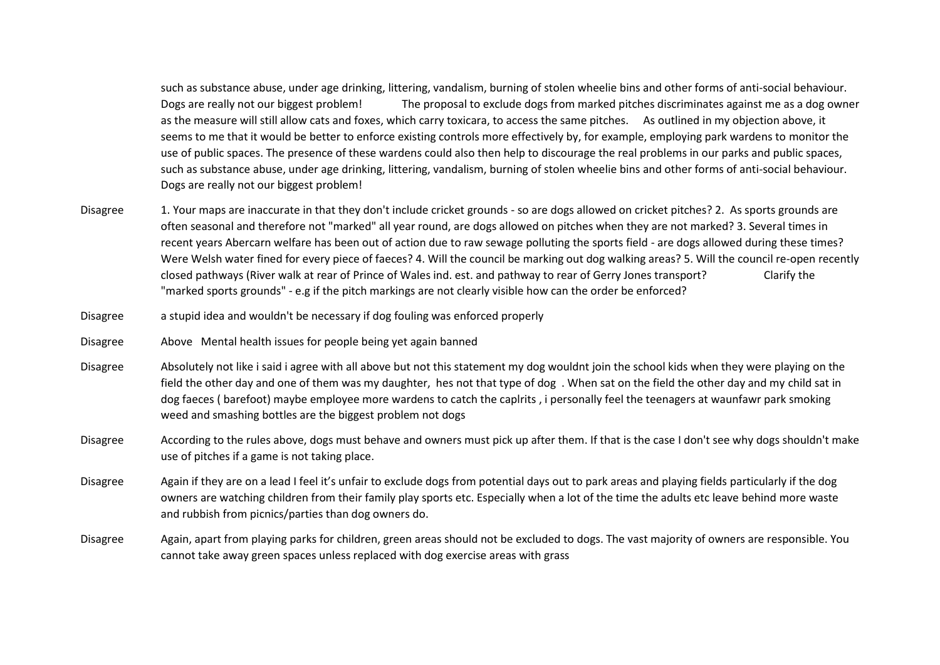such as substance abuse, under age drinking, littering, vandalism, burning of stolen wheelie bins and other forms of anti-social behaviour. Dogs are really not our biggest problem! The proposal to exclude dogs from marked pitches discriminates against me as a dog owner as the measure will still allow cats and foxes, which carry toxicara, to access the same pitches. As outlined in my objection above, it seems to me that it would be better to enforce existing controls more effectively by, for example, employing park wardens to monitor the use of public spaces. The presence of these wardens could also then help to discourage the real problems in our parks and public spaces, such as substance abuse, under age drinking, littering, vandalism, burning of stolen wheelie bins and other forms of anti-social behaviour. Dogs are really not our biggest problem!

- Disagree 1. Your maps are inaccurate in that they don't include cricket grounds so are dogs allowed on cricket pitches? 2. As sports grounds are often seasonal and therefore not "marked" all year round, are dogs allowed on pitches when they are not marked? 3. Several times in recent years Abercarn welfare has been out of action due to raw sewage polluting the sports field - are dogs allowed during these times? Were Welsh water fined for every piece of faeces? 4. Will the council be marking out dog walking areas? 5. Will the council re-open recently closed pathways (River walk at rear of Prince of Wales ind. est. and pathway to rear of Gerry Jones transport? Clarify the "marked sports grounds" - e.g if the pitch markings are not clearly visible how can the order be enforced?
- Disagree a stupid idea and wouldn't be necessary if dog fouling was enforced properly
- Disagree Above Mental health issues for people being yet again banned
- Disagree Absolutely not like i said i agree with all above but not this statement my dog wouldnt join the school kids when they were playing on the field the other day and one of them was my daughter, hes not that type of dog . When sat on the field the other day and my child sat in dog faeces ( barefoot) maybe employee more wardens to catch the caplrits , i personally feel the teenagers at waunfawr park smoking weed and smashing bottles are the biggest problem not dogs
- Disagree According to the rules above, dogs must behave and owners must pick up after them. If that is the case I don't see why dogs shouldn't make use of pitches if a game is not taking place.
- Disagree Again if they are on a lead I feel it's unfair to exclude dogs from potential days out to park areas and playing fields particularly if the dog owners are watching children from their family play sports etc. Especially when a lot of the time the adults etc leave behind more waste and rubbish from picnics/parties than dog owners do.
- Disagree Again, apart from playing parks for children, green areas should not be excluded to dogs. The vast majority of owners are responsible. You cannot take away green spaces unless replaced with dog exercise areas with grass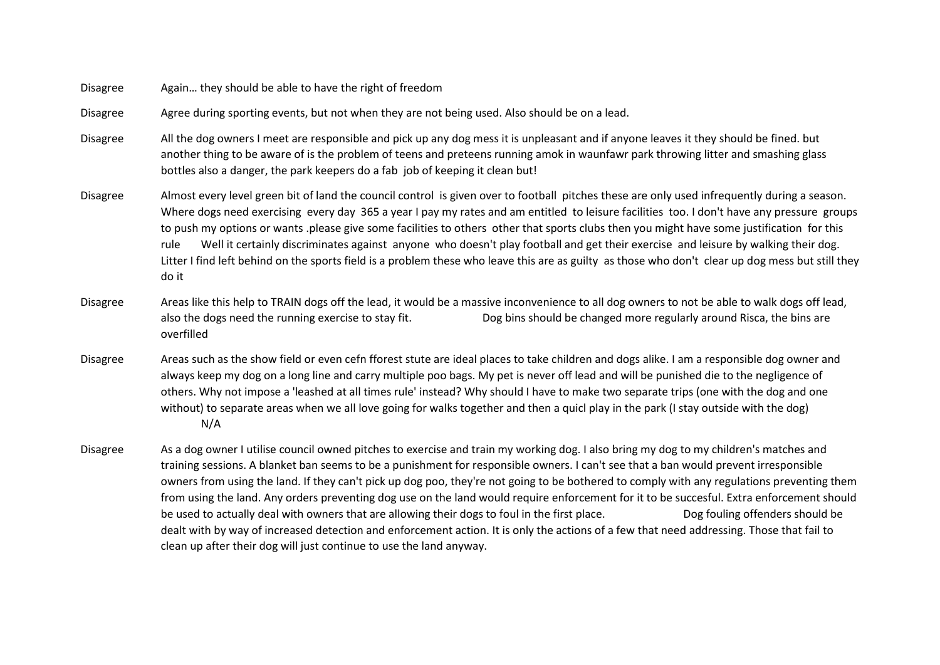Disagree Again… they should be able to have the right of freedom

Disagree Agree during sporting events, but not when they are not being used. Also should be on a lead.

Disagree All the dog owners I meet are responsible and pick up any dog mess it is unpleasant and if anyone leaves it they should be fined. but another thing to be aware of is the problem of teens and preteens running amok in waunfawr park throwing litter and smashing glass bottles also a danger, the park keepers do a fab job of keeping it clean but!

Disagree Almost every level green bit of land the council control is given over to football pitches these are only used infrequently during a season. Where dogs need exercising every day 365 a year I pay my rates and am entitled to leisure facilities too. I don't have any pressure groups to push my options or wants .please give some facilities to others other that sports clubs then you might have some justification for this rule Well it certainly discriminates against anyone who doesn't play football and get their exercise and leisure by walking their dog. Litter I find left behind on the sports field is a problem these who leave this are as guilty as those who don't clear up dog mess but still they do it

Disagree Areas like this help to TRAIN dogs off the lead, it would be a massive inconvenience to all dog owners to not be able to walk dogs off lead, also the dogs need the running exercise to stay fit. Dog bins should be changed more regularly around Risca, the bins are overfilled

Disagree Areas such as the show field or even cefn fforest stute are ideal places to take children and dogs alike. I am a responsible dog owner and always keep my dog on a long line and carry multiple poo bags. My pet is never off lead and will be punished die to the negligence of others. Why not impose a 'leashed at all times rule' instead? Why should I have to make two separate trips (one with the dog and one without) to separate areas when we all love going for walks together and then a quicl play in the park (I stay outside with the dog) N/A

Disagree As a dog owner I utilise council owned pitches to exercise and train my working dog. I also bring my dog to my children's matches and training sessions. A blanket ban seems to be a punishment for responsible owners. I can't see that a ban would prevent irresponsible owners from using the land. If they can't pick up dog poo, they're not going to be bothered to comply with any regulations preventing them from using the land. Any orders preventing dog use on the land would require enforcement for it to be succesful. Extra enforcement should be used to actually deal with owners that are allowing their dogs to foul in the first place. Dog fouling offenders should be dealt with by way of increased detection and enforcement action. It is only the actions of a few that need addressing. Those that fail to clean up after their dog will just continue to use the land anyway.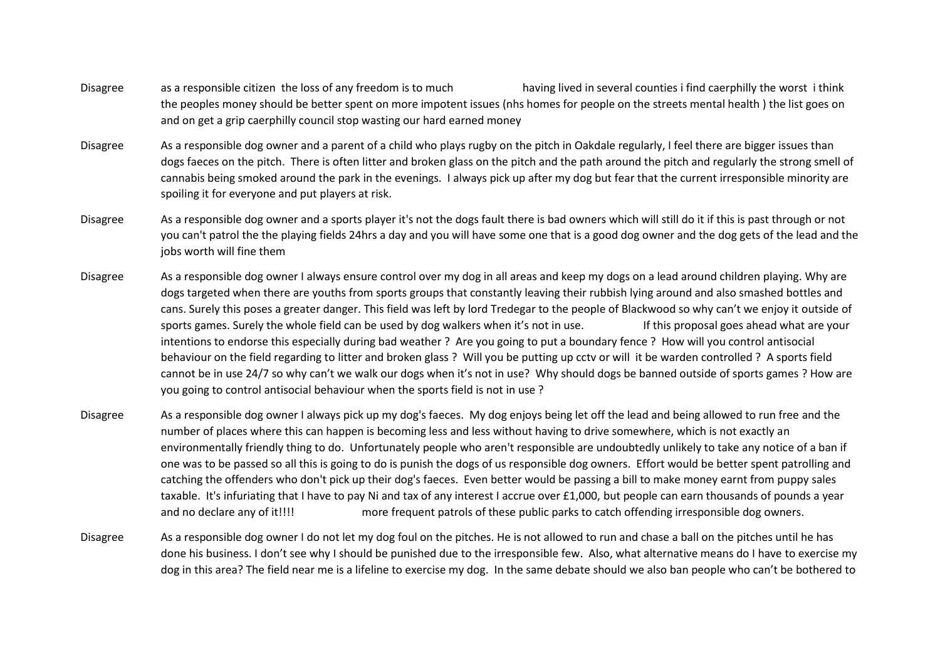- Disagree as a responsible citizen the loss of any freedom is to much having lived in several counties i find caerphilly the worst i think the peoples money should be better spent on more impotent issues (nhs homes for people on the streets mental health ) the list goes on and on get a grip caerphilly council stop wasting our hard earned money
- Disagree As a responsible dog owner and a parent of a child who plays rugby on the pitch in Oakdale regularly, I feel there are bigger issues than dogs faeces on the pitch. There is often litter and broken glass on the pitch and the path around the pitch and regularly the strong smell of cannabis being smoked around the park in the evenings. I always pick up after my dog but fear that the current irresponsible minority are spoiling it for everyone and put players at risk.
- Disagree As a responsible dog owner and a sports player it's not the dogs fault there is bad owners which will still do it if this is past through or not you can't patrol the the playing fields 24hrs a day and you will have some one that is a good dog owner and the dog gets of the lead and the jobs worth will fine them
- Disagree As a responsible dog owner I always ensure control over my dog in all areas and keep my dogs on a lead around children playing. Why are dogs targeted when there are youths from sports groups that constantly leaving their rubbish lying around and also smashed bottles and cans. Surely this poses a greater danger. This field was left by lord Tredegar to the people of Blackwood so why can't we enjoy it outside of sports games. Surely the whole field can be used by dog walkers when it's not in use. If this proposal goes ahead what are your intentions to endorse this especially during bad weather ? Are you going to put a boundary fence ? How will you control antisocial behaviour on the field regarding to litter and broken glass ? Will you be putting up cctv or will it be warden controlled ? A sports field cannot be in use 24/7 so why can't we walk our dogs when it's not in use? Why should dogs be banned outside of sports games ? How are you going to control antisocial behaviour when the sports field is not in use ?
- Disagree As a responsible dog owner I always pick up my dog's faeces. My dog enjoys being let off the lead and being allowed to run free and the number of places where this can happen is becoming less and less without having to drive somewhere, which is not exactly an environmentally friendly thing to do. Unfortunately people who aren't responsible are undoubtedly unlikely to take any notice of a ban if one was to be passed so all this is going to do is punish the dogs of us responsible dog owners. Effort would be better spent patrolling and catching the offenders who don't pick up their dog's faeces. Even better would be passing a bill to make money earnt from puppy sales taxable. It's infuriating that I have to pay Ni and tax of any interest I accrue over £1,000, but people can earn thousands of pounds a year and no declare any of it!!!! more frequent patrols of these public parks to catch offending irresponsible dog owners.
- Disagree As a responsible dog owner I do not let my dog foul on the pitches. He is not allowed to run and chase a ball on the pitches until he has done his business. I don't see why I should be punished due to the irresponsible few. Also, what alternative means do I have to exercise my dog in this area? The field near me is a lifeline to exercise my dog. In the same debate should we also ban people who can't be bothered to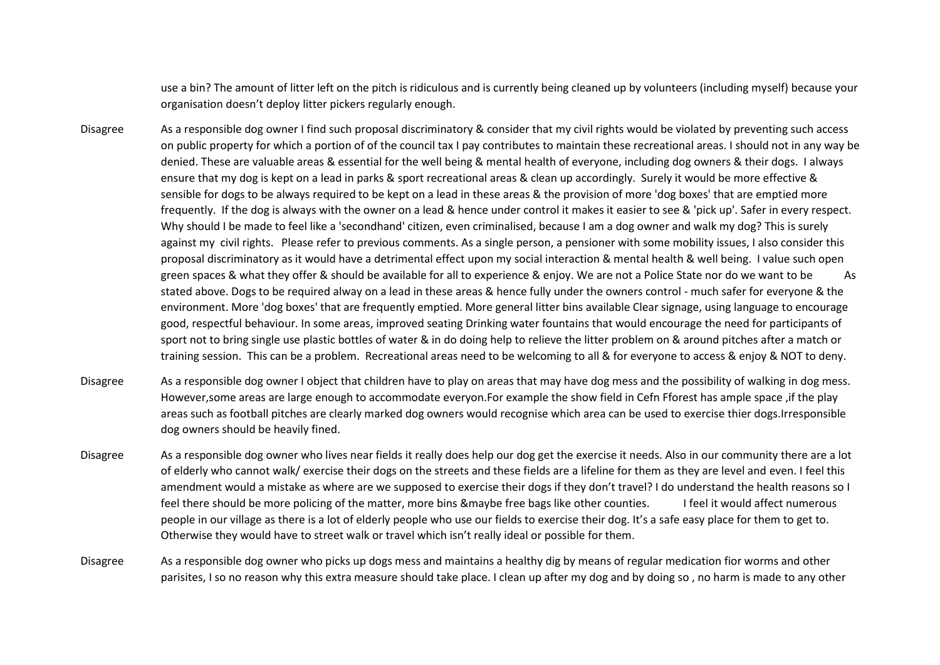use a bin? The amount of litter left on the pitch is ridiculous and is currently being cleaned up by volunteers (including myself) because your organisation doesn't deploy litter pickers regularly enough.

- Disagree As a responsible dog owner I find such proposal discriminatory & consider that my civil rights would be violated by preventing such access on public property for which a portion of of the council tax I pay contributes to maintain these recreational areas. I should not in any way be denied. These are valuable areas & essential for the well being & mental health of everyone, including dog owners & their dogs. I always ensure that my dog is kept on a lead in parks & sport recreational areas & clean up accordingly. Surely it would be more effective & sensible for dogs to be always required to be kept on a lead in these areas & the provision of more 'dog boxes' that are emptied more frequently. If the dog is always with the owner on a lead & hence under control it makes it easier to see & 'pick up'. Safer in every respect. Why should I be made to feel like a 'secondhand' citizen, even criminalised, because I am a dog owner and walk my dog? This is surely against my civil rights. Please refer to previous comments. As a single person, a pensioner with some mobility issues, I also consider this proposal discriminatory as it would have a detrimental effect upon my social interaction & mental health & well being. I value such open green spaces & what they offer & should be available for all to experience & enjoy. We are not a Police State nor do we want to be As stated above. Dogs to be required alway on a lead in these areas & hence fully under the owners control - much safer for everyone & the environment. More 'dog boxes' that are frequently emptied. More general litter bins available Clear signage, using language to encourage good, respectful behaviour. In some areas, improved seating Drinking water fountains that would encourage the need for participants of sport not to bring single use plastic bottles of water & in do doing help to relieve the litter problem on & around pitches after a match or training session. This can be a problem. Recreational areas need to be welcoming to all & for everyone to access & enjoy & NOT to deny.
- Disagree As a responsible dog owner I object that children have to play on areas that may have dog mess and the possibility of walking in dog mess. However,some areas are large enough to accommodate everyon.For example the show field in Cefn Fforest has ample space ,if the play areas such as football pitches are clearly marked dog owners would recognise which area can be used to exercise thier dogs.Irresponsible dog owners should be heavily fined.
- Disagree As a responsible dog owner who lives near fields it really does help our dog get the exercise it needs. Also in our community there are a lot of elderly who cannot walk/ exercise their dogs on the streets and these fields are a lifeline for them as they are level and even. I feel this amendment would a mistake as where are we supposed to exercise their dogs if they don't travel? I do understand the health reasons so I feel there should be more policing of the matter, more bins &maybe free bags like other counties. I feel it would affect numerous people in our village as there is a lot of elderly people who use our fields to exercise their dog. It's a safe easy place for them to get to. Otherwise they would have to street walk or travel which isn't really ideal or possible for them.
- Disagree As a responsible dog owner who picks up dogs mess and maintains a healthy dig by means of regular medication fior worms and other parisites, I so no reason why this extra measure should take place. I clean up after my dog and by doing so , no harm is made to any other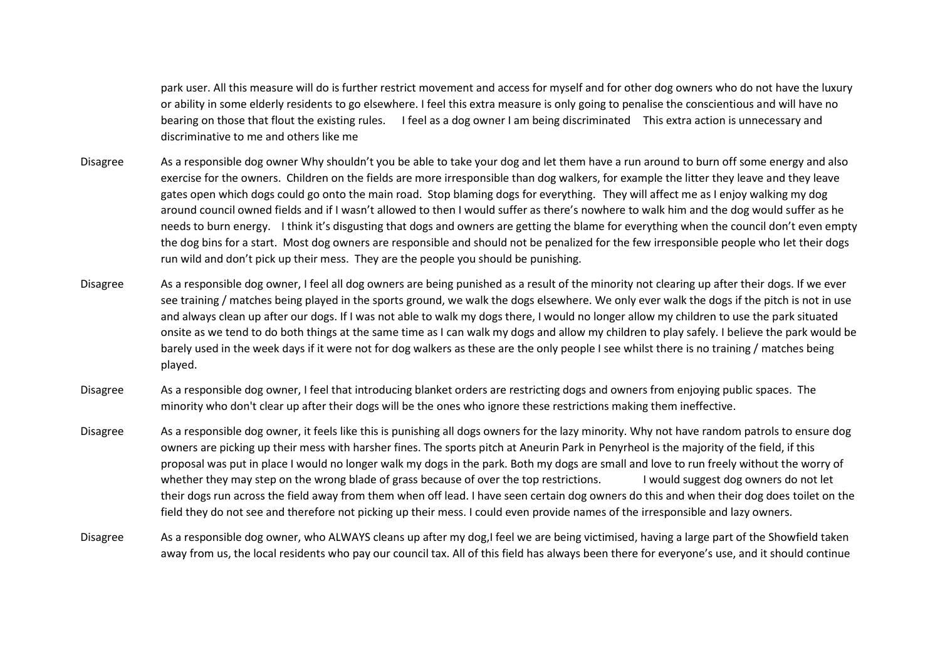park user. All this measure will do is further restrict movement and access for myself and for other dog owners who do not have the luxury or ability in some elderly residents to go elsewhere. I feel this extra measure is only going to penalise the conscientious and will have no bearing on those that flout the existing rules. I feel as a dog owner I am being discriminated This extra action is unnecessary and discriminative to me and others like me

- Disagree As a responsible dog owner Why shouldn't you be able to take your dog and let them have a run around to burn off some energy and also exercise for the owners. Children on the fields are more irresponsible than dog walkers, for example the litter they leave and they leave gates open which dogs could go onto the main road. Stop blaming dogs for everything. They will affect me as I enjoy walking my dog around council owned fields and if I wasn't allowed to then I would suffer as there's nowhere to walk him and the dog would suffer as he needs to burn energy. I think it's disgusting that dogs and owners are getting the blame for everything when the council don't even empty the dog bins for a start. Most dog owners are responsible and should not be penalized for the few irresponsible people who let their dogs run wild and don't pick up their mess. They are the people you should be punishing.
- Disagree As a responsible dog owner, I feel all dog owners are being punished as a result of the minority not clearing up after their dogs. If we ever see training / matches being played in the sports ground, we walk the dogs elsewhere. We only ever walk the dogs if the pitch is not in use and always clean up after our dogs. If I was not able to walk my dogs there, I would no longer allow my children to use the park situated onsite as we tend to do both things at the same time as I can walk my dogs and allow my children to play safely. I believe the park would be barely used in the week days if it were not for dog walkers as these are the only people I see whilst there is no training / matches being played.
- Disagree As a responsible dog owner, I feel that introducing blanket orders are restricting dogs and owners from enjoying public spaces. The minority who don't clear up after their dogs will be the ones who ignore these restrictions making them ineffective.
- Disagree As a responsible dog owner, it feels like this is punishing all dogs owners for the lazy minority. Why not have random patrols to ensure dog owners are picking up their mess with harsher fines. The sports pitch at Aneurin Park in Penyrheol is the majority of the field, if this proposal was put in place I would no longer walk my dogs in the park. Both my dogs are small and love to run freely without the worry of whether they may step on the wrong blade of grass because of over the top restrictions. I would suggest dog owners do not let their dogs run across the field away from them when off lead. I have seen certain dog owners do this and when their dog does toilet on the field they do not see and therefore not picking up their mess. I could even provide names of the irresponsible and lazy owners.
- Disagree As a responsible dog owner, who ALWAYS cleans up after my dog,I feel we are being victimised, having a large part of the Showfield taken away from us, the local residents who pay our council tax. All of this field has always been there for everyone's use, and it should continue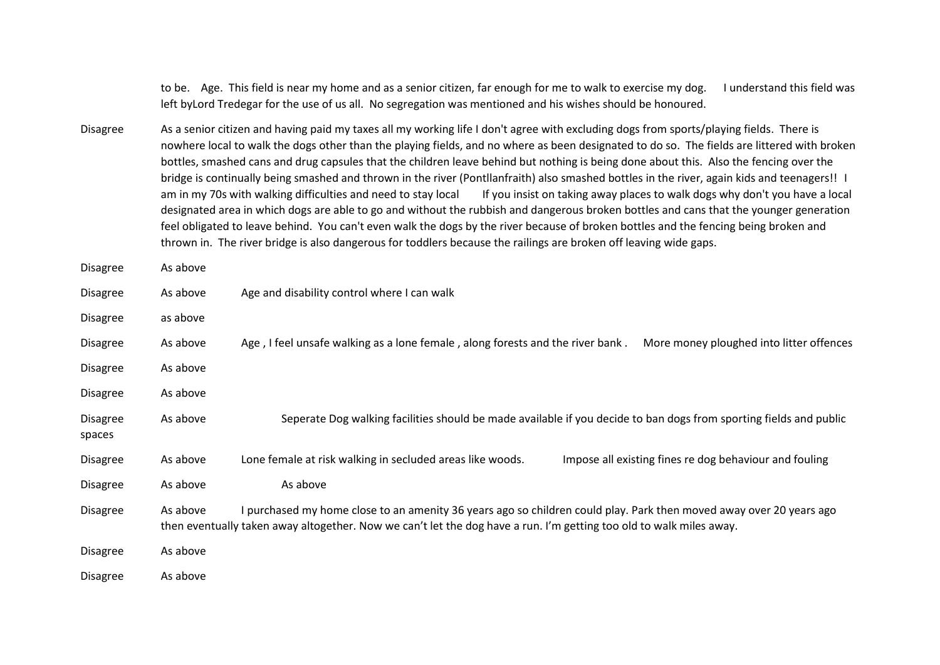to be. Age. This field is near my home and as a senior citizen, far enough for me to walk to exercise my dog. I understand this field was left byLord Tredegar for the use of us all. No segregation was mentioned and his wishes should be honoured.

Disagree As a senior citizen and having paid my taxes all my working life I don't agree with excluding dogs from sports/playing fields. There is nowhere local to walk the dogs other than the playing fields, and no where as been designated to do so. The fields are littered with broken bottles, smashed cans and drug capsules that the children leave behind but nothing is being done about this. Also the fencing over the bridge is continually being smashed and thrown in the river (Pontllanfraith) also smashed bottles in the river, again kids and teenagers!! I am in my 70s with walking difficulties and need to stay local If you insist on taking away places to walk dogs why don't you have a local designated area in which dogs are able to go and without the rubbish and dangerous broken bottles and cans that the younger generation feel obligated to leave behind. You can't even walk the dogs by the river because of broken bottles and the fencing being broken and thrown in. The river bridge is also dangerous for toddlers because the railings are broken off leaving wide gaps.

| Disagree                  | As above |                                                                                                                                                                                                                                            |
|---------------------------|----------|--------------------------------------------------------------------------------------------------------------------------------------------------------------------------------------------------------------------------------------------|
| <b>Disagree</b>           | As above | Age and disability control where I can walk                                                                                                                                                                                                |
| <b>Disagree</b>           | as above |                                                                                                                                                                                                                                            |
| <b>Disagree</b>           | As above | Age, I feel unsafe walking as a lone female, along forests and the river bank.<br>More money ploughed into litter offences                                                                                                                 |
| <b>Disagree</b>           | As above |                                                                                                                                                                                                                                            |
| <b>Disagree</b>           | As above |                                                                                                                                                                                                                                            |
| <b>Disagree</b><br>spaces | As above | Seperate Dog walking facilities should be made available if you decide to ban dogs from sporting fields and public                                                                                                                         |
| <b>Disagree</b>           | As above | Lone female at risk walking in secluded areas like woods.<br>Impose all existing fines re dog behaviour and fouling                                                                                                                        |
| <b>Disagree</b>           | As above | As above                                                                                                                                                                                                                                   |
| <b>Disagree</b>           | As above | I purchased my home close to an amenity 36 years ago so children could play. Park then moved away over 20 years ago<br>then eventually taken away altogether. Now we can't let the dog have a run. I'm getting too old to walk miles away. |
| <b>Disagree</b>           | As above |                                                                                                                                                                                                                                            |
| <b>Disagree</b>           | As above |                                                                                                                                                                                                                                            |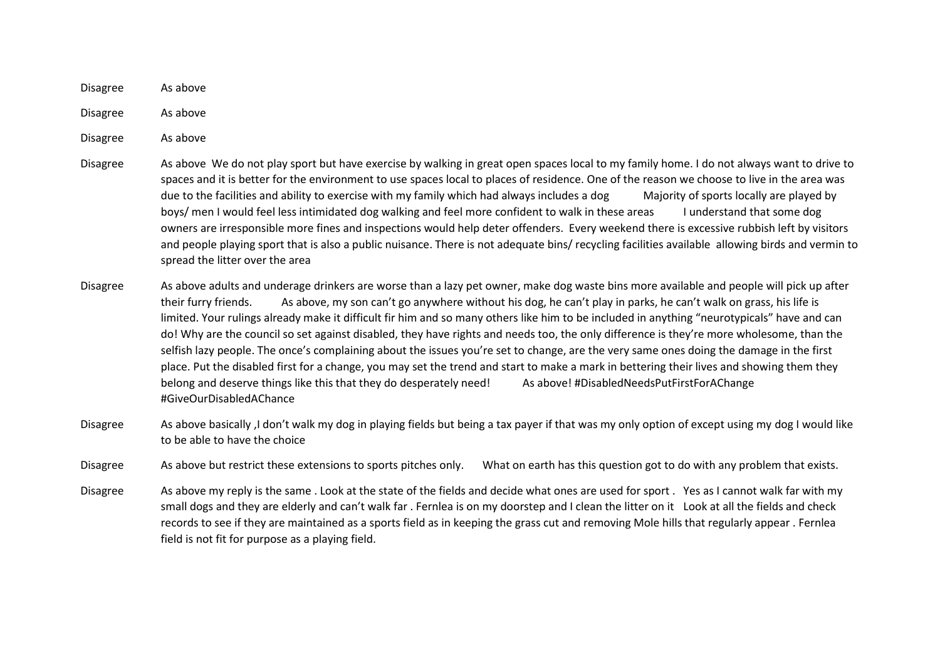Disagree As above

Disagree As above

Disagree As above

- Disagree As above We do not play sport but have exercise by walking in great open spaces local to my family home. I do not always want to drive to spaces and it is better for the environment to use spaces local to places of residence. One of the reason we choose to live in the area was due to the facilities and ability to exercise with my family which had always includes a dog Majority of sports locally are played by boys/ men I would feel less intimidated dog walking and feel more confident to walk in these areas I understand that some dog owners are irresponsible more fines and inspections would help deter offenders. Every weekend there is excessive rubbish left by visitors and people playing sport that is also a public nuisance. There is not adequate bins/ recycling facilities available allowing birds and vermin to spread the litter over the area
- Disagree As above adults and underage drinkers are worse than a lazy pet owner, make dog waste bins more available and people will pick up after their furry friends. As above, my son can't go anywhere without his dog, he can't play in parks, he can't walk on grass, his life is limited. Your rulings already make it difficult fir him and so many others like him to be included in anything "neurotypicals" have and can do! Why are the council so set against disabled, they have rights and needs too, the only difference is they're more wholesome, than the selfish lazy people. The once's complaining about the issues you're set to change, are the very same ones doing the damage in the first place. Put the disabled first for a change, you may set the trend and start to make a mark in bettering their lives and showing them they belong and deserve things like this that they do desperately need! As above! #DisabledNeedsPutFirstForAChange #GiveOurDisabledAChance
- Disagree As above basically ,I don't walk my dog in playing fields but being a tax payer if that was my only option of except using my dog I would like to be able to have the choice

Disagree As above but restrict these extensions to sports pitches only. What on earth has this question got to do with any problem that exists.

Disagree As above my reply is the same . Look at the state of the fields and decide what ones are used for sport . Yes as I cannot walk far with my small dogs and they are elderly and can't walk far . Fernlea is on my doorstep and I clean the litter on it Look at all the fields and check records to see if they are maintained as a sports field as in keeping the grass cut and removing Mole hills that regularly appear . Fernlea field is not fit for purpose as a playing field.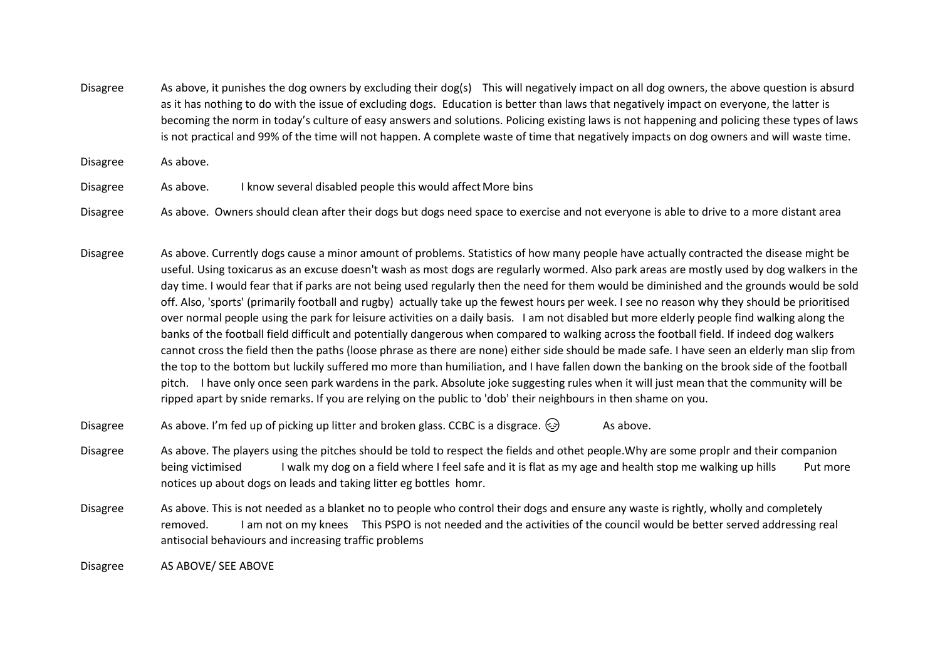Disagree As above, it punishes the dog owners by excluding their dog(s) This will negatively impact on all dog owners, the above question is absurd as it has nothing to do with the issue of excluding dogs. Education is better than laws that negatively impact on everyone, the latter is becoming the norm in today's culture of easy answers and solutions. Policing existing laws is not happening and policing these types of laws is not practical and 99% of the time will not happen. A complete waste of time that negatively impacts on dog owners and will waste time.

Disagree As above.

Disagree As above. I know several disabled people this would affectMore bins

Disagree As above. Owners should clean after their dogs but dogs need space to exercise and not everyone is able to drive to a more distant area

Disagree As above. Currently dogs cause a minor amount of problems. Statistics of how many people have actually contracted the disease might be useful. Using toxicarus as an excuse doesn't wash as most dogs are regularly wormed. Also park areas are mostly used by dog walkers in the day time. I would fear that if parks are not being used regularly then the need for them would be diminished and the grounds would be sold off. Also, 'sports' (primarily football and rugby) actually take up the fewest hours per week. I see no reason why they should be prioritised over normal people using the park for leisure activities on a daily basis. I am not disabled but more elderly people find walking along the banks of the football field difficult and potentially dangerous when compared to walking across the football field. If indeed dog walkers cannot cross the field then the paths (loose phrase as there are none) either side should be made safe. I have seen an elderly man slip from the top to the bottom but luckily suffered mo more than humiliation, and I have fallen down the banking on the brook side of the football pitch. I have only once seen park wardens in the park. Absolute joke suggesting rules when it will just mean that the community will be ripped apart by snide remarks. If you are relying on the public to 'dob' their neighbours in then shame on you.

Disagree As above. I'm fed up of picking up litter and broken glass. CCBC is a disgrace.  $\circled{e}$  As above.

Disagree As above. The players using the pitches should be told to respect the fields and othet people.Why are some proplr and their companion being victimised I walk my dog on a field where I feel safe and it is flat as my age and health stop me walking up hills Put more notices up about dogs on leads and taking litter eg bottles homr.

Disagree As above. This is not needed as a blanket no to people who control their dogs and ensure any waste is rightly, wholly and completely removed. I am not on my knees This PSPO is not needed and the activities of the council would be better served addressing real antisocial behaviours and increasing traffic problems

Disagree AS ABOVE/ SEE ABOVE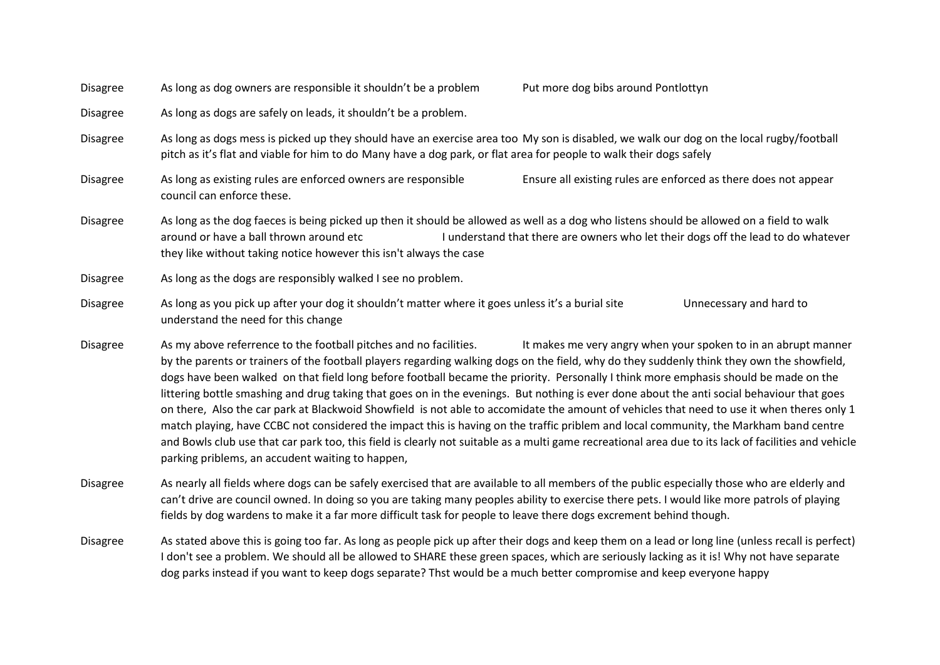Disagree As long as dog owners are responsible it shouldn't be a problem Put more dog bibs around Pontlottyn

Disagree As long as dogs are safely on leads, it shouldn't be a problem.

Disagree As long as dogs mess is picked up they should have an exercise area too My son is disabled, we walk our dog on the local rugby/football pitch as it's flat and viable for him to do Many have a dog park, or flat area for people to walk their dogs safely

Disagree As long as existing rules are enforced owners are responsible Ensure all existing rules are enforced as there does not appear council can enforce these.

Disagree As long as the dog faeces is being picked up then it should be allowed as well as a dog who listens should be allowed on a field to walk around or have a ball thrown around etc I understand that there are owners who let their dogs off the lead to do whatever they like without taking notice however this isn't always the case

- Disagree As long as you pick up after your dog it shouldn't matter where it goes unless it's a burial site Unnecessary and hard to understand the need for this change
- Disagree As my above referrence to the football pitches and no facilities. It makes me very angry when your spoken to in an abrupt manner by the parents or trainers of the football players regarding walking dogs on the field, why do they suddenly think they own the showfield, dogs have been walked on that field long before football became the priority. Personally I think more emphasis should be made on the littering bottle smashing and drug taking that goes on in the evenings. But nothing is ever done about the anti social behaviour that goes on there, Also the car park at Blackwoid Showfield is not able to accomidate the amount of vehicles that need to use it when theres only 1 match playing, have CCBC not considered the impact this is having on the traffic priblem and local community, the Markham band centre and Bowls club use that car park too, this field is clearly not suitable as a multi game recreational area due to its lack of facilities and vehicle parking priblems, an accudent waiting to happen,

Disagree As nearly all fields where dogs can be safely exercised that are available to all members of the public especially those who are elderly and can't drive are council owned. In doing so you are taking many peoples ability to exercise there pets. I would like more patrols of playing fields by dog wardens to make it a far more difficult task for people to leave there dogs excrement behind though.

Disagree As stated above this is going too far. As long as people pick up after their dogs and keep them on a lead or long line (unless recall is perfect) I don't see a problem. We should all be allowed to SHARE these green spaces, which are seriously lacking as it is! Why not have separate dog parks instead if you want to keep dogs separate? Thst would be a much better compromise and keep everyone happy

Disagree As long as the dogs are responsibly walked I see no problem.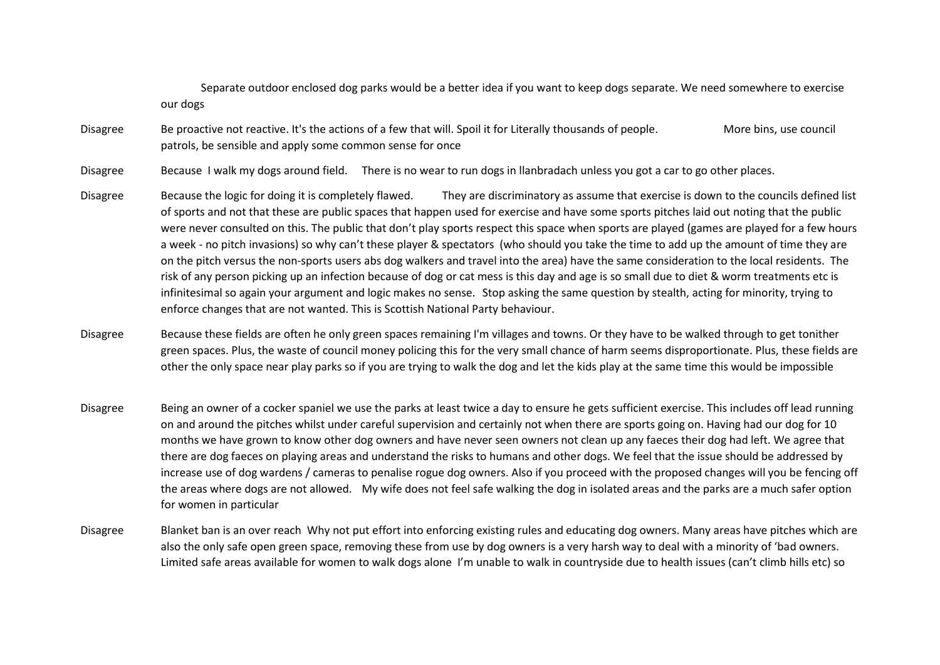Separate outdoor enclosed dog parks would be a better idea if you want to keep dogs separate. We need somewhere to exercise our dogs

Disagree Be proactive not reactive. It's the actions of a few that will. Spoil it for Literally thousands of people. More bins, use council patrols, be sensible and apply some common sense for once

Disagree Because I walk my dogs around field. There is no wear to run dogs in llanbradach unless you got a car to go other places.

Disagree Because the logic for doing it is completely flawed. They are discriminatory as assume that exercise is down to the councils defined list of sports and not that these are public spaces that happen used for exercise and have some sports pitches laid out noting that the public were never consulted on this. The public that don't play sports respect this space when sports are played (games are played for a few hours a week - no pitch invasions) so why can't these player & spectators (who should you take the time to add up the amount of time they are on the pitch versus the non-sports users abs dog walkers and travel into the area) have the same consideration to the local residents. The risk of any person picking up an infection because of dog or cat mess is this day and age is so small due to diet & worm treatments etc is infinitesimal so again your argument and logic makes no sense. Stop asking the same question by stealth, acting for minority, trying to enforce changes that are not wanted. This is Scottish National Party behaviour.

Disagree Because these fields are often he only green spaces remaining I'm villages and towns. Or they have to be walked through to get tonither green spaces. Plus, the waste of council money policing this for the very small chance of harm seems disproportionate. Plus, these fields are other the only space near play parks so if you are trying to walk the dog and let the kids play at the same time this would be impossible

- Disagree Being an owner of a cocker spaniel we use the parks at least twice a day to ensure he gets sufficient exercise. This includes off lead running on and around the pitches whilst under careful supervision and certainly not when there are sports going on. Having had our dog for 10 months we have grown to know other dog owners and have never seen owners not clean up any faeces their dog had left. We agree that there are dog faeces on playing areas and understand the risks to humans and other dogs. We feel that the issue should be addressed by increase use of dog wardens / cameras to penalise rogue dog owners. Also if you proceed with the proposed changes will you be fencing off the areas where dogs are not allowed. My wife does not feel safe walking the dog in isolated areas and the parks are a much safer option for women in particular
- Disagree Blanket ban is an over reach Why not put effort into enforcing existing rules and educating dog owners. Many areas have pitches which are also the only safe open green space, removing these from use by dog owners is a very harsh way to deal with a minority of 'bad owners. Limited safe areas available for women to walk dogs alone I'm unable to walk in countryside due to health issues (can't climb hills etc) so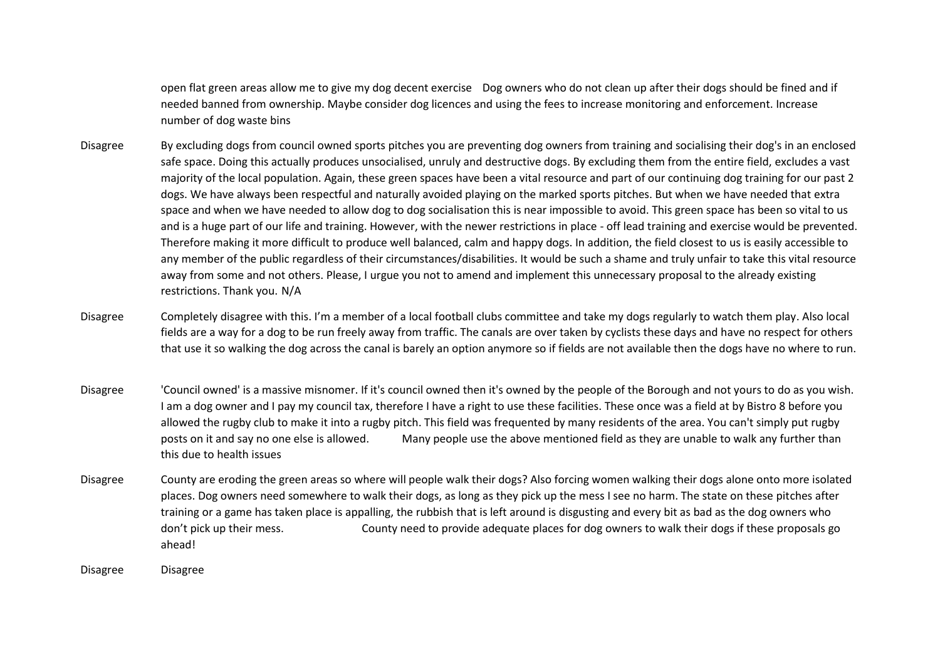open flat green areas allow me to give my dog decent exercise Dog owners who do not clean up after their dogs should be fined and if needed banned from ownership. Maybe consider dog licences and using the fees to increase monitoring and enforcement. Increase number of dog waste bins

- Disagree By excluding dogs from council owned sports pitches you are preventing dog owners from training and socialising their dog's in an enclosed safe space. Doing this actually produces unsocialised, unruly and destructive dogs. By excluding them from the entire field, excludes a vast majority of the local population. Again, these green spaces have been a vital resource and part of our continuing dog training for our past 2 dogs. We have always been respectful and naturally avoided playing on the marked sports pitches. But when we have needed that extra space and when we have needed to allow dog to dog socialisation this is near impossible to avoid. This green space has been so vital to us and is a huge part of our life and training. However, with the newer restrictions in place - off lead training and exercise would be prevented. Therefore making it more difficult to produce well balanced, calm and happy dogs. In addition, the field closest to us is easily accessible to any member of the public regardless of their circumstances/disabilities. It would be such a shame and truly unfair to take this vital resource away from some and not others. Please, I urgue you not to amend and implement this unnecessary proposal to the already existing restrictions. Thank you. N/A
- Disagree Completely disagree with this. I'm a member of a local football clubs committee and take my dogs regularly to watch them play. Also local fields are a way for a dog to be run freely away from traffic. The canals are over taken by cyclists these days and have no respect for others that use it so walking the dog across the canal is barely an option anymore so if fields are not available then the dogs have no where to run.
- Disagree 'Council owned' is a massive misnomer. If it's council owned then it's owned by the people of the Borough and not yours to do as you wish. I am a dog owner and I pay my council tax, therefore I have a right to use these facilities. These once was a field at by Bistro 8 before you allowed the rugby club to make it into a rugby pitch. This field was frequented by many residents of the area. You can't simply put rugby posts on it and say no one else is allowed. Many people use the above mentioned field as they are unable to walk any further than this due to health issues
- Disagree County are eroding the green areas so where will people walk their dogs? Also forcing women walking their dogs alone onto more isolated places. Dog owners need somewhere to walk their dogs, as long as they pick up the mess I see no harm. The state on these pitches after training or a game has taken place is appalling, the rubbish that is left around is disgusting and every bit as bad as the dog owners who don't pick up their mess. County need to provide adequate places for dog owners to walk their dogs if these proposals go ahead!

Disagree Disagree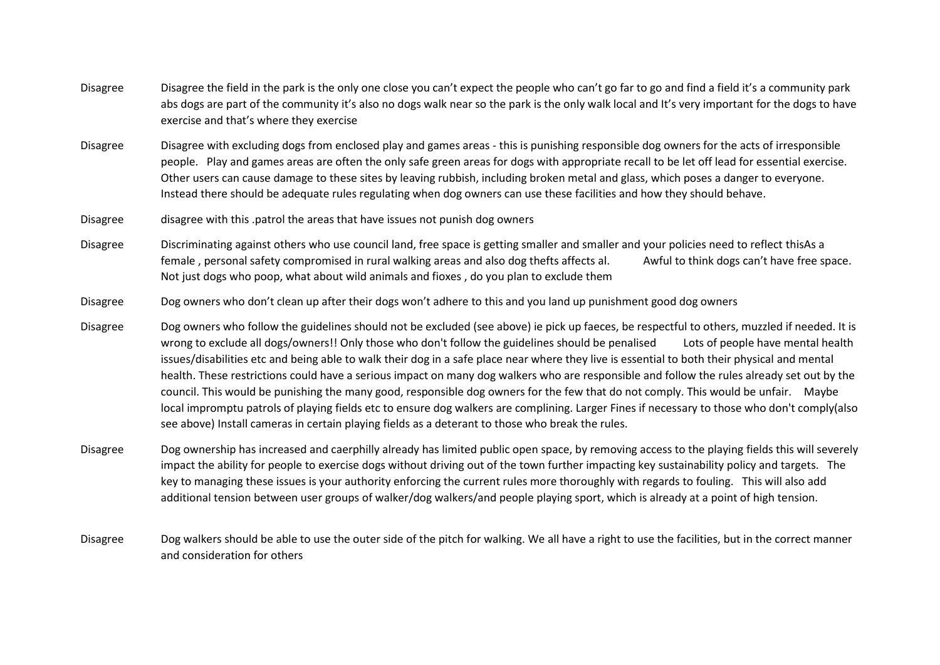- Disagree Disagree the field in the park is the only one close you can't expect the people who can't go far to go and find a field it's a community park abs dogs are part of the community it's also no dogs walk near so the park is the only walk local and It's very important for the dogs to have exercise and that's where they exercise
- Disagree Disagree with excluding dogs from enclosed play and games areas this is punishing responsible dog owners for the acts of irresponsible people. Play and games areas are often the only safe green areas for dogs with appropriate recall to be let off lead for essential exercise. Other users can cause damage to these sites by leaving rubbish, including broken metal and glass, which poses a danger to everyone. Instead there should be adequate rules regulating when dog owners can use these facilities and how they should behave.
- Disagree disagree with this .patrol the areas that have issues not punish dog owners
- Disagree Discriminating against others who use council land, free space is getting smaller and smaller and your policies need to reflect thisAs a female , personal safety compromised in rural walking areas and also dog thefts affects al. Awful to think dogs can't have free space. Not just dogs who poop, what about wild animals and fioxes , do you plan to exclude them
- Disagree Dog owners who don't clean up after their dogs won't adhere to this and you land up punishment good dog owners
- Disagree Dog owners who follow the guidelines should not be excluded (see above) ie pick up faeces, be respectful to others, muzzled if needed. It is wrong to exclude all dogs/owners!! Only those who don't follow the guidelines should be penalised Lots of people have mental health issues/disabilities etc and being able to walk their dog in a safe place near where they live is essential to both their physical and mental health. These restrictions could have a serious impact on many dog walkers who are responsible and follow the rules already set out by the council. This would be punishing the many good, responsible dog owners for the few that do not comply. This would be unfair. Maybe local impromptu patrols of playing fields etc to ensure dog walkers are complining. Larger Fines if necessary to those who don't comply(also see above) Install cameras in certain playing fields as a deterant to those who break the rules.
- Disagree Dog ownership has increased and caerphilly already has limited public open space, by removing access to the playing fields this will severely impact the ability for people to exercise dogs without driving out of the town further impacting key sustainability policy and targets. The key to managing these issues is your authority enforcing the current rules more thoroughly with regards to fouling. This will also add additional tension between user groups of walker/dog walkers/and people playing sport, which is already at a point of high tension.
- Disagree Dog walkers should be able to use the outer side of the pitch for walking. We all have a right to use the facilities, but in the correct manner and consideration for others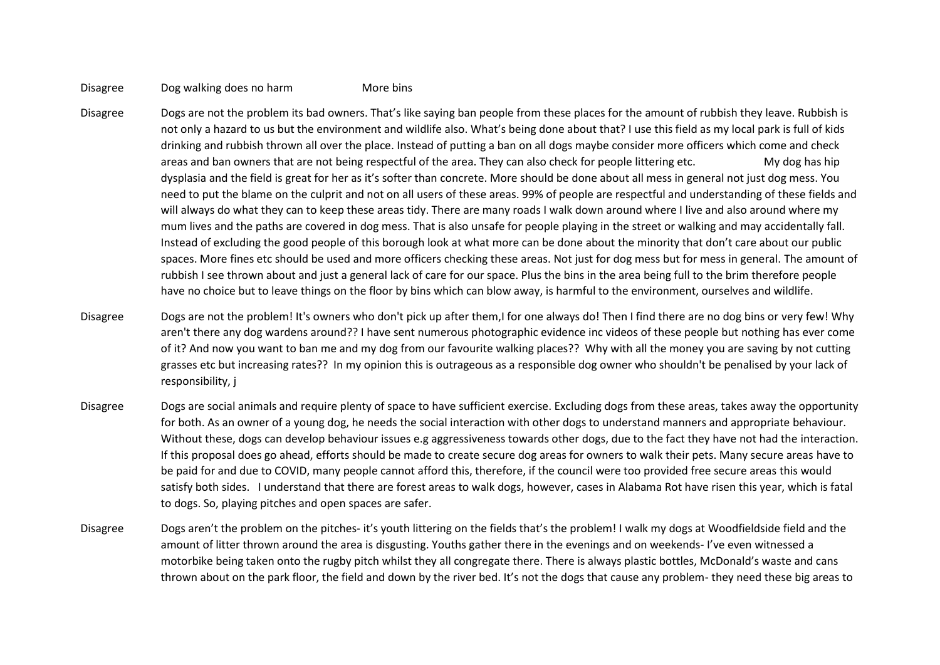## Disagree Dog walking does no harm More bins

- Disagree Dogs are not the problem its bad owners. That's like saying ban people from these places for the amount of rubbish they leave. Rubbish is not only a hazard to us but the environment and wildlife also. What's being done about that? I use this field as my local park is full of kids drinking and rubbish thrown all over the place. Instead of putting a ban on all dogs maybe consider more officers which come and check areas and ban owners that are not being respectful of the area. They can also check for people littering etc. My dog has hip dysplasia and the field is great for her as it's softer than concrete. More should be done about all mess in general not just dog mess. You need to put the blame on the culprit and not on all users of these areas. 99% of people are respectful and understanding of these fields and will always do what they can to keep these areas tidy. There are many roads I walk down around where I live and also around where my mum lives and the paths are covered in dog mess. That is also unsafe for people playing in the street or walking and may accidentally fall. Instead of excluding the good people of this borough look at what more can be done about the minority that don't care about our public spaces. More fines etc should be used and more officers checking these areas. Not just for dog mess but for mess in general. The amount of rubbish I see thrown about and just a general lack of care for our space. Plus the bins in the area being full to the brim therefore people have no choice but to leave things on the floor by bins which can blow away, is harmful to the environment, ourselves and wildlife.
- Disagree Dogs are not the problem! It's owners who don't pick up after them,I for one always do! Then I find there are no dog bins or very few! Why aren't there any dog wardens around?? I have sent numerous photographic evidence inc videos of these people but nothing has ever come of it? And now you want to ban me and my dog from our favourite walking places?? Why with all the money you are saving by not cutting grasses etc but increasing rates?? In my opinion this is outrageous as a responsible dog owner who shouldn't be penalised by your lack of responsibility, j
- Disagree Dogs are social animals and require plenty of space to have sufficient exercise. Excluding dogs from these areas, takes away the opportunity for both. As an owner of a young dog, he needs the social interaction with other dogs to understand manners and appropriate behaviour. Without these, dogs can develop behaviour issues e.g aggressiveness towards other dogs, due to the fact they have not had the interaction. If this proposal does go ahead, efforts should be made to create secure dog areas for owners to walk their pets. Many secure areas have to be paid for and due to COVID, many people cannot afford this, therefore, if the council were too provided free secure areas this would satisfy both sides. I understand that there are forest areas to walk dogs, however, cases in Alabama Rot have risen this year, which is fatal to dogs. So, playing pitches and open spaces are safer.
- Disagree Dogs aren't the problem on the pitches- it's youth littering on the fields that's the problem! I walk my dogs at Woodfieldside field and the amount of litter thrown around the area is disgusting. Youths gather there in the evenings and on weekends- I've even witnessed a motorbike being taken onto the rugby pitch whilst they all congregate there. There is always plastic bottles, McDonald's waste and cans thrown about on the park floor, the field and down by the river bed. It's not the dogs that cause any problem- they need these big areas to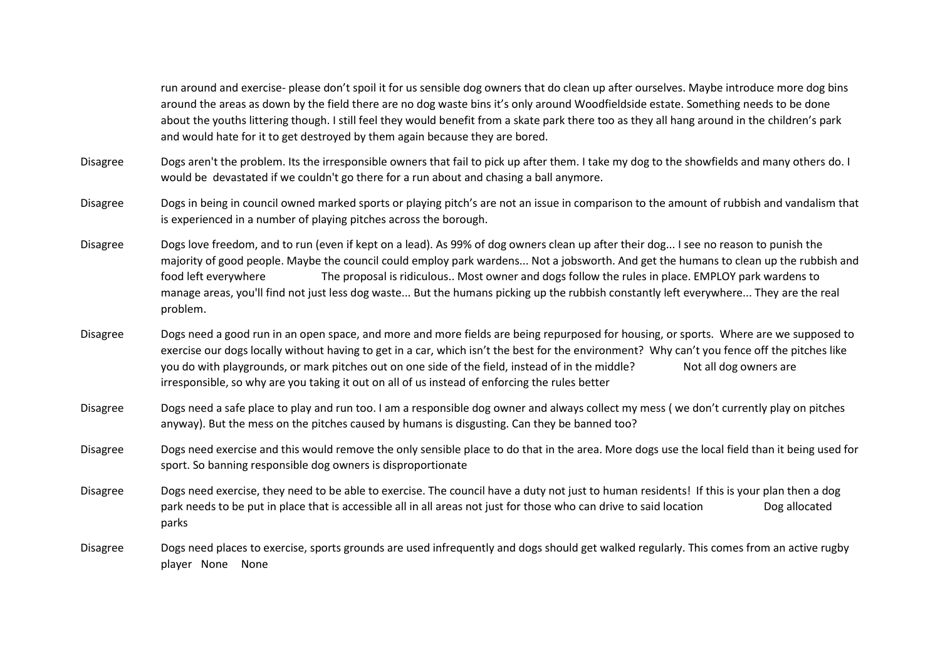run around and exercise- please don't spoil it for us sensible dog owners that do clean up after ourselves. Maybe introduce more dog bins around the areas as down by the field there are no dog waste bins it's only around Woodfieldside estate. Something needs to be done about the youths littering though. I still feel they would benefit from a skate park there too as they all hang around in the children's park and would hate for it to get destroyed by them again because they are bored.

- Disagree Dogs aren't the problem. Its the irresponsible owners that fail to pick up after them. I take my dog to the showfields and many others do. I would be devastated if we couldn't go there for a run about and chasing a ball anymore.
- Disagree Dogs in being in council owned marked sports or playing pitch's are not an issue in comparison to the amount of rubbish and vandalism that is experienced in a number of playing pitches across the borough.
- Disagree Dogs love freedom, and to run (even if kept on a lead). As 99% of dog owners clean up after their dog... I see no reason to punish the majority of good people. Maybe the council could employ park wardens... Not a jobsworth. And get the humans to clean up the rubbish and food left everywhere The proposal is ridiculous.. Most owner and dogs follow the rules in place. EMPLOY park wardens to manage areas, you'll find not just less dog waste... But the humans picking up the rubbish constantly left everywhere... They are the real problem.
- Disagree Dogs need a good run in an open space, and more and more fields are being repurposed for housing, or sports. Where are we supposed to exercise our dogs locally without having to get in a car, which isn't the best for the environment? Why can't you fence off the pitches like you do with playgrounds, or mark pitches out on one side of the field, instead of in the middle? Not all dog owners are irresponsible, so why are you taking it out on all of us instead of enforcing the rules better
- Disagree Dogs need a safe place to play and run too. I am a responsible dog owner and always collect my mess ( we don't currently play on pitches anyway). But the mess on the pitches caused by humans is disgusting. Can they be banned too?
- Disagree Dogs need exercise and this would remove the only sensible place to do that in the area. More dogs use the local field than it being used for sport. So banning responsible dog owners is disproportionate
- Disagree Dogs need exercise, they need to be able to exercise. The council have a duty not just to human residents! If this is your plan then a dog park needs to be put in place that is accessible all in all areas not just for those who can drive to said location Dog allocated parks
- Disagree Dogs need places to exercise, sports grounds are used infrequently and dogs should get walked regularly. This comes from an active rugby player None None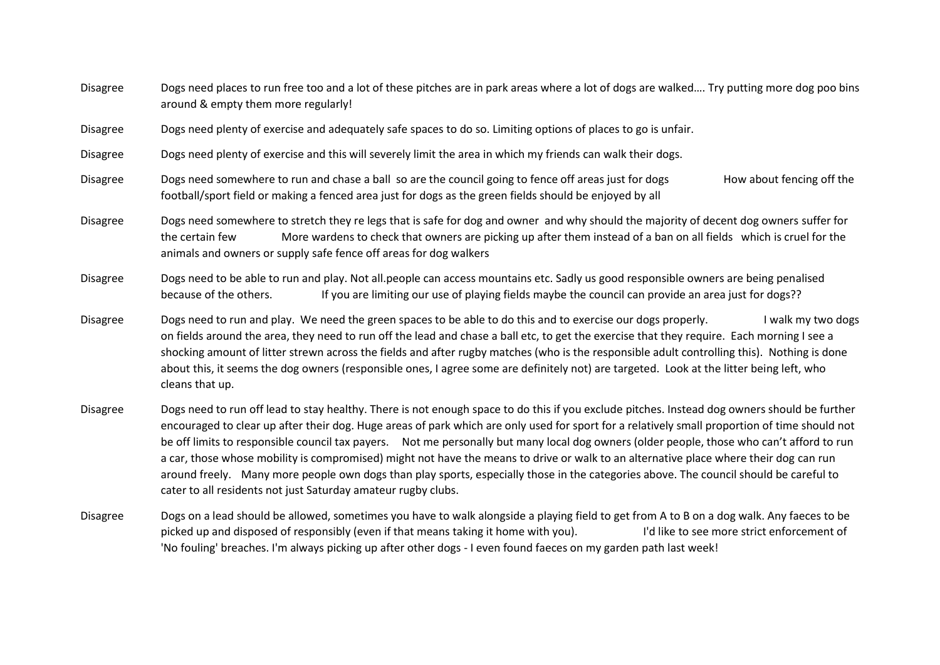| <b>Disagree</b> | Dogs need places to run free too and a lot of these pitches are in park areas where a lot of dogs are walked Try putting more dog poo bins<br>around & empty them more regularly!                                                                                                                                                                                                                                                                                                                                                                                                              |  |  |
|-----------------|------------------------------------------------------------------------------------------------------------------------------------------------------------------------------------------------------------------------------------------------------------------------------------------------------------------------------------------------------------------------------------------------------------------------------------------------------------------------------------------------------------------------------------------------------------------------------------------------|--|--|
| <b>Disagree</b> | Dogs need plenty of exercise and adequately safe spaces to do so. Limiting options of places to go is unfair.                                                                                                                                                                                                                                                                                                                                                                                                                                                                                  |  |  |
| <b>Disagree</b> | Dogs need plenty of exercise and this will severely limit the area in which my friends can walk their dogs.                                                                                                                                                                                                                                                                                                                                                                                                                                                                                    |  |  |
| Disagree        | Dogs need somewhere to run and chase a ball so are the council going to fence off areas just for dogs<br>How about fencing off the<br>football/sport field or making a fenced area just for dogs as the green fields should be enjoyed by all                                                                                                                                                                                                                                                                                                                                                  |  |  |
| Disagree        | Dogs need somewhere to stretch they re legs that is safe for dog and owner and why should the majority of decent dog owners suffer for<br>More wardens to check that owners are picking up after them instead of a ban on all fields which is cruel for the<br>the certain few<br>animals and owners or supply safe fence off areas for dog walkers                                                                                                                                                                                                                                            |  |  |
| <b>Disagree</b> | Dogs need to be able to run and play. Not all people can access mountains etc. Sadly us good responsible owners are being penalised<br>because of the others.<br>If you are limiting our use of playing fields maybe the council can provide an area just for dogs??                                                                                                                                                                                                                                                                                                                           |  |  |
| <b>Disagree</b> | Dogs need to run and play. We need the green spaces to be able to do this and to exercise our dogs properly.<br>I walk my two dogs<br>on fields around the area, they need to run off the lead and chase a ball etc, to get the exercise that they require. Each morning I see a<br>shocking amount of litter strewn across the fields and after rugby matches (who is the responsible adult controlling this). Nothing is done<br>about this, it seems the dog owners (responsible ones, I agree some are definitely not) are targeted. Look at the litter being left, who<br>cleans that up. |  |  |
| Disagree        | Dogs need to run off lead to stay healthy. There is not enough space to do this if you exclude pitches, Instead dog owners should be further                                                                                                                                                                                                                                                                                                                                                                                                                                                   |  |  |

- Disagree Dogs need to run off lead to stay healthy. There is not enough space to do this if you exclude pitches. Instead dog owners should be further encouraged to clear up after their dog. Huge areas of park which are only used for sport for a relatively small proportion of time should not be off limits to responsible council tax payers. Not me personally but many local dog owners (older people, those who can't afford to run a car, those whose mobility is compromised) might not have the means to drive or walk to an alternative place where their dog can run around freely. Many more people own dogs than play sports, especially those in the categories above. The council should be careful to cater to all residents not just Saturday amateur rugby clubs.
- Disagree Dogs on a lead should be allowed, sometimes you have to walk alongside a playing field to get from A to B on a dog walk. Any faeces to be picked up and disposed of responsibly (even if that means taking it home with you). I'd like to see more strict enforcement of 'No fouling' breaches. I'm always picking up after other dogs - I even found faeces on my garden path last week!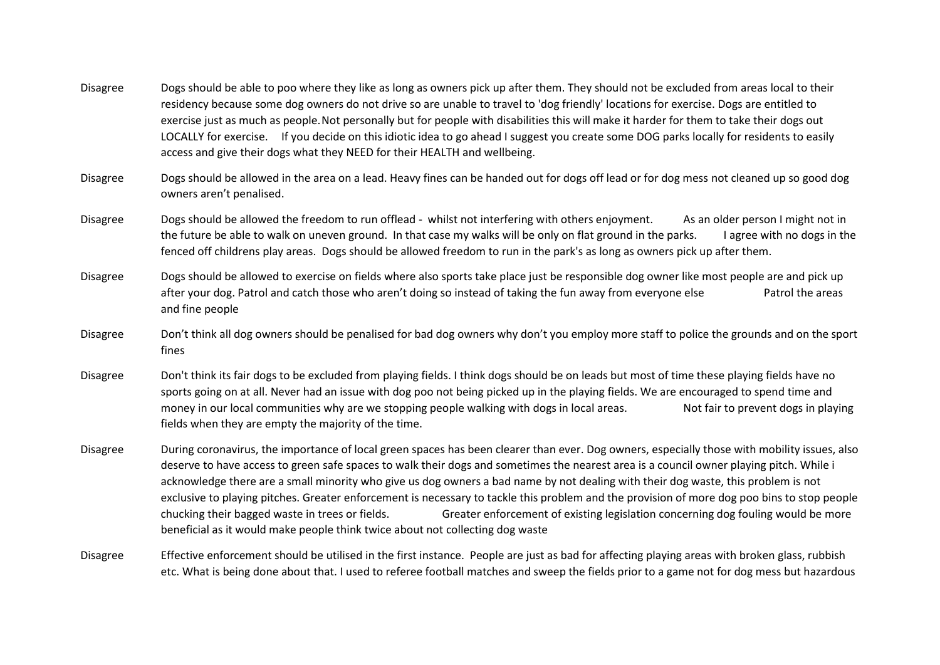- Disagree Dogs should be able to poo where they like as long as owners pick up after them. They should not be excluded from areas local to their residency because some dog owners do not drive so are unable to travel to 'dog friendly' locations for exercise. Dogs are entitled to exercise just as much as people.Not personally but for people with disabilities this will make it harder for them to take their dogs out LOCALLY for exercise. If you decide on this idiotic idea to go ahead I suggest you create some DOG parks locally for residents to easily access and give their dogs what they NEED for their HEALTH and wellbeing.
- Disagree Dogs should be allowed in the area on a lead. Heavy fines can be handed out for dogs off lead or for dog mess not cleaned up so good dog owners aren't penalised.
- Disagree Dogs should be allowed the freedom to run offlead whilst not interfering with others enjoyment. As an older person I might not in the future be able to walk on uneven ground. In that case my walks will be only on flat ground in the parks. I agree with no dogs in the fenced off childrens play areas. Dogs should be allowed freedom to run in the park's as long as owners pick up after them.
- Disagree Dogs should be allowed to exercise on fields where also sports take place just be responsible dog owner like most people are and pick up after your dog. Patrol and catch those who aren't doing so instead of taking the fun away from everyone else Patrol the areas and fine people
- Disagree Don't think all dog owners should be penalised for bad dog owners why don't you employ more staff to police the grounds and on the sport fines
- Disagree Don't think its fair dogs to be excluded from playing fields. I think dogs should be on leads but most of time these playing fields have no sports going on at all. Never had an issue with dog poo not being picked up in the playing fields. We are encouraged to spend time and money in our local communities why are we stopping people walking with dogs in local areas. Not fair to prevent dogs in playing fields when they are empty the majority of the time.
- Disagree During coronavirus, the importance of local green spaces has been clearer than ever. Dog owners, especially those with mobility issues, also deserve to have access to green safe spaces to walk their dogs and sometimes the nearest area is a council owner playing pitch. While i acknowledge there are a small minority who give us dog owners a bad name by not dealing with their dog waste, this problem is not exclusive to playing pitches. Greater enforcement is necessary to tackle this problem and the provision of more dog poo bins to stop people chucking their bagged waste in trees or fields. Greater enforcement of existing legislation concerning dog fouling would be more beneficial as it would make people think twice about not collecting dog waste
- Disagree Effective enforcement should be utilised in the first instance. People are just as bad for affecting playing areas with broken glass, rubbish etc. What is being done about that. I used to referee football matches and sweep the fields prior to a game not for dog mess but hazardous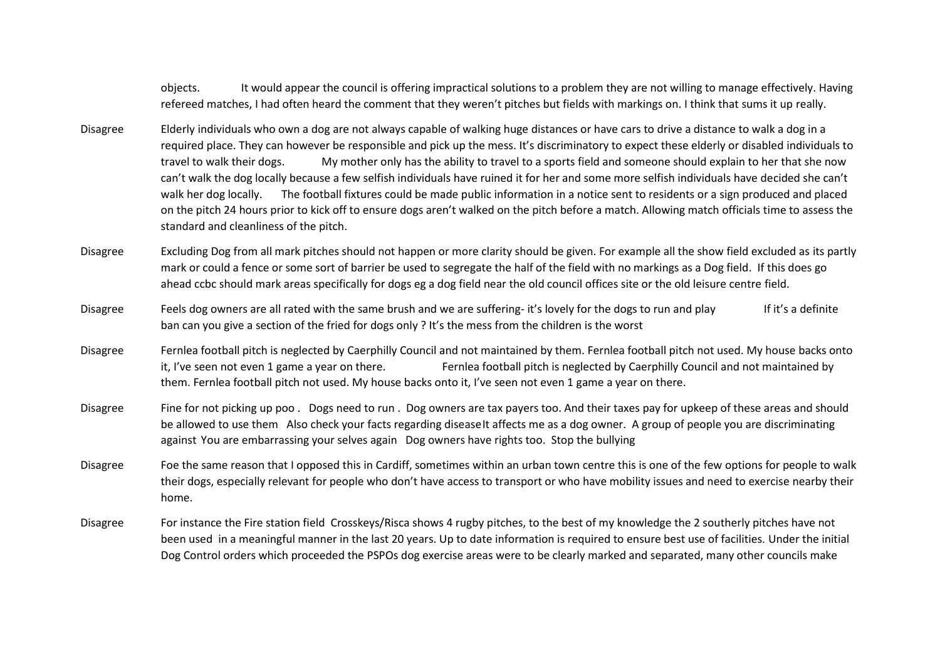objects. It would appear the council is offering impractical solutions to a problem they are not willing to manage effectively. Having refereed matches, I had often heard the comment that they weren't pitches but fields with markings on. I think that sums it up really.

- Disagree Elderly individuals who own a dog are not always capable of walking huge distances or have cars to drive a distance to walk a dog in a required place. They can however be responsible and pick up the mess. It's discriminatory to expect these elderly or disabled individuals to travel to walk their dogs. My mother only has the ability to travel to a sports field and someone should explain to her that she now can't walk the dog locally because a few selfish individuals have ruined it for her and some more selfish individuals have decided she can't walk her dog locally. The football fixtures could be made public information in a notice sent to residents or a sign produced and placed on the pitch 24 hours prior to kick off to ensure dogs aren't walked on the pitch before a match. Allowing match officials time to assess the standard and cleanliness of the pitch.
- Disagree Excluding Dog from all mark pitches should not happen or more clarity should be given. For example all the show field excluded as its partly mark or could a fence or some sort of barrier be used to segregate the half of the field with no markings as a Dog field. If this does go ahead ccbc should mark areas specifically for dogs eg a dog field near the old council offices site or the old leisure centre field.
- Disagree Feels dog owners are all rated with the same brush and we are suffering- it's lovely for the dogs to run and play If it's a definite ban can you give a section of the fried for dogs only ? It's the mess from the children is the worst
- Disagree Fernlea football pitch is neglected by Caerphilly Council and not maintained by them. Fernlea football pitch not used. My house backs onto it, I've seen not even 1 game a year on there. Fernlea football pitch is neglected by Caerphilly Council and not maintained by them. Fernlea football pitch not used. My house backs onto it, I've seen not even 1 game a year on there.
- Disagree Fine for not picking up poo . Dogs need to run . Dog owners are tax payers too. And their taxes pay for upkeep of these areas and should be allowed to use them Also check your facts regarding diseaseIt affects me as a dog owner. A group of people you are discriminating against You are embarrassing your selves again Dog owners have rights too. Stop the bullying
- Disagree Foe the same reason that I opposed this in Cardiff, sometimes within an urban town centre this is one of the few options for people to walk their dogs, especially relevant for people who don't have access to transport or who have mobility issues and need to exercise nearby their home.
- Disagree For instance the Fire station field Crosskeys/Risca shows 4 rugby pitches, to the best of my knowledge the 2 southerly pitches have not been used in a meaningful manner in the last 20 years. Up to date information is required to ensure best use of facilities. Under the initial Dog Control orders which proceeded the PSPOs dog exercise areas were to be clearly marked and separated, many other councils make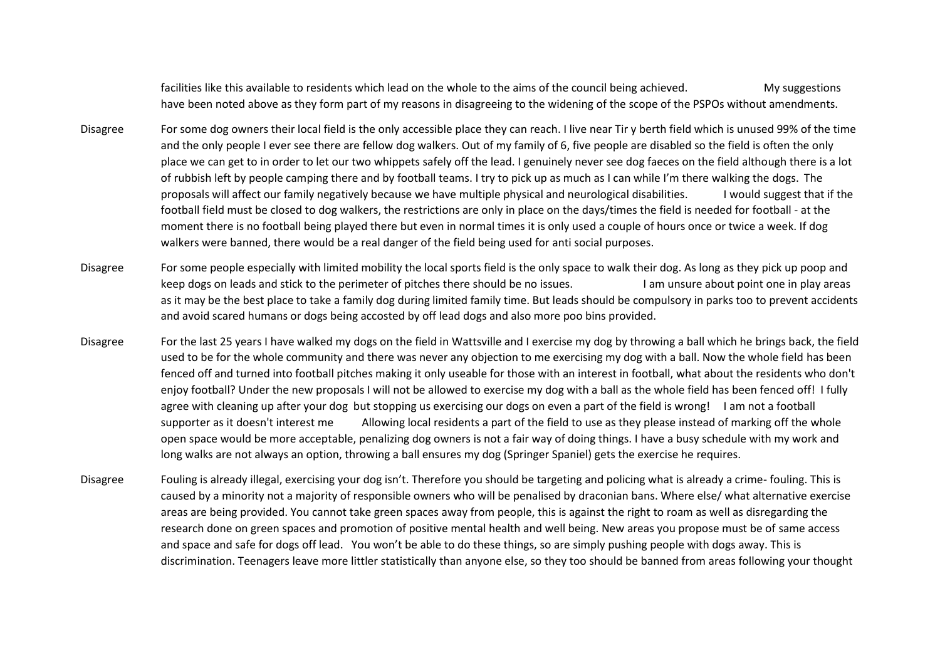facilities like this available to residents which lead on the whole to the aims of the council being achieved. My suggestions have been noted above as they form part of my reasons in disagreeing to the widening of the scope of the PSPOs without amendments.

- Disagree For some dog owners their local field is the only accessible place they can reach. I live near Tir y berth field which is unused 99% of the time and the only people I ever see there are fellow dog walkers. Out of my family of 6, five people are disabled so the field is often the only place we can get to in order to let our two whippets safely off the lead. I genuinely never see dog faeces on the field although there is a lot of rubbish left by people camping there and by football teams. I try to pick up as much as I can while I'm there walking the dogs. The proposals will affect our family negatively because we have multiple physical and neurological disabilities. I would suggest that if the football field must be closed to dog walkers, the restrictions are only in place on the days/times the field is needed for football - at the moment there is no football being played there but even in normal times it is only used a couple of hours once or twice a week. If dog walkers were banned, there would be a real danger of the field being used for anti social purposes.
- Disagree For some people especially with limited mobility the local sports field is the only space to walk their dog. As long as they pick up poop and keep dogs on leads and stick to the perimeter of pitches there should be no issues. I am unsure about point one in play areas as it may be the best place to take a family dog during limited family time. But leads should be compulsory in parks too to prevent accidents and avoid scared humans or dogs being accosted by off lead dogs and also more poo bins provided.
- Disagree For the last 25 years I have walked my dogs on the field in Wattsville and I exercise my dog by throwing a ball which he brings back, the field used to be for the whole community and there was never any objection to me exercising my dog with a ball. Now the whole field has been fenced off and turned into football pitches making it only useable for those with an interest in football, what about the residents who don't enjoy football? Under the new proposals I will not be allowed to exercise my dog with a ball as the whole field has been fenced off! I fully agree with cleaning up after your dog but stopping us exercising our dogs on even a part of the field is wrong! I am not a football supporter as it doesn't interest me Allowing local residents a part of the field to use as they please instead of marking off the whole open space would be more acceptable, penalizing dog owners is not a fair way of doing things. I have a busy schedule with my work and long walks are not always an option, throwing a ball ensures my dog (Springer Spaniel) gets the exercise he requires.
- Disagree Fouling is already illegal, exercising your dog isn't. Therefore you should be targeting and policing what is already a crime- fouling. This is caused by a minority not a majority of responsible owners who will be penalised by draconian bans. Where else/ what alternative exercise areas are being provided. You cannot take green spaces away from people, this is against the right to roam as well as disregarding the research done on green spaces and promotion of positive mental health and well being. New areas you propose must be of same access and space and safe for dogs off lead. You won't be able to do these things, so are simply pushing people with dogs away. This is discrimination. Teenagers leave more littler statistically than anyone else, so they too should be banned from areas following your thought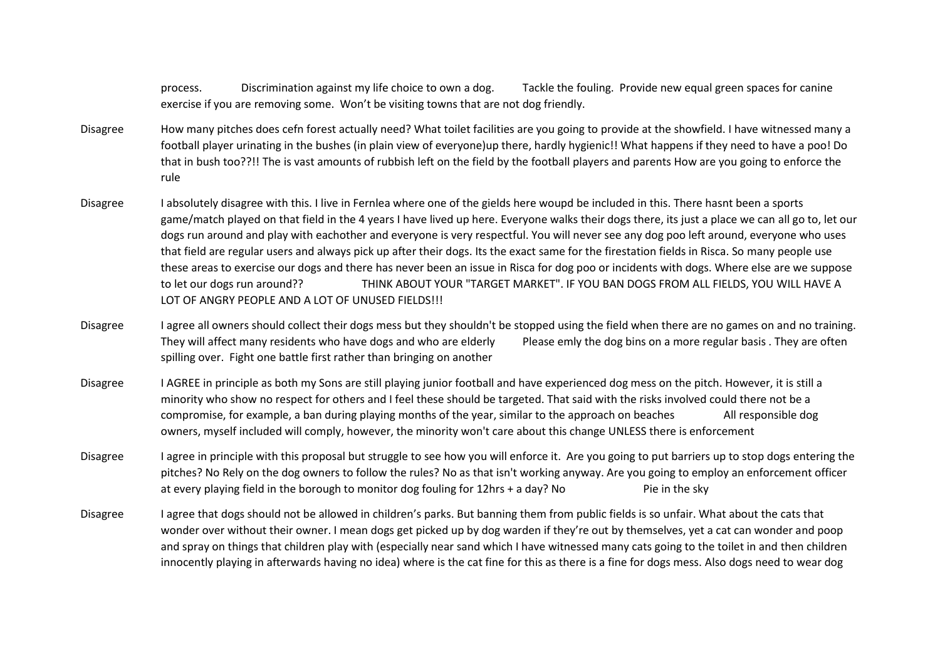process. Discrimination against my life choice to own a dog. Tackle the fouling. Provide new equal green spaces for canine exercise if you are removing some. Won't be visiting towns that are not dog friendly.

- Disagree How many pitches does cefn forest actually need? What toilet facilities are you going to provide at the showfield. I have witnessed many a football player urinating in the bushes (in plain view of everyone)up there, hardly hygienic!! What happens if they need to have a poo! Do that in bush too??!! The is vast amounts of rubbish left on the field by the football players and parents How are you going to enforce the rule
- Disagree I absolutely disagree with this. I live in Fernlea where one of the gields here woupd be included in this. There hasnt been a sports game/match played on that field in the 4 years I have lived up here. Everyone walks their dogs there, its just a place we can all go to, let our dogs run around and play with eachother and everyone is very respectful. You will never see any dog poo left around, everyone who uses that field are regular users and always pick up after their dogs. Its the exact same for the firestation fields in Risca. So many people use these areas to exercise our dogs and there has never been an issue in Risca for dog poo or incidents with dogs. Where else are we suppose to let our dogs run around?? THINK ABOUT YOUR "TARGET MARKET". IF YOU BAN DOGS FROM ALL FIELDS, YOU WILL HAVE A LOT OF ANGRY PEOPLE AND A LOT OF UNUSED FIELDS!!!
- Disagree I agree all owners should collect their dogs mess but they shouldn't be stopped using the field when there are no games on and no training. They will affect many residents who have dogs and who are elderly Please emly the dog bins on a more regular basis . They are often spilling over. Fight one battle first rather than bringing on another
- Disagree I AGREE in principle as both my Sons are still playing junior football and have experienced dog mess on the pitch. However, it is still a minority who show no respect for others and I feel these should be targeted. That said with the risks involved could there not be a compromise, for example, a ban during playing months of the year, similar to the approach on beaches All responsible dog owners, myself included will comply, however, the minority won't care about this change UNLESS there is enforcement
- Disagree I agree in principle with this proposal but struggle to see how you will enforce it. Are you going to put barriers up to stop dogs entering the pitches? No Rely on the dog owners to follow the rules? No as that isn't working anyway. Are you going to employ an enforcement officer at every playing field in the borough to monitor dog fouling for 12hrs + a day? No Pie in the sky
- Disagree I agree that dogs should not be allowed in children's parks. But banning them from public fields is so unfair. What about the cats that wonder over without their owner. I mean dogs get picked up by dog warden if they're out by themselves, yet a cat can wonder and poop and spray on things that children play with (especially near sand which I have witnessed many cats going to the toilet in and then children innocently playing in afterwards having no idea) where is the cat fine for this as there is a fine for dogs mess. Also dogs need to wear dog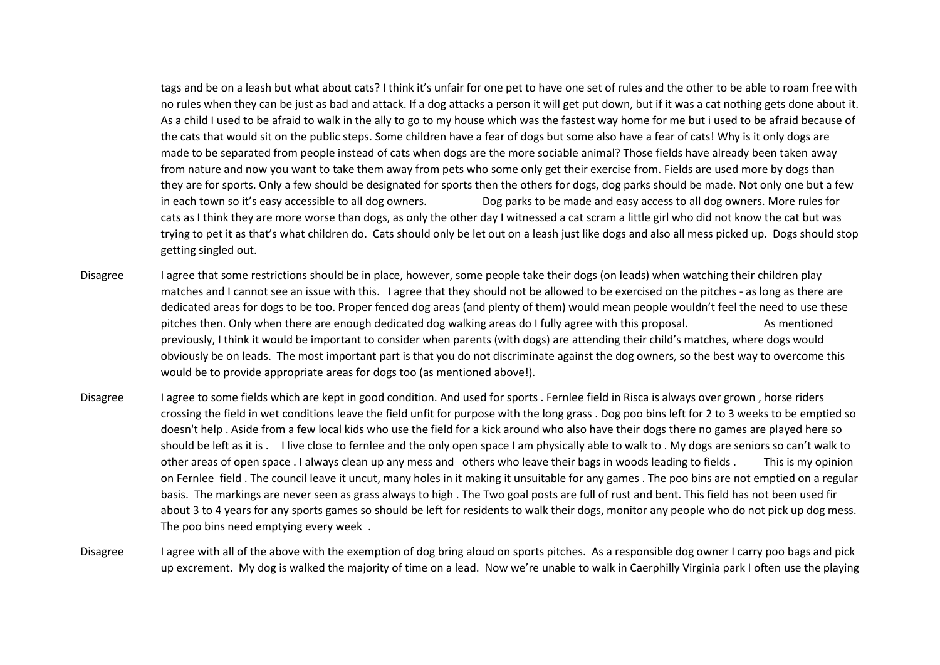tags and be on a leash but what about cats? I think it's unfair for one pet to have one set of rules and the other to be able to roam free with no rules when they can be just as bad and attack. If a dog attacks a person it will get put down, but if it was a cat nothing gets done about it. As a child I used to be afraid to walk in the ally to go to my house which was the fastest way home for me but i used to be afraid because of the cats that would sit on the public steps. Some children have a fear of dogs but some also have a fear of cats! Why is it only dogs are made to be separated from people instead of cats when dogs are the more sociable animal? Those fields have already been taken away from nature and now you want to take them away from pets who some only get their exercise from. Fields are used more by dogs than they are for sports. Only a few should be designated for sports then the others for dogs, dog parks should be made. Not only one but a few in each town so it's easy accessible to all dog owners. Dog parks to be made and easy access to all dog owners. More rules for cats as I think they are more worse than dogs, as only the other day I witnessed a cat scram a little girl who did not know the cat but was trying to pet it as that's what children do. Cats should only be let out on a leash just like dogs and also all mess picked up. Dogs should stop getting singled out.

- Disagree I agree that some restrictions should be in place, however, some people take their dogs (on leads) when watching their children play matches and I cannot see an issue with this. I agree that they should not be allowed to be exercised on the pitches - as long as there are dedicated areas for dogs to be too. Proper fenced dog areas (and plenty of them) would mean people wouldn't feel the need to use these pitches then. Only when there are enough dedicated dog walking areas do I fully agree with this proposal. As mentioned previously, I think it would be important to consider when parents (with dogs) are attending their child's matches, where dogs would obviously be on leads. The most important part is that you do not discriminate against the dog owners, so the best way to overcome this would be to provide appropriate areas for dogs too (as mentioned above!).
- Disagree I agree to some fields which are kept in good condition. And used for sports . Fernlee field in Risca is always over grown, horse riders crossing the field in wet conditions leave the field unfit for purpose with the long grass . Dog poo bins left for 2 to 3 weeks to be emptied so doesn't help . Aside from a few local kids who use the field for a kick around who also have their dogs there no games are played here so should be left as it is . I live close to fernlee and the only open space I am physically able to walk to . My dogs are seniors so can't walk to other areas of open space . I always clean up any mess and others who leave their bags in woods leading to fields . This is my opinion on Fernlee field . The council leave it uncut, many holes in it making it unsuitable for any games . The poo bins are not emptied on a regular basis. The markings are never seen as grass always to high . The Two goal posts are full of rust and bent. This field has not been used fir about 3 to 4 years for any sports games so should be left for residents to walk their dogs, monitor any people who do not pick up dog mess. The poo bins need emptying every week .
- Disagree I agree with all of the above with the exemption of dog bring aloud on sports pitches. As a responsible dog owner I carry poo bags and pick up excrement. My dog is walked the majority of time on a lead. Now we're unable to walk in Caerphilly Virginia park I often use the playing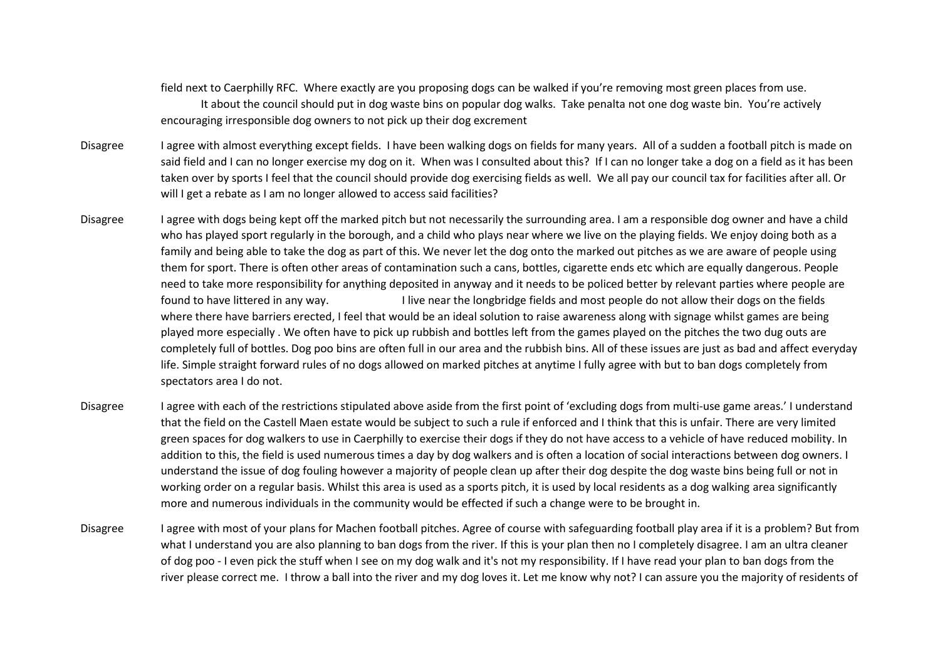field next to Caerphilly RFC. Where exactly are you proposing dogs can be walked if you're removing most green places from use. It about the council should put in dog waste bins on popular dog walks. Take penalta not one dog waste bin. You're actively encouraging irresponsible dog owners to not pick up their dog excrement

- Disagree I agree with almost everything except fields. I have been walking dogs on fields for many years. All of a sudden a football pitch is made on said field and I can no longer exercise my dog on it. When was I consulted about this? If I can no longer take a dog on a field as it has been taken over by sports I feel that the council should provide dog exercising fields as well. We all pay our council tax for facilities after all. Or will I get a rebate as I am no longer allowed to access said facilities?
- Disagree I agree with dogs being kept off the marked pitch but not necessarily the surrounding area. I am a responsible dog owner and have a child who has played sport regularly in the borough, and a child who plays near where we live on the playing fields. We enjoy doing both as a family and being able to take the dog as part of this. We never let the dog onto the marked out pitches as we are aware of people using them for sport. There is often other areas of contamination such a cans, bottles, cigarette ends etc which are equally dangerous. People need to take more responsibility for anything deposited in anyway and it needs to be policed better by relevant parties where people are found to have littered in any way. I live near the longbridge fields and most people do not allow their dogs on the fields where there have barriers erected, I feel that would be an ideal solution to raise awareness along with signage whilst games are being played more especially . We often have to pick up rubbish and bottles left from the games played on the pitches the two dug outs are completely full of bottles. Dog poo bins are often full in our area and the rubbish bins. All of these issues are just as bad and affect everyday life. Simple straight forward rules of no dogs allowed on marked pitches at anytime I fully agree with but to ban dogs completely from spectators area I do not.
- Disagree I agree with each of the restrictions stipulated above aside from the first point of 'excluding dogs from multi-use game areas.' I understand that the field on the Castell Maen estate would be subject to such a rule if enforced and I think that this is unfair. There are very limited green spaces for dog walkers to use in Caerphilly to exercise their dogs if they do not have access to a vehicle of have reduced mobility. In addition to this, the field is used numerous times a day by dog walkers and is often a location of social interactions between dog owners. I understand the issue of dog fouling however a majority of people clean up after their dog despite the dog waste bins being full or not in working order on a regular basis. Whilst this area is used as a sports pitch, it is used by local residents as a dog walking area significantly more and numerous individuals in the community would be effected if such a change were to be brought in.
- Disagree I agree with most of your plans for Machen football pitches. Agree of course with safeguarding football play area if it is a problem? But from what I understand you are also planning to ban dogs from the river. If this is your plan then no I completely disagree. I am an ultra cleaner of dog poo - I even pick the stuff when I see on my dog walk and it's not my responsibility. If I have read your plan to ban dogs from the river please correct me. I throw a ball into the river and my dog loves it. Let me know why not? I can assure you the majority of residents of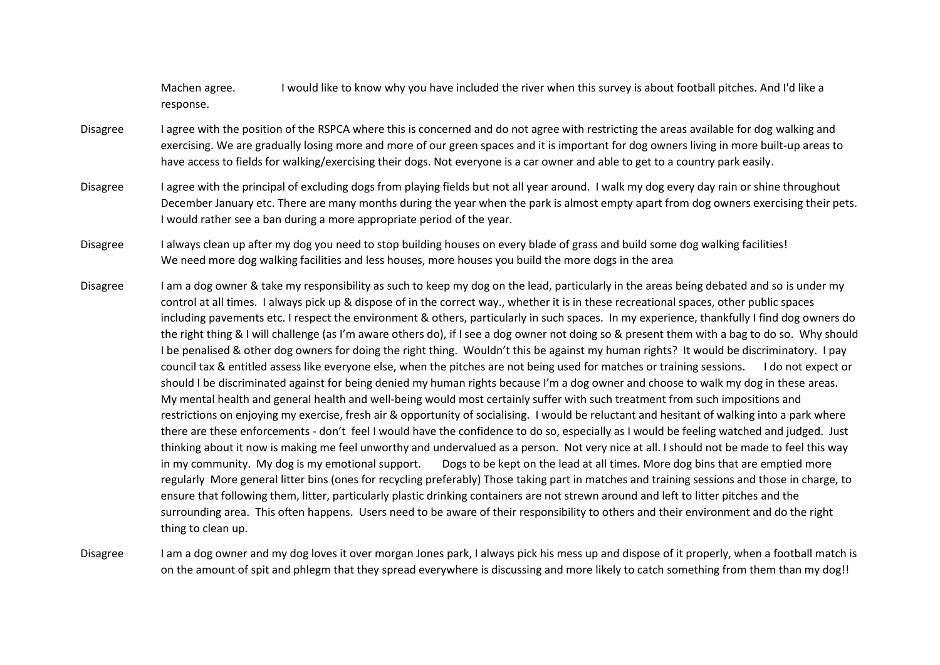Machen agree. I would like to know why you have included the river when this survey is about football pitches. And I'd like a response.

- Disagree I agree with the position of the RSPCA where this is concerned and do not agree with restricting the areas available for dog walking and exercising. We are gradually losing more and more of our green spaces and it is important for dog owners living in more built-up areas to have access to fields for walking/exercising their dogs. Not everyone is a car owner and able to get to a country park easily.
- Disagree I agree with the principal of excluding dogs from playing fields but not all year around. I walk my dog every day rain or shine throughout December January etc. There are many months during the year when the park is almost empty apart from dog owners exercising their pets. I would rather see a ban during a more appropriate period of the year.
- Disagree I always clean up after my dog you need to stop building houses on every blade of grass and build some dog walking facilities! We need more dog walking facilities and less houses, more houses you build the more dogs in the area
- Disagree I am a dog owner & take my responsibility as such to keep my dog on the lead, particularly in the areas being debated and so is under my control at all times. I always pick up & dispose of in the correct way., whether it is in these recreational spaces, other public spaces including pavements etc. I respect the environment & others, particularly in such spaces. In my experience, thankfully I find dog owners do the right thing & I will challenge (as I'm aware others do), if I see a dog owner not doing so & present them with a bag to do so. Why should I be penalised & other dog owners for doing the right thing. Wouldn't this be against my human rights? It would be discriminatory. I pay council tax & entitled assess like everyone else, when the pitches are not being used for matches or training sessions. I do not expect or should I be discriminated against for being denied my human rights because I'm a dog owner and choose to walk my dog in these areas. My mental health and general health and well-being would most certainly suffer with such treatment from such impositions and restrictions on enjoying my exercise, fresh air & opportunity of socialising. I would be reluctant and hesitant of walking into a park where there are these enforcements - don't feel I would have the confidence to do so, especially as I would be feeling watched and judged. Just thinking about it now is making me feel unworthy and undervalued as a person. Not very nice at all. I should not be made to feel this way in my community. My dog is my emotional support. Dogs to be kept on the lead at all times. More dog bins that are emptied more regularly More general litter bins (ones for recycling preferably) Those taking part in matches and training sessions and those in charge, to ensure that following them, litter, particularly plastic drinking containers are not strewn around and left to litter pitches and the surrounding area. This often happens. Users need to be aware of their responsibility to others and their environment and do the right thing to clean up.

Disagree I am a dog owner and my dog loves it over morgan Jones park, I always pick his mess up and dispose of it properly, when a football match is on the amount of spit and phlegm that they spread everywhere is discussing and more likely to catch something from them than my dog!!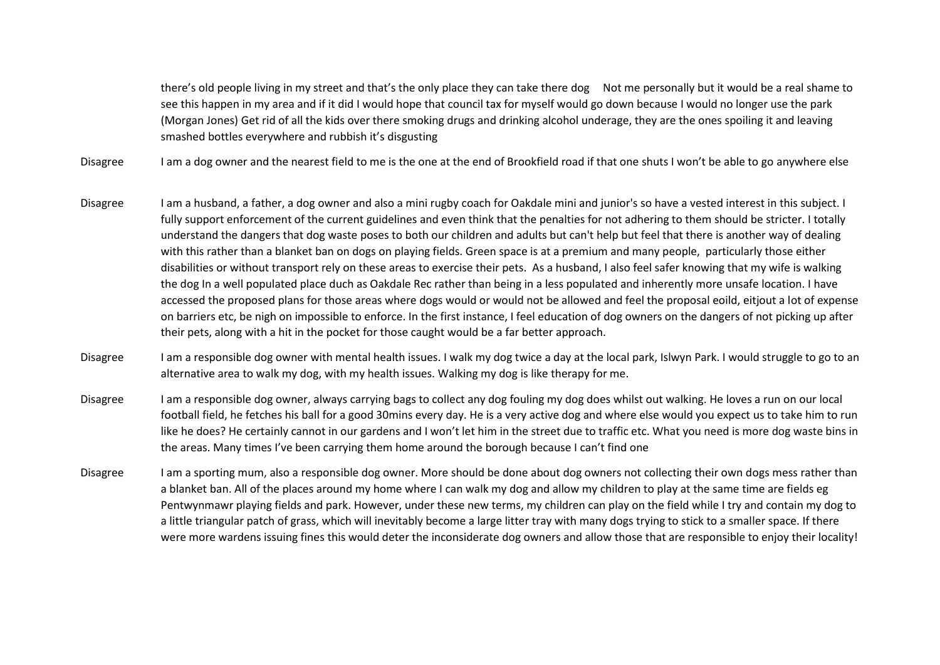there's old people living in my street and that's the only place they can take there dog Not me personally but it would be a real shame to see this happen in my area and if it did I would hope that council tax for myself would go down because I would no longer use the park (Morgan Jones) Get rid of all the kids over there smoking drugs and drinking alcohol underage, they are the ones spoiling it and leaving smashed bottles everywhere and rubbish it's disgusting

Disagree I am a dog owner and the nearest field to me is the one at the end of Brookfield road if that one shuts I won't be able to go anywhere else

- Disagree I am a husband, a father, a dog owner and also a mini rugby coach for Oakdale mini and junior's so have a vested interest in this subject. I fully support enforcement of the current guidelines and even think that the penalties for not adhering to them should be stricter. I totally understand the dangers that dog waste poses to both our children and adults but can't help but feel that there is another way of dealing with this rather than a blanket ban on dogs on playing fields. Green space is at a premium and many people, particularly those either disabilities or without transport rely on these areas to exercise their pets. As a husband, I also feel safer knowing that my wife is walking the dog In a well populated place duch as Oakdale Rec rather than being in a less populated and inherently more unsafe location. I have accessed the proposed plans for those areas where dogs would or would not be allowed and feel the proposal eoild, eitjout a lot of expense on barriers etc, be nigh on impossible to enforce. In the first instance, I feel education of dog owners on the dangers of not picking up after their pets, along with a hit in the pocket for those caught would be a far better approach.
- Disagree I am a responsible dog owner with mental health issues. I walk my dog twice a day at the local park, Islwyn Park. I would struggle to go to an alternative area to walk my dog, with my health issues. Walking my dog is like therapy for me.
- Disagree I am a responsible dog owner, always carrying bags to collect any dog fouling my dog does whilst out walking. He loves a run on our local football field, he fetches his ball for a good 30mins every day. He is a very active dog and where else would you expect us to take him to run like he does? He certainly cannot in our gardens and I won't let him in the street due to traffic etc. What you need is more dog waste bins in the areas. Many times I've been carrying them home around the borough because I can't find one
- Disagree I am a sporting mum, also a responsible dog owner. More should be done about dog owners not collecting their own dogs mess rather than a blanket ban. All of the places around my home where I can walk my dog and allow my children to play at the same time are fields eg Pentwynmawr playing fields and park. However, under these new terms, my children can play on the field while I try and contain my dog to a little triangular patch of grass, which will inevitably become a large litter tray with many dogs trying to stick to a smaller space. If there were more wardens issuing fines this would deter the inconsiderate dog owners and allow those that are responsible to enjoy their locality!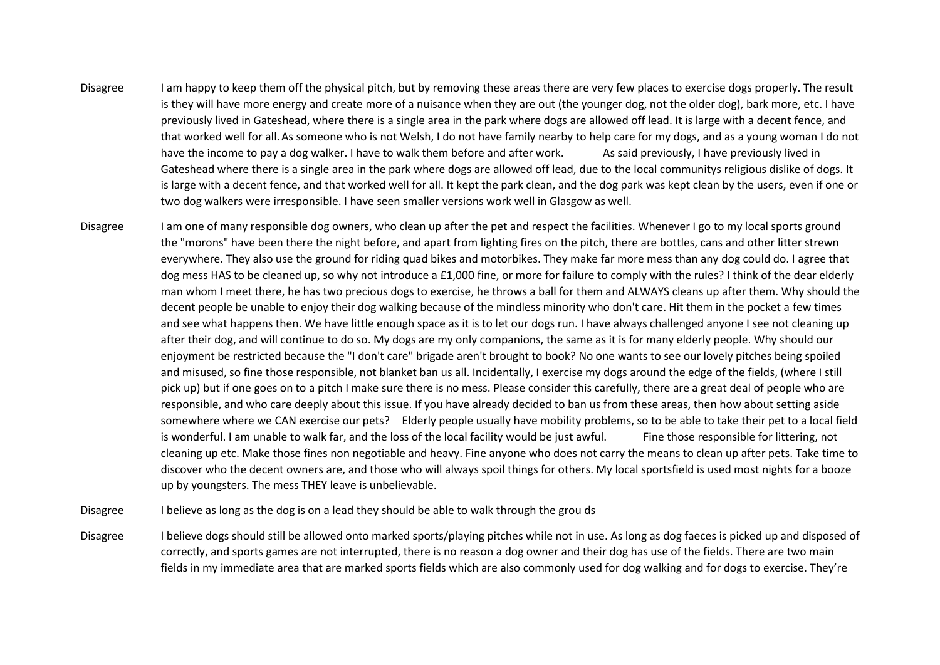- Disagree I am happy to keep them off the physical pitch, but by removing these areas there are very few places to exercise dogs properly. The result is they will have more energy and create more of a nuisance when they are out (the younger dog, not the older dog), bark more, etc. I have previously lived in Gateshead, where there is a single area in the park where dogs are allowed off lead. It is large with a decent fence, and that worked well for all.As someone who is not Welsh, I do not have family nearby to help care for my dogs, and as a young woman I do not have the income to pay a dog walker. I have to walk them before and after work. As said previously, I have previously lived in Gateshead where there is a single area in the park where dogs are allowed off lead, due to the local communitys religious dislike of dogs. It is large with a decent fence, and that worked well for all. It kept the park clean, and the dog park was kept clean by the users, even if one or two dog walkers were irresponsible. I have seen smaller versions work well in Glasgow as well.
- Disagree I am one of many responsible dog owners, who clean up after the pet and respect the facilities. Whenever I go to my local sports ground the "morons" have been there the night before, and apart from lighting fires on the pitch, there are bottles, cans and other litter strewn everywhere. They also use the ground for riding quad bikes and motorbikes. They make far more mess than any dog could do. I agree that dog mess HAS to be cleaned up, so why not introduce a £1,000 fine, or more for failure to comply with the rules? I think of the dear elderly man whom I meet there, he has two precious dogs to exercise, he throws a ball for them and ALWAYS cleans up after them. Why should the decent people be unable to enjoy their dog walking because of the mindless minority who don't care. Hit them in the pocket a few times and see what happens then. We have little enough space as it is to let our dogs run. I have always challenged anyone I see not cleaning up after their dog, and will continue to do so. My dogs are my only companions, the same as it is for many elderly people. Why should our enjoyment be restricted because the "I don't care" brigade aren't brought to book? No one wants to see our lovely pitches being spoiled and misused, so fine those responsible, not blanket ban us all. Incidentally, I exercise my dogs around the edge of the fields, (where I still pick up) but if one goes on to a pitch I make sure there is no mess. Please consider this carefully, there are a great deal of people who are responsible, and who care deeply about this issue. If you have already decided to ban us from these areas, then how about setting aside somewhere where we CAN exercise our pets? Elderly people usually have mobility problems, so to be able to take their pet to a local field is wonderful. I am unable to walk far, and the loss of the local facility would be just awful. Fine those responsible for littering, not cleaning up etc. Make those fines non negotiable and heavy. Fine anyone who does not carry the means to clean up after pets. Take time to discover who the decent owners are, and those who will always spoil things for others. My local sportsfield is used most nights for a booze up by youngsters. The mess THEY leave is unbelievable.

Disagree I believe as long as the dog is on a lead they should be able to walk through the grou ds

Disagree Ibelieve dogs should still be allowed onto marked sports/playing pitches while not in use. As long as dog faeces is picked up and disposed of correctly, and sports games are not interrupted, there is no reason a dog owner and their dog has use of the fields. There are two main fields in my immediate area that are marked sports fields which are also commonly used for dog walking and for dogs to exercise. They're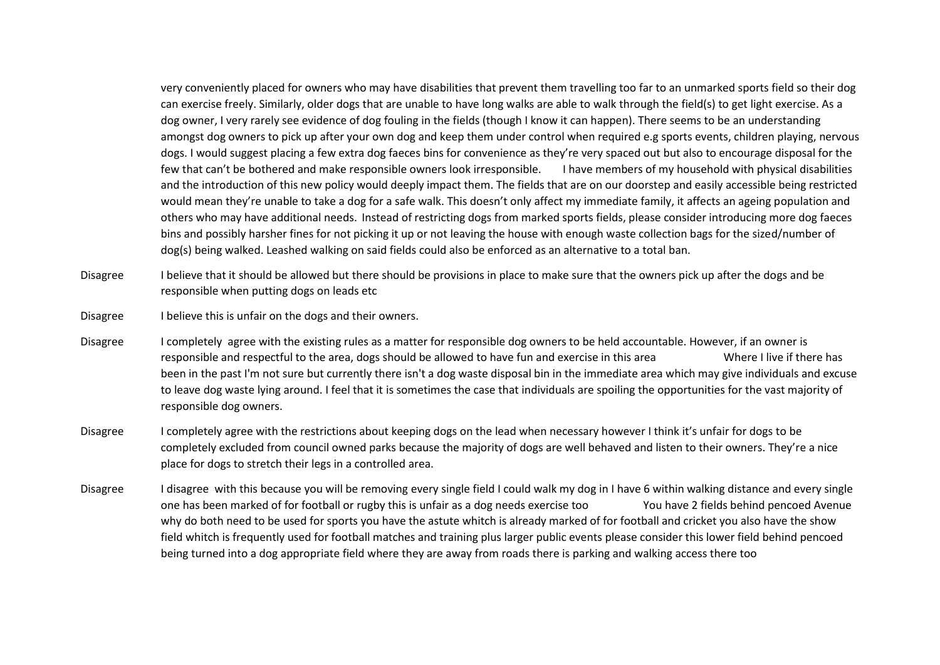very conveniently placed for owners who may have disabilities that prevent them travelling too far to an unmarked sports field so their dog can exercise freely. Similarly, older dogs that are unable to have long walks are able to walk through the field(s) to get light exercise. As a dog owner, I very rarely see evidence of dog fouling in the fields (though I know it can happen). There seems to be an understanding amongst dog owners to pick up after your own dog and keep them under control when required e.g sports events, children playing, nervous dogs. I would suggest placing a few extra dog faeces bins for convenience as they're very spaced out but also to encourage disposal for the few that can't be bothered and make responsible owners look irresponsible. I have members of my household with physical disabilities and the introduction of this new policy would deeply impact them. The fields that are on our doorstep and easily accessible being restricted would mean they're unable to take a dog for a safe walk. This doesn't only affect my immediate family, it affects an ageing population and others who may have additional needs. Instead of restricting dogs from marked sports fields, please consider introducing more dog faeces bins and possibly harsher fines for not picking it up or not leaving the house with enough waste collection bags for the sized/number of dog(s) being walked. Leashed walking on said fields could also be enforced as an alternative to a total ban.

- Disagree I believe that it should be allowed but there should be provisions in place to make sure that the owners pick up after the dogs and be responsible when putting dogs on leads etc
- Disagree I believe this is unfair on the dogs and their owners.
- Disagree I completely agree with the existing rules as a matter for responsible dog owners to be held accountable. However, if an owner is responsible and respectful to the area, dogs should be allowed to have fun and exercise in this area Where I live if there has been in the past I'm not sure but currently there isn't a dog waste disposal bin in the immediate area which may give individuals and excuse to leave dog waste lying around. I feel that it is sometimes the case that individuals are spoiling the opportunities for the vast majority of responsible dog owners.
- Disagree I completely agree with the restrictions about keeping dogs on the lead when necessary however I think it's unfair for dogs to be completely excluded from council owned parks because the majority of dogs are well behaved and listen to their owners. They're a nice place for dogs to stretch their legs in a controlled area.
- Disagree I disagree with this because you will be removing every single field I could walk my dog in I have 6 within walking distance and every single one has been marked of for football or rugby this is unfair as a dog needs exercise too You have 2 fields behind pencoed Avenue why do both need to be used for sports you have the astute whitch is already marked of for football and cricket you also have the show field whitch is frequently used for football matches and training plus larger public events please consider this lower field behind pencoed being turned into a dog appropriate field where they are away from roads there is parking and walking access there too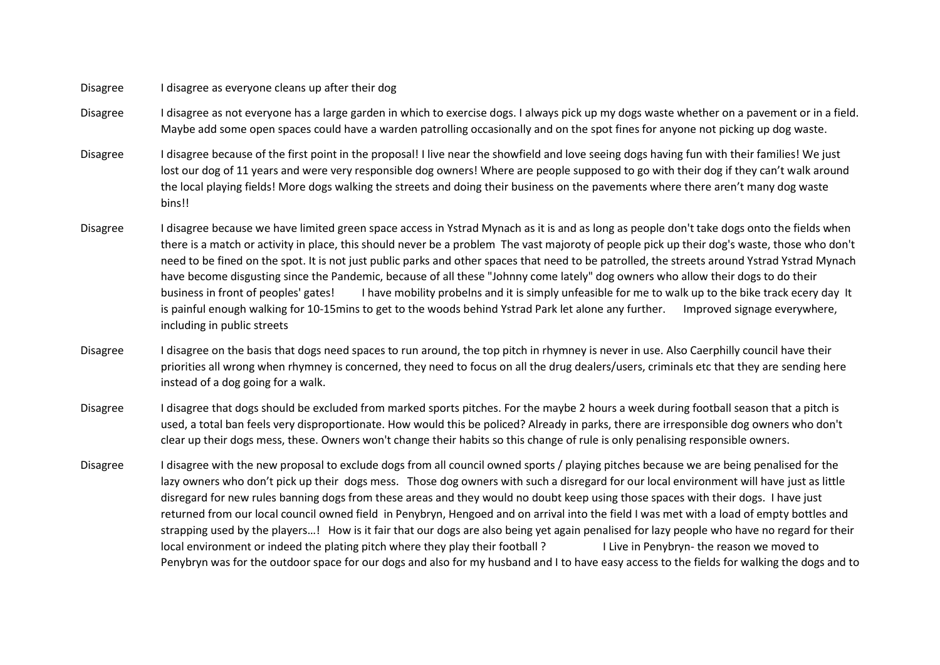## Disagree I disagree as everyone cleans up after their dog

- Disagree I disagree as not everyone has a large garden in which to exercise dogs. I always pick up my dogs waste whether on a pavement or in a field. Maybe add some open spaces could have a warden patrolling occasionally and on the spot fines for anyone not picking up dog waste.
- Disagree I disagree because of the first point in the proposal! I live near the showfield and love seeing dogs having fun with their families! We just lost our dog of 11 years and were very responsible dog owners! Where are people supposed to go with their dog if they can't walk around the local playing fields! More dogs walking the streets and doing their business on the pavements where there aren't many dog waste bins!!
- Disagree I disagree because we have limited green space access in Ystrad Mynach as it is and as long as people don't take dogs onto the fields when there is a match or activity in place, this should never be a problem The vast majoroty of people pick up their dog's waste, those who don't need to be fined on the spot. It is not just public parks and other spaces that need to be patrolled, the streets around Ystrad Ystrad Mynach have become disgusting since the Pandemic, because of all these "Johnny come lately" dog owners who allow their dogs to do their business in front of peoples' gates! I have mobility probelns and it is simply unfeasible for me to walk up to the bike track ecery day It is painful enough walking for 10-15mins to get to the woods behind Ystrad Park let alone any further. Improved signage everywhere, including in public streets
- Disagree I disagree on the basis that dogs need spaces to run around, the top pitch in rhymney is never in use. Also Caerphilly council have their priorities all wrong when rhymney is concerned, they need to focus on all the drug dealers/users, criminals etc that they are sending here instead of a dog going for a walk.
- Disagree I disagree that dogs should be excluded from marked sports pitches. For the maybe 2 hours a week during football season that a pitch is used, a total ban feels very disproportionate. How would this be policed? Already in parks, there are irresponsible dog owners who don't clear up their dogs mess, these. Owners won't change their habits so this change of rule is only penalising responsible owners.
- Disagree I disagree with the new proposal to exclude dogs from all council owned sports / playing pitches because we are being penalised for the lazy owners who don't pick up their dogs mess. Those dog owners with such a disregard for our local environment will have just as little disregard for new rules banning dogs from these areas and they would no doubt keep using those spaces with their dogs. I have just returned from our local council owned field in Penybryn, Hengoed and on arrival into the field I was met with a load of empty bottles and strapping used by the players…! How is it fair that our dogs are also being yet again penalised for lazy people who have no regard for their local environment or indeed the plating pitch where they play their football ? I Live in Penybryn- the reason we moved to Penybryn was for the outdoor space for our dogs and also for my husband and I to have easy access to the fields for walking the dogs and to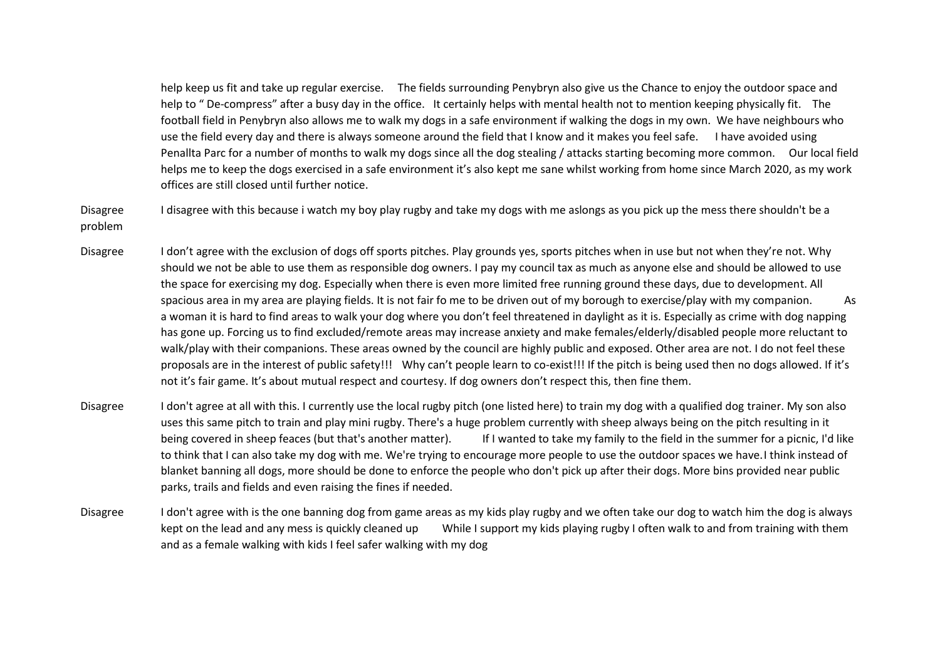help keep us fit and take up regular exercise. The fields surrounding Penybryn also give us the Chance to enjoy the outdoor space and help to " De-compress" after a busy day in the office. It certainly helps with mental health not to mention keeping physically fit. The football field in Penybryn also allows me to walk my dogs in a safe environment if walking the dogs in my own. We have neighbours who use the field every day and there is always someone around the field that I know and it makes you feel safe. I have avoided using Penallta Parc for a number of months to walk my dogs since all the dog stealing / attacks starting becoming more common. Our local field helps me to keep the dogs exercised in a safe environment it's also kept me sane whilst working from home since March 2020, as my work offices are still closed until further notice.

Disagree I disagree with this because i watch my boy play rugby and take my dogs with me aslongs as you pick up the mess there shouldn't be a problem

- Disagree I don't agree with the exclusion of dogs off sports pitches. Play grounds yes, sports pitches when in use but not when they're not. Why should we not be able to use them as responsible dog owners. I pay my council tax as much as anyone else and should be allowed to use the space for exercising my dog. Especially when there is even more limited free running ground these days, due to development. All spacious area in my area are playing fields. It is not fair fo me to be driven out of my borough to exercise/play with my companion. As a woman it is hard to find areas to walk your dog where you don't feel threatened in daylight as it is. Especially as crime with dog napping has gone up. Forcing us to find excluded/remote areas may increase anxiety and make females/elderly/disabled people more reluctant to walk/play with their companions. These areas owned by the council are highly public and exposed. Other area are not. I do not feel these proposals are in the interest of public safety!!! Why can't people learn to co-exist!!! If the pitch is being used then no dogs allowed. If it's not it's fair game. It's about mutual respect and courtesy. If dog owners don't respect this, then fine them.
- Disagree I don't agree at all with this. I currently use the local rugby pitch (one listed here) to train my dog with a qualified dog trainer. My son also uses this same pitch to train and play mini rugby. There's a huge problem currently with sheep always being on the pitch resulting in it being covered in sheep feaces (but that's another matter). If I wanted to take my family to the field in the summer for a picnic, I'd like to think that I can also take my dog with me. We're trying to encourage more people to use the outdoor spaces we have.I think instead of blanket banning all dogs, more should be done to enforce the people who don't pick up after their dogs. More bins provided near public parks, trails and fields and even raising the fines if needed.
- Disagree I don't agree with is the one banning dog from game areas as my kids play rugby and we often take our dog to watch him the dog is always kept on the lead and any mess is quickly cleaned up While I support my kids playing rugby I often walk to and from training with them and as a female walking with kids I feel safer walking with my dog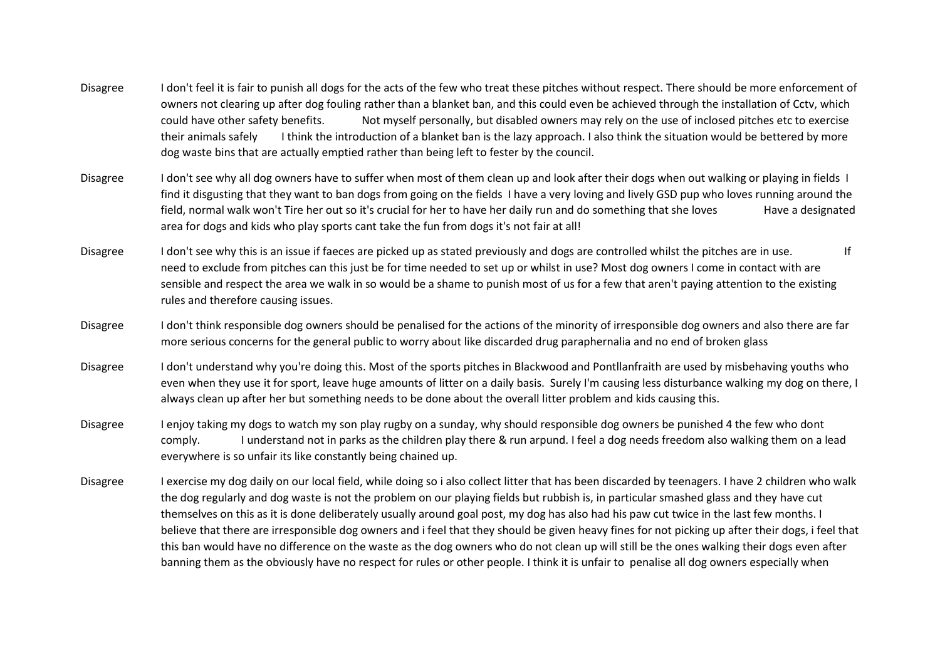- Disagree I don't feel it is fair to punish all dogs for the acts of the few who treat these pitches without respect. There should be more enforcement of owners not clearing up after dog fouling rather than a blanket ban, and this could even be achieved through the installation of Cctv, which could have other safety benefits. Not myself personally, but disabled owners may rely on the use of inclosed pitches etc to exercise their animals safely I think the introduction of a blanket ban is the lazy approach. I also think the situation would be bettered by more dog waste bins that are actually emptied rather than being left to fester by the council.
- Disagree I don't see why all dog owners have to suffer when most of them clean up and look after their dogs when out walking or playing in fields I find it disgusting that they want to ban dogs from going on the fields I have a very loving and lively GSD pup who loves running around the field, normal walk won't Tire her out so it's crucial for her to have her daily run and do something that she loves Have a designated area for dogs and kids who play sports cant take the fun from dogs it's not fair at all!
- Disagree I don't see why this is an issue if faeces are picked up as stated previously and dogs are controlled whilst the pitches are in use. need to exclude from pitches can this just be for time needed to set up or whilst in use? Most dog owners I come in contact with are sensible and respect the area we walk in so would be a shame to punish most of us for a few that aren't paying attention to the existing rules and therefore causing issues.
- Disagree I don't think responsible dog owners should be penalised for the actions of the minority of irresponsible dog owners and also there are far more serious concerns for the general public to worry about like discarded drug paraphernalia and no end of broken glass
- Disagree I don't understand why you're doing this. Most of the sports pitches in Blackwood and Pontllanfraith are used by misbehaving youths who even when they use it for sport, leave huge amounts of litter on a daily basis. Surely I'm causing less disturbance walking my dog on there, I always clean up after her but something needs to be done about the overall litter problem and kids causing this.
- Disagree I enjoy taking my dogs to watch my son play rugby on a sunday, why should responsible dog owners be punished 4 the few who dont comply. I understand not in parks as the children play there & run arpund. I feel a dog needs freedom also walking them on a lead everywhere is so unfair its like constantly being chained up.
- Disagree I exercise my dog daily on our local field, while doing so i also collect litter that has been discarded by teenagers. I have 2 children who walk the dog regularly and dog waste is not the problem on our playing fields but rubbish is, in particular smashed glass and they have cut themselves on this as it is done deliberately usually around goal post, my dog has also had his paw cut twice in the last few months. I believe that there are irresponsible dog owners and i feel that they should be given heavy fines for not picking up after their dogs, i feel that this ban would have no difference on the waste as the dog owners who do not clean up will still be the ones walking their dogs even after banning them as the obviously have no respect for rules or other people. I think it is unfair to penalise all dog owners especially when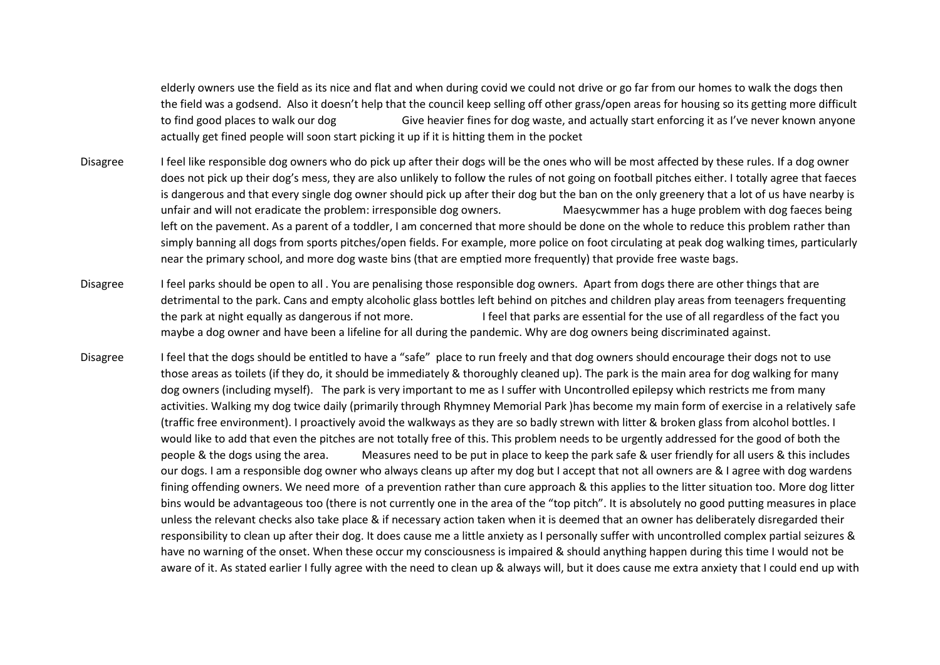elderly owners use the field as its nice and flat and when during covid we could not drive or go far from our homes to walk the dogs then the field was a godsend. Also it doesn't help that the council keep selling off other grass/open areas for housing so its getting more difficult to find good places to walk our dog Give heavier fines for dog waste, and actually start enforcing it as I've never known anyone actually get fined people will soon start picking it up if it is hitting them in the pocket

- Disagree Ifeel like responsible dog owners who do pick up after their dogs will be the ones who will be most affected by these rules. If a dog owner does not pick up their dog's mess, they are also unlikely to follow the rules of not going on football pitches either. I totally agree that faeces is dangerous and that every single dog owner should pick up after their dog but the ban on the only greenery that a lot of us have nearby is unfair and will not eradicate the problem: irresponsible dog owners. Maesycwmmer has a huge problem with dog faeces being left on the pavement. As a parent of a toddler, I am concerned that more should be done on the whole to reduce this problem rather than simply banning all dogs from sports pitches/open fields. For example, more police on foot circulating at peak dog walking times, particularly near the primary school, and more dog waste bins (that are emptied more frequently) that provide free waste bags.
- Disagree Ifeel parks should be open to all. You are penalising those responsible dog owners. Apart from dogs there are other things that are detrimental to the park. Cans and empty alcoholic glass bottles left behind on pitches and children play areas from teenagers frequenting the park at night equally as dangerous if not more. I feel that parks are essential for the use of all regardless of the fact you maybe a dog owner and have been a lifeline for all during the pandemic. Why are dog owners being discriminated against.
- Disagree Ifeel that the dogs should be entitled to have a "safe" place to run freely and that dog owners should encourage their dogs not to use those areas as toilets (if they do, it should be immediately & thoroughly cleaned up). The park is the main area for dog walking for many dog owners (including myself). The park is very important to me as I suffer with Uncontrolled epilepsy which restricts me from many activities. Walking my dog twice daily (primarily through Rhymney Memorial Park )has become my main form of exercise in a relatively safe (traffic free environment). I proactively avoid the walkways as they are so badly strewn with litter & broken glass from alcohol bottles. I would like to add that even the pitches are not totally free of this. This problem needs to be urgently addressed for the good of both the people & the dogs using the area. Measures need to be put in place to keep the park safe & user friendly for all users & this includes our dogs. I am a responsible dog owner who always cleans up after my dog but I accept that not all owners are & I agree with dog wardens fining offending owners. We need more of a prevention rather than cure approach & this applies to the litter situation too. More dog litter bins would be advantageous too (there is not currently one in the area of the "top pitch". It is absolutely no good putting measures in place unless the relevant checks also take place & if necessary action taken when it is deemed that an owner has deliberately disregarded their responsibility to clean up after their dog. It does cause me a little anxiety as I personally suffer with uncontrolled complex partial seizures & have no warning of the onset. When these occur my consciousness is impaired & should anything happen during this time I would not be aware of it. As stated earlier I fully agree with the need to clean up & always will, but it does cause me extra anxiety that I could end up with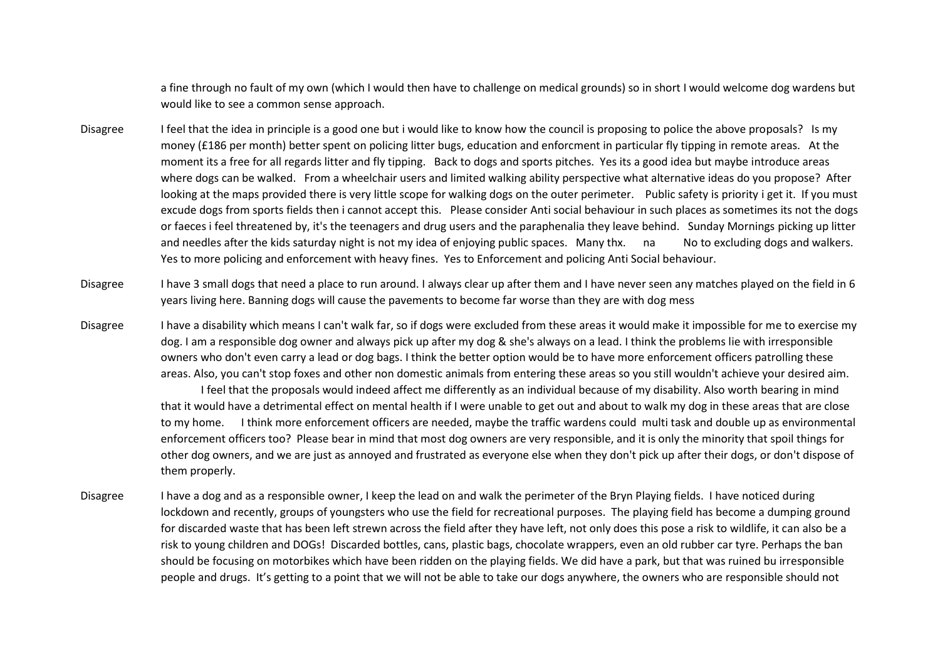a fine through no fault of my own (which I would then have to challenge on medical grounds) so in short I would welcome dog wardens but would like to see a common sense approach.

- Disagree Ifeel that the idea in principle is a good one but i would like to know how the council is proposing to police the above proposals? Is my money (£186 per month) better spent on policing litter bugs, education and enforcment in particular fly tipping in remote areas. At the moment its a free for all regards litter and fly tipping. Back to dogs and sports pitches. Yes its a good idea but maybe introduce areas where dogs can be walked. From a wheelchair users and limited walking ability perspective what alternative ideas do you propose? After looking at the maps provided there is very little scope for walking dogs on the outer perimeter. Public safety is priority i get it. If you must excude dogs from sports fields then i cannot accept this. Please consider Anti social behaviour in such places as sometimes its not the dogs or faeces i feel threatened by, it's the teenagers and drug users and the paraphenalia they leave behind. Sunday Mornings picking up litter and needles after the kids saturday night is not my idea of enjoying public spaces. Many thx. na No to excluding dogs and walkers. Yes to more policing and enforcement with heavy fines. Yes to Enforcement and policing Anti Social behaviour.
- Disagree I have 3 small dogs that need a place to run around. I always clear up after them and I have never seen any matches played on the field in 6 years living here. Banning dogs will cause the pavements to become far worse than they are with dog mess
- Disagree I have a disability which means I can't walk far, so if dogs were excluded from these areas it would make it impossible for me to exercise my dog. I am a responsible dog owner and always pick up after my dog & she's always on a lead. I think the problems lie with irresponsible owners who don't even carry a lead or dog bags. I think the better option would be to have more enforcement officers patrolling these areas. Also, you can't stop foxes and other non domestic animals from entering these areas so you still wouldn't achieve your desired aim.

I feel that the proposals would indeed affect me differently as an individual because of my disability. Also worth bearing in mind that it would have a detrimental effect on mental health if I were unable to get out and about to walk my dog in these areas that are close to my home. I think more enforcement officers are needed, maybe the traffic wardens could multi task and double up as environmental enforcement officers too? Please bear in mind that most dog owners are very responsible, and it is only the minority that spoil things for other dog owners, and we are just as annoyed and frustrated as everyone else when they don't pick up after their dogs, or don't dispose of them properly.

Disagree I have a dog and as a responsible owner, I keep the lead on and walk the perimeter of the Bryn Playing fields. I have noticed during lockdown and recently, groups of youngsters who use the field for recreational purposes. The playing field has become a dumping ground for discarded waste that has been left strewn across the field after they have left, not only does this pose a risk to wildlife, it can also be a risk to young children and DOGs! Discarded bottles, cans, plastic bags, chocolate wrappers, even an old rubber car tyre. Perhaps the ban should be focusing on motorbikes which have been ridden on the playing fields. We did have a park, but that was ruined bu irresponsible people and drugs. It's getting to a point that we will not be able to take our dogs anywhere, the owners who are responsible should not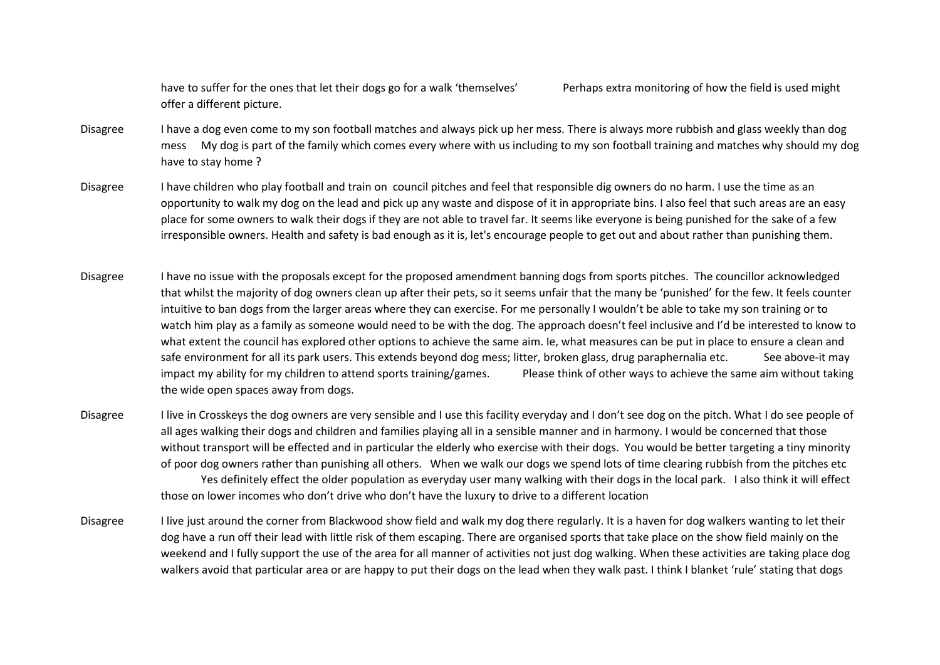have to suffer for the ones that let their dogs go for a walk 'themselves' Perhaps extra monitoring of how the field is used might offer a different picture.

- Disagree I have a dog even come to my son football matches and always pick up her mess. There is always more rubbish and glass weekly than dog mess My dog is part of the family which comes every where with us including to my son football training and matches why should my dog have to stay home ?
- Disagree I have children who play football and train on council pitches and feel that responsible dig owners do no harm. I use the time as an opportunity to walk my dog on the lead and pick up any waste and dispose of it in appropriate bins. I also feel that such areas are an easy place for some owners to walk their dogs if they are not able to travel far. It seems like everyone is being punished for the sake of a few irresponsible owners. Health and safety is bad enough as it is, let's encourage people to get out and about rather than punishing them.
- Disagree I have no issue with the proposals except for the proposed amendment banning dogs from sports pitches. The councillor acknowledged that whilst the majority of dog owners clean up after their pets, so it seems unfair that the many be 'punished' for the few. It feels counter intuitive to ban dogs from the larger areas where they can exercise. For me personally I wouldn't be able to take my son training or to watch him play as a family as someone would need to be with the dog. The approach doesn't feel inclusive and I'd be interested to know to what extent the council has explored other options to achieve the same aim. Ie, what measures can be put in place to ensure a clean and safe environment for all its park users. This extends beyond dog mess; litter, broken glass, drug paraphernalia etc. See above-it may impact my ability for my children to attend sports training/games. Please think of other ways to achieve the same aim without taking the wide open spaces away from dogs.
- Disagree I live in Crosskeys the dog owners are very sensible and I use this facility everyday and I don't see dog on the pitch. What I do see people of all ages walking their dogs and children and families playing all in a sensible manner and in harmony. I would be concerned that those without transport will be effected and in particular the elderly who exercise with their dogs. You would be better targeting a tiny minority of poor dog owners rather than punishing all others. When we walk our dogs we spend lots of time clearing rubbish from the pitches etc Yes definitely effect the older population as everyday user many walking with their dogs in the local park. I also think it will effect those on lower incomes who don't drive who don't have the luxury to drive to a different location
- Disagree I live just around the corner from Blackwood show field and walk my dog there regularly. It is a haven for dog walkers wanting to let their dog have a run off their lead with little risk of them escaping. There are organised sports that take place on the show field mainly on the weekend and I fully support the use of the area for all manner of activities not just dog walking. When these activities are taking place dog walkers avoid that particular area or are happy to put their dogs on the lead when they walk past. I think I blanket 'rule' stating that dogs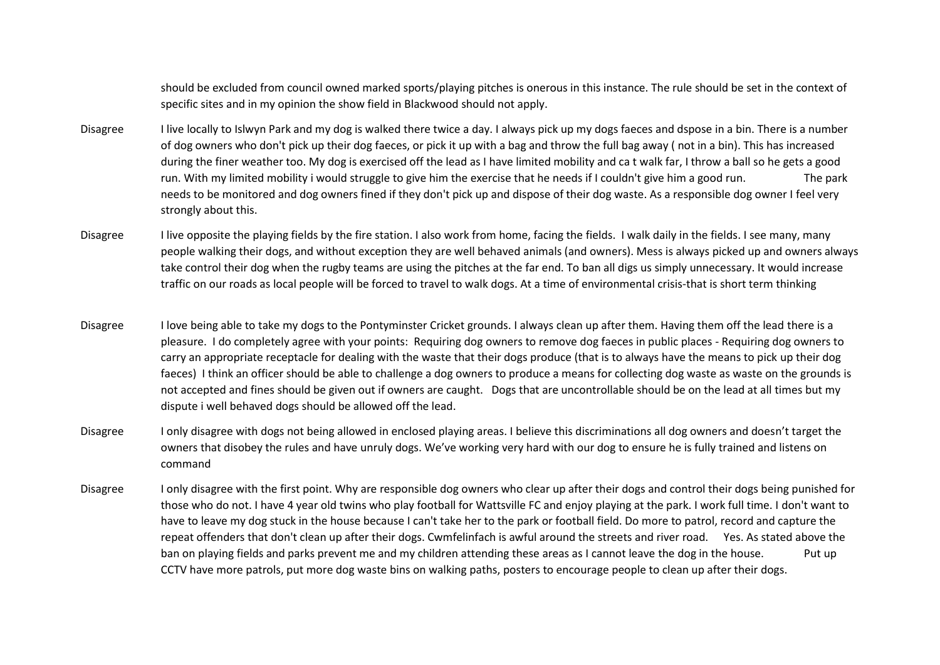should be excluded from council owned marked sports/playing pitches is onerous in this instance. The rule should be set in the context of specific sites and in my opinion the show field in Blackwood should not apply.

- Disagree I live locally to Islwyn Park and my dog is walked there twice a day. I always pick up my dogs faeces and dspose in a bin. There is a number of dog owners who don't pick up their dog faeces, or pick it up with a bag and throw the full bag away ( not in a bin). This has increased during the finer weather too. My dog is exercised off the lead as I have limited mobility and ca t walk far, I throw a ball so he gets a good run. With my limited mobility i would struggle to give him the exercise that he needs if I couldn't give him a good run. The park needs to be monitored and dog owners fined if they don't pick up and dispose of their dog waste. As a responsible dog owner I feel very strongly about this.
- Disagree I live opposite the playing fields by the fire station. I also work from home, facing the fields. I walk daily in the fields. I see many, many people walking their dogs, and without exception they are well behaved animals (and owners). Mess is always picked up and owners always take control their dog when the rugby teams are using the pitches at the far end. To ban all digs us simply unnecessary. It would increase traffic on our roads as local people will be forced to travel to walk dogs. At a time of environmental crisis-that is short term thinking
- Disagree I love being able to take my dogs to the Pontyminster Cricket grounds. I always clean up after them. Having them off the lead there is a pleasure. I do completely agree with your points: Requiring dog owners to remove dog faeces in public places - Requiring dog owners to carry an appropriate receptacle for dealing with the waste that their dogs produce (that is to always have the means to pick up their dog faeces) I think an officer should be able to challenge a dog owners to produce a means for collecting dog waste as waste on the grounds is not accepted and fines should be given out if owners are caught. Dogs that are uncontrollable should be on the lead at all times but my dispute i well behaved dogs should be allowed off the lead.
- Disagree I only disagree with dogs not being allowed in enclosed playing areas. I believe this discriminations all dog owners and doesn't target the owners that disobey the rules and have unruly dogs. We've working very hard with our dog to ensure he is fully trained and listens on command
- Disagree I only disagree with the first point. Why are responsible dog owners who clear up after their dogs and control their dogs being punished for those who do not. I have 4 year old twins who play football for Wattsville FC and enjoy playing at the park. I work full time. I don't want to have to leave my dog stuck in the house because I can't take her to the park or football field. Do more to patrol, record and capture the repeat offenders that don't clean up after their dogs. Cwmfelinfach is awful around the streets and river road. Yes. As stated above the ban on playing fields and parks prevent me and my children attending these areas as I cannot leave the dog in the house. Put up CCTV have more patrols, put more dog waste bins on walking paths, posters to encourage people to clean up after their dogs.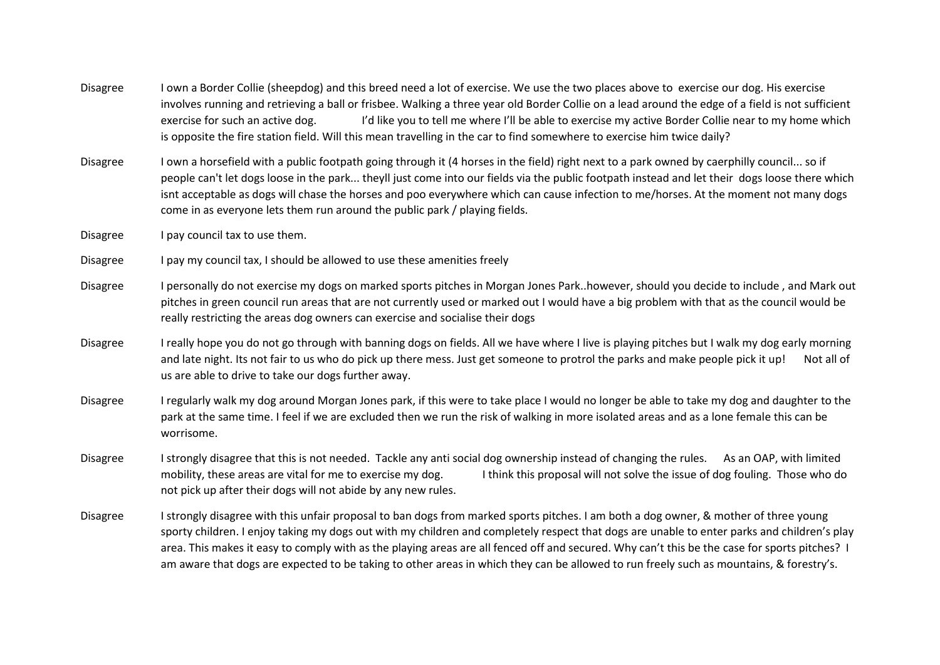- Disagree I own a Border Collie (sheepdog) and this breed need a lot of exercise. We use the two places above to exercise our dog. His exercise involves running and retrieving a ball or frisbee. Walking a three year old Border Collie on a lead around the edge of a field is not sufficient exercise for such an active dog. It all like you to tell me where I'll be able to exercise my active Border Collie near to my home which is opposite the fire station field. Will this mean travelling in the car to find somewhere to exercise him twice daily?
- Disagree I own a horsefield with a public footpath going through it (4 horses in the field) right next to a park owned by caerphilly council... so if people can't let dogs loose in the park... theyll just come into our fields via the public footpath instead and let their dogs loose there which isnt acceptable as dogs will chase the horses and poo everywhere which can cause infection to me/horses. At the moment not many dogs come in as everyone lets them run around the public park / playing fields.
- Disagree I pay council tax to use them.
- Disagree I pay my council tax, I should be allowed to use these amenities freely
- Disagree I personally do not exercise my dogs on marked sports pitches in Morgan Jones Park..however, should you decide to include , and Mark out pitches in green council run areas that are not currently used or marked out I would have a big problem with that as the council would be really restricting the areas dog owners can exercise and socialise their dogs
- Disagree I really hope you do not go through with banning dogs on fields. All we have where I live is playing pitches but I walk my dog early morning and late night. Its not fair to us who do pick up there mess. Just get someone to protrol the parks and make people pick it up! Not all of us are able to drive to take our dogs further away.
- Disagree I regularly walk my dog around Morgan Jones park, if this were to take place I would no longer be able to take my dog and daughter to the park at the same time. I feel if we are excluded then we run the risk of walking in more isolated areas and as a lone female this can be worrisome.
- Disagree I strongly disagree that this is not needed. Tackle any anti social dog ownership instead of changing the rules. As an OAP, with limited mobility, these areas are vital for me to exercise my dog. I think this proposal will not solve the issue of dog fouling. Those who do not pick up after their dogs will not abide by any new rules.
- Disagree I strongly disagree with this unfair proposal to ban dogs from marked sports pitches. I am both a dog owner, & mother of three young sporty children. I enjoy taking my dogs out with my children and completely respect that dogs are unable to enter parks and children's play area. This makes it easy to comply with as the playing areas are all fenced off and secured. Why can't this be the case for sports pitches? I am aware that dogs are expected to be taking to other areas in which they can be allowed to run freely such as mountains, & forestry's.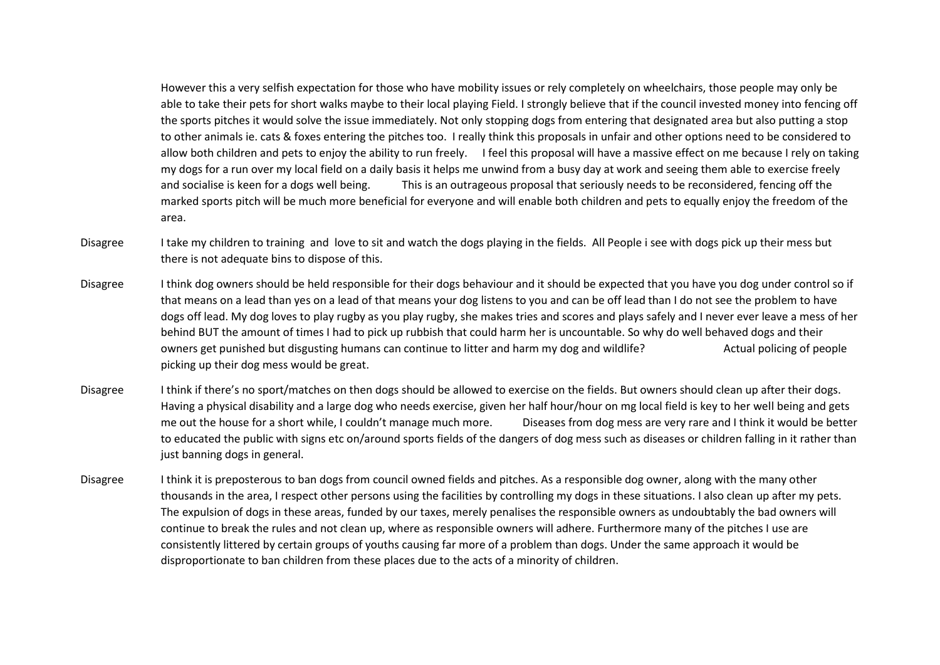However this a very selfish expectation for those who have mobility issues or rely completely on wheelchairs, those people may only be able to take their pets for short walks maybe to their local playing Field. I strongly believe that if the council invested money into fencing off the sports pitches it would solve the issue immediately. Not only stopping dogs from entering that designated area but also putting a stop to other animals ie. cats & foxes entering the pitches too. I really think this proposals in unfair and other options need to be considered to allow both children and pets to enjoy the ability to run freely. I feel this proposal will have a massive effect on me because I rely on taking my dogs for a run over my local field on a daily basis it helps me unwind from a busy day at work and seeing them able to exercise freely and socialise is keen for a dogs well being. This is an outrageous proposal that seriously needs to be reconsidered, fencing off the marked sports pitch will be much more beneficial for everyone and will enable both children and pets to equally enjoy the freedom of the area.

- Disagree Itake my children to training and love to sit and watch the dogs playing in the fields. All People i see with dogs pick up their mess but there is not adequate bins to dispose of this.
- Disagree Ithink dog owners should be held responsible for their dogs behaviour and it should be expected that you have you dog under control so if that means on a lead than yes on a lead of that means your dog listens to you and can be off lead than I do not see the problem to have dogs off lead. My dog loves to play rugby as you play rugby, she makes tries and scores and plays safely and I never ever leave a mess of her behind BUT the amount of times I had to pick up rubbish that could harm her is uncountable. So why do well behaved dogs and their owners get punished but disgusting humans can continue to litter and harm my dog and wildlife? Actual policing of people picking up their dog mess would be great.
- Disagree Ithink if there's no sport/matches on then dogs should be allowed to exercise on the fields. But owners should clean up after their dogs. Having a physical disability and a large dog who needs exercise, given her half hour/hour on mg local field is key to her well being and gets me out the house for a short while, I couldn't manage much more. Diseases from dog mess are very rare and I think it would be better to educated the public with signs etc on/around sports fields of the dangers of dog mess such as diseases or children falling in it rather than just banning dogs in general.
- Disagree I think it is preposterous to ban dogs from council owned fields and pitches. As a responsible dog owner, along with the many other thousands in the area, I respect other persons using the facilities by controlling my dogs in these situations. I also clean up after my pets. The expulsion of dogs in these areas, funded by our taxes, merely penalises the responsible owners as undoubtably the bad owners will continue to break the rules and not clean up, where as responsible owners will adhere. Furthermore many of the pitches I use are consistently littered by certain groups of youths causing far more of a problem than dogs. Under the same approach it would be disproportionate to ban children from these places due to the acts of a minority of children.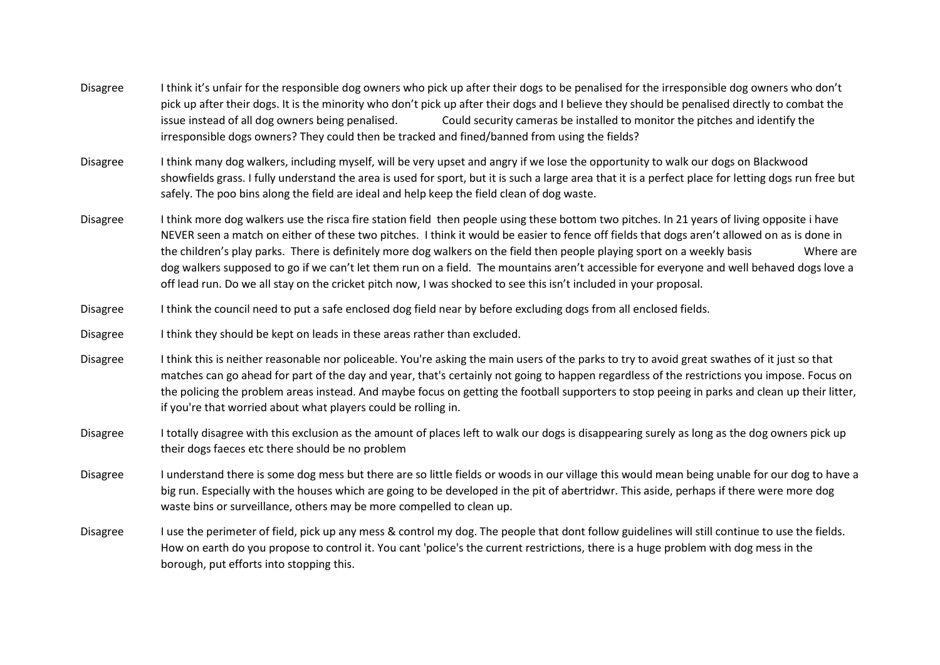- Disagree I think it's unfair for the responsible dog owners who pick up after their dogs to be penalised for the irresponsible dog owners who don't pick up after their dogs. It is the minority who don't pick up after their dogs and I believe they should be penalised directly to combat the issue instead of all dog owners being penalised. Could security cameras be installed to monitor the pitches and identify the irresponsible dogs owners? They could then be tracked and fined/banned from using the fields?
- Disagree I think many dog walkers, including myself, will be very upset and angry if we lose the opportunity to walk our dogs on Blackwood showfields grass. I fully understand the area is used for sport, but it is such a large area that it is a perfect place for letting dogs run free but safely. The poo bins along the field are ideal and help keep the field clean of dog waste.
- Disagree Ithink more dog walkers use the risca fire station field then people using these bottom two pitches. In 21 years of living opposite i have NEVER seen a match on either of these two pitches. I think it would be easier to fence off fields that dogs aren't allowed on as is done in the children's play parks. There is definitely more dog walkers on the field then people playing sport on a weekly basis Where are dog walkers supposed to go if we can't let them run on a field. The mountains aren't accessible for everyone and well behaved dogs love a off lead run. Do we all stay on the cricket pitch now, I was shocked to see this isn't included in your proposal.
- Disagree I think the council need to put a safe enclosed dog field near by before excluding dogs from all enclosed fields.
- Disagree I think they should be kept on leads in these areas rather than excluded.
- Disagree Ithink this is neither reasonable nor policeable. You're asking the main users of the parks to try to avoid great swathes of it just so that matches can go ahead for part of the day and year, that's certainly not going to happen regardless of the restrictions you impose. Focus on the policing the problem areas instead. And maybe focus on getting the football supporters to stop peeing in parks and clean up their litter, if you're that worried about what players could be rolling in.
- Disagree I totally disagree with this exclusion as the amount of places left to walk our dogs is disappearing surely as long as the dog owners pick up their dogs faeces etc there should be no problem
- Disagree I understand there is some dog mess but there are so little fields or woods in our village this would mean being unable for our dog to have a big run. Especially with the houses which are going to be developed in the pit of abertridwr. This aside, perhaps if there were more dog waste bins or surveillance, others may be more compelled to clean up.
- Disagree I use the perimeter of field, pick up any mess & control my dog. The people that dont follow guidelines will still continue to use the fields. How on earth do you propose to control it. You cant 'police's the current restrictions, there is a huge problem with dog mess in the borough, put efforts into stopping this.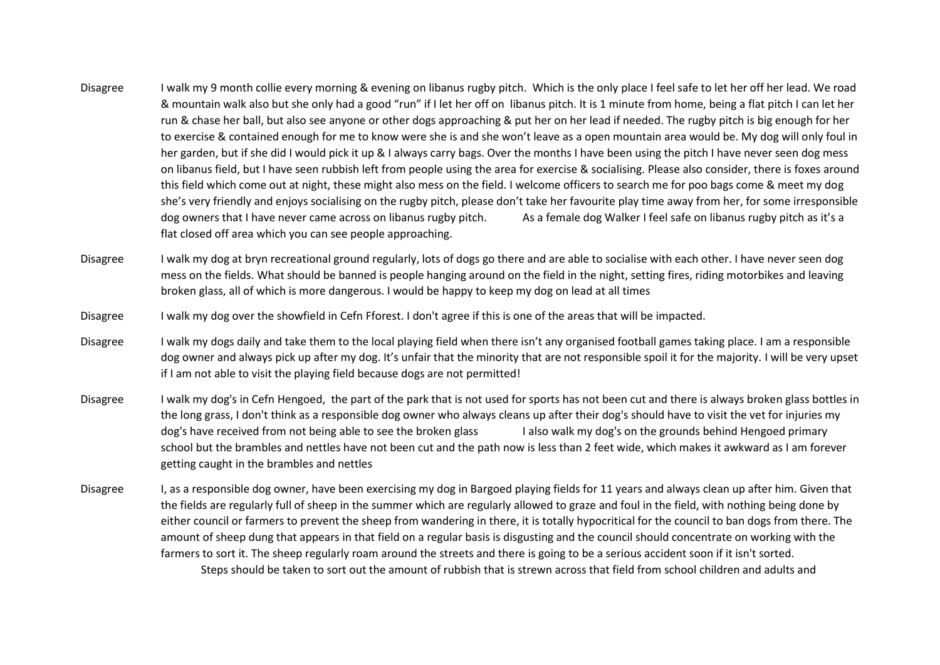- Disagree I walk my 9 month collie every morning & evening on libanus rugby pitch. Which is the only place I feel safe to let her off her lead. We road & mountain walk also but she only had a good "run" if I let her off on libanus pitch. It is 1 minute from home, being a flat pitch I can let her run & chase her ball, but also see anyone or other dogs approaching & put her on her lead if needed. The rugby pitch is big enough for her to exercise & contained enough for me to know were she is and she won't leave as a open mountain area would be. My dog will only foul in her garden, but if she did I would pick it up & I always carry bags. Over the months I have been using the pitch I have never seen dog mess on libanus field, but I have seen rubbish left from people using the area for exercise & socialising. Please also consider, there is foxes around this field which come out at night, these might also mess on the field. I welcome officers to search me for poo bags come & meet my dog she's very friendly and enjoys socialising on the rugby pitch, please don't take her favourite play time away from her, for some irresponsible dog owners that I have never came across on libanus rugby pitch. As a female dog Walker I feel safe on libanus rugby pitch as it's a flat closed off area which you can see people approaching.
- Disagree I walk my dog at bryn recreational ground regularly, lots of dogs go there and are able to socialise with each other. I have never seen dog mess on the fields. What should be banned is people hanging around on the field in the night, setting fires, riding motorbikes and leaving broken glass, all of which is more dangerous. I would be happy to keep my dog on lead at all times
- Disagree I walk my dog over the showfield in Cefn Fforest. I don't agree if this is one of the areas that will be impacted.
- Disagree I walk my dogs daily and take them to the local playing field when there isn't any organised football games taking place. I am a responsible dog owner and always pick up after my dog. It's unfair that the minority that are not responsible spoil it for the majority. I will be very upset if I am not able to visit the playing field because dogs are not permitted!
- Disagree I walk my dog's in Cefn Hengoed, the part of the park that is not used for sports has not been cut and there is always broken glass bottles in the long grass, I don't think as a responsible dog owner who always cleans up after their dog's should have to visit the vet for injuries my dog's have received from not being able to see the broken glass I also walk my dog's on the grounds behind Hengoed primary school but the brambles and nettles have not been cut and the path now is less than 2 feet wide, which makes it awkward as I am forever getting caught in the brambles and nettles
- Disagree I, as a responsible dog owner, have been exercising my dog in Bargoed playing fields for 11 years and always clean up after him. Given that the fields are regularly full of sheep in the summer which are regularly allowed to graze and foul in the field, with nothing being done by either council or farmers to prevent the sheep from wandering in there, it is totally hypocritical for the council to ban dogs from there. The amount of sheep dung that appears in that field on a regular basis is disgusting and the council should concentrate on working with the farmers to sort it. The sheep regularly roam around the streets and there is going to be a serious accident soon if it isn't sorted. Steps should be taken to sort out the amount of rubbish that is strewn across that field from school children and adults and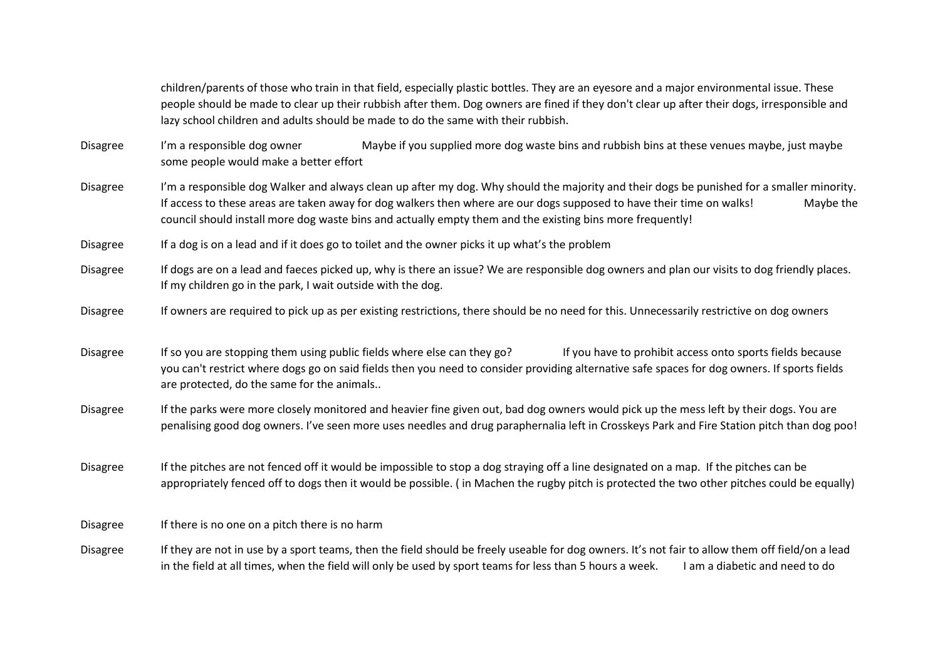children/parents of those who train in that field, especially plastic bottles. They are an eyesore and a major environmental issue. These people should be made to clear up their rubbish after them. Dog owners are fined if they don't clear up after their dogs, irresponsible and lazy school children and adults should be made to do the same with their rubbish.

Disagree I'm a responsible dog owner Maybe if you supplied more dog waste bins and rubbish bins at these venues maybe, just maybe some people would make a better effort

Disagree I'm a responsible dog Walker and always clean up after my dog. Why should the majority and their dogs be punished for a smaller minority. If access to these areas are taken away for dog walkers then where are our dogs supposed to have their time on walks! Maybe the council should install more dog waste bins and actually empty them and the existing bins more frequently!

Disagree If a dog is on a lead and if it does go to toilet and the owner picks it up what's the problem

Disagree If dogs are on a lead and faeces picked up, why is there an issue? We are responsible dog owners and plan our visits to dog friendly places. If my children go in the park, I wait outside with the dog.

Disagree If owners are required to pick up as per existing restrictions, there should be no need for this. Unnecessarily restrictive on dog owners

Disagree If so you are stopping them using public fields where else can they go?<br>If you have to prohibit access onto sports fields because you can't restrict where dogs go on said fields then you need to consider providing alternative safe spaces for dog owners. If sports fields are protected, do the same for the animals..

Disagree If the parks were more closely monitored and heavier fine given out, bad dog owners would pick up the mess left by their dogs. You are penalising good dog owners. I've seen more uses needles and drug paraphernalia left in Crosskeys Park and Fire Station pitch than dog poo!

Disagree If the pitches are not fenced off it would be impossible to stop a dog straying off a line designated on a map. If the pitches can be appropriately fenced off to dogs then it would be possible. ( in Machen the rugby pitch is protected the two other pitches could be equally)

Disagree If there is no one on a pitch there is no harm

Disagree If they are not in use by a sport teams, then the field should be freely useable for dog owners. It's not fair to allow them off field/on a lead in the field at all times, when the field will only be used by sport teams for less than 5 hours a week. I am a diabetic and need to do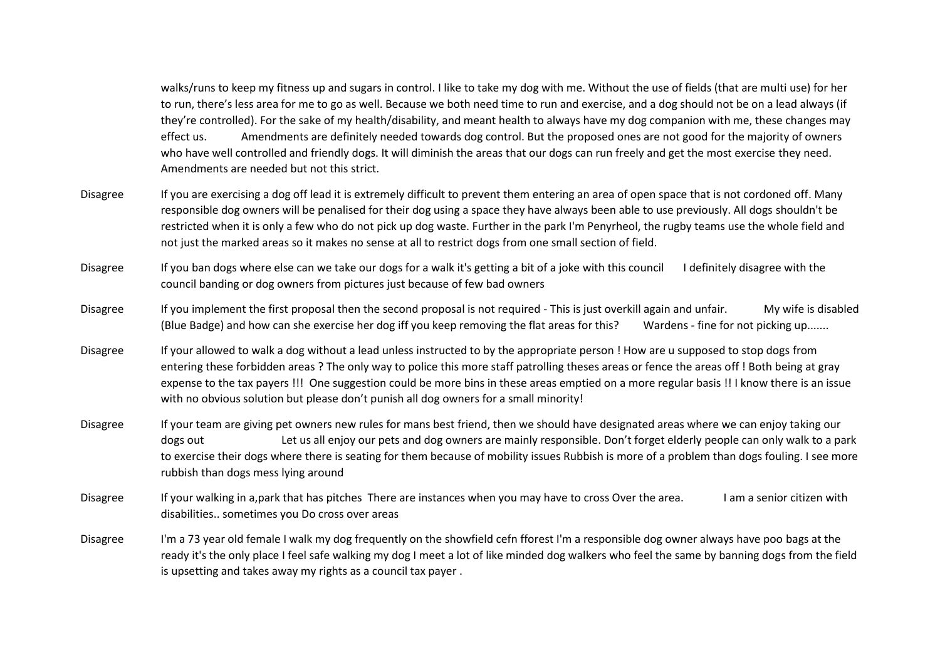walks/runs to keep my fitness up and sugars in control. I like to take my dog with me. Without the use of fields (that are multi use) for her to run, there's less area for me to go as well. Because we both need time to run and exercise, and a dog should not be on a lead always (if they're controlled). For the sake of my health/disability, and meant health to always have my dog companion with me, these changes may effect us. Amendments are definitely needed towards dog control. But the proposed ones are not good for the majority of owners who have well controlled and friendly dogs. It will diminish the areas that our dogs can run freely and get the most exercise they need. Amendments are needed but not this strict.

- Disagree If you are exercising a dog off lead it is extremely difficult to prevent them entering an area of open space that is not cordoned off. Many responsible dog owners will be penalised for their dog using a space they have always been able to use previously. All dogs shouldn't be restricted when it is only a few who do not pick up dog waste. Further in the park I'm Penyrheol, the rugby teams use the whole field and not just the marked areas so it makes no sense at all to restrict dogs from one small section of field.
- Disagree If you ban dogs where else can we take our dogs for a walk it's getting a bit of a joke with this council I definitely disagree with the council banding or dog owners from pictures just because of few bad owners
- Disagree If you implement the first proposal then the second proposal is not required This is just overkill again and unfair. My wife is disabled (Blue Badge) and how can she exercise her dog iff you keep removing the flat areas for this? Wardens - fine for not picking up.......
- Disagree If your allowed to walk a dog without a lead unless instructed to by the appropriate person ! How are u supposed to stop dogs from entering these forbidden areas ? The only way to police this more staff patrolling theses areas or fence the areas off ! Both being at gray expense to the tax payers !!! One suggestion could be more bins in these areas emptied on a more regular basis !! I know there is an issue with no obvious solution but please don't punish all dog owners for a small minority!
- Disagree If your team are giving pet owners new rules for mans best friend, then we should have designated areas where we can enjoy taking our dogs out Let us all enjoy our pets and dog owners are mainly responsible. Don't forget elderly people can only walk to a park to exercise their dogs where there is seating for them because of mobility issues Rubbish is more of a problem than dogs fouling. I see more rubbish than dogs mess lying around
- Disagree If your walking in a,park that has pitches There are instances when you may have to cross Over the area. I am a senior citizen with disabilities.. sometimes you Do cross over areas
- Disagree I'm a 73 year old female I walk my dog frequently on the showfield cefn fforest I'm a responsible dog owner always have poo bags at the ready it's the only place I feel safe walking my dog I meet a lot of like minded dog walkers who feel the same by banning dogs from the field is upsetting and takes away my rights as a council tax payer .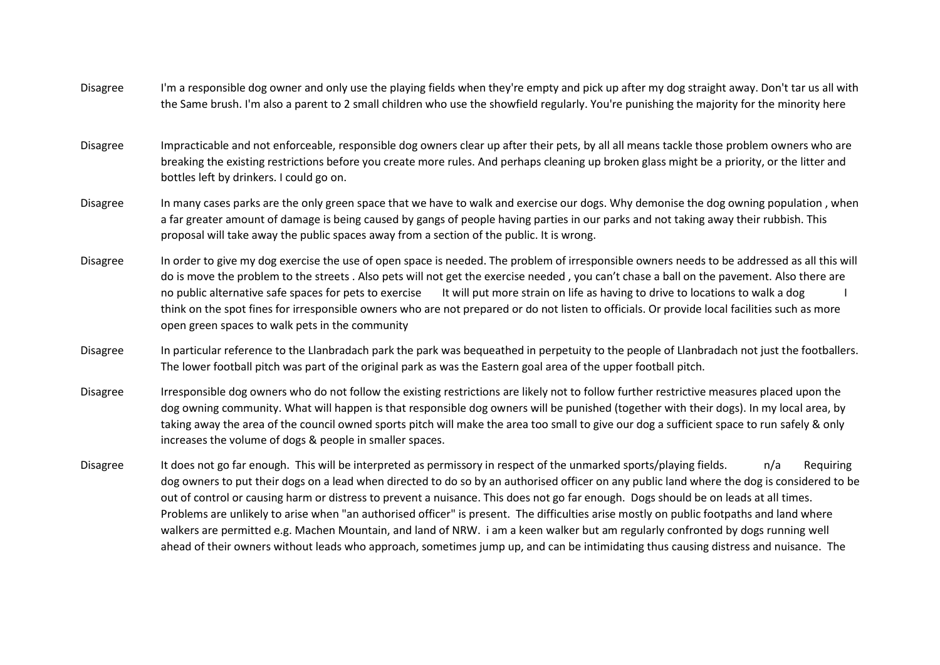- Disagree I'm a responsible dog owner and only use the playing fields when they're empty and pick up after my dog straight away. Don't tar us all with the Same brush. I'm also a parent to 2 small children who use the showfield regularly. You're punishing the majority for the minority here
- Disagree Impracticable and not enforceable, responsible dog owners clear up after their pets, by all all means tackle those problem owners who are breaking the existing restrictions before you create more rules. And perhaps cleaning up broken glass might be a priority, or the litter and bottles left by drinkers. I could go on.
- Disagree In many cases parks are the only green space that we have to walk and exercise our dogs. Why demonise the dog owning population , when a far greater amount of damage is being caused by gangs of people having parties in our parks and not taking away their rubbish. This proposal will take away the public spaces away from a section of the public. It is wrong.
- Disagree In order to give my dog exercise the use of open space is needed. The problem of irresponsible owners needs to be addressed as all this will do is move the problem to the streets . Also pets will not get the exercise needed , you can't chase a ball on the pavement. Also there are no public alternative safe spaces for pets to exercise It will put more strain on life as having to drive to locations to walk a dog think on the spot fines for irresponsible owners who are not prepared or do not listen to officials. Or provide local facilities such as more open green spaces to walk pets in the community
- Disagree In particular reference to the Llanbradach park the park was bequeathed in perpetuity to the people of Llanbradach not just the footballers. The lower football pitch was part of the original park as was the Eastern goal area of the upper football pitch.
- Disagree Irresponsible dog owners who do not follow the existing restrictions are likely not to follow further restrictive measures placed upon the dog owning community. What will happen is that responsible dog owners will be punished (together with their dogs). In my local area, by taking away the area of the council owned sports pitch will make the area too small to give our dog a sufficient space to run safely & only increases the volume of dogs & people in smaller spaces.
- Disagree It does not go far enough. This will be interpreted as permissory in respect of the unmarked sports/playing fields. n/a Requiring dog owners to put their dogs on a lead when directed to do so by an authorised officer on any public land where the dog is considered to be out of control or causing harm or distress to prevent a nuisance. This does not go far enough. Dogs should be on leads at all times. Problems are unlikely to arise when "an authorised officer" is present. The difficulties arise mostly on public footpaths and land where walkers are permitted e.g. Machen Mountain, and land of NRW. i am a keen walker but am regularly confronted by dogs running well ahead of their owners without leads who approach, sometimes jump up, and can be intimidating thus causing distress and nuisance. The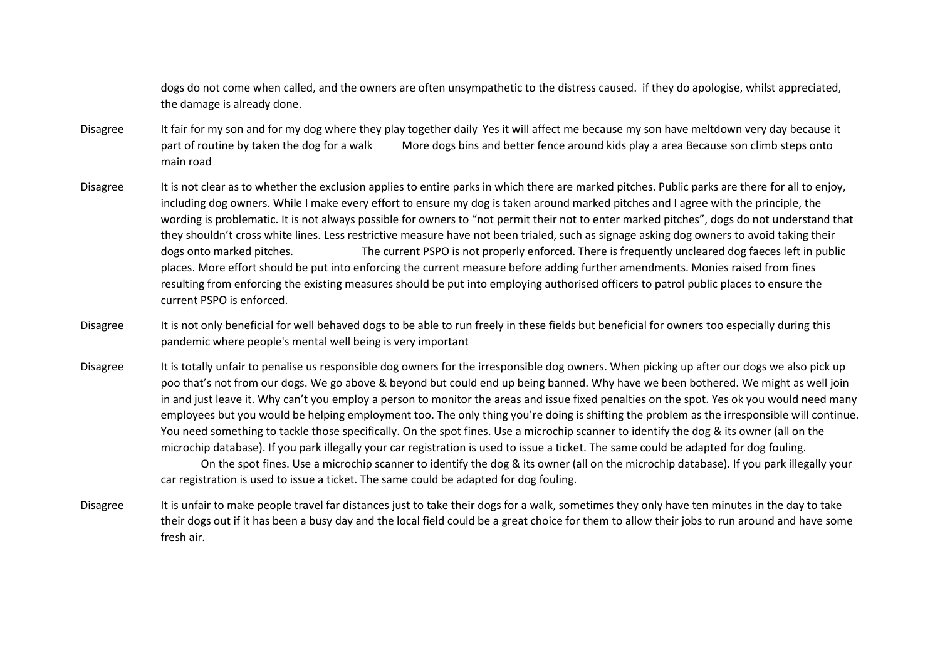dogs do not come when called, and the owners are often unsympathetic to the distress caused. if they do apologise, whilst appreciated, the damage is already done.

- Disagree It fair for my son and for my dog where they play together daily Yes it will affect me because my son have meltdown very day because it part of routine by taken the dog for a walk More dogs bins and better fence around kids play a area Because son climb steps onto main road
- Disagree It is not clear as to whether the exclusion applies to entire parks in which there are marked pitches. Public parks are there for all to enjoy, including dog owners. While I make every effort to ensure my dog is taken around marked pitches and I agree with the principle, the wording is problematic. It is not always possible for owners to "not permit their not to enter marked pitches", dogs do not understand that they shouldn't cross white lines. Less restrictive measure have not been trialed, such as signage asking dog owners to avoid taking their dogs onto marked pitches. The current PSPO is not properly enforced. There is frequently uncleared dog faeces left in public places. More effort should be put into enforcing the current measure before adding further amendments. Monies raised from fines resulting from enforcing the existing measures should be put into employing authorised officers to patrol public places to ensure the current PSPO is enforced.
- Disagree It is not only beneficial for well behaved dogs to be able to run freely in these fields but beneficial for owners too especially during this pandemic where people's mental well being is very important
- Disagree It is totally unfair to penalise us responsible dog owners for the irresponsible dog owners. When picking up after our dogs we also pick up poo that's not from our dogs. We go above & beyond but could end up being banned. Why have we been bothered. We might as well join in and just leave it. Why can't you employ a person to monitor the areas and issue fixed penalties on the spot. Yes ok you would need many employees but you would be helping employment too. The only thing you're doing is shifting the problem as the irresponsible will continue. You need something to tackle those specifically. On the spot fines. Use a microchip scanner to identify the dog & its owner (all on the microchip database). If you park illegally your car registration is used to issue a ticket. The same could be adapted for dog fouling. On the spot fines. Use a microchip scanner to identify the dog & its owner (all on the microchip database). If you park illegally your

car registration is used to issue a ticket. The same could be adapted for dog fouling.

Disagree It is unfair to make people travel far distances just to take their dogs for a walk, sometimes they only have ten minutes in the day to take their dogs out if it has been a busy day and the local field could be a great choice for them to allow their jobs to run around and have some fresh air.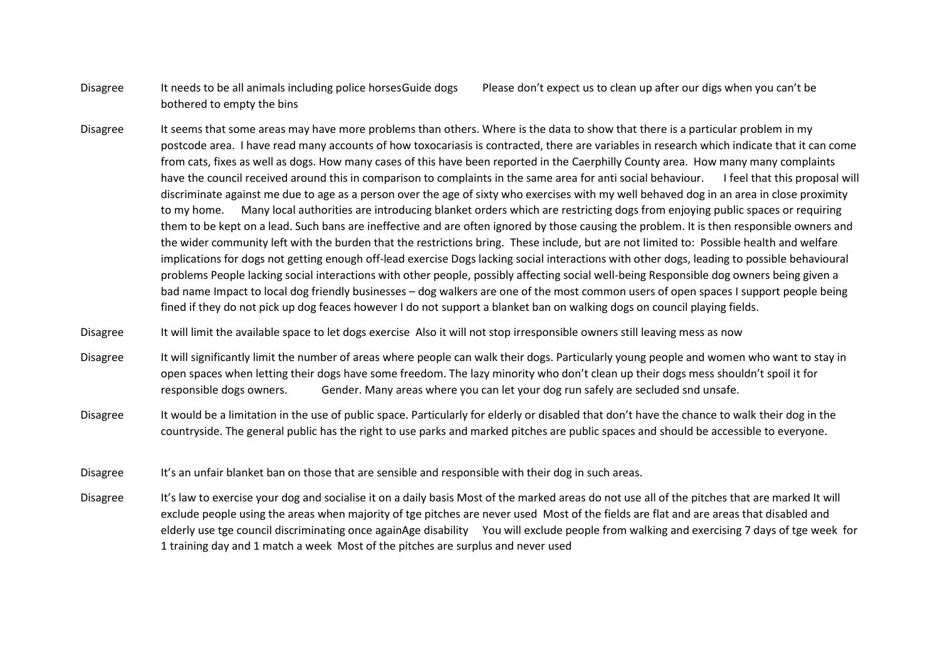- Disagree It needs to be all animals including police horsesGuide dogs Please don't expect us to clean up after our digs when you can't be bothered to empty the bins
- Disagree It seems that some areas may have more problems than others. Where is the data to show that there is a particular problem in my postcode area. I have read many accounts of how toxocariasis is contracted, there are variables in research which indicate that it can come from cats, fixes as well as dogs. How many cases of this have been reported in the Caerphilly County area. How many many complaints have the council received around this in comparison to complaints in the same area for anti social behaviour. I feel that this proposal will discriminate against me due to age as a person over the age of sixty who exercises with my well behaved dog in an area in close proximity to my home. Many local authorities are introducing blanket orders which are restricting dogs from enjoying public spaces or requiring them to be kept on a lead. Such bans are ineffective and are often ignored by those causing the problem. It is then responsible owners and the wider community left with the burden that the restrictions bring. These include, but are not limited to: Possible health and welfare implications for dogs not getting enough off-lead exercise Dogs lacking social interactions with other dogs, leading to possible behavioural problems People lacking social interactions with other people, possibly affecting social well-being Responsible dog owners being given a bad name Impact to local dog friendly businesses – dog walkers are one of the most common users of open spaces I support people being fined if they do not pick up dog feaces however I do not support a blanket ban on walking dogs on council playing fields.

Disagree It will limit the available space to let dogs exercise Also it will not stop irresponsible owners still leaving mess as now

Disagree It will significantly limit the number of areas where people can walk their dogs. Particularly young people and women who want to stay in open spaces when letting their dogs have some freedom. The lazy minority who don't clean up their dogs mess shouldn't spoil it for responsible dogs owners. Gender. Many areas where you can let your dog run safely are secluded snd unsafe.

Disagree It would be a limitation in the use of public space. Particularly for elderly or disabled that don't have the chance to walk their dog in the countryside. The general public has the right to use parks and marked pitches are public spaces and should be accessible to everyone.

Disagree It's an unfair blanket ban on those that are sensible and responsible with their dog in such areas.

Disagree It's law to exercise your dog and socialise it on a daily basis Most of the marked areas do not use all of the pitches that are marked It will exclude people using the areas when majority of tge pitches are never used Most of the fields are flat and are areas that disabled and elderly use tge council discriminating once againAge disability You will exclude people from walking and exercising 7 days of tge week for 1 training day and 1 match a week Most of the pitches are surplus and never used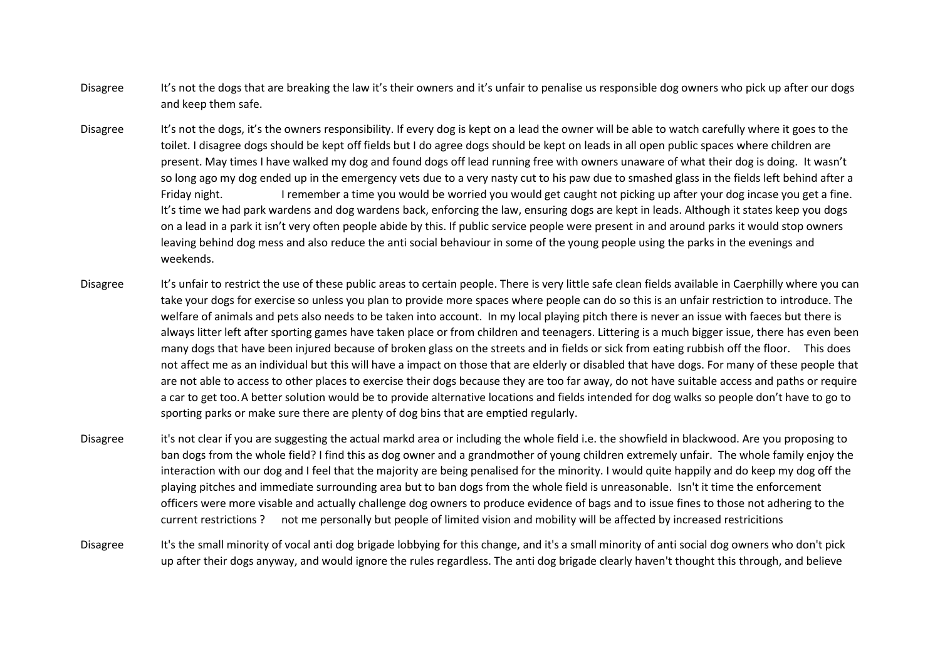- Disagree It's not the dogs that are breaking the law it's their owners and it's unfair to penalise us responsible dog owners who pick up after our dogs and keep them safe.
- Disagree It's not the dogs, it's the owners responsibility. If every dog is kept on a lead the owner will be able to watch carefully where it goes to the toilet. I disagree dogs should be kept off fields but I do agree dogs should be kept on leads in all open public spaces where children are present. May times I have walked my dog and found dogs off lead running free with owners unaware of what their dog is doing. It wasn't so long ago my dog ended up in the emergency vets due to a very nasty cut to his paw due to smashed glass in the fields left behind after a Friday night. I remember a time you would be worried you would get caught not picking up after your dog incase you get a fine. It's time we had park wardens and dog wardens back, enforcing the law, ensuring dogs are kept in leads. Although it states keep you dogs on a lead in a park it isn't very often people abide by this. If public service people were present in and around parks it would stop owners leaving behind dog mess and also reduce the anti social behaviour in some of the young people using the parks in the evenings and weekends.
- Disagree It's unfair to restrict the use of these public areas to certain people. There is very little safe clean fields available in Caerphilly where you can take your dogs for exercise so unless you plan to provide more spaces where people can do so this is an unfair restriction to introduce. The welfare of animals and pets also needs to be taken into account. In my local playing pitch there is never an issue with faeces but there is always litter left after sporting games have taken place or from children and teenagers. Littering is a much bigger issue, there has even been many dogs that have been injured because of broken glass on the streets and in fields or sick from eating rubbish off the floor. This does not affect me as an individual but this will have a impact on those that are elderly or disabled that have dogs. For many of these people that are not able to access to other places to exercise their dogs because they are too far away, do not have suitable access and paths or require a car to get too.A better solution would be to provide alternative locations and fields intended for dog walks so people don't have to go to sporting parks or make sure there are plenty of dog bins that are emptied regularly.
- Disagree it's not clear if you are suggesting the actual markd area or including the whole field i.e. the showfield in blackwood. Are you proposing to ban dogs from the whole field? I find this as dog owner and a grandmother of young children extremely unfair. The whole family enjoy the interaction with our dog and I feel that the majority are being penalised for the minority. I would quite happily and do keep my dog off the playing pitches and immediate surrounding area but to ban dogs from the whole field is unreasonable. Isn't it time the enforcement officers were more visable and actually challenge dog owners to produce evidence of bags and to issue fines to those not adhering to the current restrictions ? not me personally but people of limited vision and mobility will be affected by increased restricitions
- Disagree It's the small minority of vocal anti dog brigade lobbying for this change, and it's a small minority of anti social dog owners who don't pick up after their dogs anyway, and would ignore the rules regardless. The anti dog brigade clearly haven't thought this through, and believe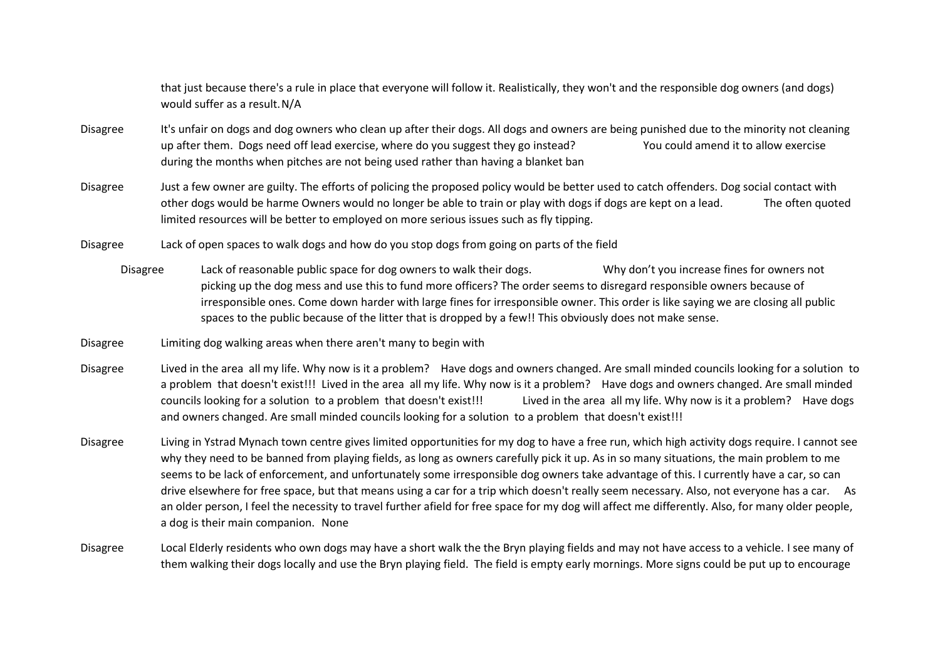that just because there's a rule in place that everyone will follow it. Realistically, they won't and the responsible dog owners (and dogs) would suffer as a result.N/A

- Disagree It's unfair on dogs and dog owners who clean up after their dogs. All dogs and owners are being punished due to the minority not cleaning up after them. Dogs need off lead exercise, where do you suggest they go instead? You could amend it to allow exercise during the months when pitches are not being used rather than having a blanket ban
- Disagree Just a few owner are guilty. The efforts of policing the proposed policy would be better used to catch offenders. Dog social contact with other dogs would be harme Owners would no longer be able to train or play with dogs if dogs are kept on a lead. The often quoted limited resources will be better to employed on more serious issues such as fly tipping.
- Disagree Lack of open spaces to walk dogs and how do you stop dogs from going on parts of the field
	- Disagree Lack of reasonable public space for dog owners to walk their dogs. Why don't you increase fines for owners not picking up the dog mess and use this to fund more officers? The order seems to disregard responsible owners because of irresponsible ones. Come down harder with large fines for irresponsible owner. This order is like saying we are closing all public spaces to the public because of the litter that is dropped by a few!! This obviously does not make sense.
- Disagree Limiting dog walking areas when there aren't many to begin with
- Disagree Lived in the area all my life. Why now is it a problem? Have dogs and owners changed. Are small minded councils looking for a solution to a problem that doesn't exist!!! Lived in the area all my life. Why now is it a problem? Have dogs and owners changed. Are small minded councils looking for a solution to a problem that doesn't exist!!! Lived in the area all my life. Why now is it a problem? Have dogs and owners changed. Are small minded councils looking for a solution to a problem that doesn't exist!!!
- Disagree Living in Ystrad Mynach town centre gives limited opportunities for my dog to have a free run, which high activity dogs require. I cannot see why they need to be banned from playing fields, as long as owners carefully pick it up. As in so many situations, the main problem to me seems to be lack of enforcement, and unfortunately some irresponsible dog owners take advantage of this. I currently have a car, so can drive elsewhere for free space, but that means using a car for a trip which doesn't really seem necessary. Also, not everyone has a car. As an older person, I feel the necessity to travel further afield for free space for my dog will affect me differently. Also, for many older people, a dog is their main companion. None
- Disagree Local Elderly residents who own dogs may have a short walk the the Bryn playing fields and may not have access to a vehicle. I see many of them walking their dogs locally and use the Bryn playing field. The field is empty early mornings. More signs could be put up to encourage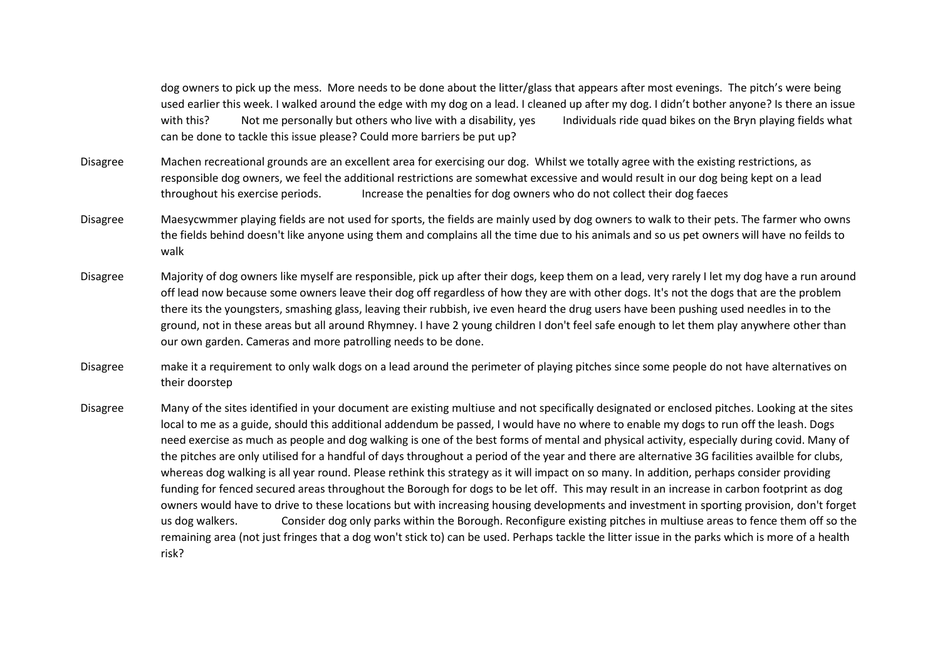dog owners to pick up the mess. More needs to be done about the litter/glass that appears after most evenings. The pitch's were being used earlier this week. I walked around the edge with my dog on a lead. I cleaned up after my dog. I didn't bother anyone? Is there an issue with this? Not me personally but others who live with a disability, yes Individuals ride quad bikes on the Bryn playing fields what can be done to tackle this issue please? Could more barriers be put up?

- Disagree Machen recreational grounds are an excellent area for exercising our dog. Whilst we totally agree with the existing restrictions, as responsible dog owners, we feel the additional restrictions are somewhat excessive and would result in our dog being kept on a lead throughout his exercise periods. Increase the penalties for dog owners who do not collect their dog faeces
- Disagree Maesycwmmer playing fields are not used for sports, the fields are mainly used by dog owners to walk to their pets. The farmer who owns the fields behind doesn't like anyone using them and complains all the time due to his animals and so us pet owners will have no feilds to walk
- Disagree Majority of dog owners like myself are responsible, pick up after their dogs, keep them on a lead, very rarely I let my dog have a run around off lead now because some owners leave their dog off regardless of how they are with other dogs. It's not the dogs that are the problem there its the youngsters, smashing glass, leaving their rubbish, ive even heard the drug users have been pushing used needles in to the ground, not in these areas but all around Rhymney. I have 2 young children I don't feel safe enough to let them play anywhere other than our own garden. Cameras and more patrolling needs to be done.
- Disagree make it a requirement to only walk dogs on a lead around the perimeter of playing pitches since some people do not have alternatives on their doorstep
- Disagree Many of the sites identified in your document are existing multiuse and not specifically designated or enclosed pitches. Looking at the sites local to me as a guide, should this additional addendum be passed, I would have no where to enable my dogs to run off the leash. Dogs need exercise as much as people and dog walking is one of the best forms of mental and physical activity, especially during covid. Many of the pitches are only utilised for a handful of days throughout a period of the year and there are alternative 3G facilities availble for clubs, whereas dog walking is all year round. Please rethink this strategy as it will impact on so many. In addition, perhaps consider providing funding for fenced secured areas throughout the Borough for dogs to be let off. This may result in an increase in carbon footprint as dog owners would have to drive to these locations but with increasing housing developments and investment in sporting provision, don't forget us dog walkers. Consider dog only parks within the Borough. Reconfigure existing pitches in multiuse areas to fence them off so the remaining area (not just fringes that a dog won't stick to) can be used. Perhaps tackle the litter issue in the parks which is more of a health risk?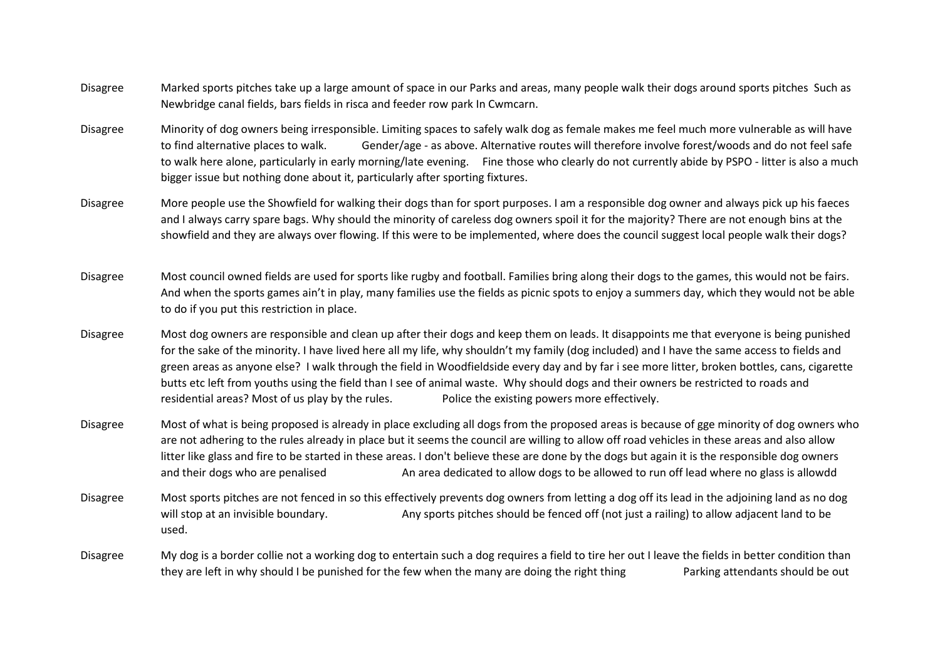- Disagree Marked sports pitches take up a large amount of space in our Parks and areas, many people walk their dogs around sports pitches Such as Newbridge canal fields, bars fields in risca and feeder row park In Cwmcarn.
- Disagree Minority of dog owners being irresponsible. Limiting spaces to safely walk dog as female makes me feel much more vulnerable as will have to find alternative places to walk. Gender/age - as above. Alternative routes will therefore involve forest/woods and do not feel safe to walk here alone, particularly in early morning/late evening. Fine those who clearly do not currently abide by PSPO - litter is also a much bigger issue but nothing done about it, particularly after sporting fixtures.
- Disagree More people use the Showfield for walking their dogs than for sport purposes. I am a responsible dog owner and always pick up his faeces and I always carry spare bags. Why should the minority of careless dog owners spoil it for the majority? There are not enough bins at the showfield and they are always over flowing. If this were to be implemented, where does the council suggest local people walk their dogs?
- Disagree Most council owned fields are used for sports like rugby and football. Families bring along their dogs to the games, this would not be fairs. And when the sports games ain't in play, many families use the fields as picnic spots to enjoy a summers day, which they would not be able to do if you put this restriction in place.
- Disagree Most dog owners are responsible and clean up after their dogs and keep them on leads. It disappoints me that everyone is being punished for the sake of the minority. I have lived here all my life, why shouldn't my family (dog included) and I have the same access to fields and green areas as anyone else? I walk through the field in Woodfieldside every day and by far i see more litter, broken bottles, cans, cigarette butts etc left from youths using the field than I see of animal waste. Why should dogs and their owners be restricted to roads and residential areas? Most of us play by the rules. Police the existing powers more effectively.
- Disagree Most of what is being proposed is already in place excluding all dogs from the proposed areas is because of gge minority of dog owners who are not adhering to the rules already in place but it seems the council are willing to allow off road vehicles in these areas and also allow litter like glass and fire to be started in these areas. I don't believe these are done by the dogs but again it is the responsible dog owners and their dogs who are penalised An area dedicated to allow dogs to be allowed to run off lead where no glass is allowdd
- Disagree Most sports pitches are not fenced in so this effectively prevents dog owners from letting a dog off its lead in the adjoining land as no dog will stop at an invisible boundary. Any sports pitches should be fenced off (not just a railing) to allow adjacent land to be used.
- Disagree My dog is a border collie not a working dog to entertain such a dog requires a field to tire her out I leave the fields in better condition than they are left in why should I be punished for the few when the many are doing the right thing Parking attendants should be out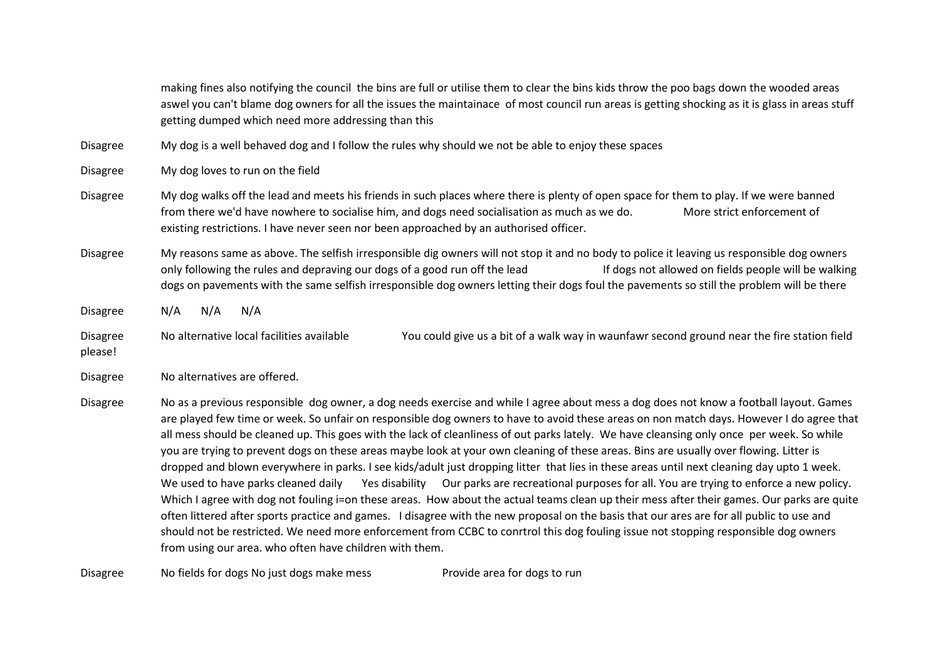making fines also notifying the council the bins are full or utilise them to clear the bins kids throw the poo bags down the wooded areas aswel you can't blame dog owners for all the issues the maintainace of most council run areas is getting shocking as it is glass in areas stuff getting dumped which need more addressing than this

Disagree My dog is a well behaved dog and I follow the rules why should we not be able to enjoy these spaces

Disagree My dog loves to run on the field

Disagree My dog walks off the lead and meets his friends in such places where there is plenty of open space for them to play. If we were banned from there we'd have nowhere to socialise him, and dogs need socialisation as much as we do. More strict enforcement of existing restrictions. I have never seen nor been approached by an authorised officer.

Disagree My reasons same as above. The selfish irresponsible dig owners will not stop it and no body to police it leaving us responsible dog owners only following the rules and depraving our dogs of a good run off the lead If dogs not allowed on fields people will be walking dogs on pavements with the same selfish irresponsible dog owners letting their dogs foul the pavements so still the problem will be there

Disagree N/A N/A N/A

Disagree No alternative local facilities available You could give us a bit of a walk way in waunfawr second ground near the fire station field please!

Disagree No alternatives are offered.

Disagree No as a previous responsible dog owner, a dog needs exercise and while I agree about mess a dog does not know a football layout. Games are played few time or week. So unfair on responsible dog owners to have to avoid these areas on non match days. However I do agree that all mess should be cleaned up. This goes with the lack of cleanliness of out parks lately. We have cleansing only once per week. So while you are trying to prevent dogs on these areas maybe look at your own cleaning of these areas. Bins are usually over flowing. Litter is dropped and blown everywhere in parks. I see kids/adult just dropping litter that lies in these areas until next cleaning day upto 1 week. We used to have parks cleaned daily Yes disability Our parks are recreational purposes for all. You are trying to enforce a new policy. Which I agree with dog not fouling i=on these areas. How about the actual teams clean up their mess after their games. Our parks are quite often littered after sports practice and games. I disagree with the new proposal on the basis that our ares are for all public to use and should not be restricted. We need more enforcement from CCBC to conrtrol this dog fouling issue not stopping responsible dog owners from using our area. who often have children with them.

Disagree No fields for dogs No just dogs make mess Provide area for dogs to run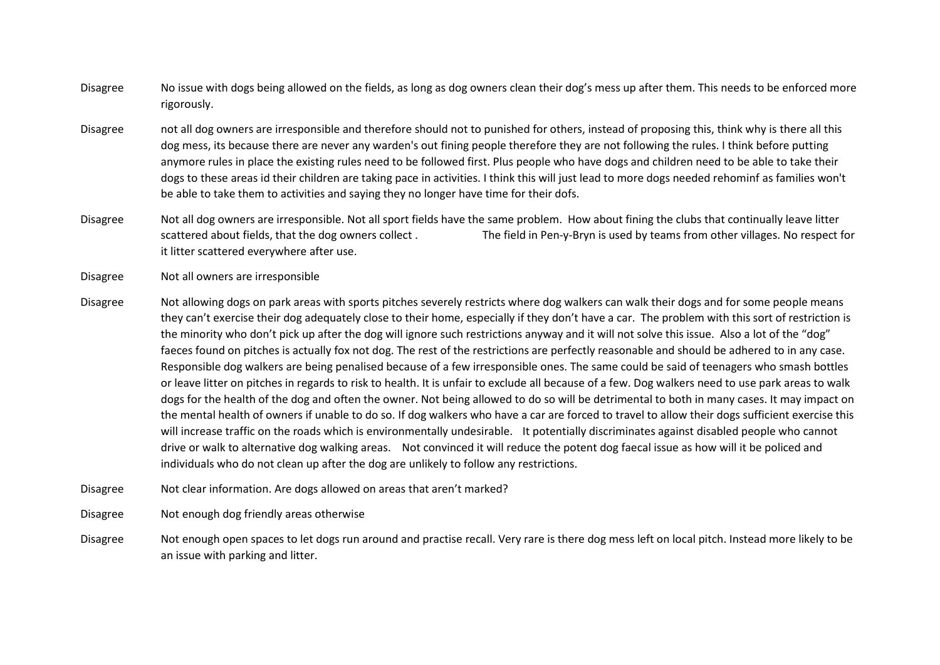- Disagree No issue with dogs being allowed on the fields, as long as dog owners clean their dog's mess up after them. This needs to be enforced more rigorously.
- Disagree not all dog owners are irresponsible and therefore should not to punished for others, instead of proposing this, think why is there all this dog mess, its because there are never any warden's out fining people therefore they are not following the rules. I think before putting anymore rules in place the existing rules need to be followed first. Plus people who have dogs and children need to be able to take their dogs to these areas id their children are taking pace in activities. I think this will just lead to more dogs needed rehominf as families won't be able to take them to activities and saying they no longer have time for their dofs.
- Disagree Not all dog owners are irresponsible. Not all sport fields have the same problem. How about fining the clubs that continually leave litter scattered about fields, that the dog owners collect . The field in Pen-y-Bryn is used by teams from other villages. No respect for it litter scattered everywhere after use.
- Disagree Not all owners are irresponsible
- Disagree Not allowing dogs on park areas with sports pitches severely restricts where dog walkers can walk their dogs and for some people means they can't exercise their dog adequately close to their home, especially if they don't have a car. The problem with this sort of restriction is the minority who don't pick up after the dog will ignore such restrictions anyway and it will not solve this issue. Also a lot of the "dog" faeces found on pitches is actually fox not dog. The rest of the restrictions are perfectly reasonable and should be adhered to in any case. Responsible dog walkers are being penalised because of a few irresponsible ones. The same could be said of teenagers who smash bottles or leave litter on pitches in regards to risk to health. It is unfair to exclude all because of a few. Dog walkers need to use park areas to walk dogs for the health of the dog and often the owner. Not being allowed to do so will be detrimental to both in many cases. It may impact on the mental health of owners if unable to do so. If dog walkers who have a car are forced to travel to allow their dogs sufficient exercise this will increase traffic on the roads which is environmentally undesirable. It potentially discriminates against disabled people who cannot drive or walk to alternative dog walking areas. Not convinced it will reduce the potent dog faecal issue as how will it be policed and individuals who do not clean up after the dog are unlikely to follow any restrictions.
- Disagree Not clear information. Are dogs allowed on areas that aren't marked?
- Disagree Not enough dog friendly areas otherwise
- Disagree Not enough open spaces to let dogs run around and practise recall. Very rare is there dog mess left on local pitch. Instead more likely to be an issue with parking and litter.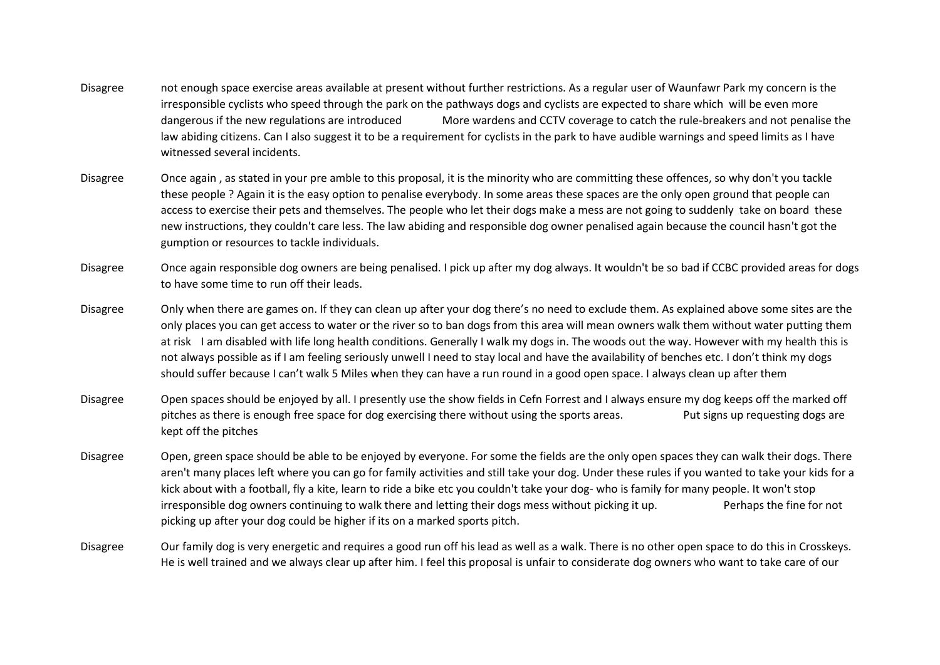- Disagree not enough space exercise areas available at present without further restrictions. As a regular user of Waunfawr Park my concern is the irresponsible cyclists who speed through the park on the pathways dogs and cyclists are expected to share which will be even more dangerous if the new regulations are introduced More wardens and CCTV coverage to catch the rule-breakers and not penalise the law abiding citizens. Can I also suggest it to be a requirement for cyclists in the park to have audible warnings and speed limits as I have witnessed several incidents.
- Disagree Once again , as stated in your pre amble to this proposal, it is the minority who are committing these offences, so why don't you tackle these people ? Again it is the easy option to penalise everybody. In some areas these spaces are the only open ground that people can access to exercise their pets and themselves. The people who let their dogs make a mess are not going to suddenly take on board these new instructions, they couldn't care less. The law abiding and responsible dog owner penalised again because the council hasn't got the gumption or resources to tackle individuals.
- Disagree Once again responsible dog owners are being penalised. I pick up after my dog always. It wouldn't be so bad if CCBC provided areas for dogs to have some time to run off their leads.
- Disagree Only when there are games on. If they can clean up after your dog there's no need to exclude them. As explained above some sites are the only places you can get access to water or the river so to ban dogs from this area will mean owners walk them without water putting them at risk I am disabled with life long health conditions. Generally I walk my dogs in. The woods out the way. However with my health this is not always possible as if I am feeling seriously unwell I need to stay local and have the availability of benches etc. I don't think my dogs should suffer because I can't walk 5 Miles when they can have a run round in a good open space. I always clean up after them
- Disagree Open spaces should be enjoyed by all. I presently use the show fields in Cefn Forrest and I always ensure my dog keeps off the marked off pitches as there is enough free space for dog exercising there without using the sports areas. Put signs up requesting dogs are kept off the pitches
- Disagree Open, green space should be able to be enjoyed by everyone. For some the fields are the only open spaces they can walk their dogs. There aren't many places left where you can go for family activities and still take your dog. Under these rules if you wanted to take your kids for a kick about with a football, fly a kite, learn to ride a bike etc you couldn't take your dog- who is family for many people. It won't stop irresponsible dog owners continuing to walk there and letting their dogs mess without picking it up. Perhaps the fine for not picking up after your dog could be higher if its on a marked sports pitch.
- Disagree Our family dog is very energetic and requires a good run off his lead as well as a walk. There is no other open space to do this in Crosskeys. He is well trained and we always clear up after him. I feel this proposal is unfair to considerate dog owners who want to take care of our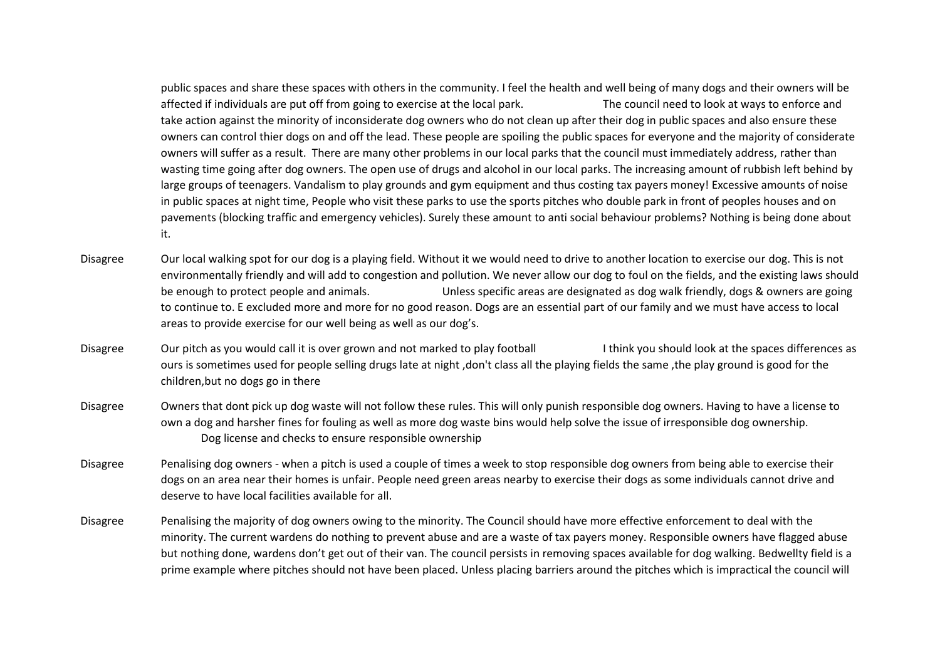public spaces and share these spaces with others in the community. I feel the health and well being of many dogs and their owners will be affected if individuals are put off from going to exercise at the local park. The council need to look at ways to enforce and take action against the minority of inconsiderate dog owners who do not clean up after their dog in public spaces and also ensure these owners can control thier dogs on and off the lead. These people are spoiling the public spaces for everyone and the majority of considerate owners will suffer as a result. There are many other problems in our local parks that the council must immediately address, rather than wasting time going after dog owners. The open use of drugs and alcohol in our local parks. The increasing amount of rubbish left behind by large groups of teenagers. Vandalism to play grounds and gym equipment and thus costing tax payers money! Excessive amounts of noise in public spaces at night time, People who visit these parks to use the sports pitches who double park in front of peoples houses and on pavements (blocking traffic and emergency vehicles). Surely these amount to anti social behaviour problems? Nothing is being done about it.

- Disagree Our local walking spot for our dog is a playing field. Without it we would need to drive to another location to exercise our dog. This is not environmentally friendly and will add to congestion and pollution. We never allow our dog to foul on the fields, and the existing laws should be enough to protect people and animals. Unless specific areas are designated as dog walk friendly, dogs & owners are going to continue to. E excluded more and more for no good reason. Dogs are an essential part of our family and we must have access to local areas to provide exercise for our well being as well as our dog's.
- Disagree Our pitch as you would call it is over grown and not marked to play football I think you should look at the spaces differences as ours is sometimes used for people selling drugs late at night ,don't class all the playing fields the same ,the play ground is good for the children,but no dogs go in there
- Disagree Owners that dont pick up dog waste will not follow these rules. This will only punish responsible dog owners. Having to have a license to own a dog and harsher fines for fouling as well as more dog waste bins would help solve the issue of irresponsible dog ownership. Dog license and checks to ensure responsible ownership
- Disagree Penalising dog owners when a pitch is used a couple of times a week to stop responsible dog owners from being able to exercise their dogs on an area near their homes is unfair. People need green areas nearby to exercise their dogs as some individuals cannot drive and deserve to have local facilities available for all.
- Disagree Penalising the majority of dog owners owing to the minority. The Council should have more effective enforcement to deal with the minority. The current wardens do nothing to prevent abuse and are a waste of tax payers money. Responsible owners have flagged abuse but nothing done, wardens don't get out of their van. The council persists in removing spaces available for dog walking. Bedwellty field is a prime example where pitches should not have been placed. Unless placing barriers around the pitches which is impractical the council will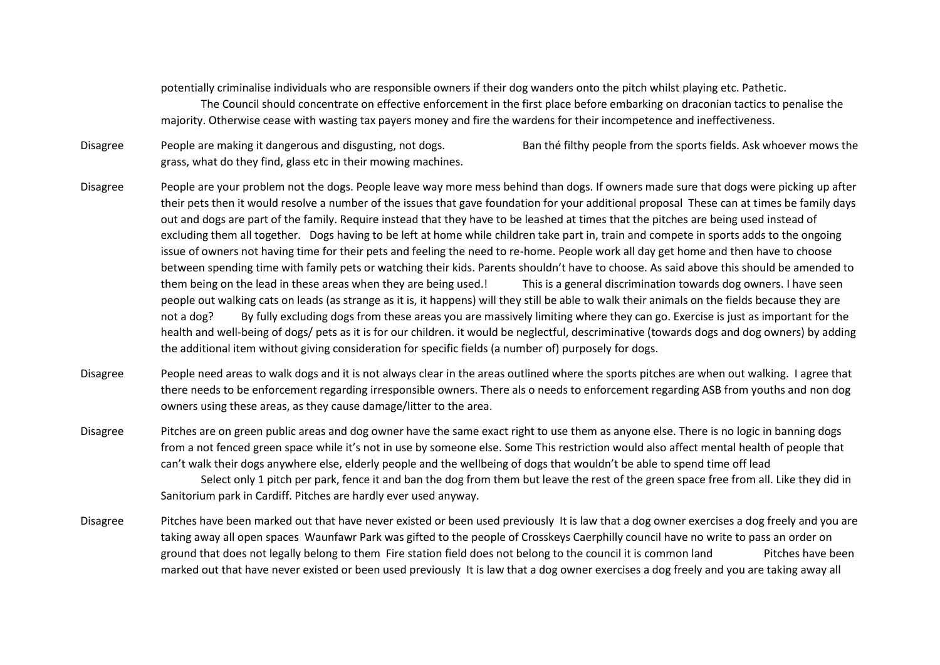potentially criminalise individuals who are responsible owners if their dog wanders onto the pitch whilst playing etc. Pathetic. The Council should concentrate on effective enforcement in the first place before embarking on draconian tactics to penalise the majority. Otherwise cease with wasting tax payers money and fire the wardens for their incompetence and ineffectiveness.

Disagree People are making it dangerous and disgusting, not dogs. Ban thé filthy people from the sports fields. Ask whoever mows the grass, what do they find, glass etc in their mowing machines.

- Disagree People are your problem not the dogs. People leave way more mess behind than dogs. If owners made sure that dogs were picking up after their pets then it would resolve a number of the issues that gave foundation for your additional proposal These can at times be family days out and dogs are part of the family. Require instead that they have to be leashed at times that the pitches are being used instead of excluding them all together. Dogs having to be left at home while children take part in, train and compete in sports adds to the ongoing issue of owners not having time for their pets and feeling the need to re-home. People work all day get home and then have to choose between spending time with family pets or watching their kids. Parents shouldn't have to choose. As said above this should be amended to them being on the lead in these areas when they are being used.! This is a general discrimination towards dog owners. I have seen people out walking cats on leads (as strange as it is, it happens) will they still be able to walk their animals on the fields because they are not a dog? By fully excluding dogs from these areas you are massively limiting where they can go. Exercise is just as important for the health and well-being of dogs/ pets as it is for our children. it would be neglectful, descriminative (towards dogs and dog owners) by adding the additional item without giving consideration for specific fields (a number of) purposely for dogs.
- Disagree People need areas to walk dogs and it is not always clear in the areas outlined where the sports pitches are when out walking. I agree that there needs to be enforcement regarding irresponsible owners. There als o needs to enforcement regarding ASB from youths and non dog owners using these areas, as they cause damage/litter to the area.
- Disagree Pitches are on green public areas and dog owner have the same exact right to use them as anyone else. There is no logic in banning dogs from a not fenced green space while it's not in use by someone else. Some This restriction would also affect mental health of people that can't walk their dogs anywhere else, elderly people and the wellbeing of dogs that wouldn't be able to spend time off lead

Select only 1 pitch per park, fence it and ban the dog from them but leave the rest of the green space free from all. Like they did in Sanitorium park in Cardiff. Pitches are hardly ever used anyway.

Disagree Pitches have been marked out that have never existed or been used previously It is law that a dog owner exercises a dog freely and you are taking away all open spaces Waunfawr Park was gifted to the people of Crosskeys Caerphilly council have no write to pass an order on ground that does not legally belong to them Fire station field does not belong to the council it is common land Pitches have been marked out that have never existed or been used previously It is law that a dog owner exercises a dog freely and you are taking away all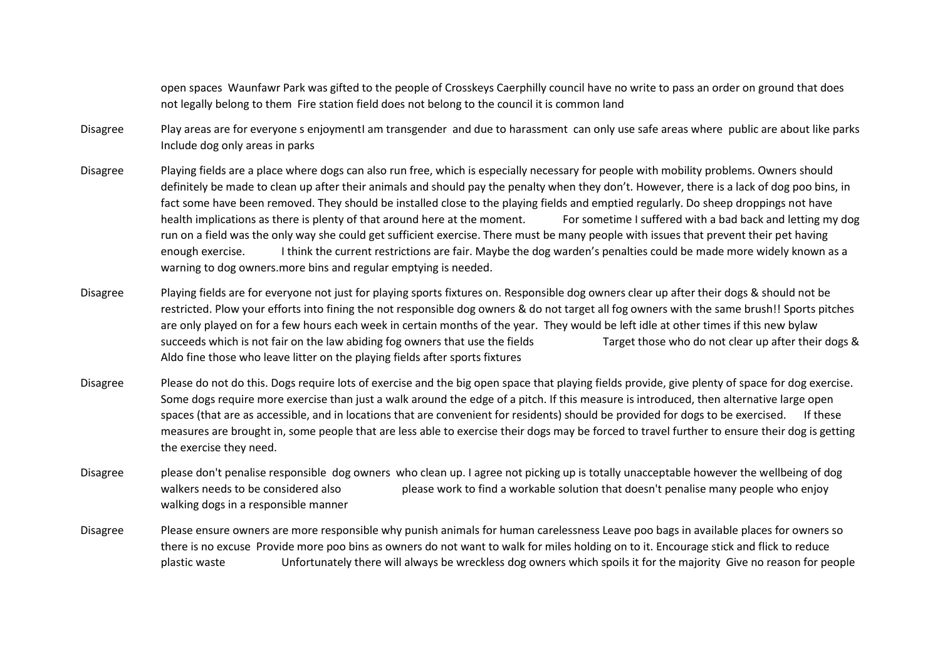open spaces Waunfawr Park was gifted to the people of Crosskeys Caerphilly council have no write to pass an order on ground that does not legally belong to them Fire station field does not belong to the council it is common land

- Disagree Play areas are for everyone s enjoymentI am transgender and due to harassment can only use safe areas where public are about like parks Include dog only areas in parks
- Disagree Playing fields are a place where dogs can also run free, which is especially necessary for people with mobility problems. Owners should definitely be made to clean up after their animals and should pay the penalty when they don't. However, there is a lack of dog poo bins, in fact some have been removed. They should be installed close to the playing fields and emptied regularly. Do sheep droppings not have health implications as there is plenty of that around here at the moment. For sometime I suffered with a bad back and letting my dog run on a field was the only way she could get sufficient exercise. There must be many people with issues that prevent their pet having enough exercise. I think the current restrictions are fair. Maybe the dog warden's penalties could be made more widely known as a warning to dog owners.more bins and regular emptying is needed.
- Disagree Playing fields are for everyone not just for playing sports fixtures on. Responsible dog owners clear up after their dogs & should not be restricted. Plow your efforts into fining the not responsible dog owners & do not target all fog owners with the same brush!! Sports pitches are only played on for a few hours each week in certain months of the year. They would be left idle at other times if this new bylaw succeeds which is not fair on the law abiding fog owners that use the fields Target those who do not clear up after their dogs & Aldo fine those who leave litter on the playing fields after sports fixtures
- Disagree Please do not do this. Dogs require lots of exercise and the big open space that playing fields provide, give plenty of space for dog exercise. Some dogs require more exercise than just a walk around the edge of a pitch. If this measure is introduced, then alternative large open spaces (that are as accessible, and in locations that are convenient for residents) should be provided for dogs to be exercised. If these measures are brought in, some people that are less able to exercise their dogs may be forced to travel further to ensure their dog is getting the exercise they need.
- Disagree please don't penalise responsible dog owners who clean up. I agree not picking up is totally unacceptable however the wellbeing of dog walkers needs to be considered also please work to find a workable solution that doesn't penalise many people who enjoy walking dogs in a responsible manner
- Disagree Please ensure owners are more responsible why punish animals for human carelessness Leave poo bags in available places for owners so there is no excuse Provide more poo bins as owners do not want to walk for miles holding on to it. Encourage stick and flick to reduce plastic waste Unfortunately there will always be wreckless dog owners which spoils it for the majority Give no reason for people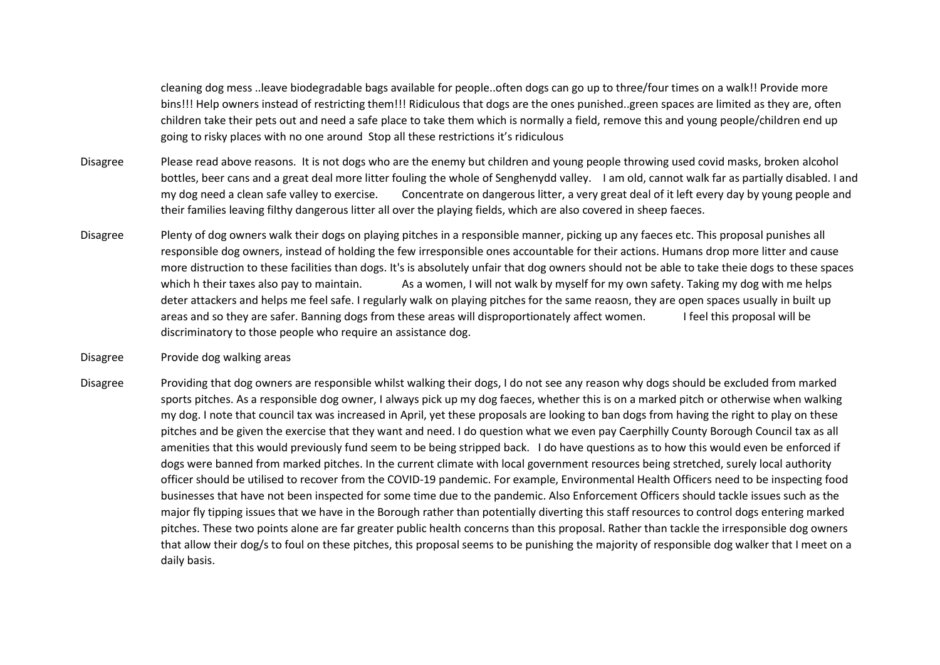cleaning dog mess ..leave biodegradable bags available for people..often dogs can go up to three/four times on a walk!! Provide more bins!!! Help owners instead of restricting them!!! Ridiculous that dogs are the ones punished..green spaces are limited as they are, often children take their pets out and need a safe place to take them which is normally a field, remove this and young people/children end up going to risky places with no one around Stop all these restrictions it's ridiculous

- Disagree Please read above reasons. It is not dogs who are the enemy but children and young people throwing used covid masks, broken alcohol bottles, beer cans and a great deal more litter fouling the whole of Senghenydd valley. I am old, cannot walk far as partially disabled. I and my dog need a clean safe valley to exercise. Concentrate on dangerous litter, a very great deal of it left every day by young people and their families leaving filthy dangerous litter all over the playing fields, which are also covered in sheep faeces.
- Disagree Plenty of dog owners walk their dogs on playing pitches in a responsible manner, picking up any faeces etc. This proposal punishes all responsible dog owners, instead of holding the few irresponsible ones accountable for their actions. Humans drop more litter and cause more distruction to these facilities than dogs. It's is absolutely unfair that dog owners should not be able to take theie dogs to these spaces which h their taxes also pay to maintain. As a women, I will not walk by myself for my own safety. Taking my dog with me helps deter attackers and helps me feel safe. I regularly walk on playing pitches for the same reaosn, they are open spaces usually in built up areas and so they are safer. Banning dogs from these areas will disproportionately affect women. I feel this proposal will be discriminatory to those people who require an assistance dog.
- Disagree Provide dog walking areas
- Disagree Providing that dog owners are responsible whilst walking their dogs, I do not see any reason why dogs should be excluded from marked sports pitches. As a responsible dog owner, I always pick up my dog faeces, whether this is on a marked pitch or otherwise when walking my dog. I note that council tax was increased in April, yet these proposals are looking to ban dogs from having the right to play on these pitches and be given the exercise that they want and need. I do question what we even pay Caerphilly County Borough Council tax as all amenities that this would previously fund seem to be being stripped back. I do have questions as to how this would even be enforced if dogs were banned from marked pitches. In the current climate with local government resources being stretched, surely local authority officer should be utilised to recover from the COVID-19 pandemic. For example, Environmental Health Officers need to be inspecting food businesses that have not been inspected for some time due to the pandemic. Also Enforcement Officers should tackle issues such as the major fly tipping issues that we have in the Borough rather than potentially diverting this staff resources to control dogs entering marked pitches. These two points alone are far greater public health concerns than this proposal. Rather than tackle the irresponsible dog owners that allow their dog/s to foul on these pitches, this proposal seems to be punishing the majority of responsible dog walker that I meet on a daily basis.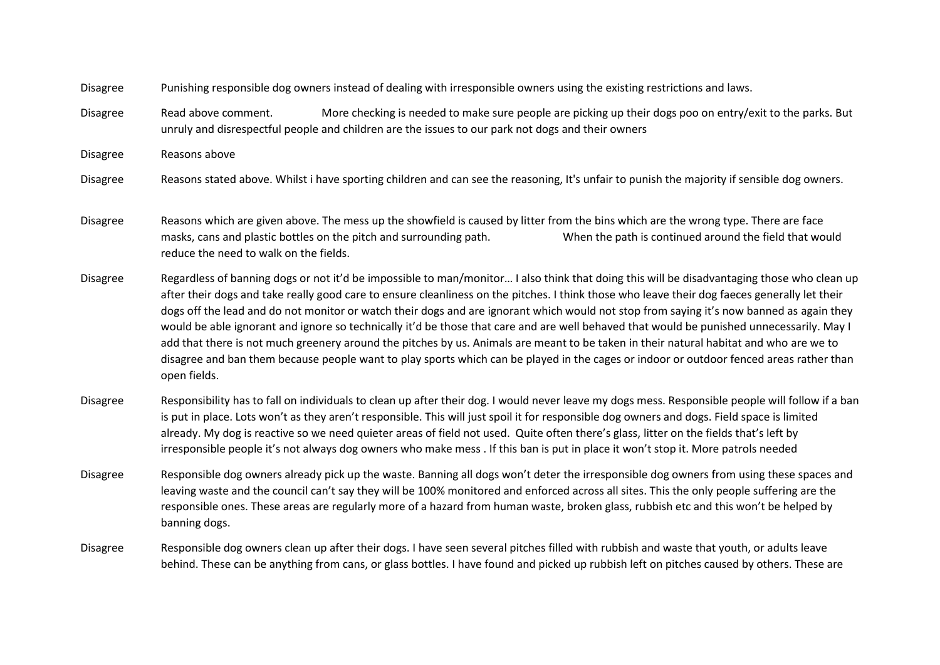Disagree Punishing responsible dog owners instead of dealing with irresponsible owners using the existing restrictions and laws.

Disagree Read above comment. More checking is needed to make sure people are picking up their dogs poo on entry/exit to the parks. But unruly and disrespectful people and children are the issues to our park not dogs and their owners

Disagree Reasons above

Disagree Reasons stated above. Whilst i have sporting children and can see the reasoning, It's unfair to punish the majority if sensible dog owners.

Disagree Reasons which are given above. The mess up the showfield is caused by litter from the bins which are the wrong type. There are face masks, cans and plastic bottles on the pitch and surrounding path. When the path is continued around the field that would reduce the need to walk on the fields.

Disagree Regardless of banning dogs or not it'd be impossible to man/monitor… I also think that doing this will be disadvantaging those who clean up after their dogs and take really good care to ensure cleanliness on the pitches. I think those who leave their dog faeces generally let their dogs off the lead and do not monitor or watch their dogs and are ignorant which would not stop from saying it's now banned as again they would be able ignorant and ignore so technically it'd be those that care and are well behaved that would be punished unnecessarily. May I add that there is not much greenery around the pitches by us. Animals are meant to be taken in their natural habitat and who are we to disagree and ban them because people want to play sports which can be played in the cages or indoor or outdoor fenced areas rather than open fields.

Disagree Responsibility has to fall on individuals to clean up after their dog. I would never leave my dogs mess. Responsible people will follow if a ban is put in place. Lots won't as they aren't responsible. This will just spoil it for responsible dog owners and dogs. Field space is limited already. My dog is reactive so we need quieter areas of field not used. Quite often there's glass, litter on the fields that's left by irresponsible people it's not always dog owners who make mess . If this ban is put in place it won't stop it. More patrols needed

Disagree Responsible dog owners already pick up the waste. Banning all dogs won't deter the irresponsible dog owners from using these spaces and leaving waste and the council can't say they will be 100% monitored and enforced across all sites. This the only people suffering are the responsible ones. These areas are regularly more of a hazard from human waste, broken glass, rubbish etc and this won't be helped by banning dogs.

Disagree Responsible dog owners clean up after their dogs. I have seen several pitches filled with rubbish and waste that youth, or adults leave behind. These can be anything from cans, or glass bottles. I have found and picked up rubbish left on pitches caused by others. These are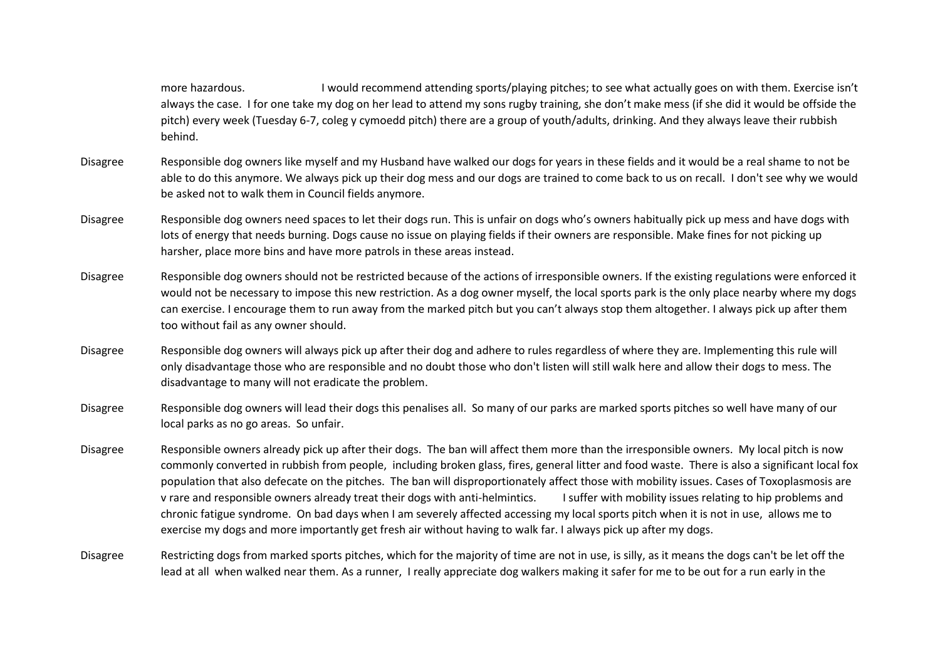more hazardous. I would recommend attending sports/playing pitches; to see what actually goes on with them. Exercise isn't always the case. I for one take my dog on her lead to attend my sons rugby training, she don't make mess (if she did it would be offside the pitch) every week (Tuesday 6-7, coleg y cymoedd pitch) there are a group of youth/adults, drinking. And they always leave their rubbish behind.

- Disagree Responsible dog owners like myself and my Husband have walked our dogs for years in these fields and it would be a real shame to not be able to do this anymore. We always pick up their dog mess and our dogs are trained to come back to us on recall. I don't see why we would be asked not to walk them in Council fields anymore.
- Disagree Responsible dog owners need spaces to let their dogs run. This is unfair on dogs who's owners habitually pick up mess and have dogs with lots of energy that needs burning. Dogs cause no issue on playing fields if their owners are responsible. Make fines for not picking up harsher, place more bins and have more patrols in these areas instead.
- Disagree Responsible dog owners should not be restricted because of the actions of irresponsible owners. If the existing regulations were enforced it would not be necessary to impose this new restriction. As a dog owner myself, the local sports park is the only place nearby where my dogs can exercise. I encourage them to run away from the marked pitch but you can't always stop them altogether. I always pick up after them too without fail as any owner should.
- Disagree Responsible dog owners will always pick up after their dog and adhere to rules regardless of where they are. Implementing this rule will only disadvantage those who are responsible and no doubt those who don't listen will still walk here and allow their dogs to mess. The disadvantage to many will not eradicate the problem.
- Disagree Responsible dog owners will lead their dogs this penalises all. So many of our parks are marked sports pitches so well have many of our local parks as no go areas. So unfair.
- Disagree Responsible owners already pick up after their dogs. The ban will affect them more than the irresponsible owners. My local pitch is now commonly converted in rubbish from people, including broken glass, fires, general litter and food waste. There is also a significant local fox population that also defecate on the pitches. The ban will disproportionately affect those with mobility issues. Cases of Toxoplasmosis are v rare and responsible owners already treat their dogs with anti-helmintics. I suffer with mobility issues relating to hip problems and chronic fatigue syndrome. On bad days when I am severely affected accessing my local sports pitch when it is not in use, allows me to exercise my dogs and more importantly get fresh air without having to walk far. I always pick up after my dogs.
- Disagree Restricting dogs from marked sports pitches, which for the majority of time are not in use, is silly, as it means the dogs can't be let off the lead at all when walked near them. As a runner, I really appreciate dog walkers making it safer for me to be out for a run early in the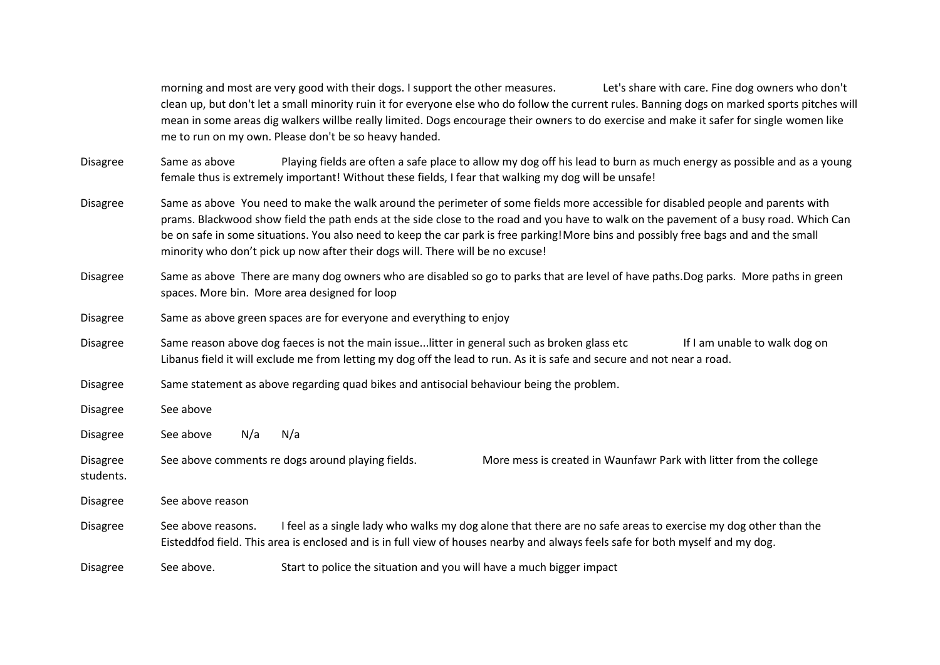morning and most are very good with their dogs. I support the other measures. Let's share with care. Fine dog owners who don't clean up, but don't let a small minority ruin it for everyone else who do follow the current rules. Banning dogs on marked sports pitches will mean in some areas dig walkers willbe really limited. Dogs encourage their owners to do exercise and make it safer for single women like me to run on my own. Please don't be so heavy handed.

Disagree Same as above Playing fields are often a safe place to allow my dog off his lead to burn as much energy as possible and as a young female thus is extremely important! Without these fields, I fear that walking my dog will be unsafe!

- Disagree Same as above You need to make the walk around the perimeter of some fields more accessible for disabled people and parents with prams. Blackwood show field the path ends at the side close to the road and you have to walk on the pavement of a busy road. Which Can be on safe in some situations. You also need to keep the car park is free parking!More bins and possibly free bags and and the small minority who don't pick up now after their dogs will. There will be no excuse!
- Disagree Same as above There are many dog owners who are disabled so go to parks that are level of have paths. Dog parks. More paths in green spaces. More bin. More area designed for loop
- Disagree Same as above green spaces are for everyone and everything to enjoy
- Disagree Same reason above dog faeces is not the main issue...litter in general such as broken glass etc If I am unable to walk dog on Libanus field it will exclude me from letting my dog off the lead to run. As it is safe and secure and not near a road.
- Disagree Same statement as above regarding quad bikes and antisocial behaviour being the problem.
- Disagree See above
- Disagree See above N/a N/a
- Disagree See above comments re dogs around playing fields. More mess is created in Waunfawr Park with litter from the college students.

Disagree See above reason

- Disagree See above reasons. I feel as a single lady who walks my dog alone that there are no safe areas to exercise my dog other than the Eisteddfod field. This area is enclosed and is in full view of houses nearby and always feels safe for both myself and my dog.
- Disagree See above. Start to police the situation and you will have a much bigger impact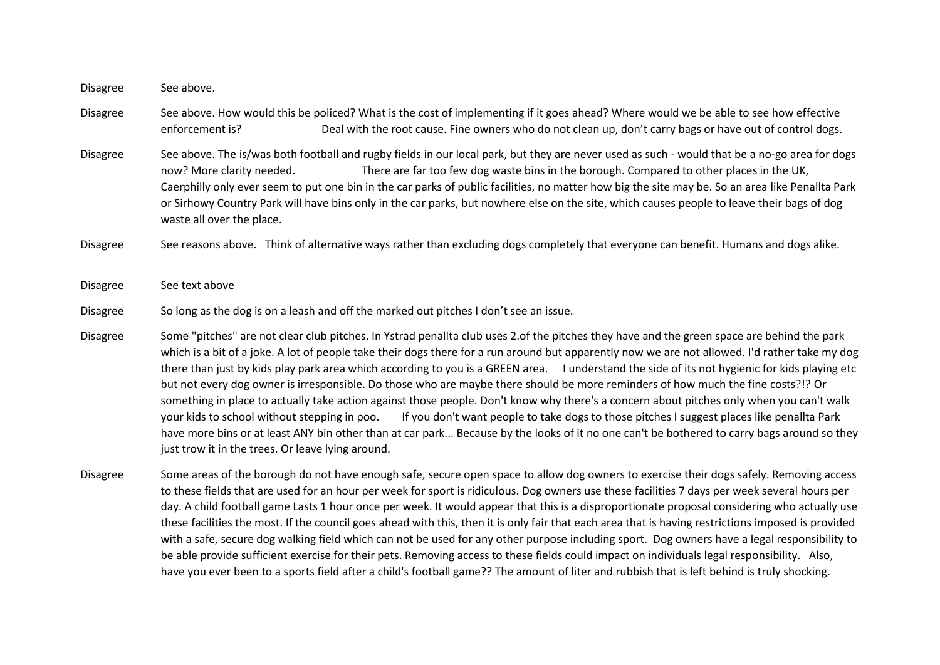Disagree See above.

Disagree See above. How would this be policed? What is the cost of implementing if it goes ahead? Where would we be able to see how effective enforcement is? Deal with the root cause. Fine owners who do not clean up, don't carry bags or have out of control dogs.

Disagree See above. The is/was both football and rugby fields in our local park, but they are never used as such - would that be a no-go area for dogs now? More clarity needed. There are far too few dog waste bins in the borough. Compared to other places in the UK, Caerphilly only ever seem to put one bin in the car parks of public facilities, no matter how big the site may be. So an area like Penallta Park or Sirhowy Country Park will have bins only in the car parks, but nowhere else on the site, which causes people to leave their bags of dog waste all over the place.

Disagree See reasons above. Think of alternative ways rather than excluding dogs completely that everyone can benefit. Humans and dogs alike.

Disagree See text above

Disagree So long as the dog is on a leash and off the marked out pitches I don't see an issue.

Disagree Some "pitches" are not clear club pitches. In Ystrad penallta club uses 2.of the pitches they have and the green space are behind the park which is a bit of a joke. A lot of people take their dogs there for a run around but apparently now we are not allowed. I'd rather take my dog there than just by kids play park area which according to you is a GREEN area. I understand the side of its not hygienic for kids playing etc but not every dog owner is irresponsible. Do those who are maybe there should be more reminders of how much the fine costs?!? Or something in place to actually take action against those people. Don't know why there's a concern about pitches only when you can't walk your kids to school without stepping in poo. If you don't want people to take dogs to those pitches I suggest places like penallta Park have more bins or at least ANY bin other than at car park... Because by the looks of it no one can't be bothered to carry bags around so they just trow it in the trees. Or leave lying around.

Disagree Some areas of the borough do not have enough safe, secure open space to allow dog owners to exercise their dogs safely. Removing access to these fields that are used for an hour per week for sport is ridiculous. Dog owners use these facilities 7 days per week several hours per day. A child football game Lasts 1 hour once per week. It would appear that this is a disproportionate proposal considering who actually use these facilities the most. If the council goes ahead with this, then it is only fair that each area that is having restrictions imposed is provided with a safe, secure dog walking field which can not be used for any other purpose including sport. Dog owners have a legal responsibility to be able provide sufficient exercise for their pets. Removing access to these fields could impact on individuals legal responsibility. Also, have you ever been to a sports field after a child's football game?? The amount of liter and rubbish that is left behind is truly shocking.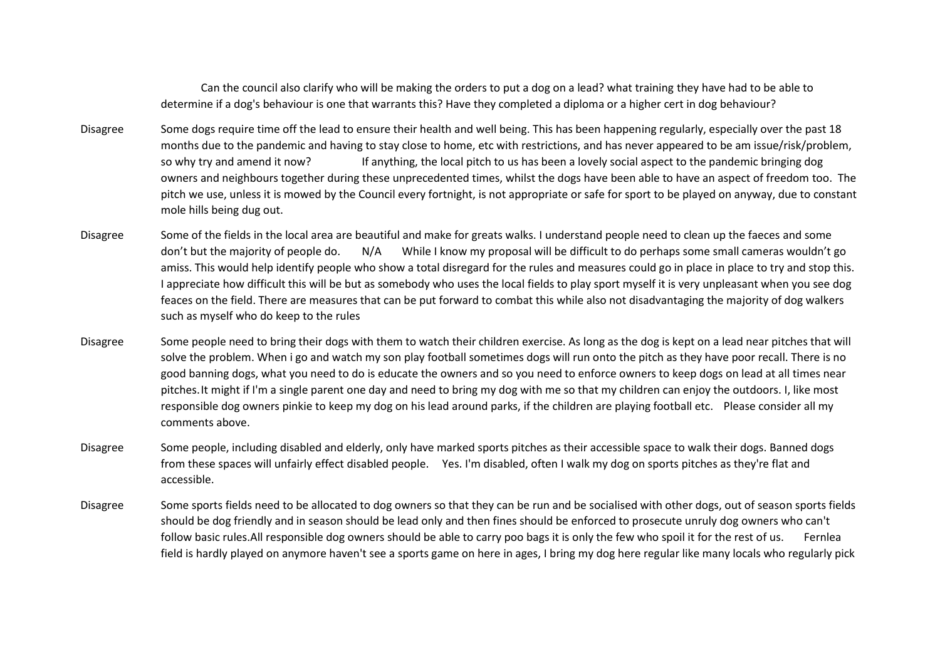Can the council also clarify who will be making the orders to put a dog on a lead? what training they have had to be able to determine if a dog's behaviour is one that warrants this? Have they completed a diploma or a higher cert in dog behaviour?

- Disagree Some dogs require time off the lead to ensure their health and well being. This has been happening regularly, especially over the past 18 months due to the pandemic and having to stay close to home, etc with restrictions, and has never appeared to be am issue/risk/problem, so why try and amend it now? If anything, the local pitch to us has been a lovely social aspect to the pandemic bringing dog owners and neighbours together during these unprecedented times, whilst the dogs have been able to have an aspect of freedom too. The pitch we use, unless it is mowed by the Council every fortnight, is not appropriate or safe for sport to be played on anyway, due to constant mole hills being dug out.
- Disagree Some of the fields in the local area are beautiful and make for greats walks. I understand people need to clean up the faeces and some don't but the majority of people do. N/A While I know my proposal will be difficult to do perhaps some small cameras wouldn't go amiss. This would help identify people who show a total disregard for the rules and measures could go in place in place to try and stop this. I appreciate how difficult this will be but as somebody who uses the local fields to play sport myself it is very unpleasant when you see dog feaces on the field. There are measures that can be put forward to combat this while also not disadvantaging the majority of dog walkers such as myself who do keep to the rules
- Disagree Some people need to bring their dogs with them to watch their children exercise. As long as the dog is kept on a lead near pitches that will solve the problem. When i go and watch my son play football sometimes dogs will run onto the pitch as they have poor recall. There is no good banning dogs, what you need to do is educate the owners and so you need to enforce owners to keep dogs on lead at all times near pitches.It might if I'm a single parent one day and need to bring my dog with me so that my children can enjoy the outdoors. I, like most responsible dog owners pinkie to keep my dog on his lead around parks, if the children are playing football etc. Please consider all my comments above.
- Disagree Some people, including disabled and elderly, only have marked sports pitches as their accessible space to walk their dogs. Banned dogs from these spaces will unfairly effect disabled people. Yes. I'm disabled, often I walk my dog on sports pitches as they're flat and accessible.
- Disagree Some sports fields need to be allocated to dog owners so that they can be run and be socialised with other dogs, out of season sports fields should be dog friendly and in season should be lead only and then fines should be enforced to prosecute unruly dog owners who can't follow basic rules. All responsible dog owners should be able to carry poo bags it is only the few who spoil it for the rest of us. Fernlea field is hardly played on anymore haven't see a sports game on here in ages, I bring my dog here regular like many locals who regularly pick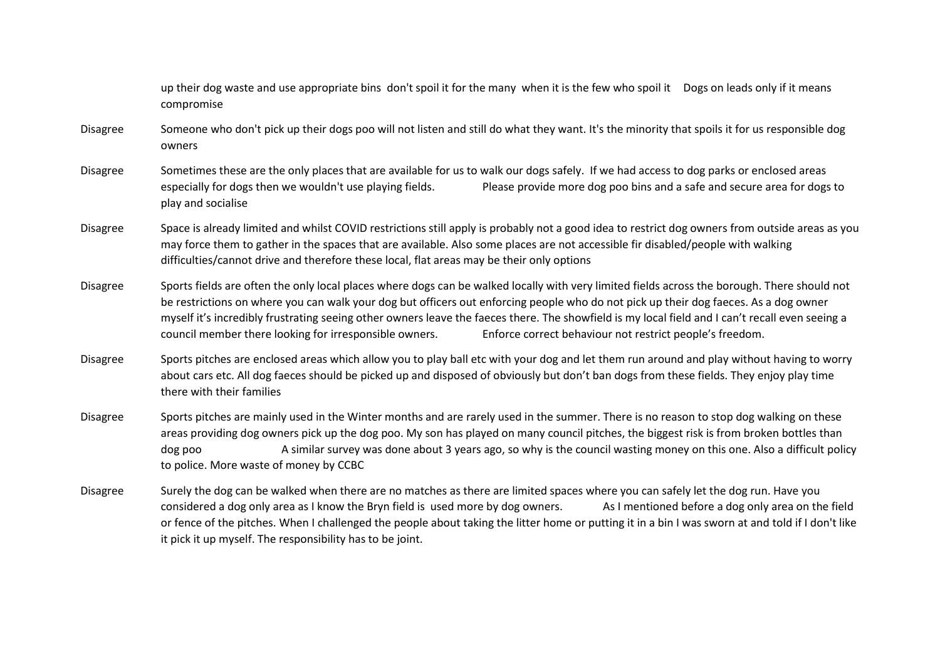up their dog waste and use appropriate bins don't spoil it for the many when it is the few who spoil it Dogs on leads only if it means compromise

- Disagree Someone who don't pick up their dogs poo will not listen and still do what they want. It's the minority that spoils it for us responsible dog owners
- Disagree Sometimes these are the only places that are available for us to walk our dogs safely. If we had access to dog parks or enclosed areas especially for dogs then we wouldn't use playing fields. Please provide more dog poo bins and a safe and secure area for dogs to play and socialise
- Disagree Space is already limited and whilst COVID restrictions still apply is probably not a good idea to restrict dog owners from outside areas as you may force them to gather in the spaces that are available. Also some places are not accessible fir disabled/people with walking difficulties/cannot drive and therefore these local, flat areas may be their only options
- Disagree Sports fields are often the only local places where dogs can be walked locally with very limited fields across the borough. There should not be restrictions on where you can walk your dog but officers out enforcing people who do not pick up their dog faeces. As a dog owner myself it's incredibly frustrating seeing other owners leave the faeces there. The showfield is my local field and I can't recall even seeing a council member there looking for irresponsible owners. Enforce correct behaviour not restrict people's freedom.
- Disagree Sports pitches are enclosed areas which allow you to play ball etc with your dog and let them run around and play without having to worry about cars etc. All dog faeces should be picked up and disposed of obviously but don't ban dogs from these fields. They enjoy play time there with their families
- Disagree Sports pitches are mainly used in the Winter months and are rarely used in the summer. There is no reason to stop dog walking on these areas providing dog owners pick up the dog poo. My son has played on many council pitches, the biggest risk is from broken bottles than dog poo A similar survey was done about 3 years ago, so why is the council wasting money on this one. Also a difficult policy to police. More waste of money by CCBC
- Disagree Surely the dog can be walked when there are no matches as there are limited spaces where you can safely let the dog run. Have you considered a dog only area as I know the Bryn field is used more by dog owners. As I mentioned before a dog only area on the field or fence of the pitches. When I challenged the people about taking the litter home or putting it in a bin I was sworn at and told if I don't like it pick it up myself. The responsibility has to be joint.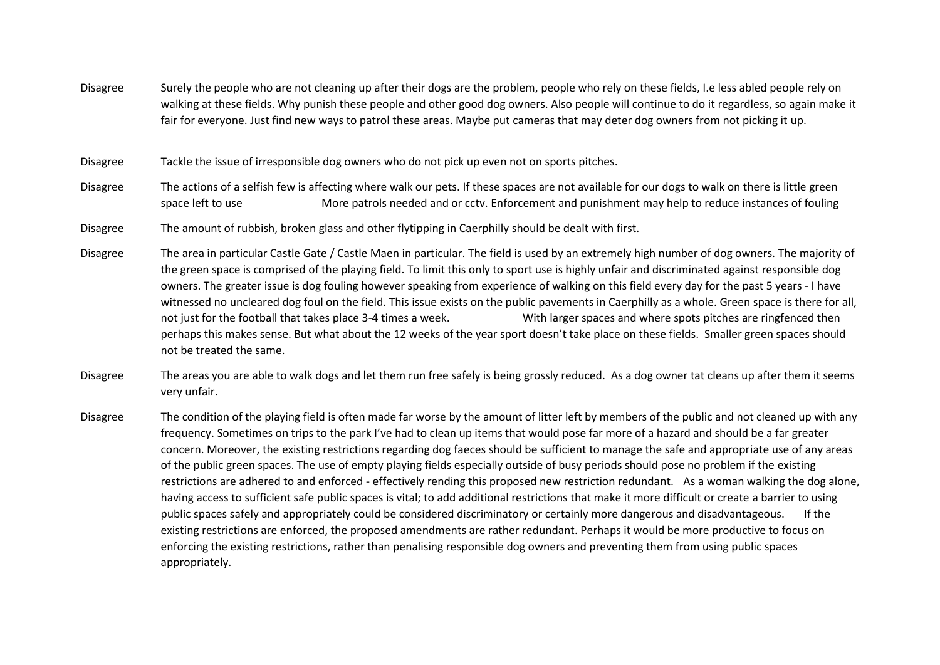- Disagree Surely the people who are not cleaning up after their dogs are the problem, people who rely on these fields, I.e less abled people rely on walking at these fields. Why punish these people and other good dog owners. Also people will continue to do it regardless, so again make it fair for everyone. Just find new ways to patrol these areas. Maybe put cameras that may deter dog owners from not picking it up.
- Disagree Tackle the issue of irresponsible dog owners who do not pick up even not on sports pitches.
- Disagree The actions of a selfish few is affecting where walk our pets. If these spaces are not available for our dogs to walk on there is little green space left to use More patrols needed and or cctv. Enforcement and punishment may help to reduce instances of fouling
- Disagree The amount of rubbish, broken glass and other flytipping in Caerphilly should be dealt with first.
- Disagree The area in particular Castle Gate / Castle Maen in particular. The field is used by an extremely high number of dog owners. The majority of the green space is comprised of the playing field. To limit this only to sport use is highly unfair and discriminated against responsible dog owners. The greater issue is dog fouling however speaking from experience of walking on this field every day for the past 5 years - I have witnessed no uncleared dog foul on the field. This issue exists on the public pavements in Caerphilly as a whole. Green space is there for all, not just for the football that takes place 3-4 times a week. With larger spaces and where spots pitches are ringfenced then perhaps this makes sense. But what about the 12 weeks of the year sport doesn't take place on these fields. Smaller green spaces should not be treated the same.
- Disagree The areas you are able to walk dogs and let them run free safely is being grossly reduced. As a dog owner tat cleans up after them it seems very unfair.
- Disagree The condition of the playing field is often made far worse by the amount of litter left by members of the public and not cleaned up with any frequency. Sometimes on trips to the park I've had to clean up items that would pose far more of a hazard and should be a far greater concern. Moreover, the existing restrictions regarding dog faeces should be sufficient to manage the safe and appropriate use of any areas of the public green spaces. The use of empty playing fields especially outside of busy periods should pose no problem if the existing restrictions are adhered to and enforced - effectively rending this proposed new restriction redundant. As a woman walking the dog alone, having access to sufficient safe public spaces is vital; to add additional restrictions that make it more difficult or create a barrier to using public spaces safely and appropriately could be considered discriminatory or certainly more dangerous and disadvantageous. If the existing restrictions are enforced, the proposed amendments are rather redundant. Perhaps it would be more productive to focus on enforcing the existing restrictions, rather than penalising responsible dog owners and preventing them from using public spaces appropriately.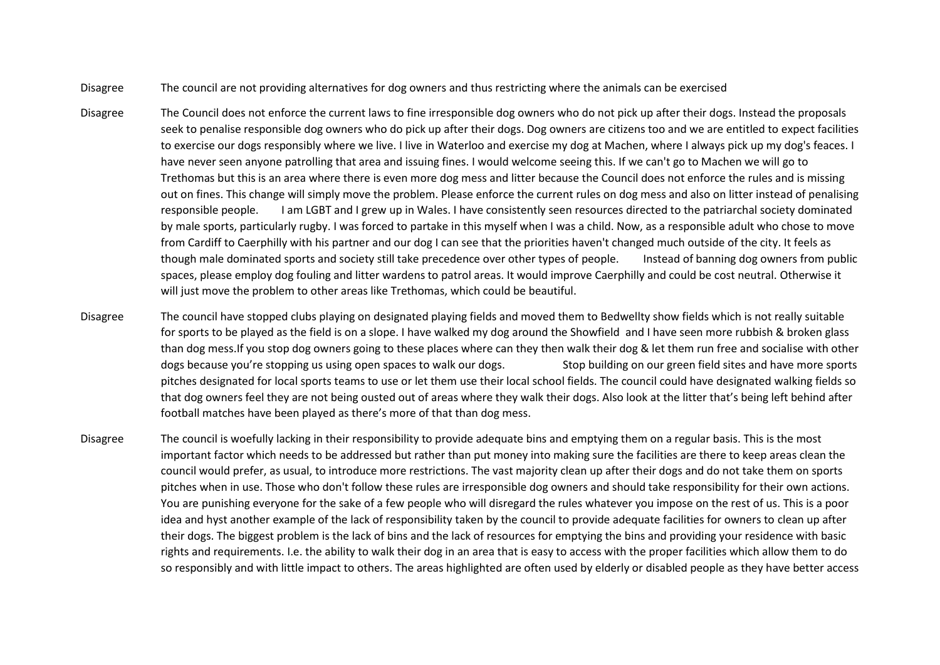- Disagree The council are not providing alternatives for dog owners and thus restricting where the animals can be exercised
- Disagree The Council does not enforce the current laws to fine irresponsible dog owners who do not pick up after their dogs. Instead the proposals seek to penalise responsible dog owners who do pick up after their dogs. Dog owners are citizens too and we are entitled to expect facilities to exercise our dogs responsibly where we live. I live in Waterloo and exercise my dog at Machen, where I always pick up my dog's feaces. I have never seen anyone patrolling that area and issuing fines. I would welcome seeing this. If we can't go to Machen we will go to Trethomas but this is an area where there is even more dog mess and litter because the Council does not enforce the rules and is missing out on fines. This change will simply move the problem. Please enforce the current rules on dog mess and also on litter instead of penalising responsible people. I am LGBT and I grew up in Wales. I have consistently seen resources directed to the patriarchal society dominated by male sports, particularly rugby. I was forced to partake in this myself when I was a child. Now, as a responsible adult who chose to move from Cardiff to Caerphilly with his partner and our dog I can see that the priorities haven't changed much outside of the city. It feels as though male dominated sports and society still take precedence over other types of people. Instead of banning dog owners from public spaces, please employ dog fouling and litter wardens to patrol areas. It would improve Caerphilly and could be cost neutral. Otherwise it will just move the problem to other areas like Trethomas, which could be beautiful.
- Disagree The council have stopped clubs playing on designated playing fields and moved them to Bedwellty show fields which is not really suitable for sports to be played as the field is on a slope. I have walked my dog around the Showfield and I have seen more rubbish & broken glass than dog mess.If you stop dog owners going to these places where can they then walk their dog & let them run free and socialise with other dogs because you're stopping us using open spaces to walk our dogs. Stop building on our green field sites and have more sports pitches designated for local sports teams to use or let them use their local school fields. The council could have designated walking fields so that dog owners feel they are not being ousted out of areas where they walk their dogs. Also look at the litter that's being left behind after football matches have been played as there's more of that than dog mess.
- Disagree The council is woefully lacking in their responsibility to provide adequate bins and emptying them on a regular basis. This is the most important factor which needs to be addressed but rather than put money into making sure the facilities are there to keep areas clean the council would prefer, as usual, to introduce more restrictions. The vast majority clean up after their dogs and do not take them on sports pitches when in use. Those who don't follow these rules are irresponsible dog owners and should take responsibility for their own actions. You are punishing everyone for the sake of a few people who will disregard the rules whatever you impose on the rest of us. This is a poor idea and hyst another example of the lack of responsibility taken by the council to provide adequate facilities for owners to clean up after their dogs. The biggest problem is the lack of bins and the lack of resources for emptying the bins and providing your residence with basic rights and requirements. I.e. the ability to walk their dog in an area that is easy to access with the proper facilities which allow them to do so responsibly and with little impact to others. The areas highlighted are often used by elderly or disabled people as they have better access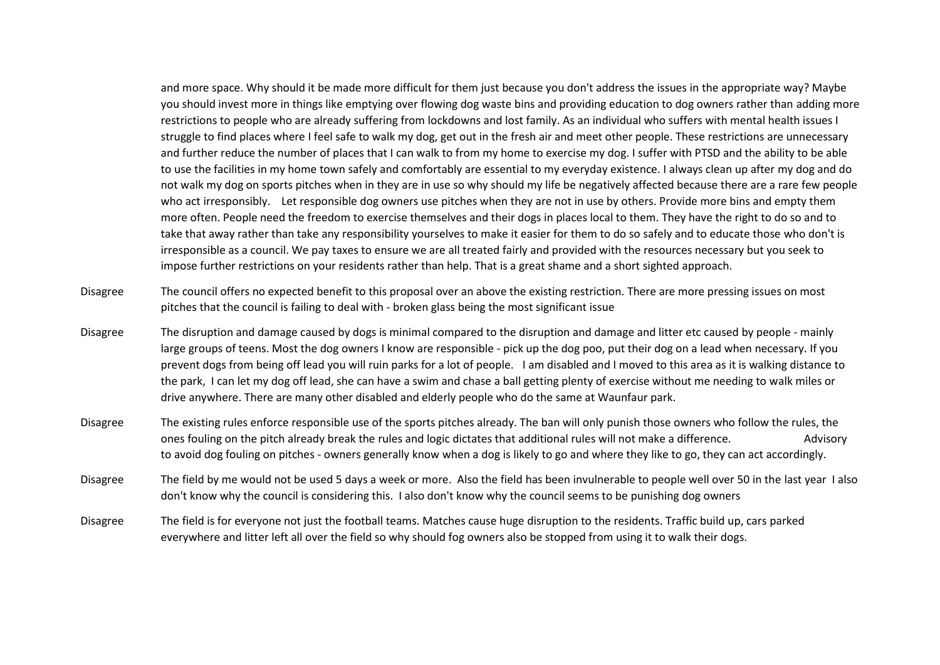and more space. Why should it be made more difficult for them just because you don't address the issues in the appropriate way? Maybe you should invest more in things like emptying over flowing dog waste bins and providing education to dog owners rather than adding more restrictions to people who are already suffering from lockdowns and lost family. As an individual who suffers with mental health issues I struggle to find places where I feel safe to walk my dog, get out in the fresh air and meet other people. These restrictions are unnecessary and further reduce the number of places that I can walk to from my home to exercise my dog. I suffer with PTSD and the ability to be able to use the facilities in my home town safely and comfortably are essential to my everyday existence. I always clean up after my dog and do not walk my dog on sports pitches when in they are in use so why should my life be negatively affected because there are a rare few people who act irresponsibly. Let responsible dog owners use pitches when they are not in use by others. Provide more bins and empty them more often. People need the freedom to exercise themselves and their dogs in places local to them. They have the right to do so and to take that away rather than take any responsibility yourselves to make it easier for them to do so safely and to educate those who don't is irresponsible as a council. We pay taxes to ensure we are all treated fairly and provided with the resources necessary but you seek to impose further restrictions on your residents rather than help. That is a great shame and a short sighted approach.

- Disagree The council offers no expected benefit to this proposal over an above the existing restriction. There are more pressing issues on most pitches that the council is failing to deal with - broken glass being the most significant issue
- Disagree The disruption and damage caused by dogs is minimal compared to the disruption and damage and litter etc caused by people mainly large groups of teens. Most the dog owners I know are responsible - pick up the dog poo, put their dog on a lead when necessary. If you prevent dogs from being off lead you will ruin parks for a lot of people. I am disabled and I moved to this area as it is walking distance to the park, I can let my dog off lead, she can have a swim and chase a ball getting plenty of exercise without me needing to walk miles or drive anywhere. There are many other disabled and elderly people who do the same at Waunfaur park.
- Disagree The existing rules enforce responsible use of the sports pitches already. The ban will only punish those owners who follow the rules, the ones fouling on the pitch already break the rules and logic dictates that additional rules will not make a difference. Advisory to avoid dog fouling on pitches - owners generally know when a dog is likely to go and where they like to go, they can act accordingly.
- Disagree The field by me would not be used 5 days a week or more. Also the field has been invulnerable to people well over 50 in the last year I also don't know why the council is considering this. I also don't know why the council seems to be punishing dog owners
- Disagree The field is for everyone not just the football teams. Matches cause huge disruption to the residents. Traffic build up, cars parked everywhere and litter left all over the field so why should fog owners also be stopped from using it to walk their dogs.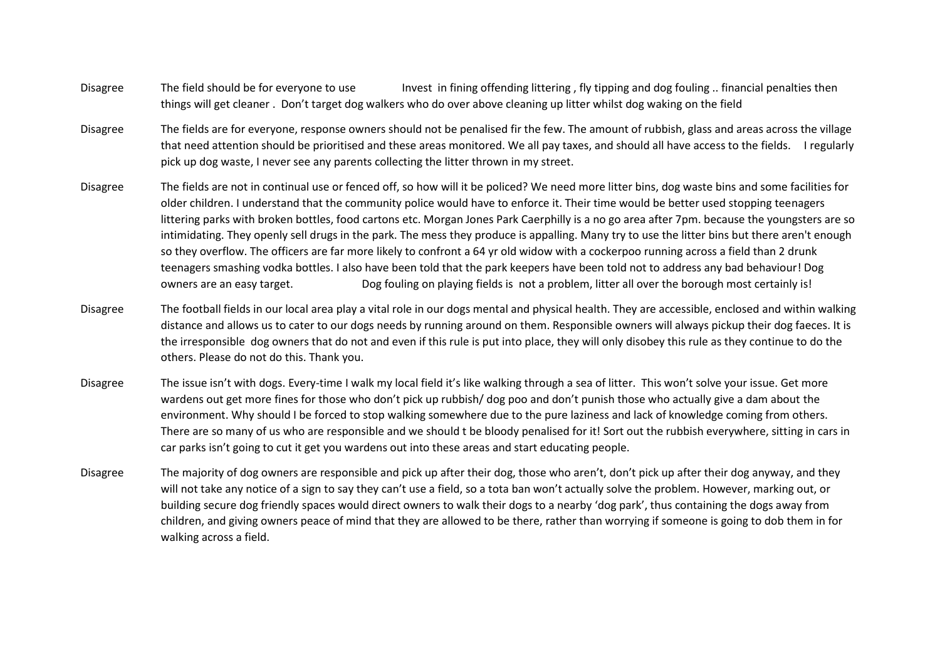- Disagree The field should be for everyone to use Invest in fining offending littering , fly tipping and dog fouling .. financial penalties then things will get cleaner . Don't target dog walkers who do over above cleaning up litter whilst dog waking on the field
- Disagree The fields are for everyone, response owners should not be penalised fir the few. The amount of rubbish, glass and areas across the village that need attention should be prioritised and these areas monitored. We all pay taxes, and should all have access to the fields. I regularly pick up dog waste, I never see any parents collecting the litter thrown in my street.
- Disagree The fields are not in continual use or fenced off, so how will it be policed? We need more litter bins, dog waste bins and some facilities for older children. I understand that the community police would have to enforce it. Their time would be better used stopping teenagers littering parks with broken bottles, food cartons etc. Morgan Jones Park Caerphilly is a no go area after 7pm. because the youngsters are so intimidating. They openly sell drugs in the park. The mess they produce is appalling. Many try to use the litter bins but there aren't enough so they overflow. The officers are far more likely to confront a 64 yr old widow with a cockerpoo running across a field than 2 drunk teenagers smashing vodka bottles. I also have been told that the park keepers have been told not to address any bad behaviour! Dog owners are an easy target. Dog fouling on playing fields is not a problem, litter all over the borough most certainly is!
- Disagree The football fields in our local area play a vital role in our dogs mental and physical health. They are accessible, enclosed and within walking distance and allows us to cater to our dogs needs by running around on them. Responsible owners will always pickup their dog faeces. It is the irresponsible dog owners that do not and even if this rule is put into place, they will only disobey this rule as they continue to do the others. Please do not do this. Thank you.
- Disagree The issue isn't with dogs. Every-time I walk my local field it's like walking through a sea of litter. This won't solve your issue. Get more wardens out get more fines for those who don't pick up rubbish/ dog poo and don't punish those who actually give a dam about the environment. Why should I be forced to stop walking somewhere due to the pure laziness and lack of knowledge coming from others. There are so many of us who are responsible and we should t be bloody penalised for it! Sort out the rubbish everywhere, sitting in cars in car parks isn't going to cut it get you wardens out into these areas and start educating people.
- Disagree The majority of dog owners are responsible and pick up after their dog, those who aren't, don't pick up after their dog anyway, and they will not take any notice of a sign to say they can't use a field, so a tota ban won't actually solve the problem. However, marking out, or building secure dog friendly spaces would direct owners to walk their dogs to a nearby 'dog park', thus containing the dogs away from children, and giving owners peace of mind that they are allowed to be there, rather than worrying if someone is going to dob them in for walking across a field.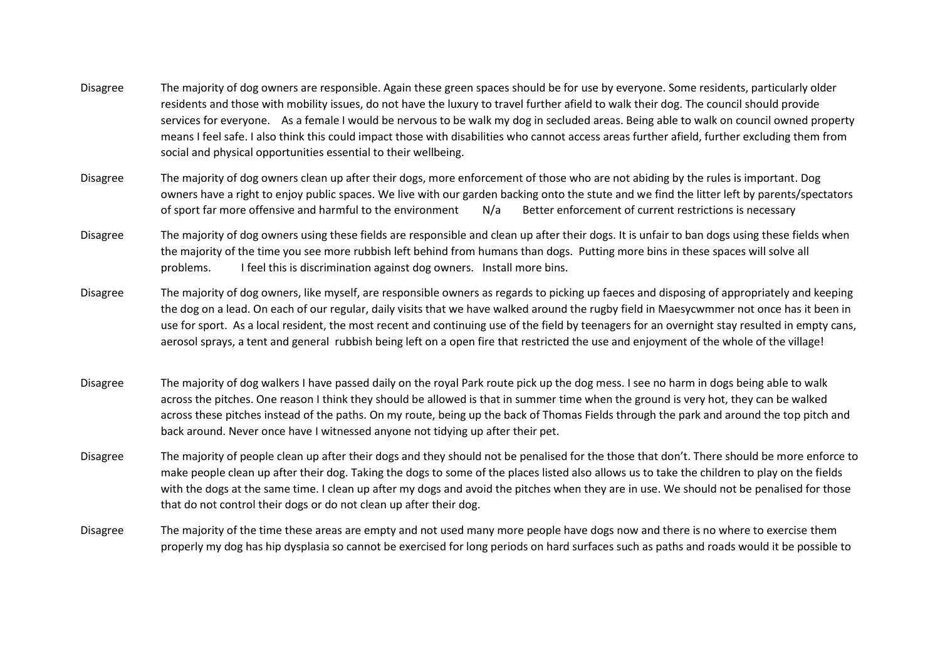- Disagree The majority of dog owners are responsible. Again these green spaces should be for use by everyone. Some residents, particularly older residents and those with mobility issues, do not have the luxury to travel further afield to walk their dog. The council should provide services for everyone. As a female I would be nervous to be walk my dog in secluded areas. Being able to walk on council owned property means I feel safe. I also think this could impact those with disabilities who cannot access areas further afield, further excluding them from social and physical opportunities essential to their wellbeing.
- Disagree The majority of dog owners clean up after their dogs, more enforcement of those who are not abiding by the rules is important. Dog owners have a right to enjoy public spaces. We live with our garden backing onto the stute and we find the litter left by parents/spectators of sport far more offensive and harmful to the environment N/a Better enforcement of current restrictions is necessary
- Disagree The majority of dog owners using these fields are responsible and clean up after their dogs. It is unfair to ban dogs using these fields when the majority of the time you see more rubbish left behind from humans than dogs. Putting more bins in these spaces will solve all problems. I feel this is discrimination against dog owners. Install more bins.
- Disagree The majority of dog owners, like myself, are responsible owners as regards to picking up faeces and disposing of appropriately and keeping the dog on a lead. On each of our regular, daily visits that we have walked around the rugby field in Maesycwmmer not once has it been in use for sport. As a local resident, the most recent and continuing use of the field by teenagers for an overnight stay resulted in empty cans, aerosol sprays, a tent and general rubbish being left on a open fire that restricted the use and enjoyment of the whole of the village!
- Disagree The majority of dog walkers I have passed daily on the royal Park route pick up the dog mess. I see no harm in dogs being able to walk across the pitches. One reason I think they should be allowed is that in summer time when the ground is very hot, they can be walked across these pitches instead of the paths. On my route, being up the back of Thomas Fields through the park and around the top pitch and back around. Never once have I witnessed anyone not tidying up after their pet.
- Disagree The majority of people clean up after their dogs and they should not be penalised for the those that don't. There should be more enforce to make people clean up after their dog. Taking the dogs to some of the places listed also allows us to take the children to play on the fields with the dogs at the same time. I clean up after my dogs and avoid the pitches when they are in use. We should not be penalised for those that do not control their dogs or do not clean up after their dog.
- Disagree The majority of the time these areas are empty and not used many more people have dogs now and there is no where to exercise them properly my dog has hip dysplasia so cannot be exercised for long periods on hard surfaces such as paths and roads would it be possible to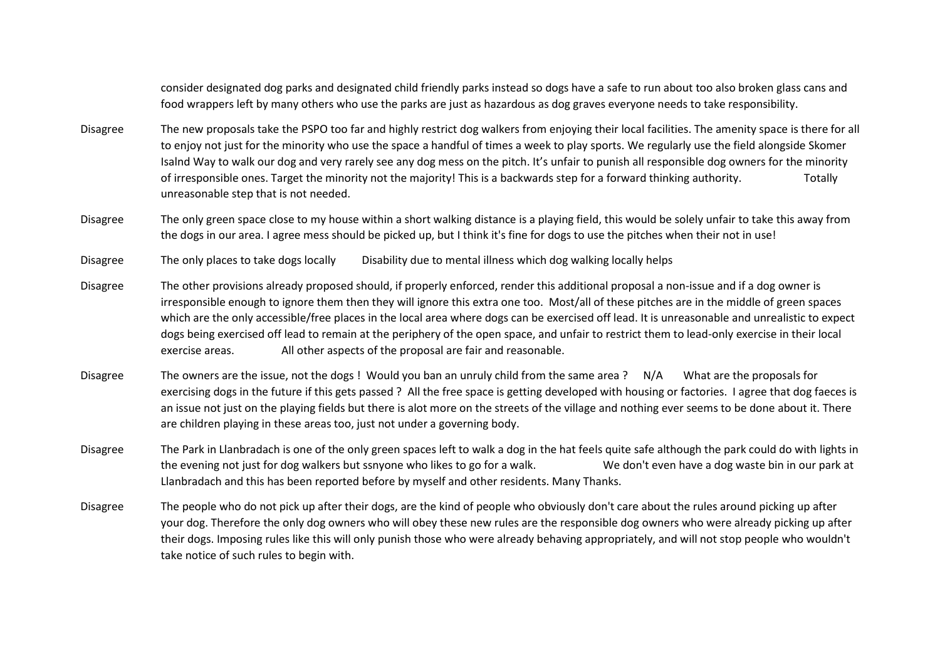consider designated dog parks and designated child friendly parks instead so dogs have a safe to run about too also broken glass cans and food wrappers left by many others who use the parks are just as hazardous as dog graves everyone needs to take responsibility.

- Disagree The new proposals take the PSPO too far and highly restrict dog walkers from enjoying their local facilities. The amenity space is there for all to enjoy not just for the minority who use the space a handful of times a week to play sports. We regularly use the field alongside Skomer Isalnd Way to walk our dog and very rarely see any dog mess on the pitch. It's unfair to punish all responsible dog owners for the minority of irresponsible ones. Target the minority not the majority! This is a backwards step for a forward thinking authority. Totally unreasonable step that is not needed.
- Disagree The only green space close to my house within a short walking distance is a playing field, this would be solely unfair to take this away from the dogs in our area. I agree mess should be picked up, but I think it's fine for dogs to use the pitches when their not in use!
- Disagree The only places to take dogs locally Disability due to mental illness which dog walking locally helps
- Disagree The other provisions already proposed should, if properly enforced, render this additional proposal a non-issue and if a dog owner is irresponsible enough to ignore them then they will ignore this extra one too. Most/all of these pitches are in the middle of green spaces which are the only accessible/free places in the local area where dogs can be exercised off lead. It is unreasonable and unrealistic to expect dogs being exercised off lead to remain at the periphery of the open space, and unfair to restrict them to lead-only exercise in their local exercise areas. All other aspects of the proposal are fair and reasonable.
- Disagree The owners are the issue, not the dogs ! Would you ban an unruly child from the same area ? N/A What are the proposals for exercising dogs in the future if this gets passed ? All the free space is getting developed with housing or factories. I agree that dog faeces is an issue not just on the playing fields but there is alot more on the streets of the village and nothing ever seems to be done about it. There are children playing in these areas too, just not under a governing body.
- Disagree The Park in Llanbradach is one of the only green spaces left to walk a dog in the hat feels quite safe although the park could do with lights in the evening not just for dog walkers but ssnyone who likes to go for a walk. We don't even have a dog waste bin in our park at Llanbradach and this has been reported before by myself and other residents. Many Thanks.
- Disagree The people who do not pick up after their dogs, are the kind of people who obviously don't care about the rules around picking up after your dog. Therefore the only dog owners who will obey these new rules are the responsible dog owners who were already picking up after their dogs. Imposing rules like this will only punish those who were already behaving appropriately, and will not stop people who wouldn't take notice of such rules to begin with.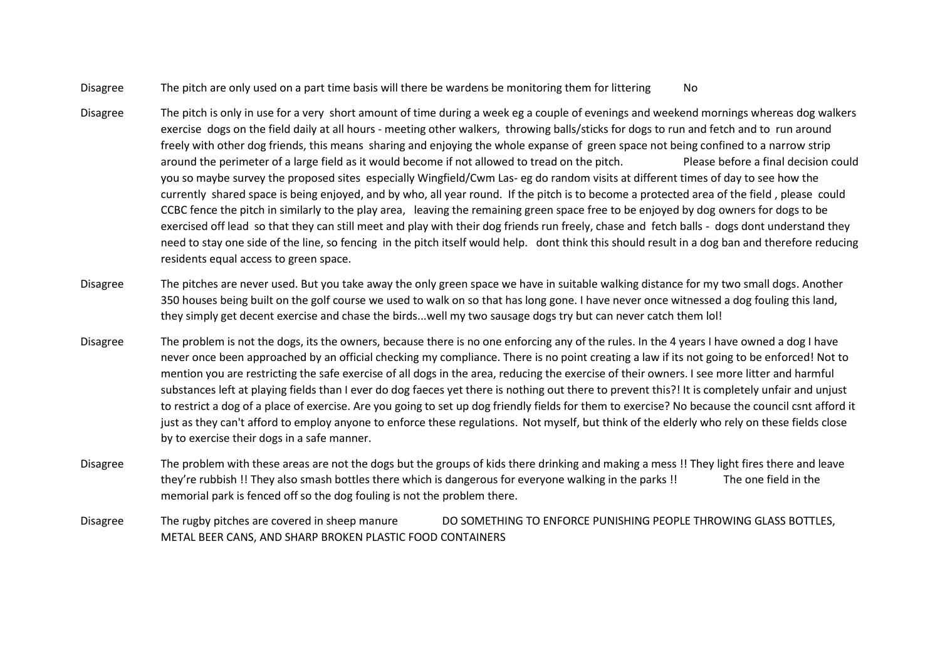- Disagree The pitch are only used on a part time basis will there be wardens be monitoring them for littering No
- Disagree The pitch is only in use for a very short amount of time during a week eg a couple of evenings and weekend mornings whereas dog walkers exercise dogs on the field daily at all hours - meeting other walkers, throwing balls/sticks for dogs to run and fetch and to run around freely with other dog friends, this means sharing and enjoying the whole expanse of green space not being confined to a narrow strip around the perimeter of a large field as it would become if not allowed to tread on the pitch. Please before a final decision could you so maybe survey the proposed sites especially Wingfield/Cwm Las- eg do random visits at different times of day to see how the currently shared space is being enjoyed, and by who, all year round. If the pitch is to become a protected area of the field , please could CCBC fence the pitch in similarly to the play area, leaving the remaining green space free to be enjoyed by dog owners for dogs to be exercised off lead so that they can still meet and play with their dog friends run freely, chase and fetch balls - dogs dont understand they need to stay one side of the line, so fencing in the pitch itself would help. dont think this should result in a dog ban and therefore reducing residents equal access to green space.
- Disagree The pitches are never used. But you take away the only green space we have in suitable walking distance for my two small dogs. Another 350 houses being built on the golf course we used to walk on so that has long gone. I have never once witnessed a dog fouling this land, they simply get decent exercise and chase the birds...well my two sausage dogs try but can never catch them lol!
- Disagree The problem is not the dogs, its the owners, because there is no one enforcing any of the rules. In the 4 years I have owned a dog I have never once been approached by an official checking my compliance. There is no point creating a law if its not going to be enforced! Not to mention you are restricting the safe exercise of all dogs in the area, reducing the exercise of their owners. I see more litter and harmful substances left at playing fields than I ever do dog faeces yet there is nothing out there to prevent this?! It is completely unfair and unjust to restrict a dog of a place of exercise. Are you going to set up dog friendly fields for them to exercise? No because the council csnt afford it just as they can't afford to employ anyone to enforce these regulations. Not myself, but think of the elderly who rely on these fields close by to exercise their dogs in a safe manner.
- Disagree The problem with these areas are not the dogs but the groups of kids there drinking and making a mess !! They light fires there and leave they're rubbish !! They also smash bottles there which is dangerous for everyone walking in the parks !! The one field in the memorial park is fenced off so the dog fouling is not the problem there.
- Disagree The rugby pitches are covered in sheep manure DO SOMETHING TO ENFORCE PUNISHING PEOPLE THROWING GLASS BOTTLES, METAL BEER CANS, AND SHARP BROKEN PLASTIC FOOD CONTAINERS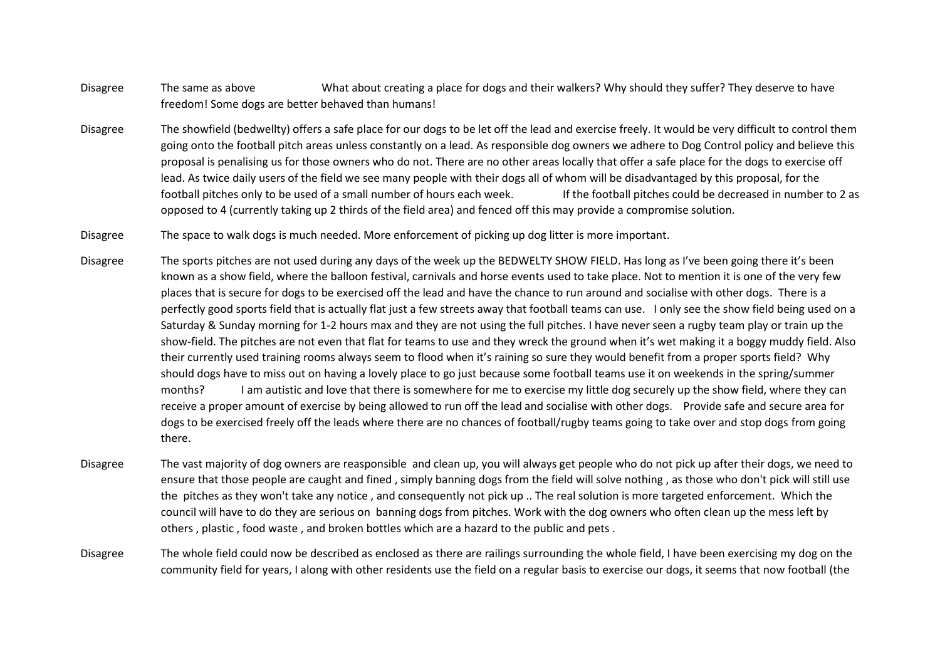- Disagree The same as above What about creating a place for dogs and their walkers? Why should they suffer? They deserve to have freedom! Some dogs are better behaved than humans!
- Disagree The showfield (bedwellty) offers a safe place for our dogs to be let off the lead and exercise freely. It would be very difficult to control them going onto the football pitch areas unless constantly on a lead. As responsible dog owners we adhere to Dog Control policy and believe this proposal is penalising us for those owners who do not. There are no other areas locally that offer a safe place for the dogs to exercise off lead. As twice daily users of the field we see many people with their dogs all of whom will be disadvantaged by this proposal, for the football pitches only to be used of a small number of hours each week. If the football pitches could be decreased in number to 2 as opposed to 4 (currently taking up 2 thirds of the field area) and fenced off this may provide a compromise solution.
- Disagree The space to walk dogs is much needed. More enforcement of picking up dog litter is more important.
- Disagree The sports pitches are not used during any days of the week up the BEDWELTY SHOW FIELD. Has long as I've been going there it's been known as a show field, where the balloon festival, carnivals and horse events used to take place. Not to mention it is one of the very few places that is secure for dogs to be exercised off the lead and have the chance to run around and socialise with other dogs. There is a perfectly good sports field that is actually flat just a few streets away that football teams can use. I only see the show field being used on a Saturday & Sunday morning for 1-2 hours max and they are not using the full pitches. I have never seen a rugby team play or train up the show-field. The pitches are not even that flat for teams to use and they wreck the ground when it's wet making it a boggy muddy field. Also their currently used training rooms always seem to flood when it's raining so sure they would benefit from a proper sports field? Why should dogs have to miss out on having a lovely place to go just because some football teams use it on weekends in the spring/summer months? I am autistic and love that there is somewhere for me to exercise my little dog securely up the show field, where they can receive a proper amount of exercise by being allowed to run off the lead and socialise with other dogs. Provide safe and secure area for dogs to be exercised freely off the leads where there are no chances of football/rugby teams going to take over and stop dogs from going there.
- Disagree The vast majority of dog owners are reasponsible and clean up, you will always get people who do not pick up after their dogs, we need to ensure that those people are caught and fined , simply banning dogs from the field will solve nothing , as those who don't pick will still use the pitches as they won't take any notice , and consequently not pick up .. The real solution is more targeted enforcement. Which the council will have to do they are serious on banning dogs from pitches. Work with the dog owners who often clean up the mess left by others , plastic , food waste , and broken bottles which are a hazard to the public and pets .
- Disagree The whole field could now be described as enclosed as there are railings surrounding the whole field, I have been exercising my dog on the community field for years, I along with other residents use the field on a regular basis to exercise our dogs, it seems that now football (the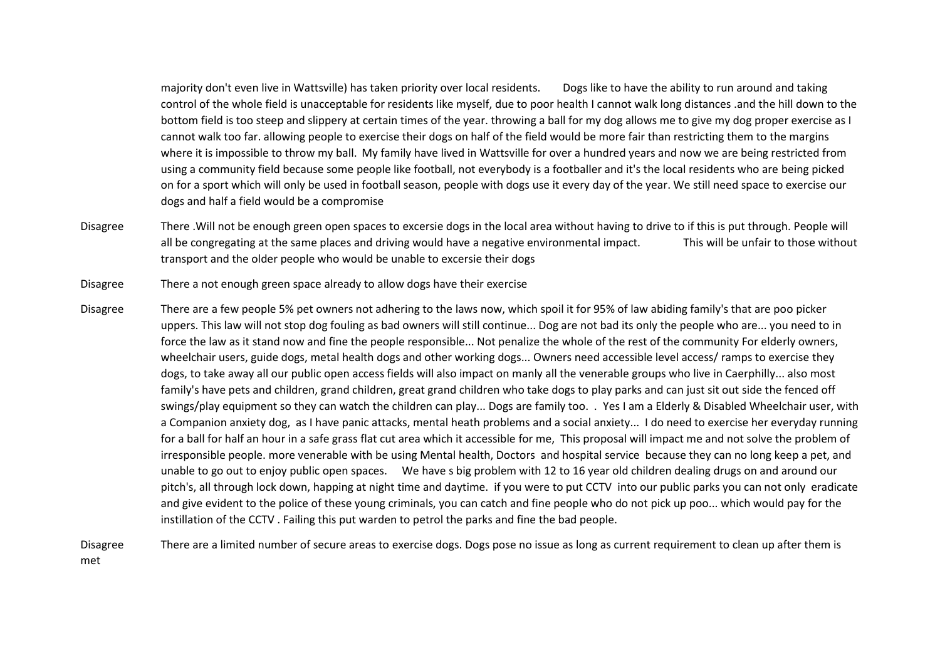majority don't even live in Wattsville) has taken priority over local residents. Dogs like to have the ability to run around and taking control of the whole field is unacceptable for residents like myself, due to poor health I cannot walk long distances .and the hill down to the bottom field is too steep and slippery at certain times of the year. throwing a ball for my dog allows me to give my dog proper exercise as I cannot walk too far. allowing people to exercise their dogs on half of the field would be more fair than restricting them to the margins where it is impossible to throw my ball. My family have lived in Wattsville for over a hundred years and now we are being restricted from using a community field because some people like football, not everybody is a footballer and it's the local residents who are being picked on for a sport which will only be used in football season, people with dogs use it every day of the year. We still need space to exercise our dogs and half a field would be a compromise

- Disagree There .Will not be enough green open spaces to excersie dogs in the local area without having to drive to if this is put through. People will all be congregating at the same places and driving would have a negative environmental impact. This will be unfair to those without transport and the older people who would be unable to excersie their dogs
- Disagree There a not enough green space already to allow dogs have their exercise
- Disagree There are a few people 5% pet owners not adhering to the laws now, which spoil it for 95% of law abiding family's that are poo picker uppers. This law will not stop dog fouling as bad owners will still continue... Dog are not bad its only the people who are... you need to in force the law as it stand now and fine the people responsible... Not penalize the whole of the rest of the community For elderly owners, wheelchair users, guide dogs, metal health dogs and other working dogs... Owners need accessible level access/ ramps to exercise they dogs, to take away all our public open access fields will also impact on manly all the venerable groups who live in Caerphilly... also most family's have pets and children, grand children, great grand children who take dogs to play parks and can just sit out side the fenced off swings/play equipment so they can watch the children can play... Dogs are family too. . Yes I am a Elderly & Disabled Wheelchair user, with a Companion anxiety dog, as I have panic attacks, mental heath problems and a social anxiety... I do need to exercise her everyday running for a ball for half an hour in a safe grass flat cut area which it accessible for me, This proposal will impact me and not solve the problem of irresponsible people. more venerable with be using Mental health, Doctors and hospital service because they can no long keep a pet, and unable to go out to enjoy public open spaces. We have s big problem with 12 to 16 year old children dealing drugs on and around our pitch's, all through lock down, happing at night time and daytime. if you were to put CCTV into our public parks you can not only eradicate and give evident to the police of these young criminals, you can catch and fine people who do not pick up poo... which would pay for the instillation of the CCTV . Failing this put warden to petrol the parks and fine the bad people.

Disagree There are a limited number of secure areas to exercise dogs. Dogs pose no issue as long as current requirement to clean up after them is met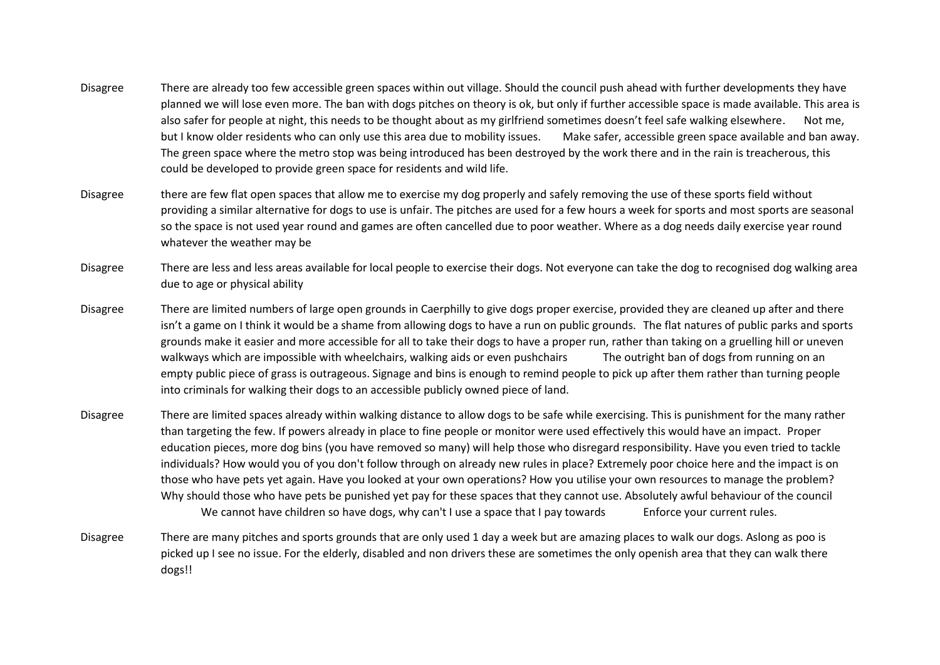- Disagree There are already too few accessible green spaces within out village. Should the council push ahead with further developments they have planned we will lose even more. The ban with dogs pitches on theory is ok, but only if further accessible space is made available. This area is also safer for people at night, this needs to be thought about as my girlfriend sometimes doesn't feel safe walking elsewhere. Not me, but I know older residents who can only use this area due to mobility issues. Make safer, accessible green space available and ban away. The green space where the metro stop was being introduced has been destroyed by the work there and in the rain is treacherous, this could be developed to provide green space for residents and wild life.
- Disagree there are few flat open spaces that allow me to exercise my dog properly and safely removing the use of these sports field without providing a similar alternative for dogs to use is unfair. The pitches are used for a few hours a week for sports and most sports are seasonal so the space is not used year round and games are often cancelled due to poor weather. Where as a dog needs daily exercise year round whatever the weather may be
- Disagree There are less and less areas available for local people to exercise their dogs. Not everyone can take the dog to recognised dog walking area due to age or physical ability
- Disagree There are limited numbers of large open grounds in Caerphilly to give dogs proper exercise, provided they are cleaned up after and there isn't a game on I think it would be a shame from allowing dogs to have a run on public grounds. The flat natures of public parks and sports grounds make it easier and more accessible for all to take their dogs to have a proper run, rather than taking on a gruelling hill or uneven walkways which are impossible with wheelchairs, walking aids or even pushchairs The outright ban of dogs from running on an empty public piece of grass is outrageous. Signage and bins is enough to remind people to pick up after them rather than turning people into criminals for walking their dogs to an accessible publicly owned piece of land.
- Disagree There are limited spaces already within walking distance to allow dogs to be safe while exercising. This is punishment for the many rather than targeting the few. If powers already in place to fine people or monitor were used effectively this would have an impact. Proper education pieces, more dog bins (you have removed so many) will help those who disregard responsibility. Have you even tried to tackle individuals? How would you of you don't follow through on already new rules in place? Extremely poor choice here and the impact is on those who have pets yet again. Have you looked at your own operations? How you utilise your own resources to manage the problem? Why should those who have pets be punished yet pay for these spaces that they cannot use. Absolutely awful behaviour of the council We cannot have children so have dogs, why can't I use a space that I pay towards Enforce your current rules.
- Disagree There are many pitches and sports grounds that are only used 1 day a week but are amazing places to walk our dogs. Aslong as poo is picked up I see no issue. For the elderly, disabled and non drivers these are sometimes the only openish area that they can walk there dogs!!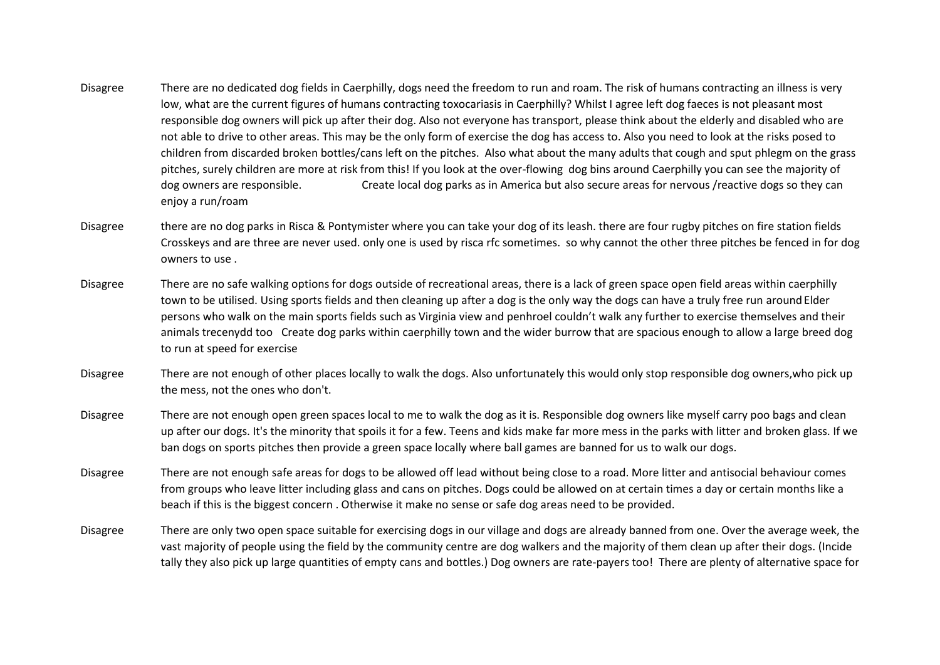- Disagree There are no dedicated dog fields in Caerphilly, dogs need the freedom to run and roam. The risk of humans contracting an illness is very low, what are the current figures of humans contracting toxocariasis in Caerphilly? Whilst I agree left dog faeces is not pleasant most responsible dog owners will pick up after their dog. Also not everyone has transport, please think about the elderly and disabled who are not able to drive to other areas. This may be the only form of exercise the dog has access to. Also you need to look at the risks posed to children from discarded broken bottles/cans left on the pitches. Also what about the many adults that cough and sput phlegm on the grass pitches, surely children are more at risk from this! If you look at the over-flowing dog bins around Caerphilly you can see the majority of dog owners are responsible. Create local dog parks as in America but also secure areas for nervous /reactive dogs so they can enjoy a run/roam
- Disagree there are no dog parks in Risca & Pontymister where you can take your dog of its leash. there are four rugby pitches on fire station fields Crosskeys and are three are never used. only one is used by risca rfc sometimes. so why cannot the other three pitches be fenced in for dog owners to use .
- Disagree There are no safe walking options for dogs outside of recreational areas, there is a lack of green space open field areas within caerphilly town to be utilised. Using sports fields and then cleaning up after a dog is the only way the dogs can have a truly free run around Elder persons who walk on the main sports fields such as Virginia view and penhroel couldn't walk any further to exercise themselves and their animals trecenydd too Create dog parks within caerphilly town and the wider burrow that are spacious enough to allow a large breed dog to run at speed for exercise
- Disagree There are not enough of other places locally to walk the dogs. Also unfortunately this would only stop responsible dog owners,who pick up the mess, not the ones who don't.
- Disagree There are not enough open green spaces local to me to walk the dog as it is. Responsible dog owners like myself carry poo bags and clean up after our dogs. It's the minority that spoils it for a few. Teens and kids make far more mess in the parks with litter and broken glass. If we ban dogs on sports pitches then provide a green space locally where ball games are banned for us to walk our dogs.
- Disagree There are not enough safe areas for dogs to be allowed off lead without being close to a road. More litter and antisocial behaviour comes from groups who leave litter including glass and cans on pitches. Dogs could be allowed on at certain times a day or certain months like a beach if this is the biggest concern . Otherwise it make no sense or safe dog areas need to be provided.
- Disagree There are only two open space suitable for exercising dogs in our village and dogs are already banned from one. Over the average week, the vast majority of people using the field by the community centre are dog walkers and the majority of them clean up after their dogs. (Incide tally they also pick up large quantities of empty cans and bottles.) Dog owners are rate-payers too! There are plenty of alternative space for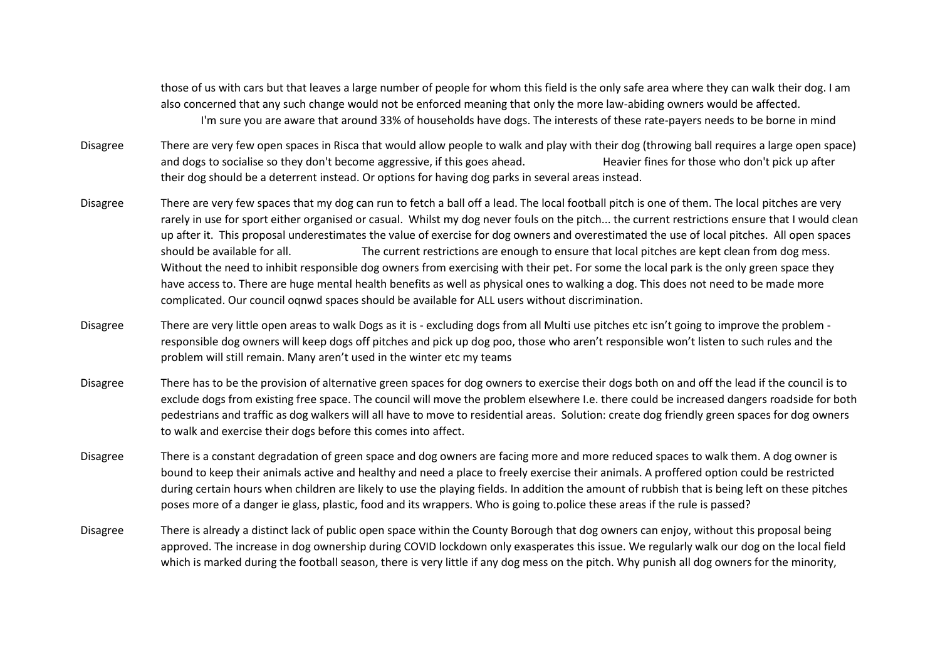those of us with cars but that leaves a large number of people for whom this field is the only safe area where they can walk their dog. I am also concerned that any such change would not be enforced meaning that only the more law-abiding owners would be affected. I'm sure you are aware that around 33% of households have dogs. The interests of these rate-payers needs to be borne in mind

- Disagree There are very few open spaces in Risca that would allow people to walk and play with their dog (throwing ball requires a large open space) and dogs to socialise so they don't become aggressive, if this goes ahead. Heavier fines for those who don't pick up after their dog should be a deterrent instead. Or options for having dog parks in several areas instead.
- Disagree There are very few spaces that my dog can run to fetch a ball off a lead. The local football pitch is one of them. The local pitches are very rarely in use for sport either organised or casual. Whilst my dog never fouls on the pitch... the current restrictions ensure that I would clean up after it. This proposal underestimates the value of exercise for dog owners and overestimated the use of local pitches. All open spaces should be available for all. The current restrictions are enough to ensure that local pitches are kept clean from dog mess. Without the need to inhibit responsible dog owners from exercising with their pet. For some the local park is the only green space they have access to. There are huge mental health benefits as well as physical ones to walking a dog. This does not need to be made more complicated. Our council oqnwd spaces should be available for ALL users without discrimination.
- Disagree There are very little open areas to walk Dogs as it is excluding dogs from all Multi use pitches etc isn't going to improve the problem responsible dog owners will keep dogs off pitches and pick up dog poo, those who aren't responsible won't listen to such rules and the problem will still remain. Many aren't used in the winter etc my teams
- Disagree There has to be the provision of alternative green spaces for dog owners to exercise their dogs both on and off the lead if the council is to exclude dogs from existing free space. The council will move the problem elsewhere I.e. there could be increased dangers roadside for both pedestrians and traffic as dog walkers will all have to move to residential areas. Solution: create dog friendly green spaces for dog owners to walk and exercise their dogs before this comes into affect.
- Disagree There is a constant degradation of green space and dog owners are facing more and more reduced spaces to walk them. A dog owner is bound to keep their animals active and healthy and need a place to freely exercise their animals. A proffered option could be restricted during certain hours when children are likely to use the playing fields. In addition the amount of rubbish that is being left on these pitches poses more of a danger ie glass, plastic, food and its wrappers. Who is going to.police these areas if the rule is passed?
- Disagree There is already a distinct lack of public open space within the County Borough that dog owners can enjoy, without this proposal being approved. The increase in dog ownership during COVID lockdown only exasperates this issue. We regularly walk our dog on the local field which is marked during the football season, there is very little if any dog mess on the pitch. Why punish all dog owners for the minority,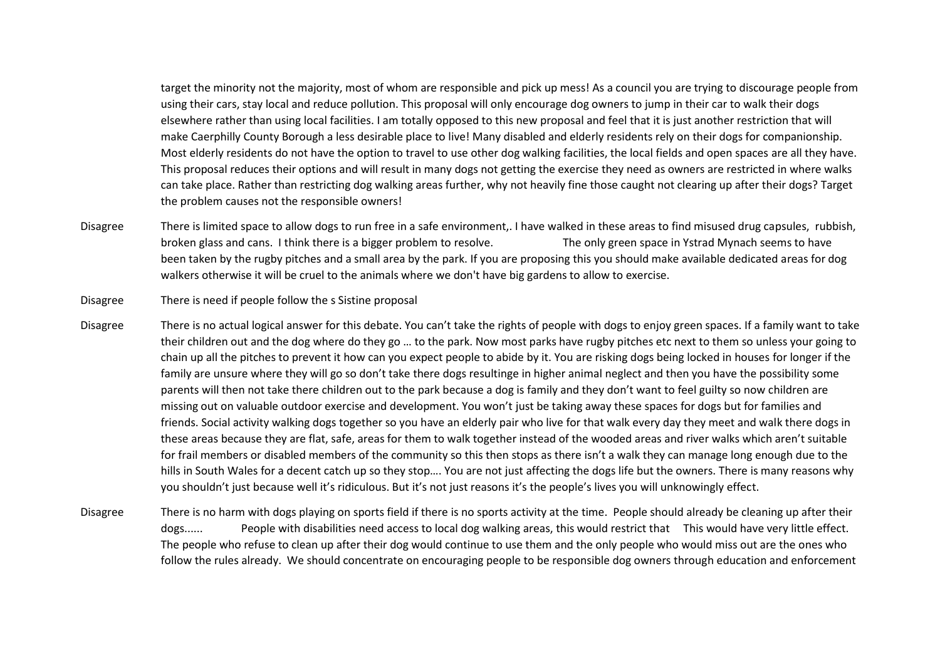target the minority not the majority, most of whom are responsible and pick up mess! As a council you are trying to discourage people from using their cars, stay local and reduce pollution. This proposal will only encourage dog owners to jump in their car to walk their dogs elsewhere rather than using local facilities. I am totally opposed to this new proposal and feel that it is just another restriction that will make Caerphilly County Borough a less desirable place to live! Many disabled and elderly residents rely on their dogs for companionship. Most elderly residents do not have the option to travel to use other dog walking facilities, the local fields and open spaces are all they have. This proposal reduces their options and will result in many dogs not getting the exercise they need as owners are restricted in where walks can take place. Rather than restricting dog walking areas further, why not heavily fine those caught not clearing up after their dogs? Target the problem causes not the responsible owners!

Disagree There is limited space to allow dogs to run free in a safe environment,. I have walked in these areas to find misused drug capsules, rubbish, broken glass and cans. I think there is a bigger problem to resolve. The only green space in Ystrad Mynach seems to have been taken by the rugby pitches and a small area by the park. If you are proposing this you should make available dedicated areas for dog walkers otherwise it will be cruel to the animals where we don't have big gardens to allow to exercise.

Disagree There is need if people follow the s Sistine proposal

- Disagree There is no actual logical answer for this debate. You can't take the rights of people with dogs to enjoy green spaces. If a family want to take their children out and the dog where do they go … to the park. Now most parks have rugby pitches etc next to them so unless your going to chain up all the pitches to prevent it how can you expect people to abide by it. You are risking dogs being locked in houses for longer if the family are unsure where they will go so don't take there dogs resultinge in higher animal neglect and then you have the possibility some parents will then not take there children out to the park because a dog is family and they don't want to feel guilty so now children are missing out on valuable outdoor exercise and development. You won't just be taking away these spaces for dogs but for families and friends. Social activity walking dogs together so you have an elderly pair who live for that walk every day they meet and walk there dogs in these areas because they are flat, safe, areas for them to walk together instead of the wooded areas and river walks which aren't suitable for frail members or disabled members of the community so this then stops as there isn't a walk they can manage long enough due to the hills in South Wales for a decent catch up so they stop…. You are not just affecting the dogs life but the owners. There is many reasons why you shouldn't just because well it's ridiculous. But it's not just reasons it's the people's lives you will unknowingly effect.
- Disagree There is no harm with dogs playing on sports field if there is no sports activity at the time. People should already be cleaning up after their dogs...... People with disabilities need access to local dog walking areas, this would restrict that This would have very little effect. The people who refuse to clean up after their dog would continue to use them and the only people who would miss out are the ones who follow the rules already. We should concentrate on encouraging people to be responsible dog owners through education and enforcement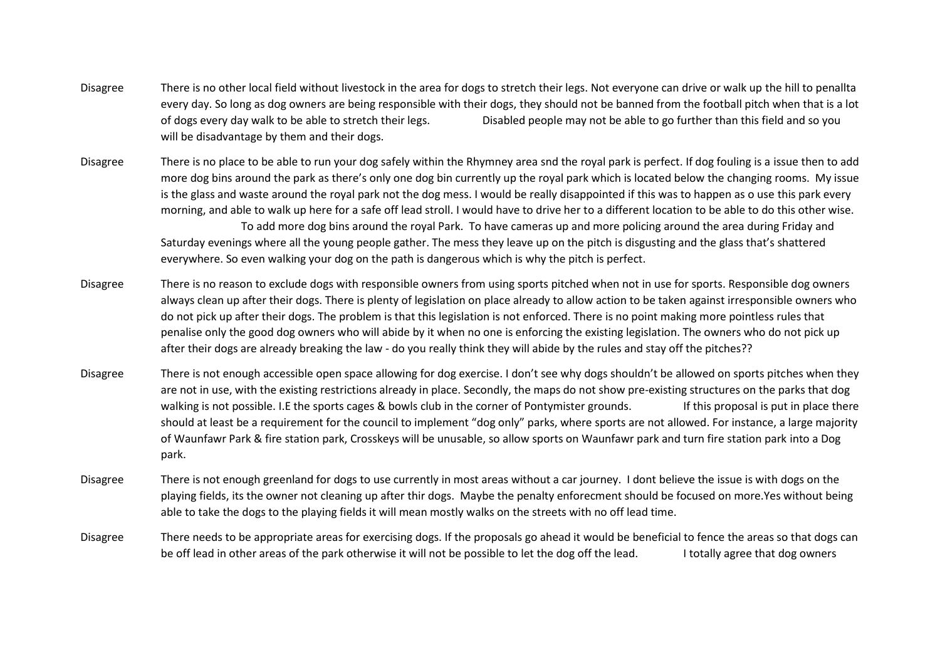- Disagree There is no other local field without livestock in the area for dogs to stretch their legs. Not everyone can drive or walk up the hill to penallta every day. So long as dog owners are being responsible with their dogs, they should not be banned from the football pitch when that is a lot of dogs every day walk to be able to stretch their legs. Disabled people may not be able to go further than this field and so you will be disadvantage by them and their dogs.
- Disagree There is no place to be able to run your dog safely within the Rhymney area snd the royal park is perfect. If dog fouling is a issue then to add more dog bins around the park as there's only one dog bin currently up the royal park which is located below the changing rooms. My issue is the glass and waste around the royal park not the dog mess. I would be really disappointed if this was to happen as o use this park every morning, and able to walk up here for a safe off lead stroll. I would have to drive her to a different location to be able to do this other wise. To add more dog bins around the royal Park. To have cameras up and more policing around the area during Friday and

Saturday evenings where all the young people gather. The mess they leave up on the pitch is disgusting and the glass that's shattered everywhere. So even walking your dog on the path is dangerous which is why the pitch is perfect.

- Disagree There is no reason to exclude dogs with responsible owners from using sports pitched when not in use for sports. Responsible dog owners always clean up after their dogs. There is plenty of legislation on place already to allow action to be taken against irresponsible owners who do not pick up after their dogs. The problem is that this legislation is not enforced. There is no point making more pointless rules that penalise only the good dog owners who will abide by it when no one is enforcing the existing legislation. The owners who do not pick up after their dogs are already breaking the law - do you really think they will abide by the rules and stay off the pitches??
- Disagree There is not enough accessible open space allowing for dog exercise. I don't see why dogs shouldn't be allowed on sports pitches when they are not in use, with the existing restrictions already in place. Secondly, the maps do not show pre-existing structures on the parks that dog walking is not possible. I.E the sports cages & bowls club in the corner of Pontymister grounds. If this proposal is put in place there should at least be a requirement for the council to implement "dog only" parks, where sports are not allowed. For instance, a large majority of Waunfawr Park & fire station park, Crosskeys will be unusable, so allow sports on Waunfawr park and turn fire station park into a Dog park.
- Disagree There is not enough greenland for dogs to use currently in most areas without a car journey. I dont believe the issue is with dogs on the playing fields, its the owner not cleaning up after thir dogs. Maybe the penalty enforecment should be focused on more.Yes without being able to take the dogs to the playing fields it will mean mostly walks on the streets with no off lead time.
- Disagree There needs to be appropriate areas for exercising dogs. If the proposals go ahead it would be beneficial to fence the areas so that dogs can be off lead in other areas of the park otherwise it will not be possible to let the dog off the lead. I totally agree that dog owners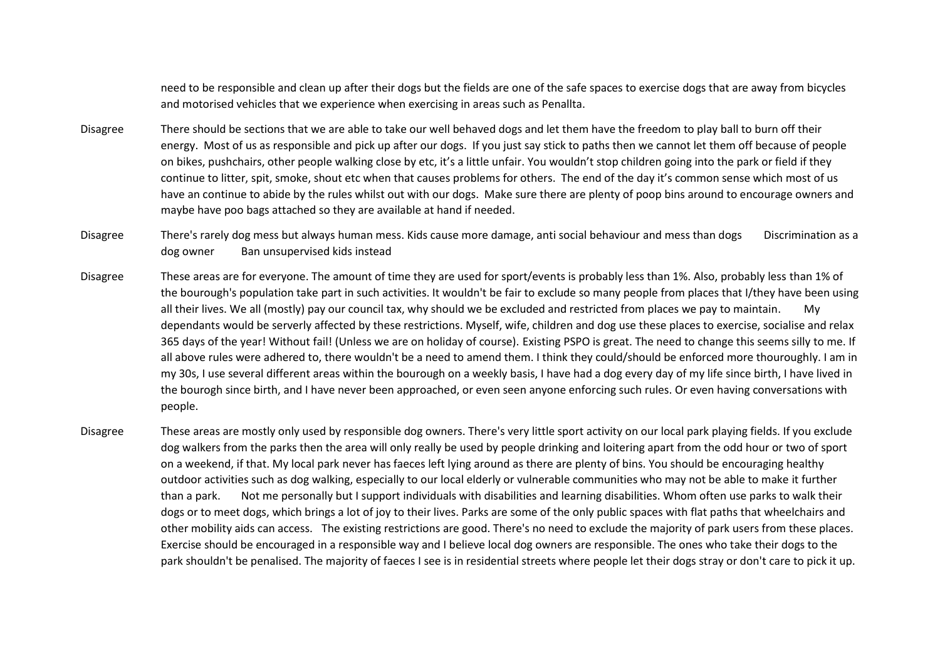need to be responsible and clean up after their dogs but the fields are one of the safe spaces to exercise dogs that are away from bicycles and motorised vehicles that we experience when exercising in areas such as Penallta.

- Disagree There should be sections that we are able to take our well behaved dogs and let them have the freedom to play ball to burn off their energy. Most of us as responsible and pick up after our dogs. If you just say stick to paths then we cannot let them off because of people on bikes, pushchairs, other people walking close by etc, it's a little unfair. You wouldn't stop children going into the park or field if they continue to litter, spit, smoke, shout etc when that causes problems for others. The end of the day it's common sense which most of us have an continue to abide by the rules whilst out with our dogs. Make sure there are plenty of poop bins around to encourage owners and maybe have poo bags attached so they are available at hand if needed.
- Disagree There's rarely dog mess but always human mess. Kids cause more damage, anti social behaviour and mess than dogs Discrimination as a dog owner Ban unsupervised kids instead
- Disagree These areas are for everyone. The amount of time they are used for sport/events is probably less than 1%. Also, probably less than 1% of the bourough's population take part in such activities. It wouldn't be fair to exclude so many people from places that I/they have been using all their lives. We all (mostly) pay our council tax, why should we be excluded and restricted from places we pay to maintain. My dependants would be serverly affected by these restrictions. Myself, wife, children and dog use these places to exercise, socialise and relax 365 days of the year! Without fail! (Unless we are on holiday of course). Existing PSPO is great. The need to change this seems silly to me. If all above rules were adhered to, there wouldn't be a need to amend them. I think they could/should be enforced more thouroughly. I am in my 30s, I use several different areas within the bourough on a weekly basis, I have had a dog every day of my life since birth, I have lived in the bourogh since birth, and I have never been approached, or even seen anyone enforcing such rules. Or even having conversations with people.
- Disagree These areas are mostly only used by responsible dog owners. There's very little sport activity on our local park playing fields. If you exclude dog walkers from the parks then the area will only really be used by people drinking and loitering apart from the odd hour or two of sport on a weekend, if that. My local park never has faeces left lying around as there are plenty of bins. You should be encouraging healthy outdoor activities such as dog walking, especially to our local elderly or vulnerable communities who may not be able to make it further than a park. Not me personally but I support individuals with disabilities and learning disabilities. Whom often use parks to walk their dogs or to meet dogs, which brings a lot of joy to their lives. Parks are some of the only public spaces with flat paths that wheelchairs and other mobility aids can access. The existing restrictions are good. There's no need to exclude the majority of park users from these places. Exercise should be encouraged in a responsible way and I believe local dog owners are responsible. The ones who take their dogs to the park shouldn't be penalised. The majority of faeces I see is in residential streets where people let their dogs stray or don't care to pick it up.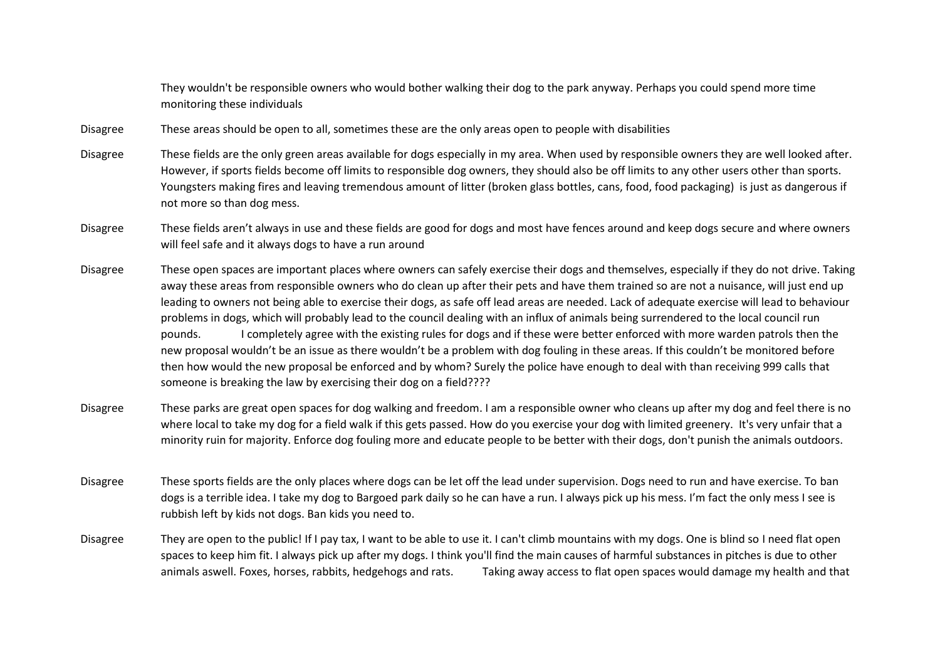They wouldn't be responsible owners who would bother walking their dog to the park anyway. Perhaps you could spend more time monitoring these individuals

- Disagree These areas should be open to all, sometimes these are the only areas open to people with disabilities
- Disagree These fields are the only green areas available for dogs especially in my area. When used by responsible owners they are well looked after. However, if sports fields become off limits to responsible dog owners, they should also be off limits to any other users other than sports. Youngsters making fires and leaving tremendous amount of litter (broken glass bottles, cans, food, food packaging) is just as dangerous if not more so than dog mess.
- Disagree These fields aren't always in use and these fields are good for dogs and most have fences around and keep dogs secure and where owners will feel safe and it always dogs to have a run around
- Disagree These open spaces are important places where owners can safely exercise their dogs and themselves, especially if they do not drive. Taking away these areas from responsible owners who do clean up after their pets and have them trained so are not a nuisance, will just end up leading to owners not being able to exercise their dogs, as safe off lead areas are needed. Lack of adequate exercise will lead to behaviour problems in dogs, which will probably lead to the council dealing with an influx of animals being surrendered to the local council run pounds. I completely agree with the existing rules for dogs and if these were better enforced with more warden patrols then the new proposal wouldn't be an issue as there wouldn't be a problem with dog fouling in these areas. If this couldn't be monitored before then how would the new proposal be enforced and by whom? Surely the police have enough to deal with than receiving 999 calls that someone is breaking the law by exercising their dog on a field????
- Disagree These parks are great open spaces for dog walking and freedom. I am a responsible owner who cleans up after my dog and feel there is no where local to take my dog for a field walk if this gets passed. How do you exercise your dog with limited greenery. It's very unfair that a minority ruin for majority. Enforce dog fouling more and educate people to be better with their dogs, don't punish the animals outdoors.
- Disagree These sports fields are the only places where dogs can be let off the lead under supervision. Dogs need to run and have exercise. To ban dogs is a terrible idea. I take my dog to Bargoed park daily so he can have a run. I always pick up his mess. I'm fact the only mess I see is rubbish left by kids not dogs. Ban kids you need to.
- Disagree They are open to the public! If I pay tax, I want to be able to use it. I can't climb mountains with my dogs. One is blind so I need flat open spaces to keep him fit. I always pick up after my dogs. I think you'll find the main causes of harmful substances in pitches is due to other animals aswell. Foxes, horses, rabbits, hedgehogs and rats. Taking away access to flat open spaces would damage my health and that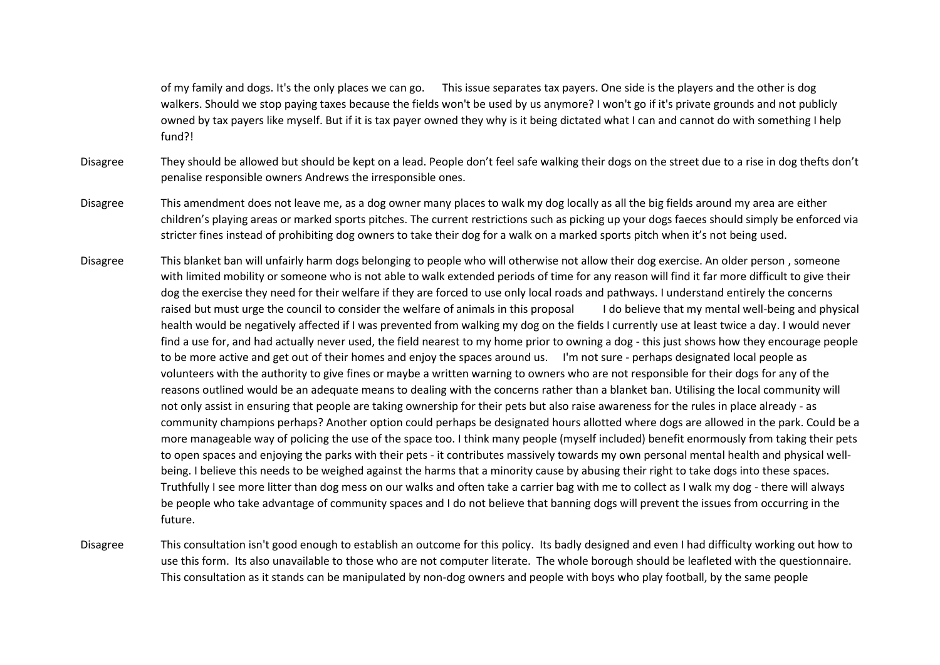of my family and dogs. It's the only places we can go. This issue separates tax payers. One side is the players and the other is dog walkers. Should we stop paying taxes because the fields won't be used by us anymore? I won't go if it's private grounds and not publicly owned by tax payers like myself. But if it is tax payer owned they why is it being dictated what I can and cannot do with something I help fund?!

- Disagree They should be allowed but should be kept on a lead. People don't feel safe walking their dogs on the street due to a rise in dog thefts don't penalise responsible owners Andrews the irresponsible ones.
- Disagree This amendment does not leave me, as a dog owner many places to walk my dog locally as all the big fields around my area are either children's playing areas or marked sports pitches. The current restrictions such as picking up your dogs faeces should simply be enforced via stricter fines instead of prohibiting dog owners to take their dog for a walk on a marked sports pitch when it's not being used.
- Disagree This blanket ban will unfairly harm dogs belonging to people who will otherwise not allow their dog exercise. An older person , someone with limited mobility or someone who is not able to walk extended periods of time for any reason will find it far more difficult to give their dog the exercise they need for their welfare if they are forced to use only local roads and pathways. I understand entirely the concerns raised but must urge the council to consider the welfare of animals in this proposal I do believe that my mental well-being and physical health would be negatively affected if I was prevented from walking my dog on the fields I currently use at least twice a day. I would never find a use for, and had actually never used, the field nearest to my home prior to owning a dog - this just shows how they encourage people to be more active and get out of their homes and enjoy the spaces around us. I'm not sure - perhaps designated local people as volunteers with the authority to give fines or maybe a written warning to owners who are not responsible for their dogs for any of the reasons outlined would be an adequate means to dealing with the concerns rather than a blanket ban. Utilising the local community will not only assist in ensuring that people are taking ownership for their pets but also raise awareness for the rules in place already - as community champions perhaps? Another option could perhaps be designated hours allotted where dogs are allowed in the park. Could be a more manageable way of policing the use of the space too. I think many people (myself included) benefit enormously from taking their pets to open spaces and enjoying the parks with their pets - it contributes massively towards my own personal mental health and physical wellbeing. I believe this needs to be weighed against the harms that a minority cause by abusing their right to take dogs into these spaces. Truthfully I see more litter than dog mess on our walks and often take a carrier bag with me to collect as I walk my dog - there will always be people who take advantage of community spaces and I do not believe that banning dogs will prevent the issues from occurring in the future.
- Disagree This consultation isn't good enough to establish an outcome for this policy. Its badly designed and even I had difficulty working out how to use this form. Its also unavailable to those who are not computer literate. The whole borough should be leafleted with the questionnaire. This consultation as it stands can be manipulated by non-dog owners and people with boys who play football, by the same people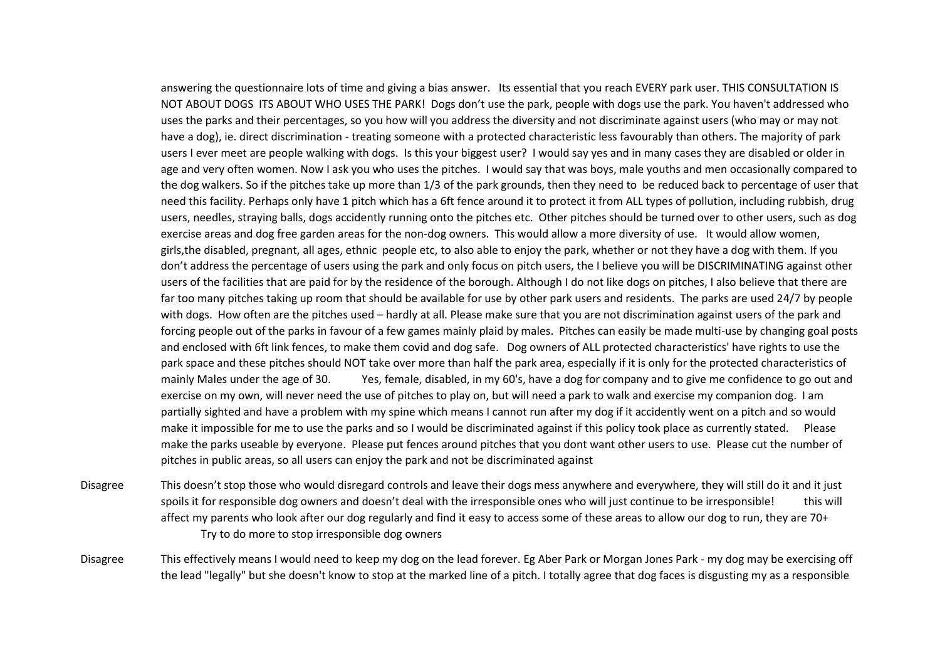answering the questionnaire lots of time and giving a bias answer. Its essential that you reach EVERY park user. THIS CONSULTATION IS NOT ABOUT DOGS ITS ABOUT WHO USES THE PARK! Dogs don't use the park, people with dogs use the park. You haven't addressed who uses the parks and their percentages, so you how will you address the diversity and not discriminate against users (who may or may not have a dog), ie. direct discrimination - treating someone with a protected characteristic less favourably than others. The majority of park users I ever meet are people walking with dogs. Is this your biggest user? I would say yes and in many cases they are disabled or older in age and very often women. Now I ask you who uses the pitches. I would say that was boys, male youths and men occasionally compared to the dog walkers. So if the pitches take up more than 1/3 of the park grounds, then they need to be reduced back to percentage of user that need this facility. Perhaps only have 1 pitch which has a 6ft fence around it to protect it from ALL types of pollution, including rubbish, drug users, needles, straying balls, dogs accidently running onto the pitches etc. Other pitches should be turned over to other users, such as dog exercise areas and dog free garden areas for the non-dog owners. This would allow a more diversity of use. It would allow women, girls,the disabled, pregnant, all ages, ethnic people etc, to also able to enjoy the park, whether or not they have a dog with them. If you don't address the percentage of users using the park and only focus on pitch users, the I believe you will be DISCRIMINATING against other users of the facilities that are paid for by the residence of the borough. Although I do not like dogs on pitches, I also believe that there are far too many pitches taking up room that should be available for use by other park users and residents. The parks are used 24/7 by people with dogs. How often are the pitches used – hardly at all. Please make sure that you are not discrimination against users of the park and forcing people out of the parks in favour of a few games mainly plaid by males. Pitches can easily be made multi-use by changing goal posts and enclosed with 6ft link fences, to make them covid and dog safe. Dog owners of ALL protected characteristics' have rights to use the park space and these pitches should NOT take over more than half the park area, especially if it is only for the protected characteristics of mainly Males under the age of 30. Yes, female, disabled, in my 60's, have a dog for company and to give me confidence to go out and exercise on my own, will never need the use of pitches to play on, but will need a park to walk and exercise my companion dog. I am partially sighted and have a problem with my spine which means I cannot run after my dog if it accidently went on a pitch and so would make it impossible for me to use the parks and so I would be discriminated against if this policy took place as currently stated. Please make the parks useable by everyone. Please put fences around pitches that you dont want other users to use. Please cut the number of pitches in public areas, so all users can enjoy the park and not be discriminated against

Disagree This doesn't stop those who would disregard controls and leave their dogs mess anywhere and everywhere, they will still do it and it just spoils it for responsible dog owners and doesn't deal with the irresponsible ones who will just continue to be irresponsible! this will affect my parents who look after our dog regularly and find it easy to access some of these areas to allow our dog to run, they are 70+ Try to do more to stop irresponsible dog owners

Disagree This effectively means I would need to keep my dog on the lead forever. Eg Aber Park or Morgan Jones Park - my dog may be exercising off the lead "legally" but she doesn't know to stop at the marked line of a pitch. I totally agree that dog faces is disgusting my as a responsible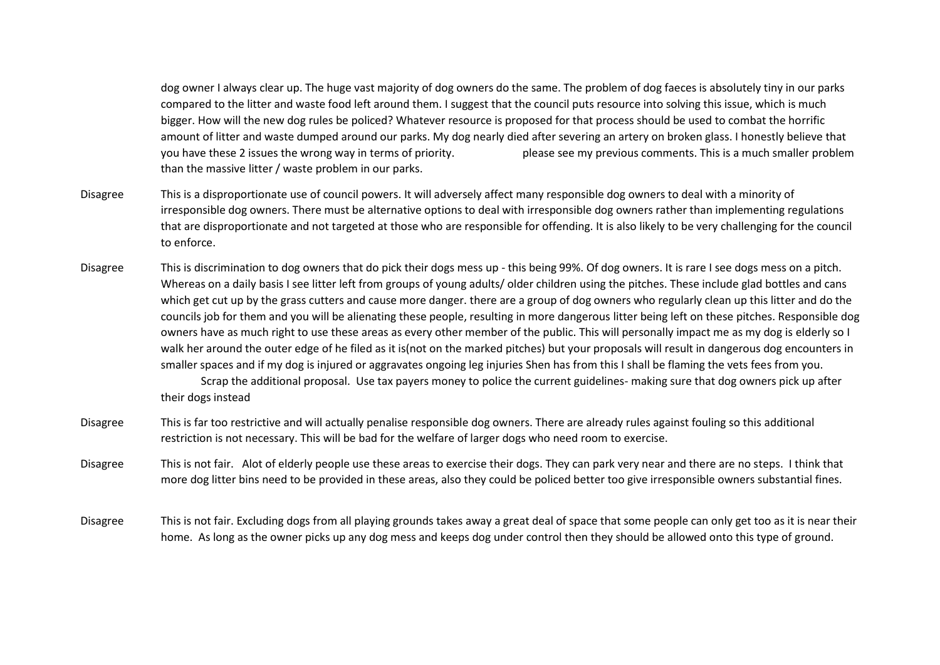dog owner I always clear up. The huge vast majority of dog owners do the same. The problem of dog faeces is absolutely tiny in our parks compared to the litter and waste food left around them. I suggest that the council puts resource into solving this issue, which is much bigger. How will the new dog rules be policed? Whatever resource is proposed for that process should be used to combat the horrific amount of litter and waste dumped around our parks. My dog nearly died after severing an artery on broken glass. I honestly believe that you have these 2 issues the wrong way in terms of priority. please see my previous comments. This is a much smaller problem than the massive litter / waste problem in our parks.

- Disagree This is a disproportionate use of council powers. It will adversely affect many responsible dog owners to deal with a minority of irresponsible dog owners. There must be alternative options to deal with irresponsible dog owners rather than implementing regulations that are disproportionate and not targeted at those who are responsible for offending. It is also likely to be very challenging for the council to enforce.
- Disagree This is discrimination to dog owners that do pick their dogs mess up this being 99%. Of dog owners. It is rare I see dogs mess on a pitch. Whereas on a daily basis I see litter left from groups of young adults/ older children using the pitches. These include glad bottles and cans which get cut up by the grass cutters and cause more danger. there are a group of dog owners who regularly clean up this litter and do the councils job for them and you will be alienating these people, resulting in more dangerous litter being left on these pitches. Responsible dog owners have as much right to use these areas as every other member of the public. This will personally impact me as my dog is elderly so I walk her around the outer edge of he filed as it is(not on the marked pitches) but your proposals will result in dangerous dog encounters in smaller spaces and if my dog is injured or aggravates ongoing leg injuries Shen has from this I shall be flaming the vets fees from you.

Scrap the additional proposal. Use tax payers money to police the current guidelines- making sure that dog owners pick up after their dogs instead

- Disagree This is far too restrictive and will actually penalise responsible dog owners. There are already rules against fouling so this additional restriction is not necessary. This will be bad for the welfare of larger dogs who need room to exercise.
- Disagree This is not fair. Alot of elderly people use these areas to exercise their dogs. They can park very near and there are no steps. I think that more dog litter bins need to be provided in these areas, also they could be policed better too give irresponsible owners substantial fines.
- Disagree This is not fair. Excluding dogs from all playing grounds takes away a great deal of space that some people can only get too as it is near their home. As long as the owner picks up any dog mess and keeps dog under control then they should be allowed onto this type of ground.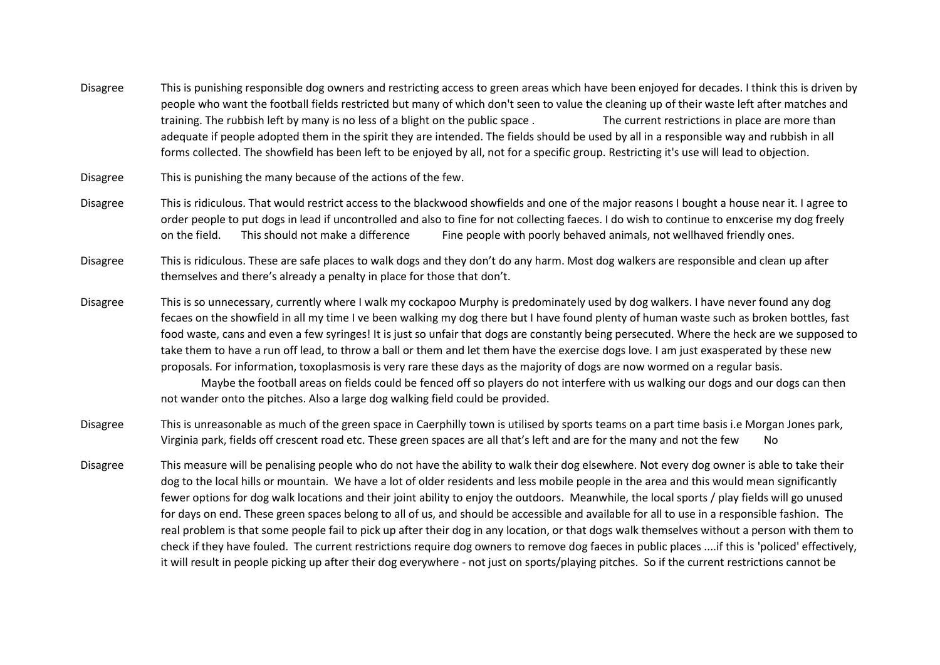- Disagree This is punishing responsible dog owners and restricting access to green areas which have been enjoyed for decades. I think this is driven by people who want the football fields restricted but many of which don't seen to value the cleaning up of their waste left after matches and training. The rubbish left by many is no less of a blight on the public space . The current restrictions in place are more than adequate if people adopted them in the spirit they are intended. The fields should be used by all in a responsible way and rubbish in all forms collected. The showfield has been left to be enjoyed by all, not for a specific group. Restricting it's use will lead to objection.
- Disagree This is punishing the many because of the actions of the few.
- Disagree This is ridiculous. That would restrict access to the blackwood showfields and one of the major reasons I bought a house near it. I agree to order people to put dogs in lead if uncontrolled and also to fine for not collecting faeces. I do wish to continue to enxcerise my dog freely on the field. This should not make a difference Fine people with poorly behaved animals, not wellhaved friendly ones.
- Disagree This is ridiculous. These are safe places to walk dogs and they don't do any harm. Most dog walkers are responsible and clean up after themselves and there's already a penalty in place for those that don't.
- Disagree This is so unnecessary, currently where I walk my cockapoo Murphy is predominately used by dog walkers. I have never found any dog fecaes on the showfield in all my time I ve been walking my dog there but I have found plenty of human waste such as broken bottles, fast food waste, cans and even a few syringes! It is just so unfair that dogs are constantly being persecuted. Where the heck are we supposed to take them to have a run off lead, to throw a ball or them and let them have the exercise dogs love. I am just exasperated by these new proposals. For information, toxoplasmosis is very rare these days as the majority of dogs are now wormed on a regular basis.

Maybe the football areas on fields could be fenced off so players do not interfere with us walking our dogs and our dogs can then not wander onto the pitches. Also a large dog walking field could be provided.

- Disagree This is unreasonable as much of the green space in Caerphilly town is utilised by sports teams on a part time basis i.e Morgan Jones park, Virginia park, fields off crescent road etc. These green spaces are all that's left and are for the many and not the few No
- Disagree This measure will be penalising people who do not have the ability to walk their dog elsewhere. Not every dog owner is able to take their dog to the local hills or mountain. We have a lot of older residents and less mobile people in the area and this would mean significantly fewer options for dog walk locations and their joint ability to enjoy the outdoors. Meanwhile, the local sports / play fields will go unused for days on end. These green spaces belong to all of us, and should be accessible and available for all to use in a responsible fashion. The real problem is that some people fail to pick up after their dog in any location, or that dogs walk themselves without a person with them to check if they have fouled. The current restrictions require dog owners to remove dog faeces in public places ....if this is 'policed' effectively, it will result in people picking up after their dog everywhere - not just on sports/playing pitches. So if the current restrictions cannot be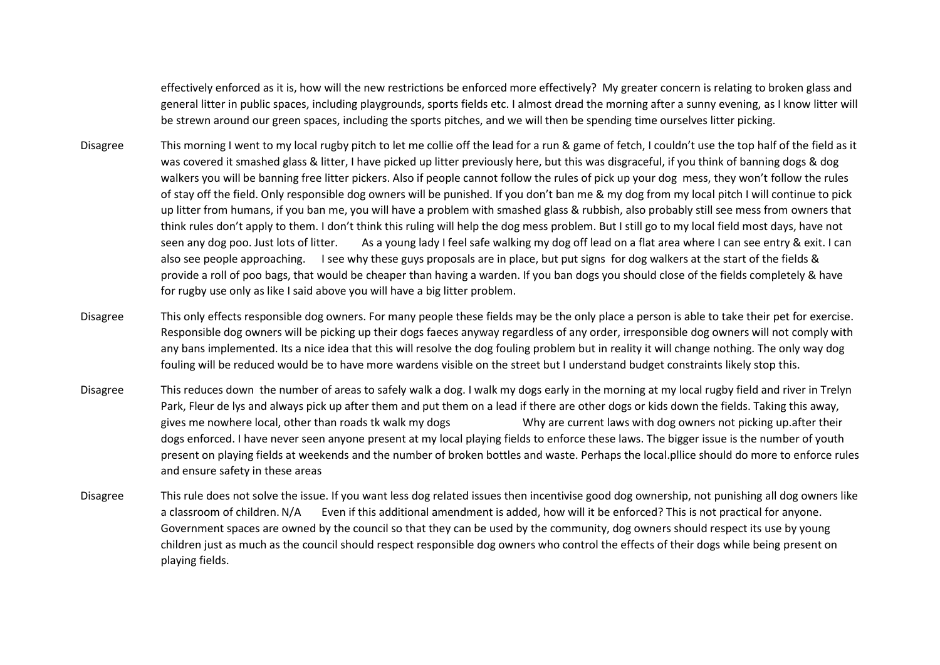effectively enforced as it is, how will the new restrictions be enforced more effectively? My greater concern is relating to broken glass and general litter in public spaces, including playgrounds, sports fields etc. I almost dread the morning after a sunny evening, as I know litter will be strewn around our green spaces, including the sports pitches, and we will then be spending time ourselves litter picking.

- Disagree This morning I went to my local rugby pitch to let me collie off the lead for a run & game of fetch, I couldn't use the top half of the field as it was covered it smashed glass & litter, I have picked up litter previously here, but this was disgraceful, if you think of banning dogs & dog walkers you will be banning free litter pickers. Also if people cannot follow the rules of pick up your dog mess, they won't follow the rules of stay off the field. Only responsible dog owners will be punished. If you don't ban me & my dog from my local pitch I will continue to pick up litter from humans, if you ban me, you will have a problem with smashed glass & rubbish, also probably still see mess from owners that think rules don't apply to them. I don't think this ruling will help the dog mess problem. But I still go to my local field most days, have not seen any dog poo. Just lots of litter. As a young lady I feel safe walking my dog off lead on a flat area where I can see entry & exit. I can also see people approaching. I see why these guys proposals are in place, but put signs for dog walkers at the start of the fields & provide a roll of poo bags, that would be cheaper than having a warden. If you ban dogs you should close of the fields completely & have for rugby use only as like I said above you will have a big litter problem.
- Disagree This only effects responsible dog owners. For many people these fields may be the only place a person is able to take their pet for exercise. Responsible dog owners will be picking up their dogs faeces anyway regardless of any order, irresponsible dog owners will not comply with any bans implemented. Its a nice idea that this will resolve the dog fouling problem but in reality it will change nothing. The only way dog fouling will be reduced would be to have more wardens visible on the street but I understand budget constraints likely stop this.
- Disagree This reduces down the number of areas to safely walk a dog. I walk my dogs early in the morning at my local rugby field and river in Trelyn Park, Fleur de lys and always pick up after them and put them on a lead if there are other dogs or kids down the fields. Taking this away, gives me nowhere local, other than roads tk walk my dogs Why are current laws with dog owners not picking up.after their dogs enforced. I have never seen anyone present at my local playing fields to enforce these laws. The bigger issue is the number of youth present on playing fields at weekends and the number of broken bottles and waste. Perhaps the local.pllice should do more to enforce rules and ensure safety in these areas
- Disagree This rule does not solve the issue. If you want less dog related issues then incentivise good dog ownership, not punishing all dog owners like a classroom of children.N/A Even if this additional amendment is added, how will it be enforced? This is not practical for anyone. Government spaces are owned by the council so that they can be used by the community, dog owners should respect its use by young children just as much as the council should respect responsible dog owners who control the effects of their dogs while being present on playing fields.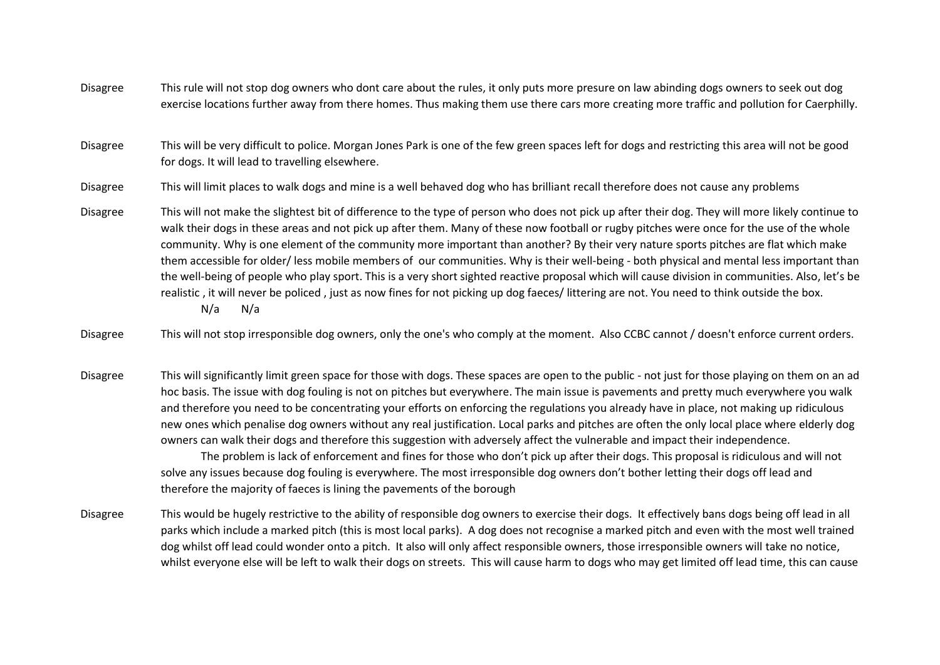Disagree This rule will not stop dog owners who dont care about the rules, it only puts more presure on law abinding dogs owners to seek out dog exercise locations further away from there homes. Thus making them use there cars more creating more traffic and pollution for Caerphilly.

Disagree This will be very difficult to police. Morgan Jones Park is one of the few green spaces left for dogs and restricting this area will not be good for dogs. It will lead to travelling elsewhere.

Disagree This will limit places to walk dogs and mine is a well behaved dog who has brilliant recall therefore does not cause any problems

- Disagree This will not make the slightest bit of difference to the type of person who does not pick up after their dog. They will more likely continue to walk their dogs in these areas and not pick up after them. Many of these now football or rugby pitches were once for the use of the whole community. Why is one element of the community more important than another? By their very nature sports pitches are flat which make them accessible for older/ less mobile members of our communities. Why is their well-being - both physical and mental less important than the well-being of people who play sport. This is a very short sighted reactive proposal which will cause division in communities. Also, let's be realistic , it will never be policed , just as now fines for not picking up dog faeces/ littering are not. You need to think outside the box. N/a N/a
- Disagree This will not stop irresponsible dog owners, only the one's who comply at the moment. Also CCBC cannot / doesn't enforce current orders.
- Disagree This will significantly limit green space for those with dogs. These spaces are open to the public not just for those playing on them on an ad hoc basis. The issue with dog fouling is not on pitches but everywhere. The main issue is pavements and pretty much everywhere you walk and therefore you need to be concentrating your efforts on enforcing the regulations you already have in place, not making up ridiculous new ones which penalise dog owners without any real justification. Local parks and pitches are often the only local place where elderly dog owners can walk their dogs and therefore this suggestion with adversely affect the vulnerable and impact their independence. The problem is lack of enforcement and fines for those who don't pick up after their dogs. This proposal is ridiculous and will not solve any issues because dog fouling is everywhere. The most irresponsible dog owners don't bother letting their dogs off lead and therefore the majority of faeces is lining the pavements of the borough
- Disagree This would be hugely restrictive to the ability of responsible dog owners to exercise their dogs. It effectively bans dogs being off lead in all parks which include a marked pitch (this is most local parks). A dog does not recognise a marked pitch and even with the most well trained dog whilst off lead could wonder onto a pitch. It also will only affect responsible owners, those irresponsible owners will take no notice, whilst everyone else will be left to walk their dogs on streets. This will cause harm to dogs who may get limited off lead time, this can cause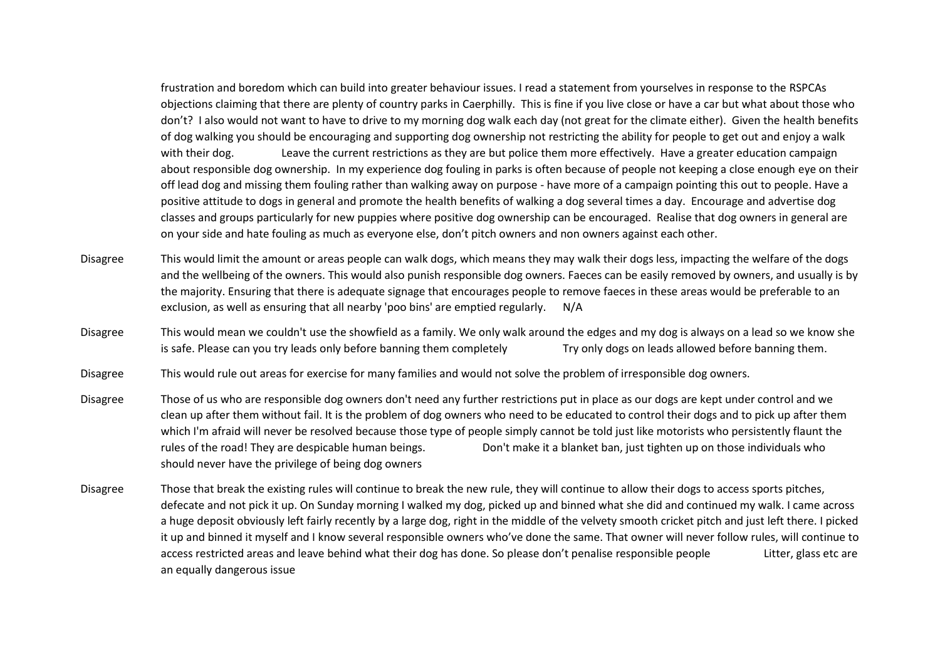frustration and boredom which can build into greater behaviour issues. I read a statement from yourselves in response to the RSPCAs objections claiming that there are plenty of country parks in Caerphilly. This is fine if you live close or have a car but what about those who don't? I also would not want to have to drive to my morning dog walk each day (not great for the climate either). Given the health benefits of dog walking you should be encouraging and supporting dog ownership not restricting the ability for people to get out and enjoy a walk with their dog. Leave the current restrictions as they are but police them more effectively. Have a greater education campaign about responsible dog ownership. In my experience dog fouling in parks is often because of people not keeping a close enough eye on their off lead dog and missing them fouling rather than walking away on purpose - have more of a campaign pointing this out to people. Have a positive attitude to dogs in general and promote the health benefits of walking a dog several times a day. Encourage and advertise dog classes and groups particularly for new puppies where positive dog ownership can be encouraged. Realise that dog owners in general are on your side and hate fouling as much as everyone else, don't pitch owners and non owners against each other.

- Disagree This would limit the amount or areas people can walk dogs, which means they may walk their dogs less, impacting the welfare of the dogs and the wellbeing of the owners. This would also punish responsible dog owners. Faeces can be easily removed by owners, and usually is by the majority. Ensuring that there is adequate signage that encourages people to remove faeces in these areas would be preferable to an exclusion, as well as ensuring that all nearby 'poo bins' are emptied regularly. N/A
- Disagree This would mean we couldn't use the showfield as a family. We only walk around the edges and my dog is always on a lead so we know she is safe. Please can you try leads only before banning them completely Try only dogs on leads allowed before banning them.
- Disagree This would rule out areas for exercise for many families and would not solve the problem of irresponsible dog owners.
- Disagree Those of us who are responsible dog owners don't need any further restrictions put in place as our dogs are kept under control and we clean up after them without fail. It is the problem of dog owners who need to be educated to control their dogs and to pick up after them which I'm afraid will never be resolved because those type of people simply cannot be told just like motorists who persistently flaunt the rules of the road! They are despicable human beings. Don't make it a blanket ban, just tighten up on those individuals who should never have the privilege of being dog owners
- Disagree Those that break the existing rules will continue to break the new rule, they will continue to allow their dogs to access sports pitches, defecate and not pick it up. On Sunday morning I walked my dog, picked up and binned what she did and continued my walk. I came across a huge deposit obviously left fairly recently by a large dog, right in the middle of the velvety smooth cricket pitch and just left there. I picked it up and binned it myself and I know several responsible owners who've done the same. That owner will never follow rules, will continue to access restricted areas and leave behind what their dog has done. So please don't penalise responsible people Litter, glass etc are an equally dangerous issue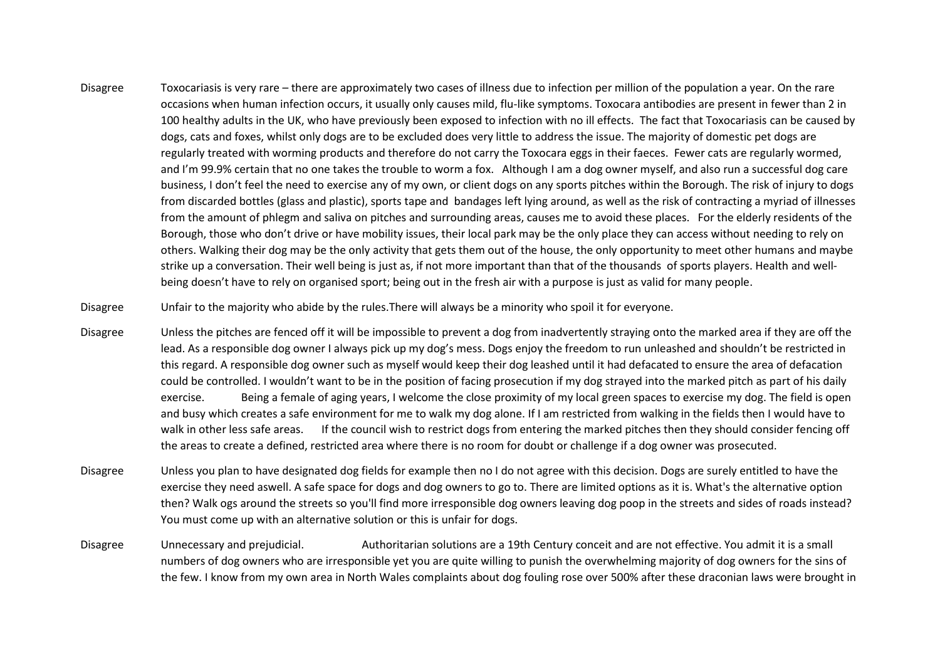Disagree Toxocariasis is very rare – there are approximately two cases of illness due to infection per million of the population a year. On the rare occasions when human infection occurs, it usually only causes mild, flu-like symptoms. Toxocara antibodies are present in fewer than 2 in 100 healthy adults in the UK, who have previously been exposed to infection with no ill effects. The fact that Toxocariasis can be caused by dogs, cats and foxes, whilst only dogs are to be excluded does very little to address the issue. The majority of domestic pet dogs are regularly treated with worming products and therefore do not carry the Toxocara eggs in their faeces. Fewer cats are regularly wormed, and I'm 99.9% certain that no one takes the trouble to worm a fox. Although I am a dog owner myself, and also run a successful dog care business, I don't feel the need to exercise any of my own, or client dogs on any sports pitches within the Borough. The risk of injury to dogs from discarded bottles (glass and plastic), sports tape and bandages left lying around, as well as the risk of contracting a myriad of illnesses from the amount of phlegm and saliva on pitches and surrounding areas, causes me to avoid these places. For the elderly residents of the Borough, those who don't drive or have mobility issues, their local park may be the only place they can access without needing to rely on others. Walking their dog may be the only activity that gets them out of the house, the only opportunity to meet other humans and maybe strike up a conversation. Their well being is just as, if not more important than that of the thousands of sports players. Health and wellbeing doesn't have to rely on organised sport; being out in the fresh air with a purpose is just as valid for many people.

Disagree Unfair to the majority who abide by the rules.There will always be a minority who spoil it for everyone.

- Disagree Unless the pitches are fenced off it will be impossible to prevent a dog from inadvertently straying onto the marked area if they are off the lead. As a responsible dog owner I always pick up my dog's mess. Dogs enjoy the freedom to run unleashed and shouldn't be restricted in this regard. A responsible dog owner such as myself would keep their dog leashed until it had defacated to ensure the area of defacation could be controlled. I wouldn't want to be in the position of facing prosecution if my dog strayed into the marked pitch as part of his daily exercise. Being a female of aging years, I welcome the close proximity of my local green spaces to exercise my dog. The field is open and busy which creates a safe environment for me to walk my dog alone. If I am restricted from walking in the fields then I would have to walk in other less safe areas. If the council wish to restrict dogs from entering the marked pitches then they should consider fencing off the areas to create a defined, restricted area where there is no room for doubt or challenge if a dog owner was prosecuted.
- Disagree Unless you plan to have designated dog fields for example then no I do not agree with this decision. Dogs are surely entitled to have the exercise they need aswell. A safe space for dogs and dog owners to go to. There are limited options as it is. What's the alternative option then? Walk ogs around the streets so you'll find more irresponsible dog owners leaving dog poop in the streets and sides of roads instead? You must come up with an alternative solution or this is unfair for dogs.
- Disagree Unnecessary and prejudicial. Authoritarian solutions are a 19th Century conceit and are not effective. You admit it is a small numbers of dog owners who are irresponsible yet you are quite willing to punish the overwhelming majority of dog owners for the sins of the few. I know from my own area in North Wales complaints about dog fouling rose over 500% after these draconian laws were brought in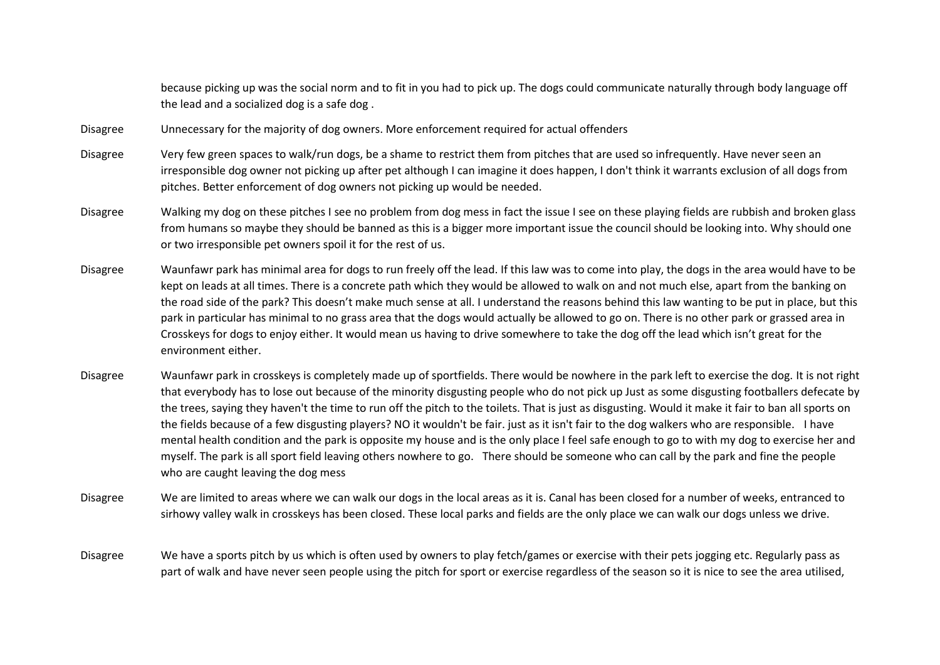because picking up was the social norm and to fit in you had to pick up. The dogs could communicate naturally through body language off the lead and a socialized dog is a safe dog .

- Disagree Unnecessary for the majority of dog owners. More enforcement required for actual offenders
- Disagree Very few green spaces to walk/run dogs, be a shame to restrict them from pitches that are used so infrequently. Have never seen an irresponsible dog owner not picking up after pet although I can imagine it does happen, I don't think it warrants exclusion of all dogs from pitches. Better enforcement of dog owners not picking up would be needed.
- Disagree Walking my dog on these pitches I see no problem from dog mess in fact the issue I see on these playing fields are rubbish and broken glass from humans so maybe they should be banned as this is a bigger more important issue the council should be looking into. Why should one or two irresponsible pet owners spoil it for the rest of us.
- Disagree Waunfawr park has minimal area for dogs to run freely off the lead. If this law was to come into play, the dogs in the area would have to be kept on leads at all times. There is a concrete path which they would be allowed to walk on and not much else, apart from the banking on the road side of the park? This doesn't make much sense at all. I understand the reasons behind this law wanting to be put in place, but this park in particular has minimal to no grass area that the dogs would actually be allowed to go on. There is no other park or grassed area in Crosskeys for dogs to enjoy either. It would mean us having to drive somewhere to take the dog off the lead which isn't great for the environment either.
- Disagree Waunfawr park in crosskeys is completely made up of sportfields. There would be nowhere in the park left to exercise the dog. It is not right that everybody has to lose out because of the minority disgusting people who do not pick up Just as some disgusting footballers defecate by the trees, saying they haven't the time to run off the pitch to the toilets. That is just as disgusting. Would it make it fair to ban all sports on the fields because of a few disgusting players? NO it wouldn't be fair. just as it isn't fair to the dog walkers who are responsible. I have mental health condition and the park is opposite my house and is the only place I feel safe enough to go to with my dog to exercise her and myself. The park is all sport field leaving others nowhere to go. There should be someone who can call by the park and fine the people who are caught leaving the dog mess
- Disagree We are limited to areas where we can walk our dogs in the local areas as it is. Canal has been closed for a number of weeks, entranced to sirhowy valley walk in crosskeys has been closed. These local parks and fields are the only place we can walk our dogs unless we drive.
- Disagree We have a sports pitch by us which is often used by owners to play fetch/games or exercise with their pets jogging etc. Regularly pass as part of walk and have never seen people using the pitch for sport or exercise regardless of the season so it is nice to see the area utilised,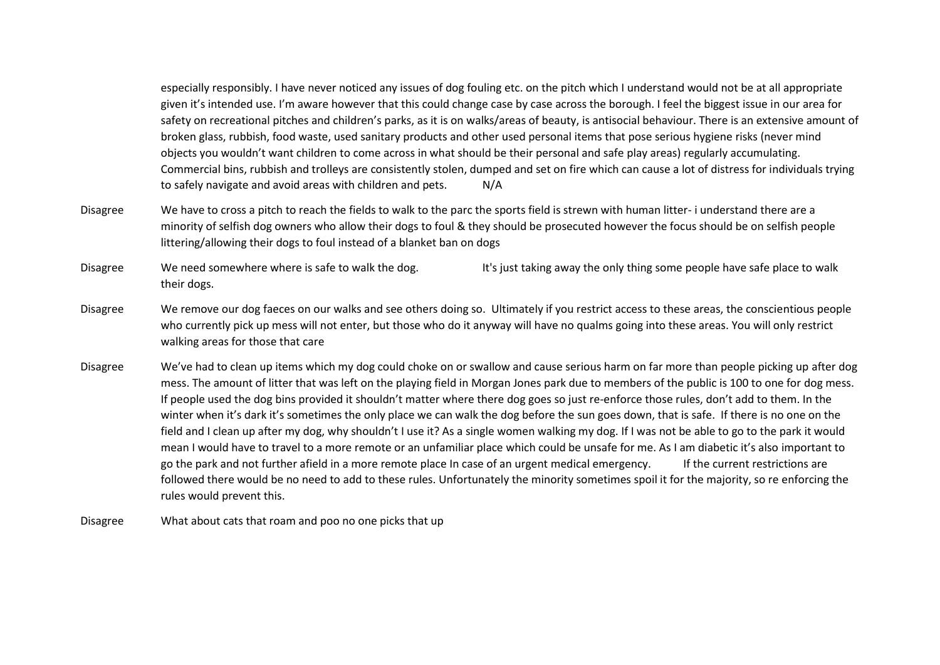especially responsibly. I have never noticed any issues of dog fouling etc. on the pitch which I understand would not be at all appropriate given it's intended use. I'm aware however that this could change case by case across the borough. I feel the biggest issue in our area for safety on recreational pitches and children's parks, as it is on walks/areas of beauty, is antisocial behaviour. There is an extensive amount of broken glass, rubbish, food waste, used sanitary products and other used personal items that pose serious hygiene risks (never mind objects you wouldn't want children to come across in what should be their personal and safe play areas) regularly accumulating. Commercial bins, rubbish and trolleys are consistently stolen, dumped and set on fire which can cause a lot of distress for individuals trying to safely navigate and avoid areas with children and pets. N/A

Disagree We have to cross a pitch to reach the fields to walk to the parc the sports field is strewn with human litter- i understand there are a minority of selfish dog owners who allow their dogs to foul & they should be prosecuted however the focus should be on selfish people littering/allowing their dogs to foul instead of a blanket ban on dogs

Disagree We need somewhere where is safe to walk the dog. It's just taking away the only thing some people have safe place to walk their dogs.

- Disagree We remove our dog faeces on our walks and see others doing so. Ultimately if you restrict access to these areas, the conscientious people who currently pick up mess will not enter, but those who do it anyway will have no qualms going into these areas. You will only restrict walking areas for those that care
- Disagree We've had to clean up items which my dog could choke on or swallow and cause serious harm on far more than people picking up after dog mess. The amount of litter that was left on the playing field in Morgan Jones park due to members of the public is 100 to one for dog mess. If people used the dog bins provided it shouldn't matter where there dog goes so just re-enforce those rules, don't add to them. In the winter when it's dark it's sometimes the only place we can walk the dog before the sun goes down, that is safe. If there is no one on the field and I clean up after my dog, why shouldn't I use it? As a single women walking my dog. If I was not be able to go to the park it would mean I would have to travel to a more remote or an unfamiliar place which could be unsafe for me. As I am diabetic it's also important to go the park and not further afield in a more remote place In case of an urgent medical emergency. If the current restrictions are followed there would be no need to add to these rules. Unfortunately the minority sometimes spoil it for the majority, so re enforcing the rules would prevent this.
- Disagree What about cats that roam and poo no one picks that up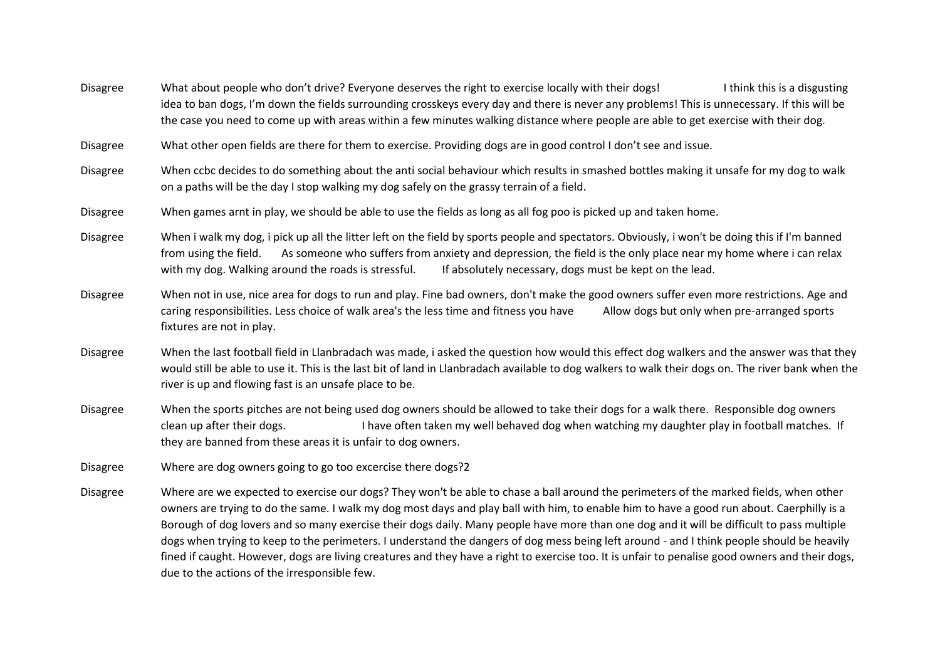Disagree What about people who don't drive? Everyone deserves the right to exercise locally with their dogs!<br>I think this is a disgusting idea to ban dogs, I'm down the fields surrounding crosskeys every day and there is never any problems! This is unnecessary. If this will be the case you need to come up with areas within a few minutes walking distance where people are able to get exercise with their dog.

Disagree What other open fields are there for them to exercise. Providing dogs are in good control I don't see and issue.

Disagree When ccbc decides to do something about the anti social behaviour which results in smashed bottles making it unsafe for my dog to walk on a paths will be the day I stop walking my dog safely on the grassy terrain of a field.

Disagree When games arnt in play, we should be able to use the fields as long as all fog poo is picked up and taken home.

Disagree When i walk my dog, i pick up all the litter left on the field by sports people and spectators. Obviously, i won't be doing this if I'm banned from using the field. As someone who suffers from anxiety and depression, the field is the only place near my home where i can relax with my dog. Walking around the roads is stressful. If absolutely necessary, dogs must be kept on the lead.

Disagree When not in use, nice area for dogs to run and play. Fine bad owners, don't make the good owners suffer even more restrictions. Age and caring responsibilities. Less choice of walk area's the less time and fitness you have Allow dogs but only when pre-arranged sports fixtures are not in play.

Disagree When the last football field in Llanbradach was made, i asked the question how would this effect dog walkers and the answer was that they would still be able to use it. This is the last bit of land in Llanbradach available to dog walkers to walk their dogs on. The river bank when the river is up and flowing fast is an unsafe place to be.

Disagree When the sports pitches are not being used dog owners should be allowed to take their dogs for a walk there. Responsible dog owners clean up after their dogs. I have often taken my well behaved dog when watching my daughter play in football matches. If they are banned from these areas it is unfair to dog owners.

Disagree Where are dog owners going to go too excercise there dogs?2

Disagree Where are we expected to exercise our dogs? They won't be able to chase a ball around the perimeters of the marked fields, when other owners are trying to do the same. I walk my dog most days and play ball with him, to enable him to have a good run about. Caerphilly is a Borough of dog lovers and so many exercise their dogs daily. Many people have more than one dog and it will be difficult to pass multiple dogs when trying to keep to the perimeters. I understand the dangers of dog mess being left around - and I think people should be heavily fined if caught. However, dogs are living creatures and they have a right to exercise too. It is unfair to penalise good owners and their dogs, due to the actions of the irresponsible few.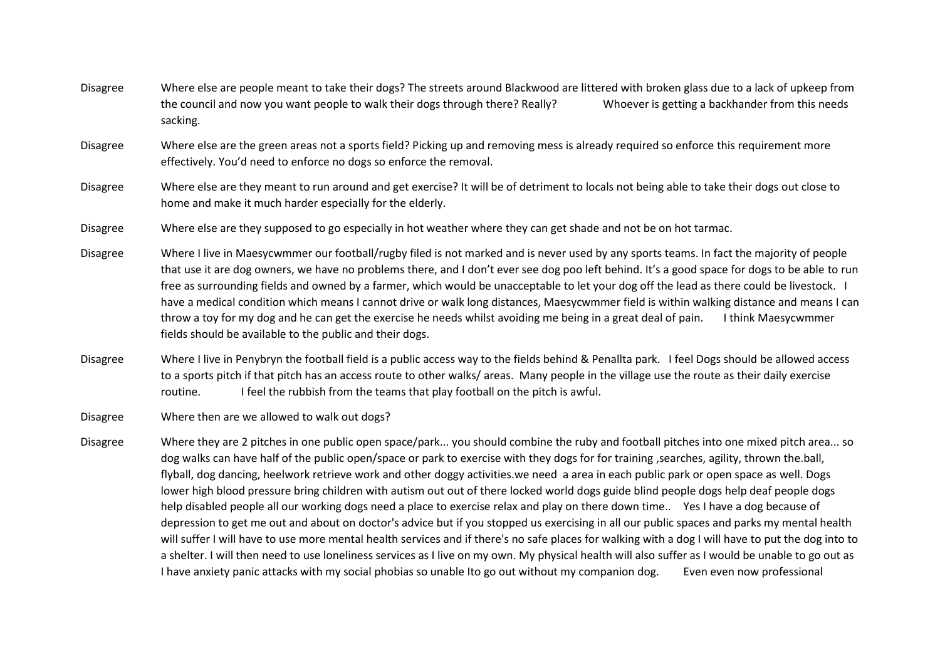Disagree Where else are people meant to take their dogs? The streets around Blackwood are littered with broken glass due to a lack of upkeep from the council and now you want people to walk their dogs through there? Really? Whoever is getting a backhander from this needs sacking.

Disagree Where else are the green areas not a sports field? Picking up and removing mess is already required so enforce this requirement more effectively. You'd need to enforce no dogs so enforce the removal.

Disagree Where else are they meant to run around and get exercise? It will be of detriment to locals not being able to take their dogs out close to home and make it much harder especially for the elderly.

Disagree Where else are they supposed to go especially in hot weather where they can get shade and not be on hot tarmac.

Disagree Where I live in Maesycwmmer our football/rugby filed is not marked and is never used by any sports teams. In fact the majority of people that use it are dog owners, we have no problems there, and I don't ever see dog poo left behind. It's a good space for dogs to be able to run free as surrounding fields and owned by a farmer, which would be unacceptable to let your dog off the lead as there could be livestock. I have a medical condition which means I cannot drive or walk long distances, Maesycwmmer field is within walking distance and means I can throw a toy for my dog and he can get the exercise he needs whilst avoiding me being in a great deal of pain. I think Maesycwmmer fields should be available to the public and their dogs.

Disagree Where I live in Penybryn the football field is a public access way to the fields behind & Penallta park. I feel Dogs should be allowed access to a sports pitch if that pitch has an access route to other walks/ areas. Many people in the village use the route as their daily exercise routine. I feel the rubbish from the teams that play football on the pitch is awful.

Disagree Where then are we allowed to walk out dogs?

Disagree Where they are 2 pitches in one public open space/park... you should combine the ruby and football pitches into one mixed pitch area... so dog walks can have half of the public open/space or park to exercise with they dogs for for training ,searches, agility, thrown the.ball, flyball, dog dancing, heelwork retrieve work and other doggy activities.we need a area in each public park or open space as well. Dogs lower high blood pressure bring children with autism out out of there locked world dogs guide blind people dogs help deaf people dogs help disabled people all our working dogs need a place to exercise relax and play on there down time.. Yes I have a dog because of depression to get me out and about on doctor's advice but if you stopped us exercising in all our public spaces and parks my mental health will suffer I will have to use more mental health services and if there's no safe places for walking with a dog I will have to put the dog into to a shelter. I will then need to use loneliness services as I live on my own. My physical health will also suffer as I would be unable to go out as I have anxiety panic attacks with my social phobias so unable Ito go out without my companion dog. Even even now professional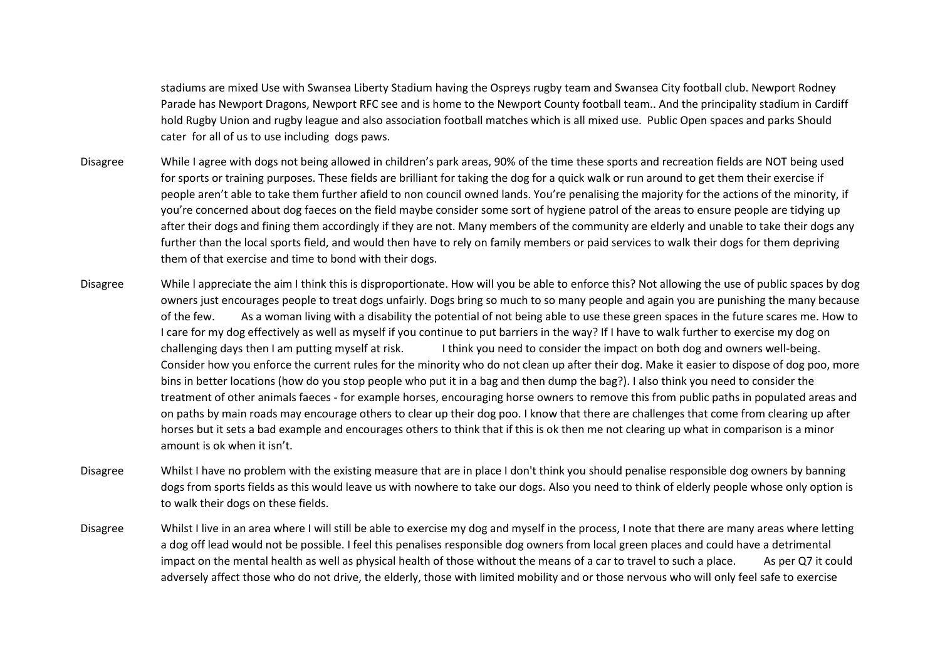stadiums are mixed Use with Swansea Liberty Stadium having the Ospreys rugby team and Swansea City football club. Newport Rodney Parade has Newport Dragons, Newport RFC see and is home to the Newport County football team.. And the principality stadium in Cardiff hold Rugby Union and rugby league and also association football matches which is all mixed use. Public Open spaces and parks Should cater for all of us to use including dogs paws.

- Disagree While I agree with dogs not being allowed in children's park areas, 90% of the time these sports and recreation fields are NOT being used for sports or training purposes. These fields are brilliant for taking the dog for a quick walk or run around to get them their exercise if people aren't able to take them further afield to non council owned lands. You're penalising the majority for the actions of the minority, if you're concerned about dog faeces on the field maybe consider some sort of hygiene patrol of the areas to ensure people are tidying up after their dogs and fining them accordingly if they are not. Many members of the community are elderly and unable to take their dogs any further than the local sports field, and would then have to rely on family members or paid services to walk their dogs for them depriving them of that exercise and time to bond with their dogs.
- Disagree While l appreciate the aim I think this is disproportionate. How will you be able to enforce this? Not allowing the use of public spaces by dog owners just encourages people to treat dogs unfairly. Dogs bring so much to so many people and again you are punishing the many because of the few. As a woman living with a disability the potential of not being able to use these green spaces in the future scares me. How to I care for my dog effectively as well as myself if you continue to put barriers in the way? If I have to walk further to exercise my dog on challenging days then I am putting myself at risk. I think you need to consider the impact on both dog and owners well-being. Consider how you enforce the current rules for the minority who do not clean up after their dog. Make it easier to dispose of dog poo, more bins in better locations (how do you stop people who put it in a bag and then dump the bag?). I also think you need to consider the treatment of other animals faeces - for example horses, encouraging horse owners to remove this from public paths in populated areas and on paths by main roads may encourage others to clear up their dog poo. I know that there are challenges that come from clearing up after horses but it sets a bad example and encourages others to think that if this is ok then me not clearing up what in comparison is a minor amount is ok when it isn't.
- Disagree Whilst I have no problem with the existing measure that are in place I don't think you should penalise responsible dog owners by banning dogs from sports fields as this would leave us with nowhere to take our dogs. Also you need to think of elderly people whose only option is to walk their dogs on these fields.
- Disagree Whilst I live in an area where I will still be able to exercise my dog and myself in the process, I note that there are many areas where letting a dog off lead would not be possible. I feel this penalises responsible dog owners from local green places and could have a detrimental impact on the mental health as well as physical health of those without the means of a car to travel to such a place. As per Q7 it could adversely affect those who do not drive, the elderly, those with limited mobility and or those nervous who will only feel safe to exercise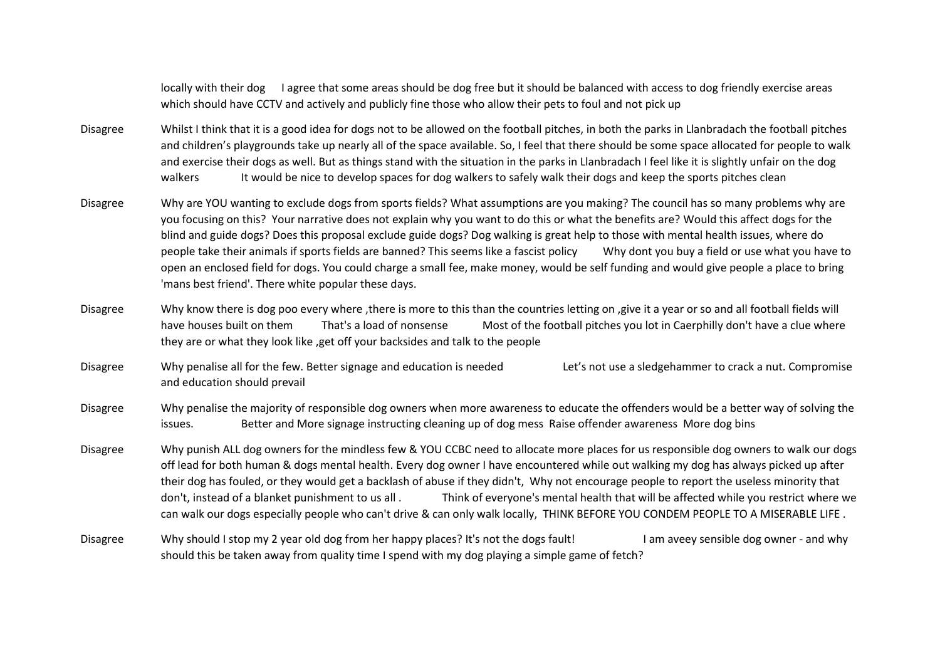locally with their dog I agree that some areas should be dog free but it should be balanced with access to dog friendly exercise areas which should have CCTV and actively and publicly fine those who allow their pets to foul and not pick up

- Disagree Whilst I think that it is a good idea for dogs not to be allowed on the football pitches, in both the parks in Llanbradach the football pitches and children's playgrounds take up nearly all of the space available. So, I feel that there should be some space allocated for people to walk and exercise their dogs as well. But as things stand with the situation in the parks in Llanbradach I feel like it is slightly unfair on the dog walkers It would be nice to develop spaces for dog walkers to safely walk their dogs and keep the sports pitches clean
- Disagree Why are YOU wanting to exclude dogs from sports fields? What assumptions are you making? The council has so many problems why are you focusing on this? Your narrative does not explain why you want to do this or what the benefits are? Would this affect dogs for the blind and guide dogs? Does this proposal exclude guide dogs? Dog walking is great help to those with mental health issues, where do people take their animals if sports fields are banned? This seems like a fascist policy Why dont you buy a field or use what you have to open an enclosed field for dogs. You could charge a small fee, make money, would be self funding and would give people a place to bring 'mans best friend'. There white popular these days.
- Disagree Why know there is dog poo every where ,there is more to this than the countries letting on ,give it a year or so and all football fields will have houses built on them That's a load of nonsense Most of the football pitches you lot in Caerphilly don't have a clue where they are or what they look like ,get off your backsides and talk to the people
- Disagree Why penalise all for the few. Better signage and education is needed Let's not use a sledgehammer to crack a nut. Compromise and education should prevail
- Disagree Why penalise the majority of responsible dog owners when more awareness to educate the offenders would be a better way of solving the issues. Better and More signage instructing cleaning up of dog mess Raise offender awareness More dog bins
- Disagree Why punish ALL dog owners for the mindless few & YOU CCBC need to allocate more places for us responsible dog owners to walk our dogs off lead for both human & dogs mental health. Every dog owner I have encountered while out walking my dog has always picked up after their dog has fouled, or they would get a backlash of abuse if they didn't, Why not encourage people to report the useless minority that don't, instead of a blanket punishment to us all . Think of everyone's mental health that will be affected while you restrict where we can walk our dogs especially people who can't drive & can only walk locally, THINK BEFORE YOU CONDEM PEOPLE TO A MISERABLE LIFE .
- Disagree Why should I stop my 2 year old dog from her happy places? It's not the dogs fault! I am aveey sensible dog owner and why should this be taken away from quality time I spend with my dog playing a simple game of fetch?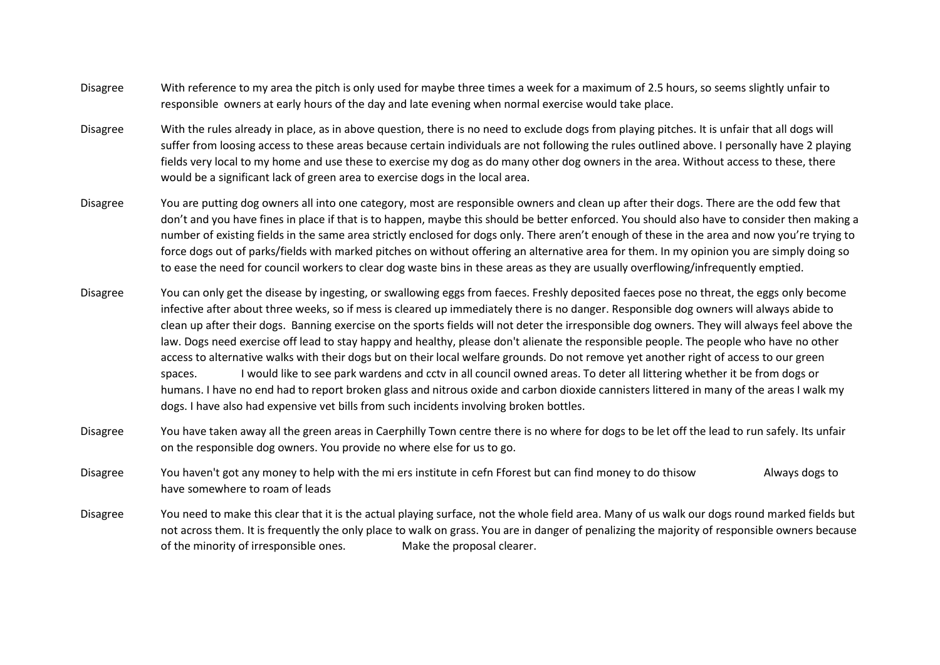- Disagree With reference to my area the pitch is only used for maybe three times a week for a maximum of 2.5 hours, so seems slightly unfair to responsible owners at early hours of the day and late evening when normal exercise would take place.
- Disagree With the rules already in place, as in above question, there is no need to exclude dogs from playing pitches. It is unfair that all dogs will suffer from loosing access to these areas because certain individuals are not following the rules outlined above. I personally have 2 playing fields very local to my home and use these to exercise my dog as do many other dog owners in the area. Without access to these, there would be a significant lack of green area to exercise dogs in the local area.
- Disagree You are putting dog owners all into one category, most are responsible owners and clean up after their dogs. There are the odd few that don't and you have fines in place if that is to happen, maybe this should be better enforced. You should also have to consider then making a number of existing fields in the same area strictly enclosed for dogs only. There aren't enough of these in the area and now you're trying to force dogs out of parks/fields with marked pitches on without offering an alternative area for them. In my opinion you are simply doing so to ease the need for council workers to clear dog waste bins in these areas as they are usually overflowing/infrequently emptied.
- Disagree You can only get the disease by ingesting, or swallowing eggs from faeces. Freshly deposited faeces pose no threat, the eggs only become infective after about three weeks, so if mess is cleared up immediately there is no danger. Responsible dog owners will always abide to clean up after their dogs. Banning exercise on the sports fields will not deter the irresponsible dog owners. They will always feel above the law. Dogs need exercise off lead to stay happy and healthy, please don't alienate the responsible people. The people who have no other access to alternative walks with their dogs but on their local welfare grounds. Do not remove yet another right of access to our green spaces. I would like to see park wardens and cctv in all council owned areas. To deter all littering whether it be from dogs or humans. I have no end had to report broken glass and nitrous oxide and carbon dioxide cannisters littered in many of the areas I walk my dogs. I have also had expensive vet bills from such incidents involving broken bottles.
- Disagree You have taken away all the green areas in Caerphilly Town centre there is no where for dogs to be let off the lead to run safely. Its unfair on the responsible dog owners. You provide no where else for us to go.
- Disagree You haven't got any money to help with the mi ers institute in cefn Fforest but can find money to do thisow Always dogs to have somewhere to roam of leads
- Disagree You need to make this clear that it is the actual playing surface, not the whole field area. Many of us walk our dogs round marked fields but not across them. It is frequently the only place to walk on grass. You are in danger of penalizing the majority of responsible owners because of the minority of irresponsible ones. Make the proposal clearer.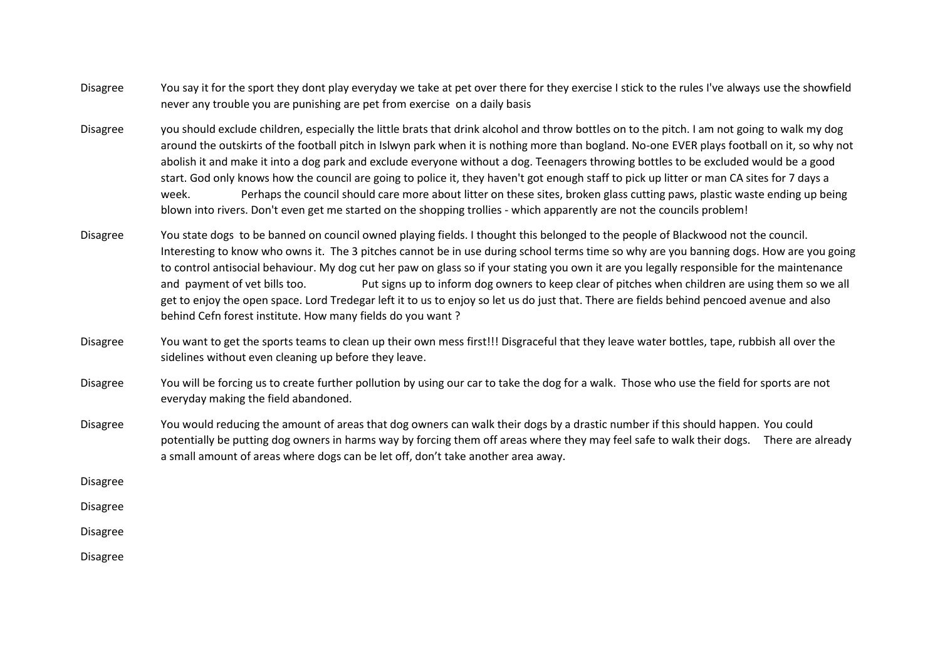- Disagree You say it for the sport they dont play everyday we take at pet over there for they exercise I stick to the rules I've always use the showfield never any trouble you are punishing are pet from exercise on a daily basis
- Disagree you should exclude children, especially the little brats that drink alcohol and throw bottles on to the pitch. I am not going to walk my dog around the outskirts of the football pitch in Islwyn park when it is nothing more than bogland. No-one EVER plays football on it, so why not abolish it and make it into a dog park and exclude everyone without a dog. Teenagers throwing bottles to be excluded would be a good start. God only knows how the council are going to police it, they haven't got enough staff to pick up litter or man CA sites for 7 days a week. Perhaps the council should care more about litter on these sites, broken glass cutting paws, plastic waste ending up being blown into rivers. Don't even get me started on the shopping trollies - which apparently are not the councils problem!
- Disagree You state dogs to be banned on council owned playing fields. I thought this belonged to the people of Blackwood not the council. Interesting to know who owns it. The 3 pitches cannot be in use during school terms time so why are you banning dogs. How are you going to control antisocial behaviour. My dog cut her paw on glass so if your stating you own it are you legally responsible for the maintenance and payment of vet bills too. Put signs up to inform dog owners to keep clear of pitches when children are using them so we all get to enjoy the open space. Lord Tredegar left it to us to enjoy so let us do just that. There are fields behind pencoed avenue and also behind Cefn forest institute. How many fields do you want ?
- Disagree You want to get the sports teams to clean up their own mess first!!! Disgraceful that they leave water bottles, tape, rubbish all over the sidelines without even cleaning up before they leave.
- Disagree You will be forcing us to create further pollution by using our car to take the dog for a walk. Those who use the field for sports are not everyday making the field abandoned.
- Disagree You would reducing the amount of areas that dog owners can walk their dogs by a drastic number if this should happen. You could potentially be putting dog owners in harms way by forcing them off areas where they may feel safe to walk their dogs. There are already a small amount of areas where dogs can be let off, don't take another area away.

Disagree

Disagree

Disagree

Disagree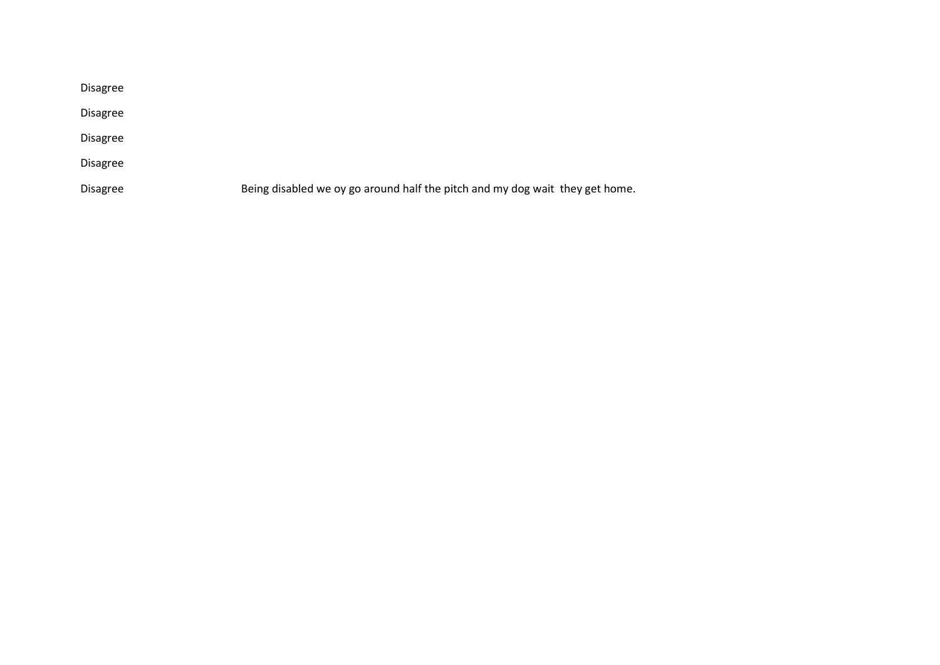| <b>Disagree</b> |                                                                              |
|-----------------|------------------------------------------------------------------------------|
| <b>Disagree</b> |                                                                              |
| <b>Disagree</b> |                                                                              |
| <b>Disagree</b> |                                                                              |
| <b>Disagree</b> | Being disabled we oy go around half the pitch and my dog wait they get home. |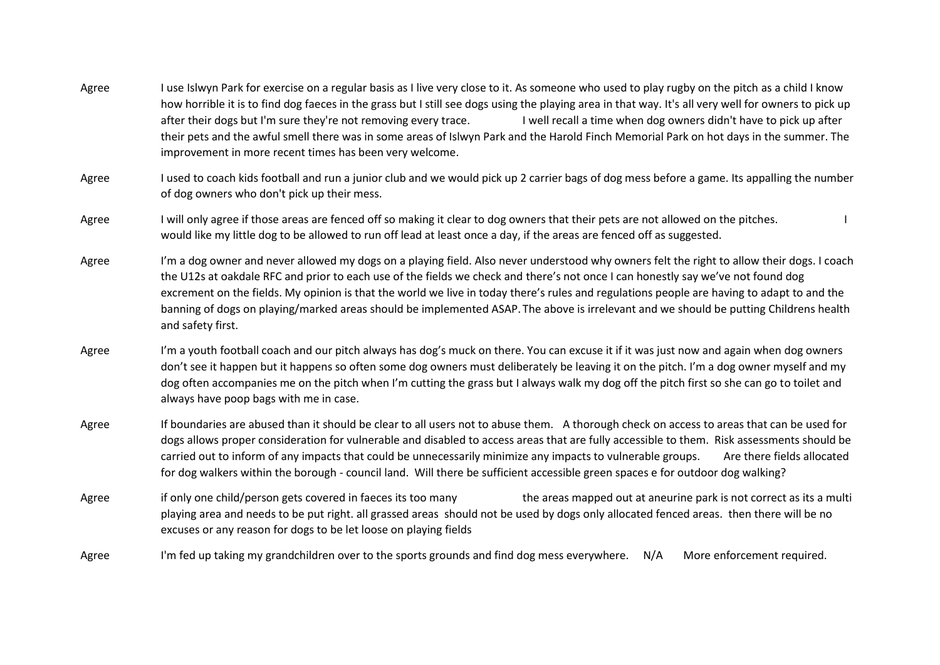- Agree I use Islwyn Park for exercise on a regular basis as I live very close to it. As someone who used to play rugby on the pitch as a child I know how horrible it is to find dog faeces in the grass but I still see dogs using the playing area in that way. It's all very well for owners to pick up after their dogs but I'm sure they're not removing every trace. I well recall a time when dog owners didn't have to pick up after their pets and the awful smell there was in some areas of Islwyn Park and the Harold Finch Memorial Park on hot days in the summer. The improvement in more recent times has been very welcome.
- Agree I used to coach kids football and run a junior club and we would pick up 2 carrier bags of dog mess before a game. Its appalling the number of dog owners who don't pick up their mess.
- Agree I will only agree if those areas are fenced off so making it clear to dog owners that their pets are not allowed on the pitches. would like my little dog to be allowed to run off lead at least once a day, if the areas are fenced off as suggested.
- Agree I'm a dog owner and never allowed my dogs on a playing field. Also never understood why owners felt the right to allow their dogs. I coach the U12s at oakdale RFC and prior to each use of the fields we check and there's not once I can honestly say we've not found dog excrement on the fields. My opinion is that the world we live in today there's rules and regulations people are having to adapt to and the banning of dogs on playing/marked areas should be implemented ASAP. The above is irrelevant and we should be putting Childrens health and safety first.
- Agree I'm a youth football coach and our pitch always has dog's muck on there. You can excuse it if it was just now and again when dog owners don't see it happen but it happens so often some dog owners must deliberately be leaving it on the pitch. I'm a dog owner myself and my dog often accompanies me on the pitch when I'm cutting the grass but I always walk my dog off the pitch first so she can go to toilet and always have poop bags with me in case.
- Agree If boundaries are abused than it should be clear to all users not to abuse them. A thorough check on access to areas that can be used for dogs allows proper consideration for vulnerable and disabled to access areas that are fully accessible to them. Risk assessments should be carried out to inform of any impacts that could be unnecessarily minimize any impacts to vulnerable groups. Are there fields allocated for dog walkers within the borough - council land. Will there be sufficient accessible green spaces e for outdoor dog walking?
- Agree if only one child/person gets covered in faeces its too many the areas mapped out at aneurine park is not correct as its a multi playing area and needs to be put right. all grassed areas should not be used by dogs only allocated fenced areas. then there will be no excuses or any reason for dogs to be let loose on playing fields
- Agree I'm fed up taking my grandchildren over to the sports grounds and find dog mess everywhere. N/A More enforcement required.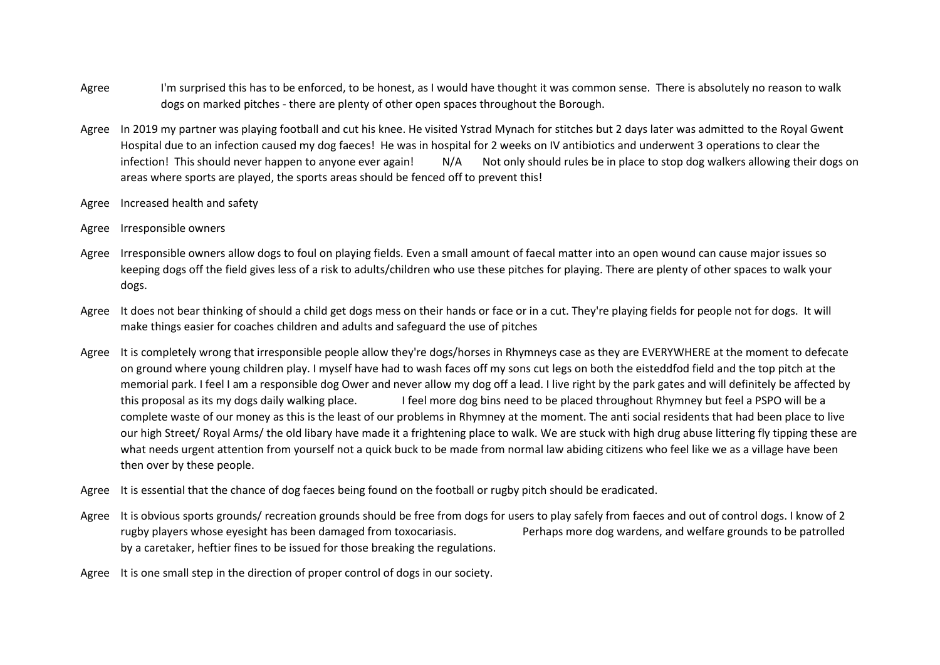- Agree I'm surprised this has to be enforced, to be honest, as I would have thought it was common sense. There is absolutely no reason to walk dogs on marked pitches - there are plenty of other open spaces throughout the Borough.
- Agree In 2019 my partner was playing football and cut his knee. He visited Ystrad Mynach for stitches but 2 days later was admitted to the Royal Gwent Hospital due to an infection caused my dog faeces! He was in hospital for 2 weeks on IV antibiotics and underwent 3 operations to clear the infection! This should never happen to anyone ever again! N/A Not only should rules be in place to stop dog walkers allowing their dogs on areas where sports are played, the sports areas should be fenced off to prevent this!
- Agree Increased health and safety
- Agree Irresponsible owners
- Agree Irresponsible owners allow dogs to foul on playing fields. Even a small amount of faecal matter into an open wound can cause major issues so keeping dogs off the field gives less of a risk to adults/children who use these pitches for playing. There are plenty of other spaces to walk your dogs.
- Agree It does not bear thinking of should a child get dogs mess on their hands or face or in a cut. They're playing fields for people not for dogs. It will make things easier for coaches children and adults and safeguard the use of pitches
- Agree It is completely wrong that irresponsible people allow they're dogs/horses in Rhymneys case as they are EVERYWHERE at the moment to defecate on ground where young children play. I myself have had to wash faces off my sons cut legs on both the eisteddfod field and the top pitch at the memorial park. I feel I am a responsible dog Ower and never allow my dog off a lead. I live right by the park gates and will definitely be affected by this proposal as its my dogs daily walking place. I feel more dog bins need to be placed throughout Rhymney but feel a PSPO will be a complete waste of our money as this is the least of our problems in Rhymney at the moment. The anti social residents that had been place to live our high Street/ Royal Arms/ the old libary have made it a frightening place to walk. We are stuck with high drug abuse littering fly tipping these are what needs urgent attention from yourself not a quick buck to be made from normal law abiding citizens who feel like we as a village have been then over by these people.
- Agree It is essential that the chance of dog faeces being found on the football or rugby pitch should be eradicated.
- Agree It is obvious sports grounds/ recreation grounds should be free from dogs for users to play safely from faeces and out of control dogs. I know of 2 rugby players whose eyesight has been damaged from toxocariasis. Perhaps more dog wardens, and welfare grounds to be patrolled by a caretaker, heftier fines to be issued for those breaking the regulations.
- Agree It is one small step in the direction of proper control of dogs in our society.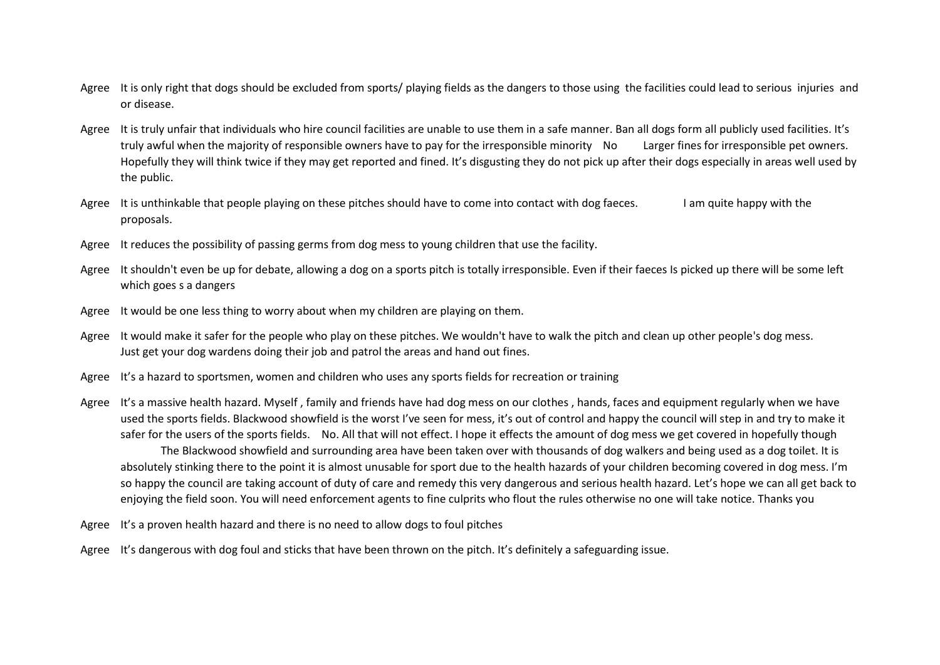- Agree It is only right that dogs should be excluded from sports/ playing fields as the dangers to those using the facilities could lead to serious injuries and or disease.
- Agree It is truly unfair that individuals who hire council facilities are unable to use them in a safe manner. Ban all dogs form all publicly used facilities. It's truly awful when the majority of responsible owners have to pay for the irresponsible minority No Larger fines for irresponsible pet owners. Hopefully they will think twice if they may get reported and fined. It's disgusting they do not pick up after their dogs especially in areas well used by the public.
- Agree It is unthinkable that people playing on these pitches should have to come into contact with dog faeces. I am quite happy with the proposals.
- Agree It reduces the possibility of passing germs from dog mess to young children that use the facility.
- Agree It shouldn't even be up for debate, allowing a dog on a sports pitch is totally irresponsible. Even if their faeces Is picked up there will be some left which goes s a dangers
- Agree It would be one less thing to worry about when my children are playing on them.
- Agree It would make it safer for the people who play on these pitches. We wouldn't have to walk the pitch and clean up other people's dog mess. Just get your dog wardens doing their job and patrol the areas and hand out fines.
- Agree It's a hazard to sportsmen, women and children who uses any sports fields for recreation or training
- Agree It's a massive health hazard. Myself, family and friends have had dog mess on our clothes, hands, faces and equipment regularly when we have used the sports fields. Blackwood showfield is the worst I've seen for mess, it's out of control and happy the council will step in and try to make it safer for the users of the sports fields. No. All that will not effect. I hope it effects the amount of dog mess we get covered in hopefully though The Blackwood showfield and surrounding area have been taken over with thousands of dog walkers and being used as a dog toilet. It is absolutely stinking there to the point it is almost unusable for sport due to the health hazards of your children becoming covered in dog mess. I'm so happy the council are taking account of duty of care and remedy this very dangerous and serious health hazard. Let's hope we can all get back to enjoying the field soon. You will need enforcement agents to fine culprits who flout the rules otherwise no one will take notice. Thanks you
- Agree It's a proven health hazard and there is no need to allow dogs to foul pitches
- Agree It's dangerous with dog foul and sticks that have been thrown on the pitch. It's definitely a safeguarding issue.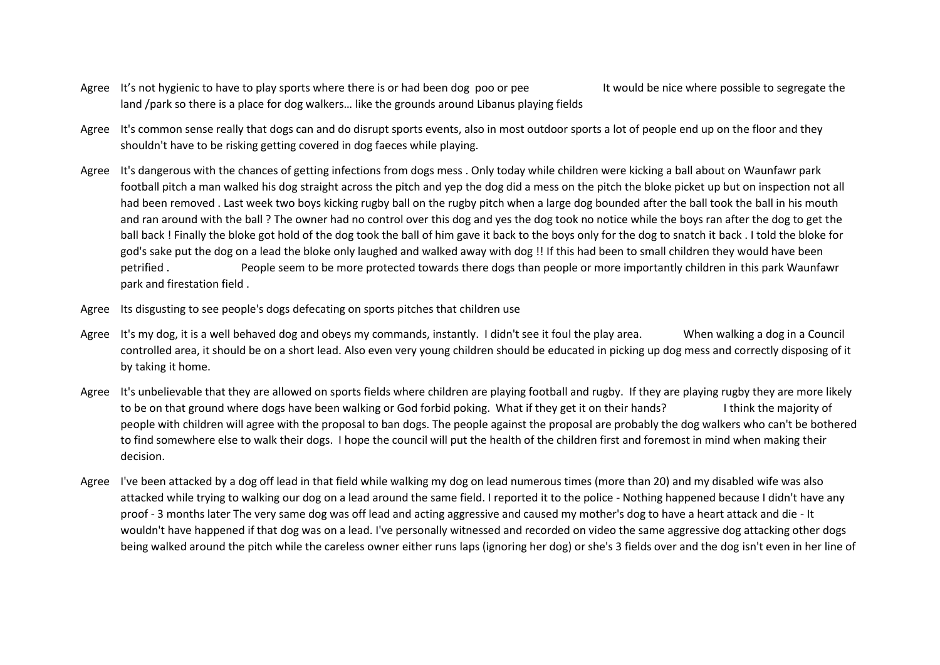- Agree It's not hygienic to have to play sports where there is or had been dog poo or pee It would be nice where possible to segregate the land /park so there is a place for dog walkers… like the grounds around Libanus playing fields
- Agree It's common sense really that dogs can and do disrupt sports events, also in most outdoor sports a lot of people end up on the floor and they shouldn't have to be risking getting covered in dog faeces while playing.
- Agree It's dangerous with the chances of getting infections from dogs mess . Only today while children were kicking a ball about on Waunfawr park football pitch a man walked his dog straight across the pitch and yep the dog did a mess on the pitch the bloke picket up but on inspection not all had been removed . Last week two boys kicking rugby ball on the rugby pitch when a large dog bounded after the ball took the ball in his mouth and ran around with the ball ? The owner had no control over this dog and yes the dog took no notice while the boys ran after the dog to get the ball back ! Finally the bloke got hold of the dog took the ball of him gave it back to the boys only for the dog to snatch it back . I told the bloke for god's sake put the dog on a lead the bloke only laughed and walked away with dog !! If this had been to small children they would have been petrified . People seem to be more protected towards there dogs than people or more importantly children in this park Waunfawr park and firestation field .
- Agree Its disgusting to see people's dogs defecating on sports pitches that children use
- Agree It's my dog, it is a well behaved dog and obeys my commands, instantly. I didn't see it foul the play area. When walking a dog in a Council controlled area, it should be on a short lead. Also even very young children should be educated in picking up dog mess and correctly disposing of it by taking it home.
- Agree It's unbelievable that they are allowed on sports fields where children are playing football and rugby. If they are playing rugby they are more likely to be on that ground where dogs have been walking or God forbid poking. What if they get it on their hands? I think the majority of people with children will agree with the proposal to ban dogs. The people against the proposal are probably the dog walkers who can't be bothered to find somewhere else to walk their dogs. I hope the council will put the health of the children first and foremost in mind when making their decision.
- Agree I've been attacked by a dog off lead in that field while walking my dog on lead numerous times (more than 20) and my disabled wife was also attacked while trying to walking our dog on a lead around the same field. I reported it to the police - Nothing happened because I didn't have any proof - 3 months later The very same dog was off lead and acting aggressive and caused my mother's dog to have a heart attack and die - It wouldn't have happened if that dog was on a lead. I've personally witnessed and recorded on video the same aggressive dog attacking other dogs being walked around the pitch while the careless owner either runs laps (ignoring her dog) or she's 3 fields over and the dog isn't even in her line of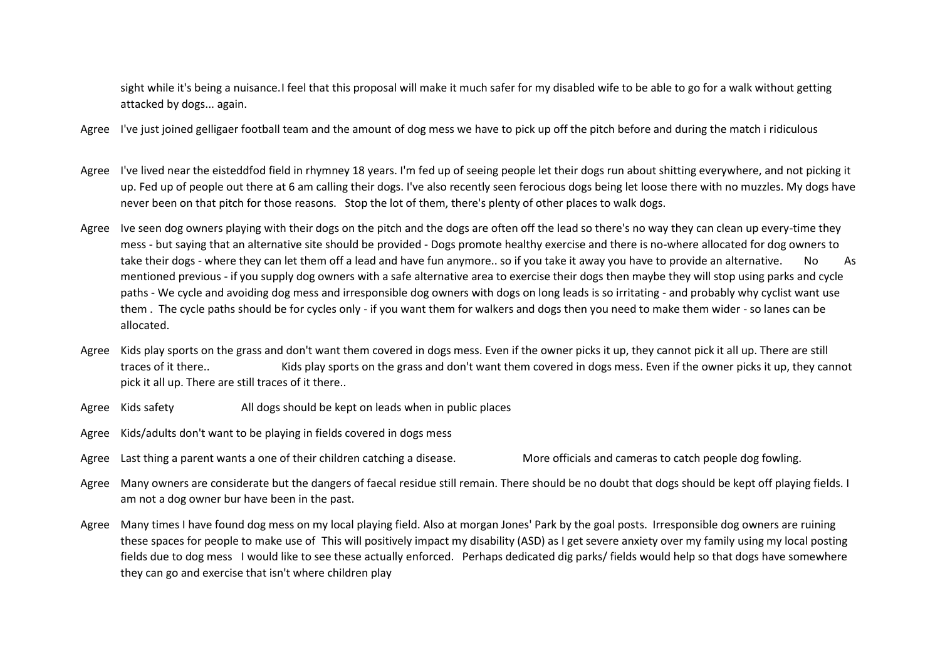sight while it's being a nuisance.I feel that this proposal will make it much safer for my disabled wife to be able to go for a walk without getting attacked by dogs... again.

- Agree I've just joined gelligaer football team and the amount of dog mess we have to pick up off the pitch before and during the match i ridiculous
- Agree I've lived near the eisteddfod field in rhymney 18 years. I'm fed up of seeing people let their dogs run about shitting everywhere, and not picking it up. Fed up of people out there at 6 am calling their dogs. I've also recently seen ferocious dogs being let loose there with no muzzles. My dogs have never been on that pitch for those reasons. Stop the lot of them, there's plenty of other places to walk dogs.
- Agree Ive seen dog owners playing with their dogs on the pitch and the dogs are often off the lead so there's no way they can clean up every-time they mess - but saying that an alternative site should be provided - Dogs promote healthy exercise and there is no-where allocated for dog owners to take their dogs - where they can let them off a lead and have fun anymore.. so if you take it away you have to provide an alternative. No As mentioned previous - if you supply dog owners with a safe alternative area to exercise their dogs then maybe they will stop using parks and cycle paths - We cycle and avoiding dog mess and irresponsible dog owners with dogs on long leads is so irritating - and probably why cyclist want use them . The cycle paths should be for cycles only - if you want them for walkers and dogs then you need to make them wider - so lanes can be allocated.
- Agree Kids play sports on the grass and don't want them covered in dogs mess. Even if the owner picks it up, they cannot pick it all up. There are still traces of it there.. Kids play sports on the grass and don't want them covered in dogs mess. Even if the owner picks it up, they cannot pick it all up. There are still traces of it there..
- Agree Kids safety All dogs should be kept on leads when in public places
- Agree Kids/adults don't want to be playing in fields covered in dogs mess
- Agree Last thing a parent wants a one of their children catching a disease. More officials and cameras to catch people dog fowling.
- Agree Many owners are considerate but the dangers of faecal residue still remain. There should be no doubt that dogs should be kept off playing fields. I am not a dog owner bur have been in the past.
- Agree Many times I have found dog mess on my local playing field. Also at morgan Jones' Park by the goal posts. Irresponsible dog owners are ruining these spaces for people to make use of This will positively impact my disability (ASD) as I get severe anxiety over my family using my local posting fields due to dog mess I would like to see these actually enforced. Perhaps dedicated dig parks/ fields would help so that dogs have somewhere they can go and exercise that isn't where children play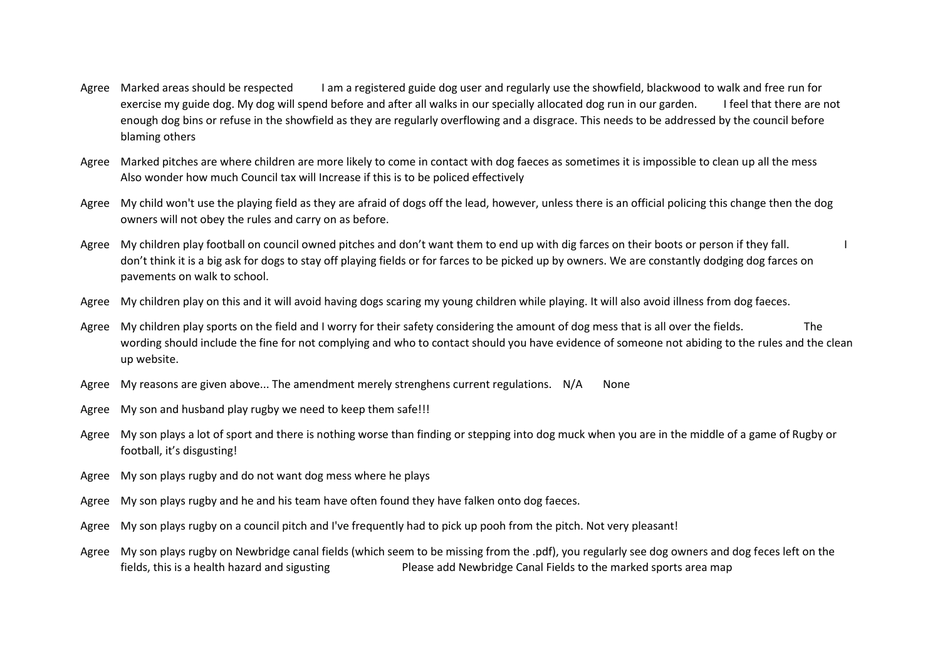- Agree Marked areas should be respected I am a registered guide dog user and regularly use the showfield, blackwood to walk and free run for exercise my guide dog. My dog will spend before and after all walks in our specially allocated dog run in our garden. I feel that there are not enough dog bins or refuse in the showfield as they are regularly overflowing and a disgrace. This needs to be addressed by the council before blaming others
- Agree Marked pitches are where children are more likely to come in contact with dog faeces as sometimes it is impossible to clean up all the mess Also wonder how much Council tax will Increase if this is to be policed effectively
- Agree My child won't use the playing field as they are afraid of dogs off the lead, however, unless there is an official policing this change then the dog owners will not obey the rules and carry on as before.
- Agree My children play football on council owned pitches and don't want them to end up with dig farces on their boots or person if they fall. don't think it is a big ask for dogs to stay off playing fields or for farces to be picked up by owners. We are constantly dodging dog farces on pavements on walk to school.
- Agree My children play on this and it will avoid having dogs scaring my young children while playing. It will also avoid illness from dog faeces.
- Agree My children play sports on the field and I worry for their safety considering the amount of dog mess that is all over the fields. wording should include the fine for not complying and who to contact should you have evidence of someone not abiding to the rules and the clean up website.
- Agree My reasons are given above... The amendment merely strenghens current regulations. N/A None
- Agree My son and husband play rugby we need to keep them safe!!!
- Agree My son plays a lot of sport and there is nothing worse than finding or stepping into dog muck when you are in the middle of a game of Rugby or football, it's disgusting!
- Agree My son plays rugby and do not want dog mess where he plays
- Agree My son plays rugby and he and his team have often found they have falken onto dog faeces.
- Agree My son plays rugby on a council pitch and I've frequently had to pick up pooh from the pitch. Not very pleasant!
- Agree My son plays rugby on Newbridge canal fields (which seem to be missing from the .pdf), you regularly see dog owners and dog feces left on the fields, this is a health hazard and sigusting equally Please add Newbridge Canal Fields to the marked sports area map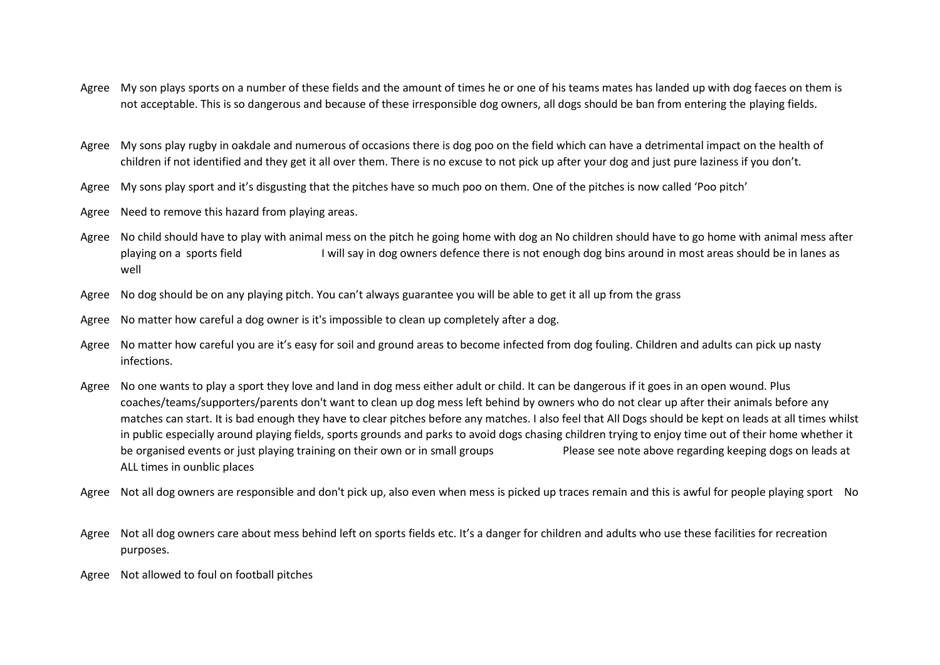- Agree My son plays sports on a number of these fields and the amount of times he or one of his teams mates has landed up with dog faeces on them is not acceptable. This is so dangerous and because of these irresponsible dog owners, all dogs should be ban from entering the playing fields.
- Agree My sons play rugby in oakdale and numerous of occasions there is dog poo on the field which can have a detrimental impact on the health of children if not identified and they get it all over them. There is no excuse to not pick up after your dog and just pure laziness if you don't.
- Agree My sons play sport and it's disgusting that the pitches have so much poo on them. One of the pitches is now called 'Poo pitch'
- Agree Need to remove this hazard from playing areas.
- Agree No child should have to play with animal mess on the pitch he going home with dog an No children should have to go home with animal mess after playing on a sports field I will say in dog owners defence there is not enough dog bins around in most areas should be in lanes as well
- Agree No dog should be on any playing pitch. You can't always guarantee you will be able to get it all up from the grass
- Agree No matter how careful a dog owner is it's impossible to clean up completely after a dog.
- Agree No matter how careful you are it's easy for soil and ground areas to become infected from dog fouling. Children and adults can pick up nasty infections.
- Agree No one wants to play a sport they love and land in dog mess either adult or child. It can be dangerous if it goes in an open wound. Plus coaches/teams/supporters/parents don't want to clean up dog mess left behind by owners who do not clear up after their animals before any matches can start. It is bad enough they have to clear pitches before any matches. I also feel that All Dogs should be kept on leads at all times whilst in public especially around playing fields, sports grounds and parks to avoid dogs chasing children trying to enjoy time out of their home whether it be organised events or just playing training on their own or in small groups Please see note above regarding keeping dogs on leads at ALL times in ounblic places
- Agree Not all dog owners are responsible and don't pick up, also even when mess is picked up traces remain and this is awful for people playing sport No
- Agree Not all dog owners care about mess behind left on sports fields etc. It's a danger for children and adults who use these facilities for recreation purposes.
- Agree Not allowed to foul on football pitches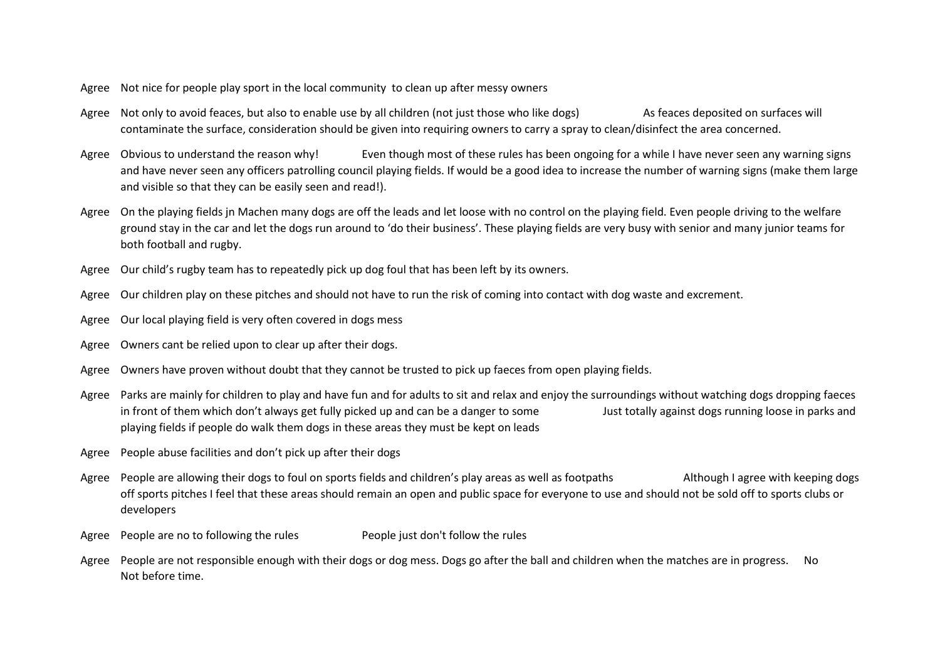- Agree Not nice for people play sport in the local community to clean up after messy owners
- Agree Not only to avoid feaces, but also to enable use by all children (not just those who like dogs) As feaces deposited on surfaces will contaminate the surface, consideration should be given into requiring owners to carry a spray to clean/disinfect the area concerned.
- Agree Obvious to understand the reason why! Even though most of these rules has been ongoing for a while I have never seen any warning signs and have never seen any officers patrolling council playing fields. If would be a good idea to increase the number of warning signs (make them large and visible so that they can be easily seen and read!).
- Agree On the playing fields in Machen many dogs are off the leads and let loose with no control on the playing field. Even people driving to the welfare ground stay in the car and let the dogs run around to 'do their business'. These playing fields are very busy with senior and many junior teams for both football and rugby.
- Agree Our child's rugby team has to repeatedly pick up dog foul that has been left by its owners.
- Agree Our children play on these pitches and should not have to run the risk of coming into contact with dog waste and excrement.
- Agree Our local playing field is very often covered in dogs mess
- Agree Owners cant be relied upon to clear up after their dogs.
- Agree Owners have proven without doubt that they cannot be trusted to pick up faeces from open playing fields.
- Agree Parks are mainly for children to play and have fun and for adults to sit and relax and enjoy the surroundings without watching dogs dropping faeces in front of them which don't always get fully picked up and can be a danger to some Just totally against dogs running loose in parks and playing fields if people do walk them dogs in these areas they must be kept on leads
- Agree People abuse facilities and don't pick up after their dogs
- Agree People are allowing their dogs to foul on sports fields and children's play areas as well as footpaths Although I agree with keeping dogs off sports pitches I feel that these areas should remain an open and public space for everyone to use and should not be sold off to sports clubs or developers
- Agree People are no to following the rules People just don't follow the rules
- Agree People are not responsible enough with their dogs or dog mess. Dogs go after the ball and children when the matches are in progress. No Not before time.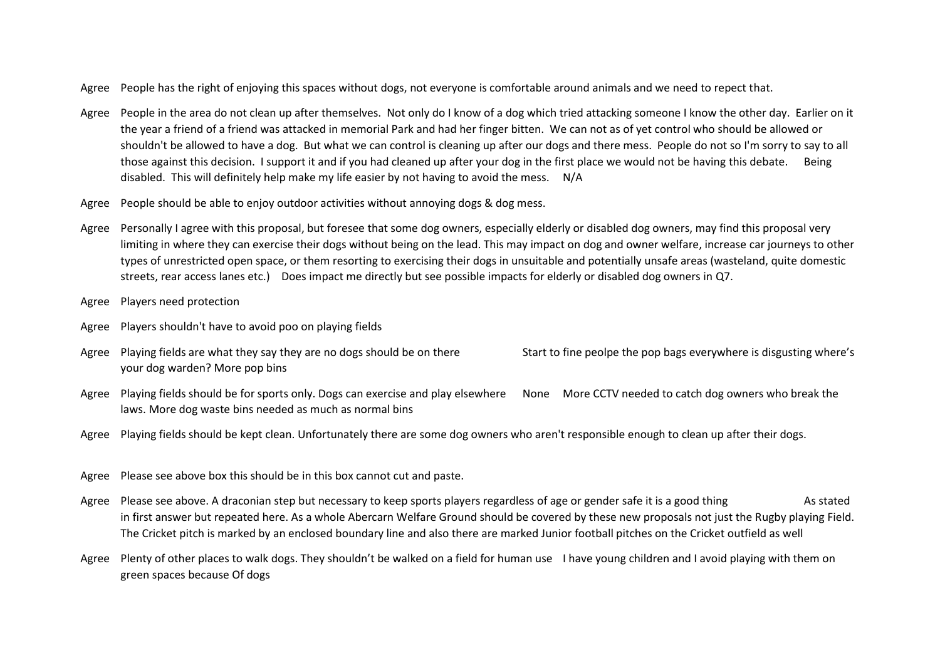- Agree People has the right of enjoying this spaces without dogs, not everyone is comfortable around animals and we need to repect that.
- Agree People in the area do not clean up after themselves. Not only do I know of a dog which tried attacking someone I know the other day. Earlier on it the year a friend of a friend was attacked in memorial Park and had her finger bitten. We can not as of yet control who should be allowed or shouldn't be allowed to have a dog. But what we can control is cleaning up after our dogs and there mess. People do not so I'm sorry to say to all those against this decision. I support it and if you had cleaned up after your dog in the first place we would not be having this debate. Being disabled. This will definitely help make my life easier by not having to avoid the mess. N/A
- Agree People should be able to enjoy outdoor activities without annoying dogs & dog mess.
- Agree Personally I agree with this proposal, but foresee that some dog owners, especially elderly or disabled dog owners, may find this proposal very limiting in where they can exercise their dogs without being on the lead. This may impact on dog and owner welfare, increase car journeys to other types of unrestricted open space, or them resorting to exercising their dogs in unsuitable and potentially unsafe areas (wasteland, quite domestic streets, rear access lanes etc.) Does impact me directly but see possible impacts for elderly or disabled dog owners in Q7.
- Agree Players need protection
- Agree Players shouldn't have to avoid poo on playing fields
- Agree Playing fields are what they say they are no dogs should be on there Start to fine peolpe the pop bags everywhere is disgusting where's your dog warden? More pop bins
- Agree Playing fields should be for sports only. Dogs can exercise and play elsewhere None More CCTV needed to catch dog owners who break the laws. More dog waste bins needed as much as normal bins
- Agree Playing fields should be kept clean. Unfortunately there are some dog owners who aren't responsible enough to clean up after their dogs.
- Agree Please see above box this should be in this box cannot cut and paste.
- Agree Please see above. A draconian step but necessary to keep sports players regardless of age or gender safe it is a good thing As stated in first answer but repeated here. As a whole Abercarn Welfare Ground should be covered by these new proposals not just the Rugby playing Field. The Cricket pitch is marked by an enclosed boundary line and also there are marked Junior football pitches on the Cricket outfield as well
- Agree Plenty of other places to walk dogs. They shouldn't be walked on a field for human use I have young children and I avoid playing with them on green spaces because Of dogs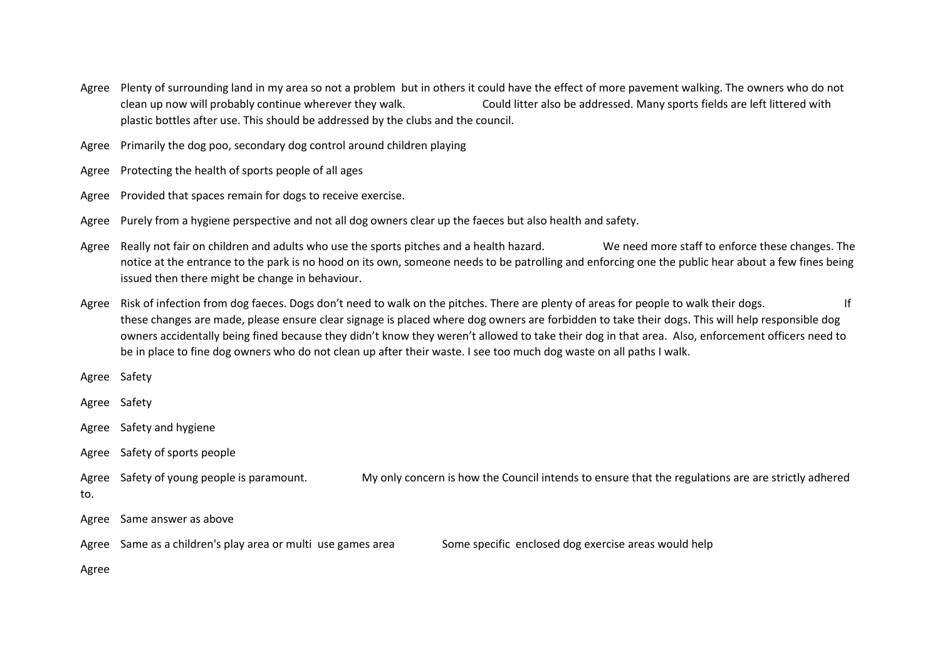- Agree Plenty of surrounding land in my area so not a problem but in others it could have the effect of more pavement walking. The owners who do not clean up now will probably continue wherever they walk. Could litter also be addressed. Many sports fields are left littered with plastic bottles after use. This should be addressed by the clubs and the council.
- Agree Primarily the dog poo, secondary dog control around children playing
- Agree Protecting the health of sports people of all ages
- Agree Provided that spaces remain for dogs to receive exercise.
- Agree Purely from a hygiene perspective and not all dog owners clear up the faeces but also health and safety.
- Agree Really not fair on children and adults who use the sports pitches and a health hazard. We need more staff to enforce these changes. The notice at the entrance to the park is no hood on its own, someone needs to be patrolling and enforcing one the public hear about a few fines being issued then there might be change in behaviour.
- Agree Risk of infection from dog faeces. Dogs don't need to walk on the pitches. There are plenty of areas for people to walk their dogs. these changes are made, please ensure clear signage is placed where dog owners are forbidden to take their dogs. This will help responsible dog owners accidentally being fined because they didn't know they weren't allowed to take their dog in that area. Also, enforcement officers need to be in place to fine dog owners who do not clean up after their waste. I see too much dog waste on all paths I walk.
- Agree Safety
- Agree Safety
- Agree Safety and hygiene
- Agree Safety of sports people

Agree Safety of young people is paramount. My only concern is how the Council intends to ensure that the regulations are are strictly adhered

- to.
- Agree Same answer as above
- Agree Same as a children's play area or multi use games area Some specific enclosed dog exercise areas would help
- Agree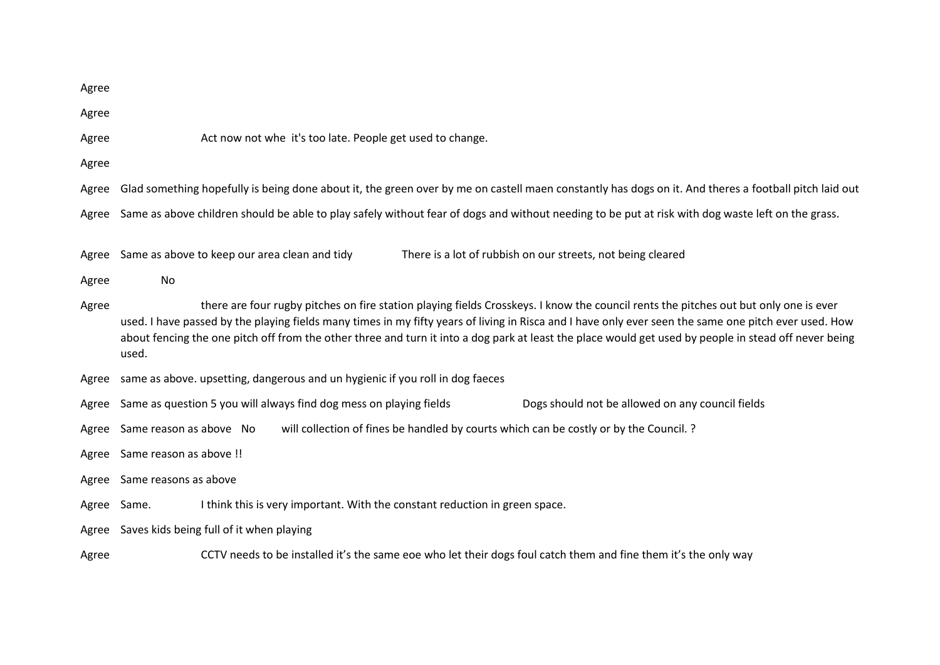| Agree       |                                                                                                                                                                                                                                                                                                                                                                                                                                                                 |  |  |
|-------------|-----------------------------------------------------------------------------------------------------------------------------------------------------------------------------------------------------------------------------------------------------------------------------------------------------------------------------------------------------------------------------------------------------------------------------------------------------------------|--|--|
| Agree       |                                                                                                                                                                                                                                                                                                                                                                                                                                                                 |  |  |
| Agree       | Act now not whe it's too late. People get used to change.                                                                                                                                                                                                                                                                                                                                                                                                       |  |  |
| Agree       |                                                                                                                                                                                                                                                                                                                                                                                                                                                                 |  |  |
| Agree       | Glad something hopefully is being done about it, the green over by me on castell maen constantly has dogs on it. And theres a football pitch laid out                                                                                                                                                                                                                                                                                                           |  |  |
| Agree       | Same as above children should be able to play safely without fear of dogs and without needing to be put at risk with dog waste left on the grass.                                                                                                                                                                                                                                                                                                               |  |  |
| Agree       | There is a lot of rubbish on our streets, not being cleared<br>Same as above to keep our area clean and tidy                                                                                                                                                                                                                                                                                                                                                    |  |  |
| Agree       | No                                                                                                                                                                                                                                                                                                                                                                                                                                                              |  |  |
| Agree       | there are four rugby pitches on fire station playing fields Crosskeys. I know the council rents the pitches out but only one is ever<br>used. I have passed by the playing fields many times in my fifty years of living in Risca and I have only ever seen the same one pitch ever used. How<br>about fencing the one pitch off from the other three and turn it into a dog park at least the place would get used by people in stead off never being<br>used. |  |  |
| Agree       | same as above. upsetting, dangerous and un hygienic if you roll in dog faeces                                                                                                                                                                                                                                                                                                                                                                                   |  |  |
| Agree       | Same as question 5 you will always find dog mess on playing fields<br>Dogs should not be allowed on any council fields                                                                                                                                                                                                                                                                                                                                          |  |  |
| Agree       | Same reason as above No<br>will collection of fines be handled by courts which can be costly or by the Council. ?                                                                                                                                                                                                                                                                                                                                               |  |  |
| Agree       | Same reason as above !!                                                                                                                                                                                                                                                                                                                                                                                                                                         |  |  |
| Agree       | Same reasons as above                                                                                                                                                                                                                                                                                                                                                                                                                                           |  |  |
| Agree Same. | I think this is very important. With the constant reduction in green space.                                                                                                                                                                                                                                                                                                                                                                                     |  |  |
|             | Agree Saves kids being full of it when playing                                                                                                                                                                                                                                                                                                                                                                                                                  |  |  |
| Agree       | CCTV needs to be installed it's the same eoe who let their dogs foul catch them and fine them it's the only way                                                                                                                                                                                                                                                                                                                                                 |  |  |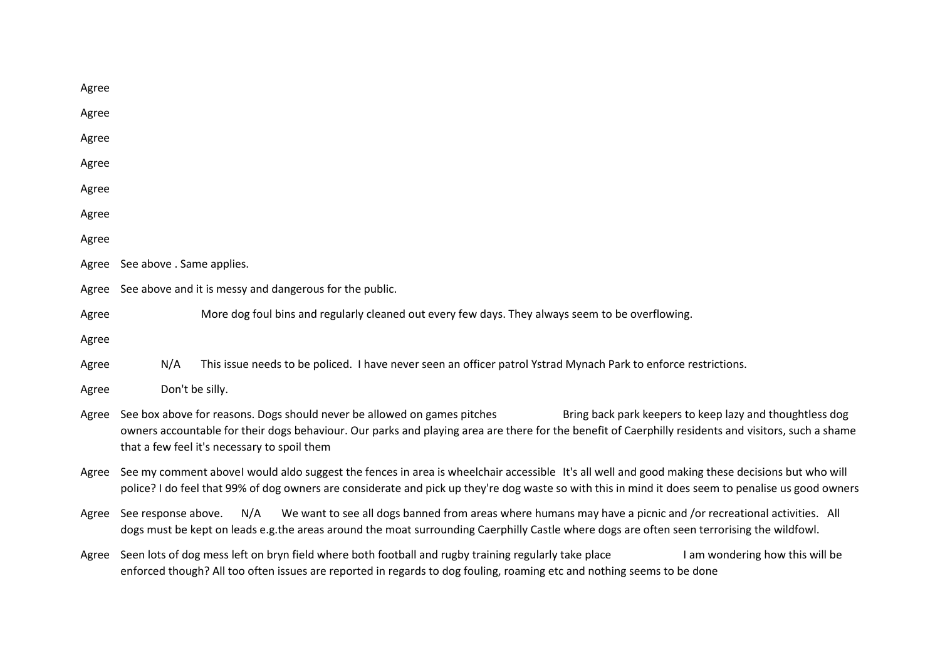| Agree |                                                                                                                                                                                                                                                                                                                                              |  |
|-------|----------------------------------------------------------------------------------------------------------------------------------------------------------------------------------------------------------------------------------------------------------------------------------------------------------------------------------------------|--|
| Agree |                                                                                                                                                                                                                                                                                                                                              |  |
| Agree |                                                                                                                                                                                                                                                                                                                                              |  |
| Agree |                                                                                                                                                                                                                                                                                                                                              |  |
| Agree |                                                                                                                                                                                                                                                                                                                                              |  |
| Agree |                                                                                                                                                                                                                                                                                                                                              |  |
| Agree |                                                                                                                                                                                                                                                                                                                                              |  |
| Agree | See above . Same applies.                                                                                                                                                                                                                                                                                                                    |  |
| Agree | See above and it is messy and dangerous for the public.                                                                                                                                                                                                                                                                                      |  |
| Agree | More dog foul bins and regularly cleaned out every few days. They always seem to be overflowing.                                                                                                                                                                                                                                             |  |
| Agree |                                                                                                                                                                                                                                                                                                                                              |  |
| Agree | N/A<br>This issue needs to be policed. I have never seen an officer patrol Ystrad Mynach Park to enforce restrictions.                                                                                                                                                                                                                       |  |
| Agree | Don't be silly.                                                                                                                                                                                                                                                                                                                              |  |
| Agree | See box above for reasons. Dogs should never be allowed on games pitches<br>Bring back park keepers to keep lazy and thoughtless dog<br>owners accountable for their dogs behaviour. Our parks and playing area are there for the benefit of Caerphilly residents and visitors, such a shame<br>that a few feel it's necessary to spoil them |  |
| Agree | See my comment abovel would aldo suggest the fences in area is wheelchair accessible It's all well and good making these decisions but who will<br>police? I do feel that 99% of dog owners are considerate and pick up they're dog waste so with this in mind it does seem to penalise us good owners                                       |  |
| Agree | We want to see all dogs banned from areas where humans may have a picnic and /or recreational activities. All<br>N/A<br>See response above.<br>dogs must be kept on leads e.g.the areas around the moat surrounding Caerphilly Castle where dogs are often seen terrorising the wildfowl.                                                    |  |
| Agree | Seen lots of dog mess left on bryn field where both football and rugby training regularly take place<br>I am wondering how this will be<br>enforced though? All too often issues are reported in regards to dog fouling, roaming etc and nothing seems to be done                                                                            |  |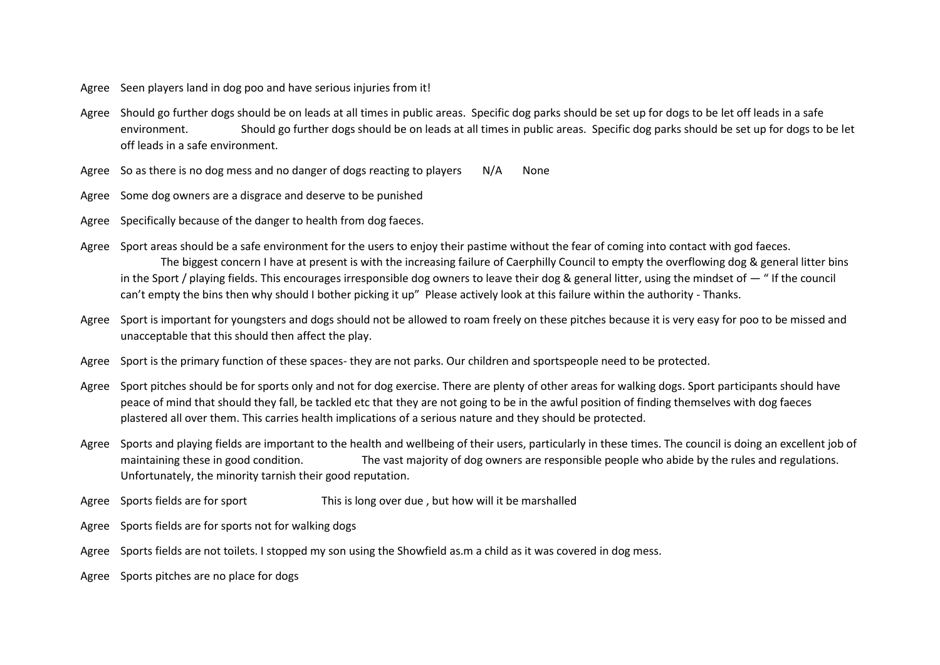- Agree Seen players land in dog poo and have serious injuries from it!
- Agree Should go further dogs should be on leads at all times in public areas. Specific dog parks should be set up for dogs to be let off leads in a safe environment. Should go further dogs should be on leads at all times in public areas. Specific dog parks should be set up for dogs to be let off leads in a safe environment.
- Agree So as there is no dog mess and no danger of dogs reacting to players  $N/A$  None
- Agree Some dog owners are a disgrace and deserve to be punished
- Agree Specifically because of the danger to health from dog faeces.
- Agree Sport areas should be a safe environment for the users to enjoy their pastime without the fear of coming into contact with god faeces. The biggest concern I have at present is with the increasing failure of Caerphilly Council to empty the overflowing dog & general litter bins in the Sport / playing fields. This encourages irresponsible dog owners to leave their dog & general litter, using the mindset of — " If the council can't empty the bins then why should I bother picking it up" Please actively look at this failure within the authority - Thanks.
- Agree Sport is important for youngsters and dogs should not be allowed to roam freely on these pitches because it is very easy for poo to be missed and unacceptable that this should then affect the play.
- Agree Sport is the primary function of these spaces- they are not parks. Our children and sportspeople need to be protected.
- Agree Sport pitches should be for sports only and not for dog exercise. There are plenty of other areas for walking dogs. Sport participants should have peace of mind that should they fall, be tackled etc that they are not going to be in the awful position of finding themselves with dog faeces plastered all over them. This carries health implications of a serious nature and they should be protected.
- Agree Sports and playing fields are important to the health and wellbeing of their users, particularly in these times. The council is doing an excellent job of maintaining these in good condition. The vast majority of dog owners are responsible people who abide by the rules and regulations. Unfortunately, the minority tarnish their good reputation.
- Agree Sports fields are for sport This is long over due , but how will it be marshalled
- Agree Sports fields are for sports not for walking dogs
- Agree Sports fields are not toilets. I stopped my son using the Showfield as.m a child as it was covered in dog mess.
- Agree Sports pitches are no place for dogs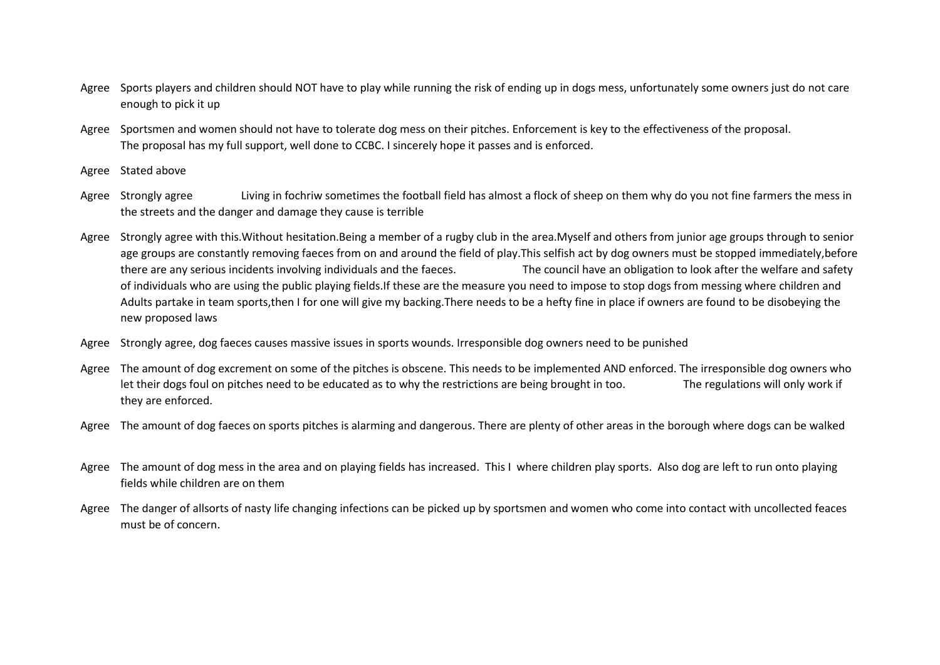- Agree Sports players and children should NOT have to play while running the risk of ending up in dogs mess, unfortunately some owners just do not care enough to pick it up
- Agree Sportsmen and women should not have to tolerate dog mess on their pitches. Enforcement is key to the effectiveness of the proposal. The proposal has my full support, well done to CCBC. I sincerely hope it passes and is enforced.
- Agree Stated above
- Agree Strongly agree Living in fochriw sometimes the football field has almost a flock of sheep on them why do you not fine farmers the mess in the streets and the danger and damage they cause is terrible
- Agree Strongly agree with this. Without hesitation. Being a member of a rugby club in the area. Myself and others from junior age groups through to senior age groups are constantly removing faeces from on and around the field of play. This selfish act by dog owners must be stopped immediately, before there are any serious incidents involving individuals and the faeces. The council have an obligation to look after the welfare and safety of individuals who are using the public playing fields.If these are the measure you need to impose to stop dogs from messing where children and Adults partake in team sports,then I for one will give my backing.There needs to be a hefty fine in place if owners are found to be disobeying the new proposed laws
- Agree Strongly agree, dog faeces causes massive issues in sports wounds. Irresponsible dog owners need to be punished
- Agree The amount of dog excrement on some of the pitches is obscene. This needs to be implemented AND enforced. The irresponsible dog owners who let their dogs foul on pitches need to be educated as to why the restrictions are being brought in too. The regulations will only work if they are enforced.
- Agree The amount of dog faeces on sports pitches is alarming and dangerous. There are plenty of other areas in the borough where dogs can be walked
- Agree The amount of dog mess in the area and on playing fields has increased. This I where children play sports. Also dog are left to run onto playing fields while children are on them
- Agree The danger of allsorts of nasty life changing infections can be picked up by sportsmen and women who come into contact with uncollected feaces must be of concern.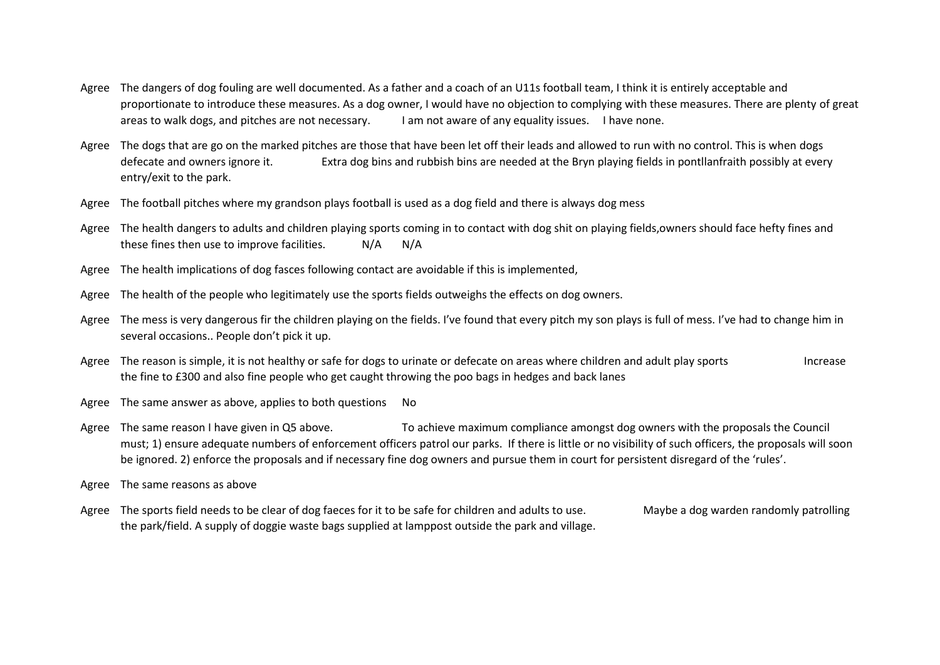- Agree The dangers of dog fouling are well documented. As a father and a coach of an U11s football team, I think it is entirely acceptable and proportionate to introduce these measures. As a dog owner, I would have no objection to complying with these measures. There are plenty of great areas to walk dogs, and pitches are not necessary. I am not aware of any equality issues. I have none.
- Agree The dogs that are go on the marked pitches are those that have been let off their leads and allowed to run with no control. This is when dogs defecate and owners ignore it. Extra dog bins and rubbish bins are needed at the Bryn playing fields in pontllanfraith possibly at every entry/exit to the park.
- Agree The football pitches where my grandson plays football is used as a dog field and there is always dog mess
- Agree The health dangers to adults and children playing sports coming in to contact with dog shit on playing fields, owners should face hefty fines and these fines then use to improve facilities. N/A N/A
- Agree The health implications of dog fasces following contact are avoidable if this is implemented,
- Agree The health of the people who legitimately use the sports fields outweighs the effects on dog owners.
- Agree The mess is very dangerous fir the children playing on the fields. I've found that every pitch my son plays is full of mess. I've had to change him in several occasions.. People don't pick it up.
- Agree The reason is simple, it is not healthy or safe for dogs to urinate or defecate on areas where children and adult play sports Increase the fine to £300 and also fine people who get caught throwing the poo bags in hedges and back lanes
- Agree The same answer as above, applies to both questions No
- Agree The same reason I have given in Q5 above. To achieve maximum compliance amongst dog owners with the proposals the Council must; 1) ensure adequate numbers of enforcement officers patrol our parks. If there is little or no visibility of such officers, the proposals will soon be ignored. 2) enforce the proposals and if necessary fine dog owners and pursue them in court for persistent disregard of the 'rules'.
- Agree The same reasons as above
- Agree The sports field needs to be clear of dog faeces for it to be safe for children and adults to use. Maybe a dog warden randomly patrolling the park/field. A supply of doggie waste bags supplied at lamppost outside the park and village.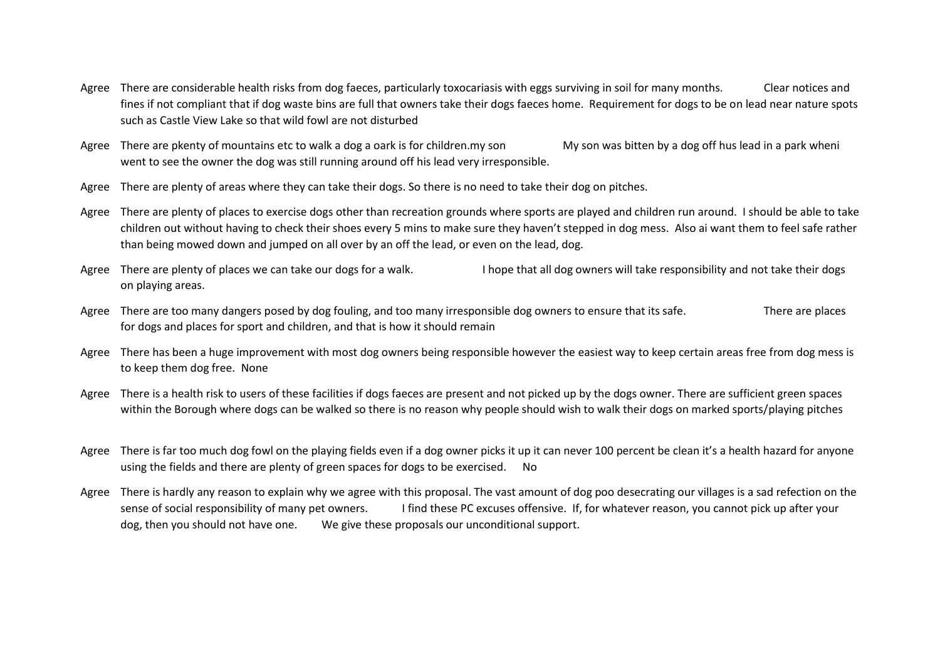- Agree There are considerable health risks from dog faeces, particularly toxocariasis with eggs surviving in soil for many months. Clear notices and fines if not compliant that if dog waste bins are full that owners take their dogs faeces home. Requirement for dogs to be on lead near nature spots such as Castle View Lake so that wild fowl are not disturbed
- Agree There are pkenty of mountains etc to walk a dog a oark is for children.my son My son was bitten by a dog off hus lead in a park wheni went to see the owner the dog was still running around off his lead very irresponsible.
- Agree There are plenty of areas where they can take their dogs. So there is no need to take their dog on pitches.
- Agree There are plenty of places to exercise dogs other than recreation grounds where sports are played and children run around. I should be able to take children out without having to check their shoes every 5 mins to make sure they haven't stepped in dog mess. Also ai want them to feel safe rather than being mowed down and jumped on all over by an off the lead, or even on the lead, dog.
- Agree There are plenty of places we can take our dogs for a walk. I hope that all dog owners will take responsibility and not take their dogs on playing areas.
- Agree There are too many dangers posed by dog fouling, and too many irresponsible dog owners to ensure that its safe. There are places for dogs and places for sport and children, and that is how it should remain
- Agree There has been a huge improvement with most dog owners being responsible however the easiest way to keep certain areas free from dog mess is to keep them dog free. None
- Agree There is a health risk to users of these facilities if dogs faeces are present and not picked up by the dogs owner. There are sufficient green spaces within the Borough where dogs can be walked so there is no reason why people should wish to walk their dogs on marked sports/playing pitches
- Agree There is far too much dog fowl on the playing fields even if a dog owner picks it up it can never 100 percent be clean it's a health hazard for anyone using the fields and there are plenty of green spaces for dogs to be exercised. No
- Agree There is hardly any reason to explain why we agree with this proposal. The vast amount of dog poo desecrating our villages is a sad refection on the sense of social responsibility of many pet owners. I find these PC excuses offensive. If, for whatever reason, you cannot pick up after your dog, then you should not have one. We give these proposals our unconditional support.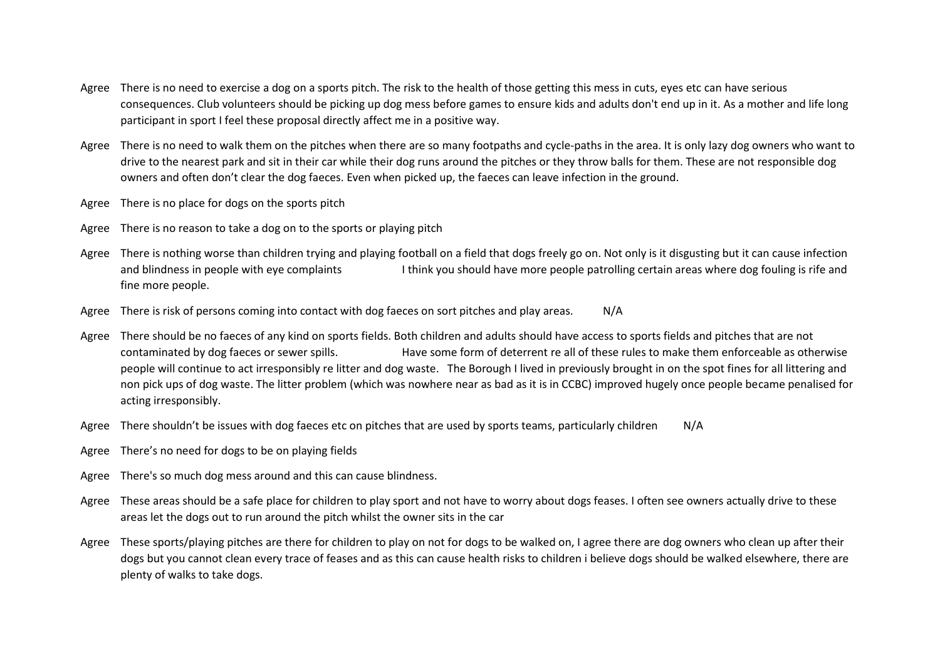- Agree There is no need to exercise a dog on a sports pitch. The risk to the health of those getting this mess in cuts, eyes etc can have serious consequences. Club volunteers should be picking up dog mess before games to ensure kids and adults don't end up in it. As a mother and life long participant in sport I feel these proposal directly affect me in a positive way.
- Agree There is no need to walk them on the pitches when there are so many footpaths and cycle-paths in the area. It is only lazy dog owners who want to drive to the nearest park and sit in their car while their dog runs around the pitches or they throw balls for them. These are not responsible dog owners and often don't clear the dog faeces. Even when picked up, the faeces can leave infection in the ground.
- Agree There is no place for dogs on the sports pitch
- Agree There is no reason to take a dog on to the sports or playing pitch
- Agree There is nothing worse than children trying and playing football on a field that dogs freely go on. Not only is it disgusting but it can cause infection and blindness in people with eye complaints I think you should have more people patrolling certain areas where dog fouling is rife and fine more people.
- Agree There is risk of persons coming into contact with dog faeces on sort pitches and play areas. N/A
- Agree There should be no faeces of any kind on sports fields. Both children and adults should have access to sports fields and pitches that are not contaminated by dog faeces or sewer spills. Have some form of deterrent re all of these rules to make them enforceable as otherwise people will continue to act irresponsibly re litter and dog waste. The Borough I lived in previously brought in on the spot fines for all littering and non pick ups of dog waste. The litter problem (which was nowhere near as bad as it is in CCBC) improved hugely once people became penalised for acting irresponsibly.
- Agree There shouldn't be issues with dog faeces etc on pitches that are used by sports teams, particularly children N/A
- Agree There's no need for dogs to be on playing fields
- Agree There's so much dog mess around and this can cause blindness.
- Agree These areas should be a safe place for children to play sport and not have to worry about dogs feases. I often see owners actually drive to these areas let the dogs out to run around the pitch whilst the owner sits in the car
- Agree These sports/playing pitches are there for children to play on not for dogs to be walked on, I agree there are dog owners who clean up after their dogs but you cannot clean every trace of feases and as this can cause health risks to children i believe dogs should be walked elsewhere, there are plenty of walks to take dogs.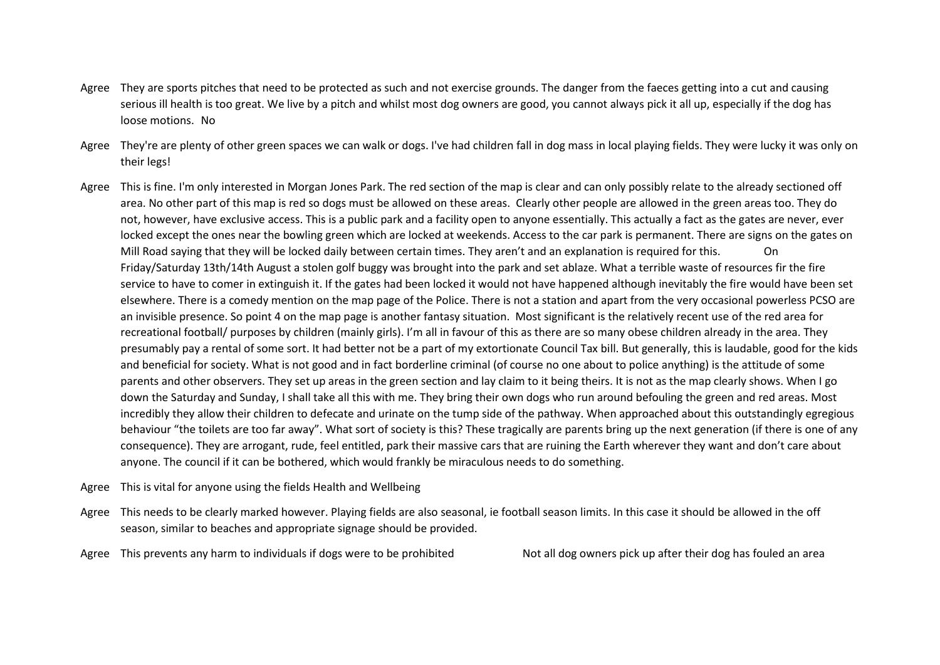- Agree They are sports pitches that need to be protected as such and not exercise grounds. The danger from the faeces getting into a cut and causing serious ill health is too great. We live by a pitch and whilst most dog owners are good, you cannot always pick it all up, especially if the dog has loose motions. No
- Agree They're are plenty of other green spaces we can walk or dogs. I've had children fall in dog mass in local playing fields. They were lucky it was only on their legs!
- Agree This is fine. I'm only interested in Morgan Jones Park. The red section of the map is clear and can only possibly relate to the already sectioned off area. No other part of this map is red so dogs must be allowed on these areas. Clearly other people are allowed in the green areas too. They do not, however, have exclusive access. This is a public park and a facility open to anyone essentially. This actually a fact as the gates are never, ever locked except the ones near the bowling green which are locked at weekends. Access to the car park is permanent. There are signs on the gates on Mill Road saying that they will be locked daily between certain times. They aren't and an explanation is required for this. On Friday/Saturday 13th/14th August a stolen golf buggy was brought into the park and set ablaze. What a terrible waste of resources fir the fire service to have to comer in extinguish it. If the gates had been locked it would not have happened although inevitably the fire would have been set elsewhere. There is a comedy mention on the map page of the Police. There is not a station and apart from the very occasional powerless PCSO are an invisible presence. So point 4 on the map page is another fantasy situation. Most significant is the relatively recent use of the red area for recreational football/ purposes by children (mainly girls). I'm all in favour of this as there are so many obese children already in the area. They presumably pay a rental of some sort. It had better not be a part of my extortionate Council Tax bill. But generally, this is laudable, good for the kids and beneficial for society. What is not good and in fact borderline criminal (of course no one about to police anything) is the attitude of some parents and other observers. They set up areas in the green section and lay claim to it being theirs. It is not as the map clearly shows. When I go down the Saturday and Sunday, I shall take all this with me. They bring their own dogs who run around befouling the green and red areas. Most incredibly they allow their children to defecate and urinate on the tump side of the pathway. When approached about this outstandingly egregious behaviour "the toilets are too far away". What sort of society is this? These tragically are parents bring up the next generation (if there is one of any consequence). They are arrogant, rude, feel entitled, park their massive cars that are ruining the Earth wherever they want and don't care about anyone. The council if it can be bothered, which would frankly be miraculous needs to do something.
- Agree This is vital for anyone using the fields Health and Wellbeing
- Agree This needs to be clearly marked however. Playing fields are also seasonal, ie football season limits. In this case it should be allowed in the off season, similar to beaches and appropriate signage should be provided.
- Agree This prevents any harm to individuals if dogs were to be prohibited Not all dog owners pick up after their dog has fouled an area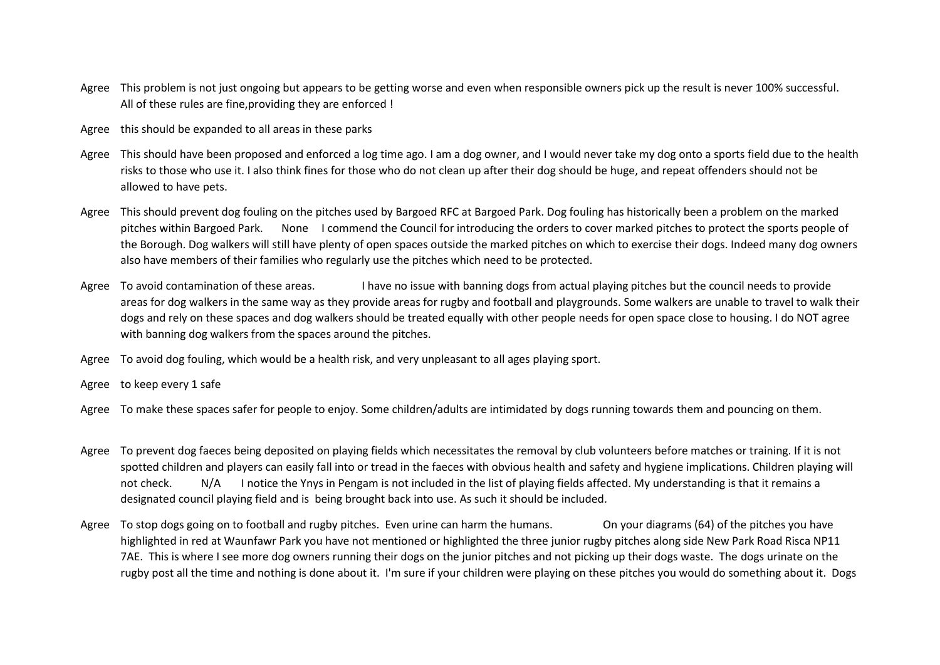- Agree This problem is not just ongoing but appears to be getting worse and even when responsible owners pick up the result is never 100% successful. All of these rules are fine,providing they are enforced !
- Agree this should be expanded to all areas in these parks
- Agree This should have been proposed and enforced a log time ago. I am a dog owner, and I would never take my dog onto a sports field due to the health risks to those who use it. I also think fines for those who do not clean up after their dog should be huge, and repeat offenders should not be allowed to have pets.
- Agree This should prevent dog fouling on the pitches used by Bargoed RFC at Bargoed Park. Dog fouling has historically been a problem on the marked pitches within Bargoed Park. None I commend the Council for introducing the orders to cover marked pitches to protect the sports people of the Borough. Dog walkers will still have plenty of open spaces outside the marked pitches on which to exercise their dogs. Indeed many dog owners also have members of their families who regularly use the pitches which need to be protected.
- Agree To avoid contamination of these areas. I have no issue with banning dogs from actual playing pitches but the council needs to provide areas for dog walkers in the same way as they provide areas for rugby and football and playgrounds. Some walkers are unable to travel to walk their dogs and rely on these spaces and dog walkers should be treated equally with other people needs for open space close to housing. I do NOT agree with banning dog walkers from the spaces around the pitches.
- Agree To avoid dog fouling, which would be a health risk, and very unpleasant to all ages playing sport.
- Agree to keep every 1 safe
- Agree To make these spaces safer for people to enjoy. Some children/adults are intimidated by dogs running towards them and pouncing on them.
- Agree To prevent dog faeces being deposited on playing fields which necessitates the removal by club volunteers before matches or training. If it is not spotted children and players can easily fall into or tread in the faeces with obvious health and safety and hygiene implications. Children playing will not check. N/A I notice the Ynys in Pengam is not included in the list of playing fields affected. My understanding is that it remains a designated council playing field and is being brought back into use. As such it should be included.
- Agree To stop dogs going on to football and rugby pitches. Even urine can harm the humans. On your diagrams (64) of the pitches you have highlighted in red at Waunfawr Park you have not mentioned or highlighted the three junior rugby pitches along side New Park Road Risca NP11 7AE. This is where I see more dog owners running their dogs on the junior pitches and not picking up their dogs waste. The dogs urinate on the rugby post all the time and nothing is done about it. I'm sure if your children were playing on these pitches you would do something about it. Dogs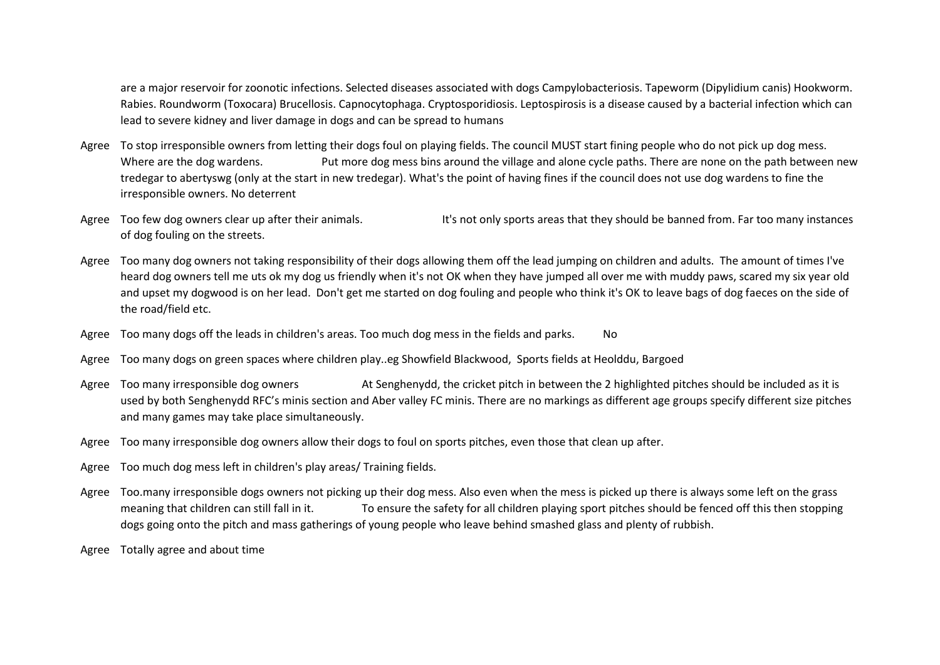are a major reservoir for zoonotic infections. Selected diseases associated with dogs Campylobacteriosis. Tapeworm (Dipylidium canis) Hookworm. Rabies. Roundworm (Toxocara) Brucellosis. Capnocytophaga. Cryptosporidiosis. Leptospirosis is a disease caused by a bacterial infection which can lead to severe kidney and liver damage in dogs and can be spread to humans

- Agree To stop irresponsible owners from letting their dogs foul on playing fields. The council MUST start fining people who do not pick up dog mess. Where are the dog wardens. Put more dog mess bins around the village and alone cycle paths. There are none on the path between new tredegar to abertyswg (only at the start in new tredegar). What's the point of having fines if the council does not use dog wardens to fine the irresponsible owners. No deterrent
- Agree Too few dog owners clear up after their animals. It's not only sports areas that they should be banned from. Far too many instances of dog fouling on the streets.
- Agree Too many dog owners not taking responsibility of their dogs allowing them off the lead jumping on children and adults. The amount of times I've heard dog owners tell me uts ok my dog us friendly when it's not OK when they have jumped all over me with muddy paws, scared my six year old and upset my dogwood is on her lead. Don't get me started on dog fouling and people who think it's OK to leave bags of dog faeces on the side of the road/field etc.
- Agree Too many dogs off the leads in children's areas. Too much dog mess in the fields and parks. No
- Agree Too many dogs on green spaces where children play..eg Showfield Blackwood, Sports fields at Heolddu, Bargoed
- Agree Too many irresponsible dog owners At Senghenydd, the cricket pitch in between the 2 highlighted pitches should be included as it is used by both Senghenydd RFC's minis section and Aber valley FC minis. There are no markings as different age groups specify different size pitches and many games may take place simultaneously.
- Agree Too many irresponsible dog owners allow their dogs to foul on sports pitches, even those that clean up after.
- Agree Too much dog mess left in children's play areas/ Training fields.
- Agree Too.many irresponsible dogs owners not picking up their dog mess. Also even when the mess is picked up there is always some left on the grass meaning that children can still fall in it. To ensure the safety for all children playing sport pitches should be fenced off this then stopping dogs going onto the pitch and mass gatherings of young people who leave behind smashed glass and plenty of rubbish.
- Agree Totally agree and about time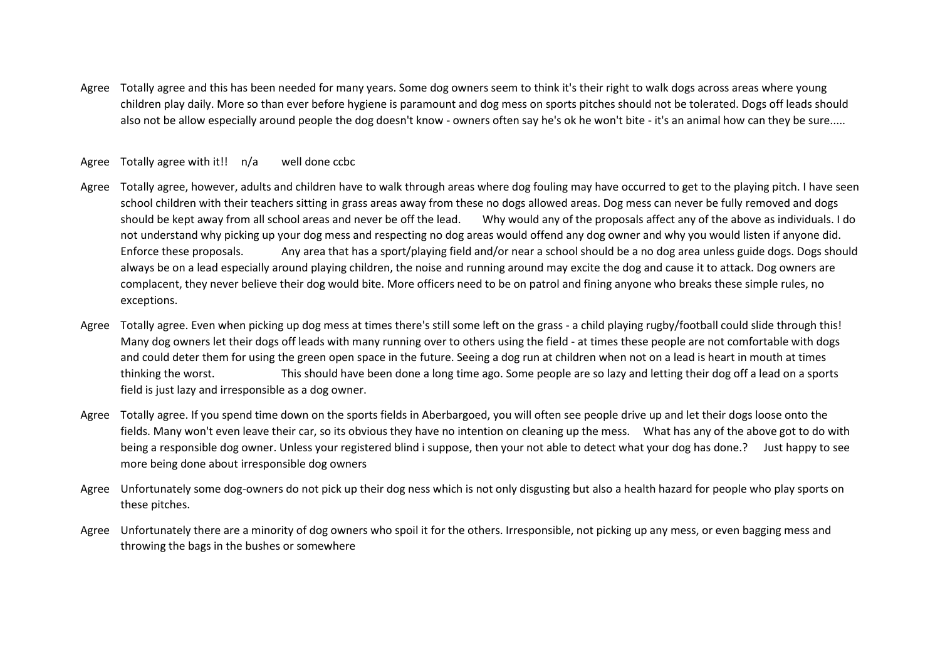Agree Totally agree and this has been needed for many years. Some dog owners seem to think it's their right to walk dogs across areas where young children play daily. More so than ever before hygiene is paramount and dog mess on sports pitches should not be tolerated. Dogs off leads should also not be allow especially around people the dog doesn't know - owners often say he's ok he won't bite - it's an animal how can they be sure.....

## Agree Totally agree with it!! n/a well done ccbc

- Agree Totally agree, however, adults and children have to walk through areas where dog fouling may have occurred to get to the playing pitch. I have seen school children with their teachers sitting in grass areas away from these no dogs allowed areas. Dog mess can never be fully removed and dogs should be kept away from all school areas and never be off the lead. Why would any of the proposals affect any of the above as individuals. I do not understand why picking up your dog mess and respecting no dog areas would offend any dog owner and why you would listen if anyone did. Enforce these proposals. Any area that has a sport/playing field and/or near a school should be a no dog area unless guide dogs. Dogs should always be on a lead especially around playing children, the noise and running around may excite the dog and cause it to attack. Dog owners are complacent, they never believe their dog would bite. More officers need to be on patrol and fining anyone who breaks these simple rules, no exceptions.
- Agree Totally agree. Even when picking up dog mess at times there's still some left on the grass a child playing rugby/football could slide through this! Many dog owners let their dogs off leads with many running over to others using the field - at times these people are not comfortable with dogs and could deter them for using the green open space in the future. Seeing a dog run at children when not on a lead is heart in mouth at times thinking the worst. This should have been done a long time ago. Some people are so lazy and letting their dog off a lead on a sports field is just lazy and irresponsible as a dog owner.
- Agree Totally agree. If you spend time down on the sports fields in Aberbargoed, you will often see people drive up and let their dogs loose onto the fields. Many won't even leave their car, so its obvious they have no intention on cleaning up the mess. What has any of the above got to do with being a responsible dog owner. Unless your registered blind i suppose, then your not able to detect what your dog has done.? Just happy to see more being done about irresponsible dog owners
- Agree Unfortunately some dog-owners do not pick up their dog ness which is not only disgusting but also a health hazard for people who play sports on these pitches.
- Agree Unfortunately there are a minority of dog owners who spoil it for the others. Irresponsible, not picking up any mess, or even bagging mess and throwing the bags in the bushes or somewhere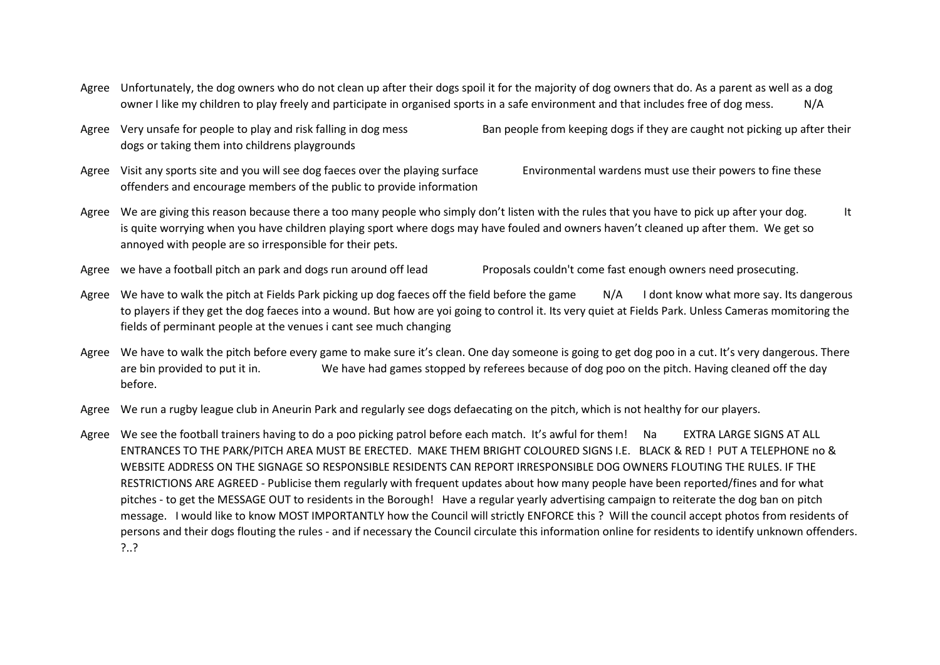- Agree Unfortunately, the dog owners who do not clean up after their dogs spoil it for the majority of dog owners that do. As a parent as well as a dog owner I like my children to play freely and participate in organised sports in a safe environment and that includes free of dog mess. N/A
- Agree Very unsafe for people to play and risk falling in dog mess Ban people from keeping dogs if they are caught not picking up after their dogs or taking them into childrens playgrounds
- Agree Visit any sports site and you will see dog faeces over the playing surface Environmental wardens must use their powers to fine these offenders and encourage members of the public to provide information
- Agree We are giving this reason because there a too many people who simply don't listen with the rules that you have to pick up after your dog. It is quite worrying when you have children playing sport where dogs may have fouled and owners haven't cleaned up after them. We get so annoyed with people are so irresponsible for their pets.
- Agree we have a football pitch an park and dogs run around off lead Proposals couldn't come fast enough owners need prosecuting.
- Agree We have to walk the pitch at Fields Park picking up dog faeces off the field before the game N/A I dont know what more say. Its dangerous to players if they get the dog faeces into a wound. But how are yoi going to control it. Its very quiet at Fields Park. Unless Cameras momitoring the fields of perminant people at the venues i cant see much changing
- Agree We have to walk the pitch before every game to make sure it's clean. One day someone is going to get dog poo in a cut. It's very dangerous. There are bin provided to put it in. We have had games stopped by referees because of dog poo on the pitch. Having cleaned off the day before.
- Agree We run a rugby league club in Aneurin Park and regularly see dogs defaecating on the pitch, which is not healthy for our players.
- Agree We see the football trainers having to do a poo picking patrol before each match. It's awful for them! Na EXTRA LARGE SIGNS AT ALL ENTRANCES TO THE PARK/PITCH AREA MUST BE ERECTED. MAKE THEM BRIGHT COLOURED SIGNS I.E. BLACK & RED ! PUT A TELEPHONE no & WEBSITE ADDRESS ON THE SIGNAGE SO RESPONSIBLE RESIDENTS CAN REPORT IRRESPONSIBLE DOG OWNERS FLOUTING THE RULES. IF THE RESTRICTIONS ARE AGREED - Publicise them regularly with frequent updates about how many people have been reported/fines and for what pitches - to get the MESSAGE OUT to residents in the Borough! Have a regular yearly advertising campaign to reiterate the dog ban on pitch message. I would like to know MOST IMPORTANTLY how the Council will strictly ENFORCE this ? Will the council accept photos from residents of persons and their dogs flouting the rules - and if necessary the Council circulate this information online for residents to identify unknown offenders. ?..?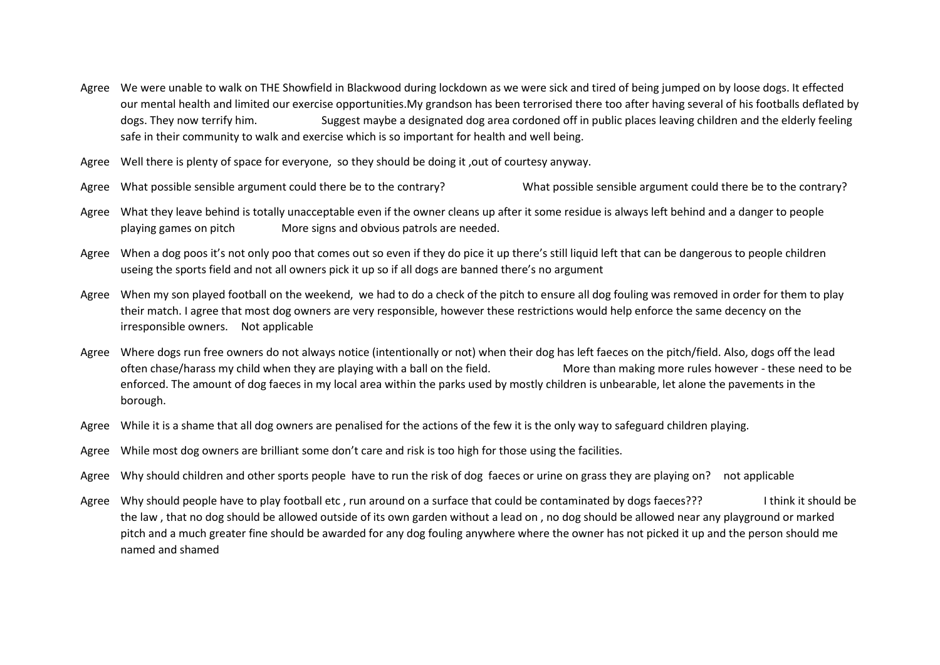- Agree We were unable to walk on THE Showfield in Blackwood during lockdown as we were sick and tired of being jumped on by loose dogs. It effected our mental health and limited our exercise opportunities.My grandson has been terrorised there too after having several of his footballs deflated by dogs. They now terrify him. Suggest maybe a designated dog area cordoned off in public places leaving children and the elderly feeling safe in their community to walk and exercise which is so important for health and well being.
- Agree Well there is plenty of space for everyone, so they should be doing it ,out of courtesy anyway.
- Agree What possible sensible argument could there be to the contrary? What possible sensible argument could there be to the contrary?
- Agree What they leave behind is totally unacceptable even if the owner cleans up after it some residue is always left behind and a danger to people playing games on pitch More signs and obvious patrols are needed.
- Agree When a dog poos it's not only poo that comes out so even if they do pice it up there's still liquid left that can be dangerous to people children useing the sports field and not all owners pick it up so if all dogs are banned there's no argument
- Agree When my son played football on the weekend, we had to do a check of the pitch to ensure all dog fouling was removed in order for them to play their match. I agree that most dog owners are very responsible, however these restrictions would help enforce the same decency on the irresponsible owners. Not applicable
- Agree Where dogs run free owners do not always notice (intentionally or not) when their dog has left faeces on the pitch/field. Also, dogs off the lead often chase/harass my child when they are playing with a ball on the field. More than making more rules however - these need to be enforced. The amount of dog faeces in my local area within the parks used by mostly children is unbearable, let alone the pavements in the borough.
- Agree While it is a shame that all dog owners are penalised for the actions of the few it is the only way to safeguard children playing.
- Agree While most dog owners are brilliant some don't care and risk is too high for those using the facilities.
- Agree Why should children and other sports people have to run the risk of dog faeces or urine on grass they are playing on? not applicable
- Agree Why should people have to play football etc, run around on a surface that could be contaminated by dogs faeces??? Intink it should be the law , that no dog should be allowed outside of its own garden without a lead on , no dog should be allowed near any playground or marked pitch and a much greater fine should be awarded for any dog fouling anywhere where the owner has not picked it up and the person should me named and shamed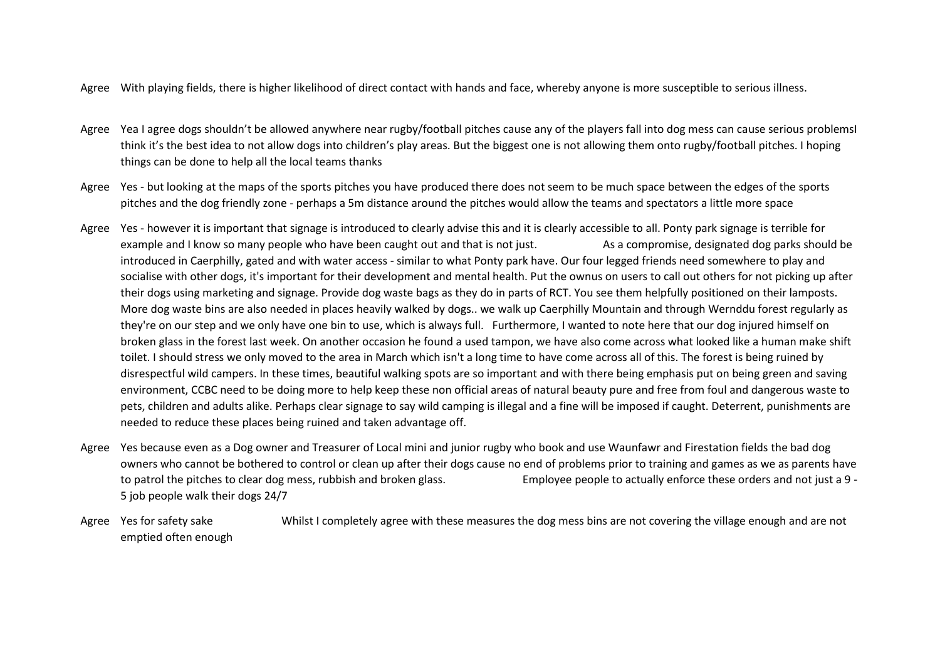- Agree With playing fields, there is higher likelihood of direct contact with hands and face, whereby anyone is more susceptible to serious illness.
- Agree Yea I agree dogs shouldn't be allowed anywhere near rugby/football pitches cause any of the players fall into dog mess can cause serious problemsI think it's the best idea to not allow dogs into children's play areas. But the biggest one is not allowing them onto rugby/football pitches. I hoping things can be done to help all the local teams thanks
- Agree Yes but looking at the maps of the sports pitches you have produced there does not seem to be much space between the edges of the sports pitches and the dog friendly zone - perhaps a 5m distance around the pitches would allow the teams and spectators a little more space
- Agree Yes however it is important that signage is introduced to clearly advise this and it is clearly accessible to all. Ponty park signage is terrible for example and I know so many people who have been caught out and that is not just. As a compromise, designated dog parks should be introduced in Caerphilly, gated and with water access - similar to what Ponty park have. Our four legged friends need somewhere to play and socialise with other dogs, it's important for their development and mental health. Put the ownus on users to call out others for not picking up after their dogs using marketing and signage. Provide dog waste bags as they do in parts of RCT. You see them helpfully positioned on their lamposts. More dog waste bins are also needed in places heavily walked by dogs.. we walk up Caerphilly Mountain and through Wernddu forest regularly as they're on our step and we only have one bin to use, which is always full. Furthermore, I wanted to note here that our dog injured himself on broken glass in the forest last week. On another occasion he found a used tampon, we have also come across what looked like a human make shift toilet. I should stress we only moved to the area in March which isn't a long time to have come across all of this. The forest is being ruined by disrespectful wild campers. In these times, beautiful walking spots are so important and with there being emphasis put on being green and saving environment, CCBC need to be doing more to help keep these non official areas of natural beauty pure and free from foul and dangerous waste to pets, children and adults alike. Perhaps clear signage to say wild camping is illegal and a fine will be imposed if caught. Deterrent, punishments are needed to reduce these places being ruined and taken advantage off.
- Agree Yes because even as a Dog owner and Treasurer of Local mini and junior rugby who book and use Waunfawr and Firestation fields the bad dog owners who cannot be bothered to control or clean up after their dogs cause no end of problems prior to training and games as we as parents have to patrol the pitches to clear dog mess, rubbish and broken glass. Employee people to actually enforce these orders and not just a 9 - 5 job people walk their dogs 24/7
- Agree Yes for safety sake Whilst I completely agree with these measures the dog mess bins are not covering the village enough and are not emptied often enough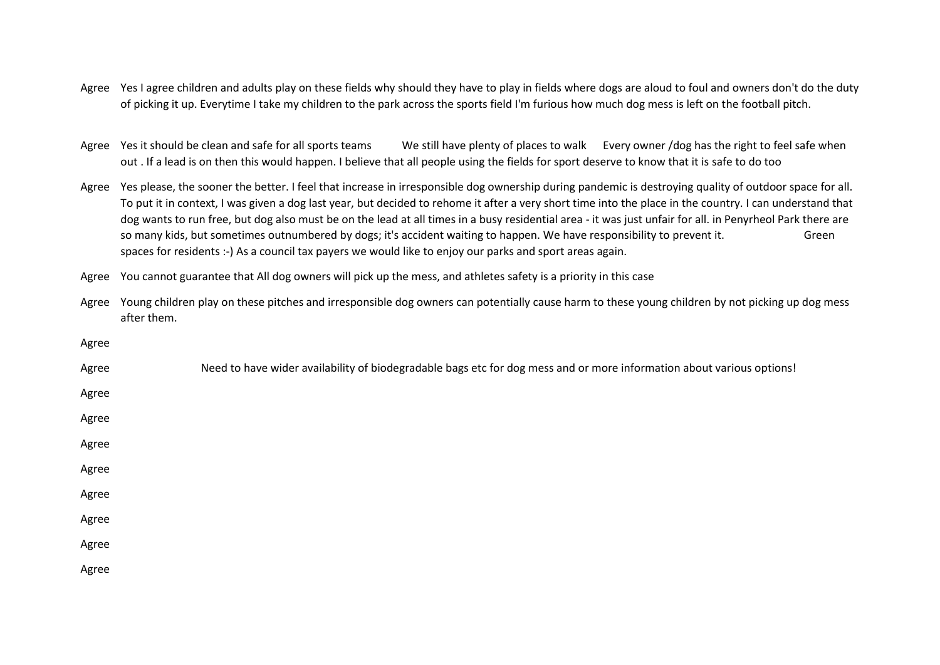- Agree Yes I agree children and adults play on these fields why should they have to play in fields where dogs are aloud to foul and owners don't do the duty of picking it up. Everytime I take my children to the park across the sports field I'm furious how much dog mess is left on the football pitch.
- Agree Yes it should be clean and safe for all sports teams We still have plenty of places to walk Every owner /dog has the right to feel safe when out . If a lead is on then this would happen. I believe that all people using the fields for sport deserve to know that it is safe to do too
- Agree Yes please, the sooner the better. I feel that increase in irresponsible dog ownership during pandemic is destroying quality of outdoor space for all. To put it in context, I was given a dog last year, but decided to rehome it after a very short time into the place in the country. I can understand that dog wants to run free, but dog also must be on the lead at all times in a busy residential area - it was just unfair for all. in Penyrheol Park there are so many kids, but sometimes outnumbered by dogs; it's accident waiting to happen. We have responsibility to prevent it. Green spaces for residents :-) As a council tax payers we would like to enjoy our parks and sport areas again.
- Agree You cannot guarantee that All dog owners will pick up the mess, and athletes safety is a priority in this case
- Agree Young children play on these pitches and irresponsible dog owners can potentially cause harm to these young children by not picking up dog mess after them.

| Agree |                                                                                                                       |
|-------|-----------------------------------------------------------------------------------------------------------------------|
| Agree | Need to have wider availability of biodegradable bags etc for dog mess and or more information about various options! |
| Agree |                                                                                                                       |
| Agree |                                                                                                                       |
| Agree |                                                                                                                       |
| Agree |                                                                                                                       |
| Agree |                                                                                                                       |
| Agree |                                                                                                                       |
| Agree |                                                                                                                       |
| Agree |                                                                                                                       |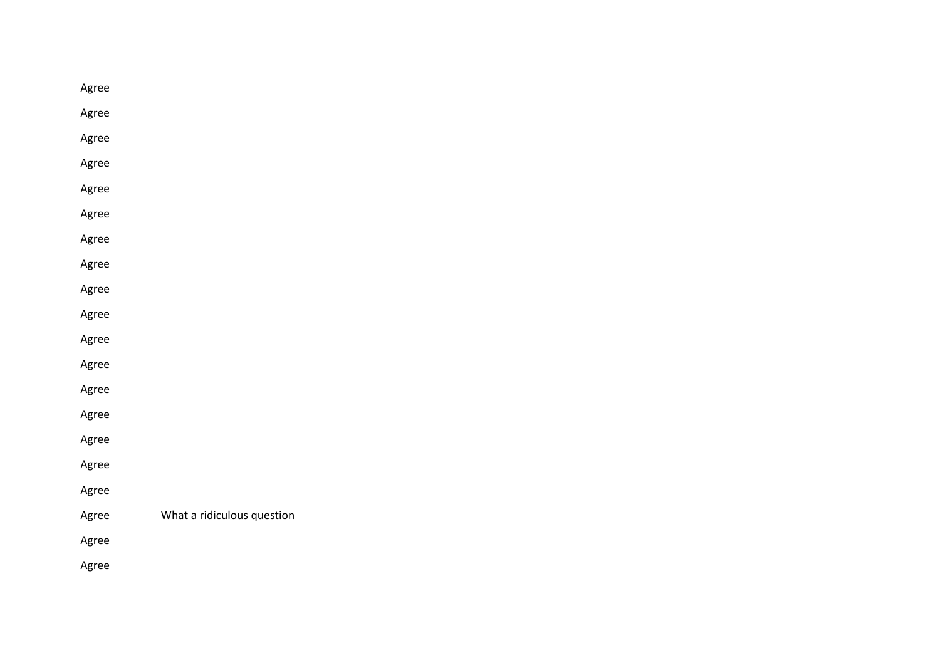| Agree |                            |
|-------|----------------------------|
| Agree |                            |
| Agree |                            |
| Agree |                            |
| Agree |                            |
| Agree |                            |
| Agree |                            |
| Agree |                            |
| Agree |                            |
| Agree |                            |
| Agree |                            |
| Agree |                            |
| Agree |                            |
| Agree |                            |
| Agree |                            |
| Agree |                            |
| Agree |                            |
| Agree | What a ridiculous question |
| Agree |                            |
| Agree |                            |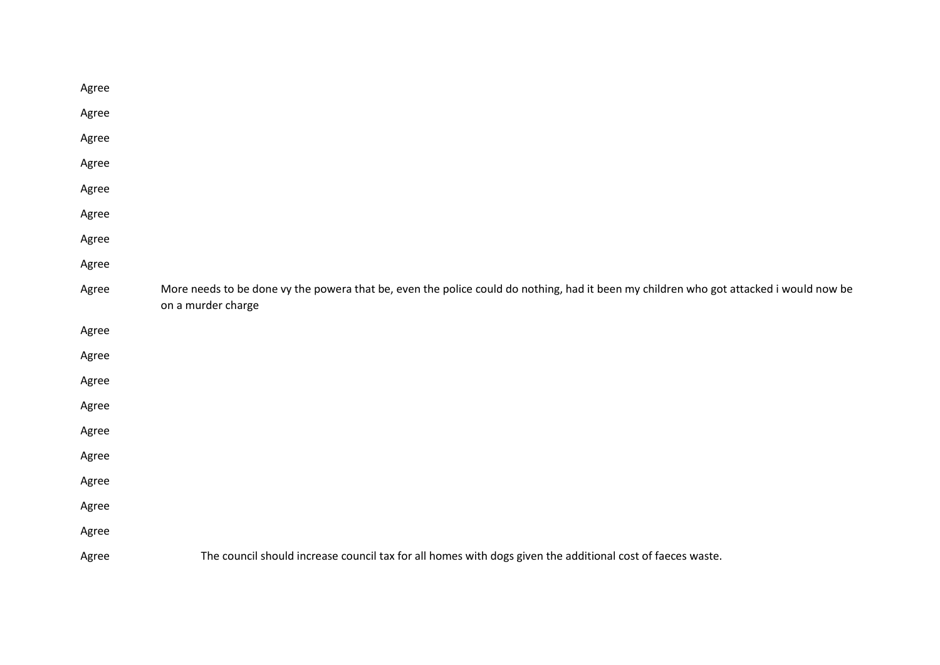| Agree |                                                                                                                                                              |
|-------|--------------------------------------------------------------------------------------------------------------------------------------------------------------|
| Agree |                                                                                                                                                              |
| Agree |                                                                                                                                                              |
| Agree |                                                                                                                                                              |
| Agree |                                                                                                                                                              |
| Agree |                                                                                                                                                              |
| Agree |                                                                                                                                                              |
| Agree |                                                                                                                                                              |
| Agree | More needs to be done vy the powera that be, even the police could do nothing, had it been my children who got attacked i would now be<br>on a murder charge |
| Agree |                                                                                                                                                              |
| Agree |                                                                                                                                                              |
| Agree |                                                                                                                                                              |
| Agree |                                                                                                                                                              |
| Agree |                                                                                                                                                              |
| Agree |                                                                                                                                                              |
| Agree |                                                                                                                                                              |
| Agree |                                                                                                                                                              |
| Agree |                                                                                                                                                              |
| Agree | The council should increase council tax for all homes with dogs given the additional cost of faeces waste.                                                   |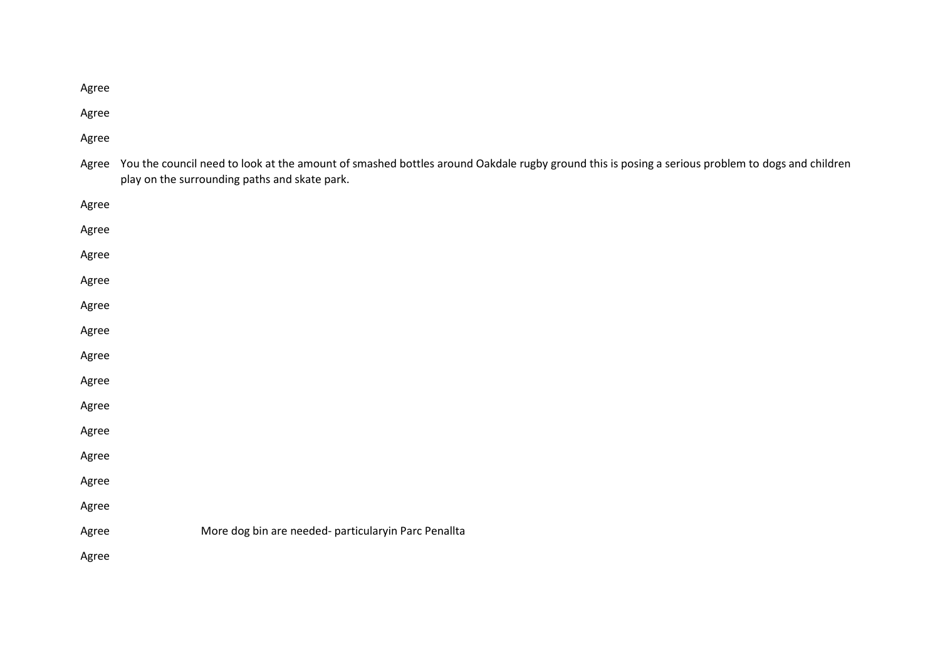Agree

Agree

Agree

Agree You the council need to look at the amount of smashed bottles around Oakdale rugby ground this is posing a serious problem to dogs and children play on the surrounding paths and skate park.

| Agree |                                                      |
|-------|------------------------------------------------------|
| Agree |                                                      |
| Agree |                                                      |
| Agree |                                                      |
| Agree |                                                      |
| Agree |                                                      |
| Agree |                                                      |
| Agree |                                                      |
| Agree |                                                      |
| Agree |                                                      |
| Agree |                                                      |
| Agree |                                                      |
| Agree |                                                      |
| Agree | More dog bin are needed- particularyin Parc Penallta |
| Agree |                                                      |
|       |                                                      |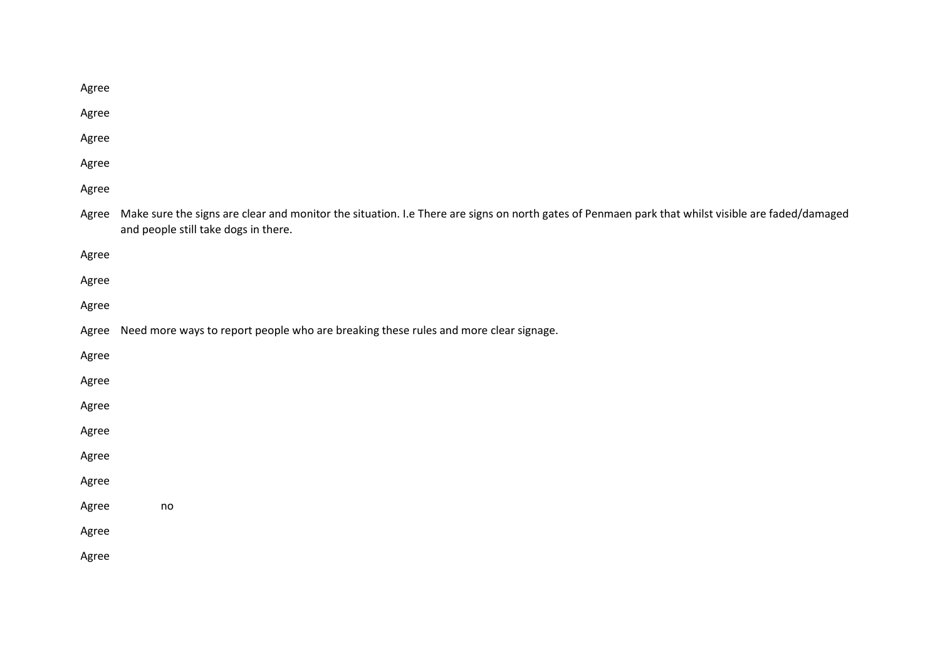| Agree |                                                                                                                                                                                           |
|-------|-------------------------------------------------------------------------------------------------------------------------------------------------------------------------------------------|
| Agree |                                                                                                                                                                                           |
| Agree |                                                                                                                                                                                           |
| Agree |                                                                                                                                                                                           |
| Agree |                                                                                                                                                                                           |
| Agree | Make sure the signs are clear and monitor the situation. I.e There are signs on north gates of Penmaen park that whilst visible are faded/damaged<br>and people still take dogs in there. |
| Agree |                                                                                                                                                                                           |
| Agree |                                                                                                                                                                                           |
| Agree |                                                                                                                                                                                           |
| Agree | Need more ways to report people who are breaking these rules and more clear signage.                                                                                                      |
| Agree |                                                                                                                                                                                           |
| Agree |                                                                                                                                                                                           |
| Agree |                                                                                                                                                                                           |
| Agree |                                                                                                                                                                                           |
| Agree |                                                                                                                                                                                           |
| Agree |                                                                                                                                                                                           |
| Agree | $\mathsf{no}$                                                                                                                                                                             |
| Agree |                                                                                                                                                                                           |
| Agree |                                                                                                                                                                                           |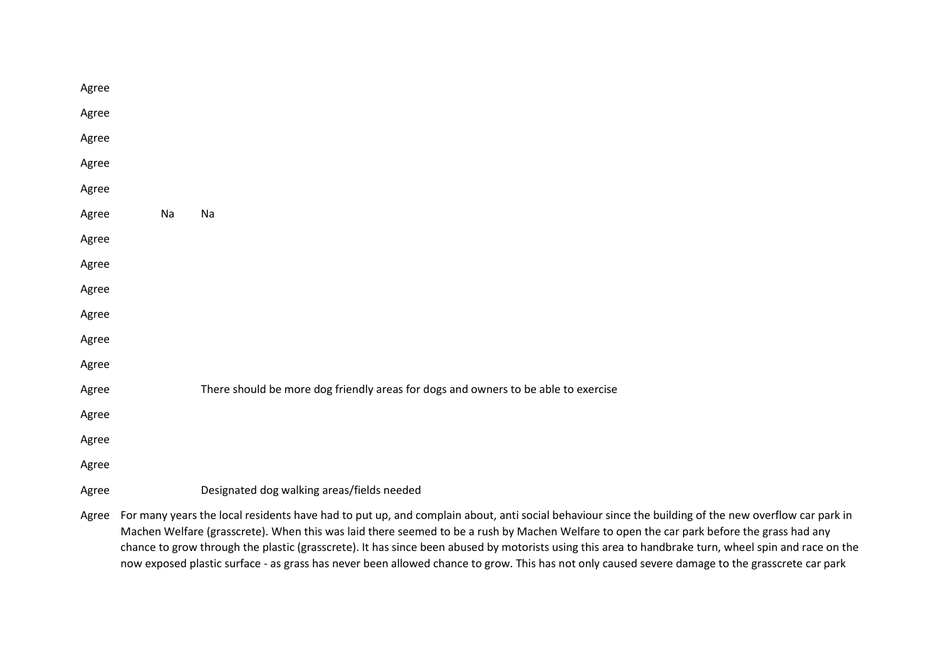| Agree |    |                                                                                                                                                                                                                                                                                          |
|-------|----|------------------------------------------------------------------------------------------------------------------------------------------------------------------------------------------------------------------------------------------------------------------------------------------|
| Agree |    |                                                                                                                                                                                                                                                                                          |
| Agree |    |                                                                                                                                                                                                                                                                                          |
| Agree |    |                                                                                                                                                                                                                                                                                          |
| Agree |    |                                                                                                                                                                                                                                                                                          |
| Agree | Na | Na                                                                                                                                                                                                                                                                                       |
| Agree |    |                                                                                                                                                                                                                                                                                          |
| Agree |    |                                                                                                                                                                                                                                                                                          |
| Agree |    |                                                                                                                                                                                                                                                                                          |
| Agree |    |                                                                                                                                                                                                                                                                                          |
| Agree |    |                                                                                                                                                                                                                                                                                          |
| Agree |    |                                                                                                                                                                                                                                                                                          |
| Agree |    | There should be more dog friendly areas for dogs and owners to be able to exercise                                                                                                                                                                                                       |
| Agree |    |                                                                                                                                                                                                                                                                                          |
| Agree |    |                                                                                                                                                                                                                                                                                          |
| Agree |    |                                                                                                                                                                                                                                                                                          |
| Agree |    | Designated dog walking areas/fields needed                                                                                                                                                                                                                                               |
|       |    | $\mathbf{r} = \mathbf{r} - \mathbf{r}$ , where $\mathbf{r} = \mathbf{r} - \mathbf{r}$ , we have the set of $\mathbf{r} = \mathbf{r} - \mathbf{r}$ , where $\mathbf{r} = \mathbf{r} - \mathbf{r}$<br>the contract of the contract of the<br>$\sim$ 1.000 $\sim$ 1.000 $\sim$ 1.000 $\sim$ |

Agree For many years the local residents have had to put up, and complain about, anti social behaviour since the building of the new overflow car park in Machen Welfare (grasscrete). When this was laid there seemed to be a rush by Machen Welfare to open the car park before the grass had any chance to grow through the plastic (grasscrete). It has since been abused by motorists using this area to handbrake turn, wheel spin and race on the now exposed plastic surface - as grass has never been allowed chance to grow. This has not only caused severe damage to the grasscrete car park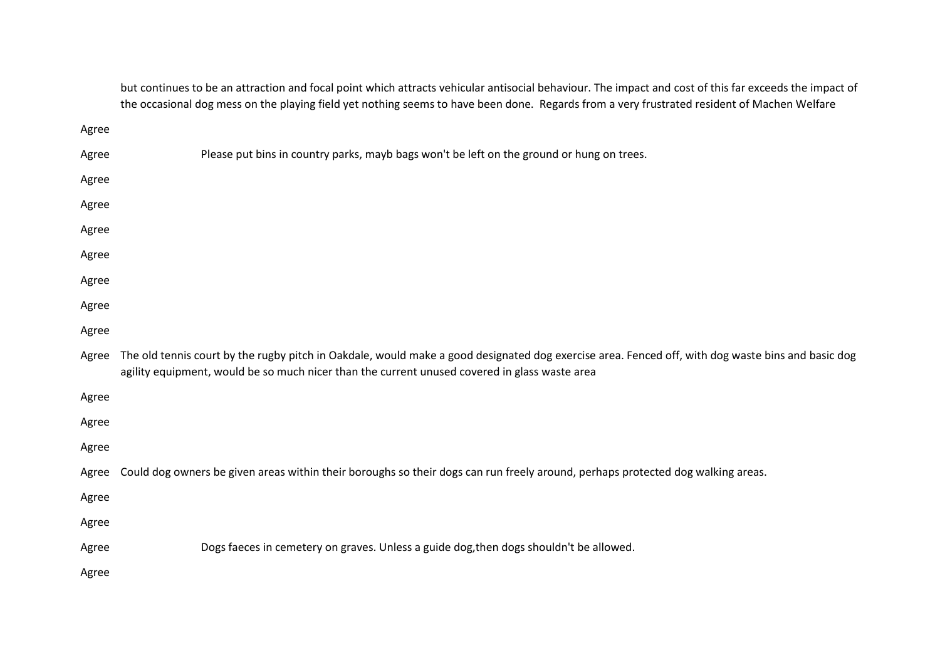but continues to be an attraction and focal point which attracts vehicular antisocial behaviour. The impact and cost of this far exceeds the impact of the occasional dog mess on the playing field yet nothing seems to have been done. Regards from a very frustrated resident of Machen Welfare

| Agree |                                                                                                                                                                                                                                                    |
|-------|----------------------------------------------------------------------------------------------------------------------------------------------------------------------------------------------------------------------------------------------------|
| Agree | Please put bins in country parks, mayb bags won't be left on the ground or hung on trees.                                                                                                                                                          |
| Agree |                                                                                                                                                                                                                                                    |
| Agree |                                                                                                                                                                                                                                                    |
| Agree |                                                                                                                                                                                                                                                    |
| Agree |                                                                                                                                                                                                                                                    |
| Agree |                                                                                                                                                                                                                                                    |
| Agree |                                                                                                                                                                                                                                                    |
| Agree |                                                                                                                                                                                                                                                    |
| Agree | The old tennis court by the rugby pitch in Oakdale, would make a good designated dog exercise area. Fenced off, with dog waste bins and basic dog<br>agility equipment, would be so much nicer than the current unused covered in glass waste area |
| Agree |                                                                                                                                                                                                                                                    |
| Agree |                                                                                                                                                                                                                                                    |
| Agree |                                                                                                                                                                                                                                                    |
| Agree | Could dog owners be given areas within their boroughs so their dogs can run freely around, perhaps protected dog walking areas.                                                                                                                    |
| Agree |                                                                                                                                                                                                                                                    |
| Agree |                                                                                                                                                                                                                                                    |
| Agree | Dogs faeces in cemetery on graves. Unless a guide dog, then dogs shouldn't be allowed.                                                                                                                                                             |
| Agree |                                                                                                                                                                                                                                                    |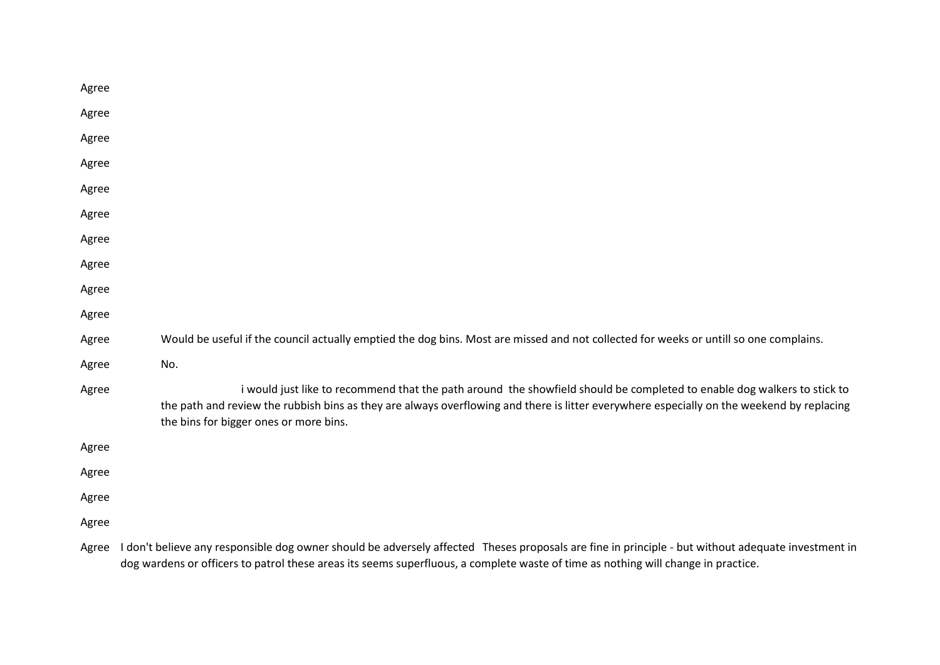| Agree |                                                                                                                                                                                                                                                                                                                |
|-------|----------------------------------------------------------------------------------------------------------------------------------------------------------------------------------------------------------------------------------------------------------------------------------------------------------------|
| Agree |                                                                                                                                                                                                                                                                                                                |
| Agree |                                                                                                                                                                                                                                                                                                                |
| Agree |                                                                                                                                                                                                                                                                                                                |
| Agree |                                                                                                                                                                                                                                                                                                                |
| Agree |                                                                                                                                                                                                                                                                                                                |
| Agree |                                                                                                                                                                                                                                                                                                                |
| Agree |                                                                                                                                                                                                                                                                                                                |
| Agree |                                                                                                                                                                                                                                                                                                                |
| Agree |                                                                                                                                                                                                                                                                                                                |
| Agree | Would be useful if the council actually emptied the dog bins. Most are missed and not collected for weeks or untill so one complains.                                                                                                                                                                          |
| Agree | No.                                                                                                                                                                                                                                                                                                            |
| Agree | i would just like to recommend that the path around the showfield should be completed to enable dog walkers to stick to<br>the path and review the rubbish bins as they are always overflowing and there is litter everywhere especially on the weekend by replacing<br>the bins for bigger ones or more bins. |
| Agree |                                                                                                                                                                                                                                                                                                                |
| Agree |                                                                                                                                                                                                                                                                                                                |
| Agree |                                                                                                                                                                                                                                                                                                                |
| Agree |                                                                                                                                                                                                                                                                                                                |
|       | Agree I don't believe any responsible dog owner should be adversely affected Theses proposals are fine in principle - but without adequate investment in                                                                                                                                                       |

dog wardens or officers to patrol these areas its seems superfluous, a complete waste of time as nothing will change in practice.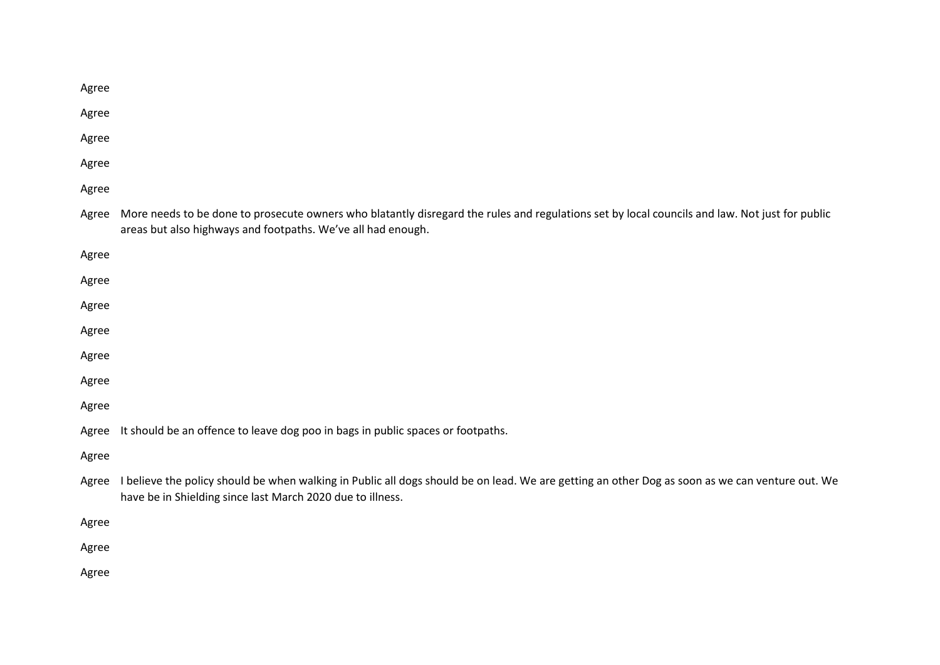| More needs to be done to prosecute owners who blatantly disregard the rules and regulations set by local councils and law. Not just for public<br>areas but also highways and footpaths. We've all had enough. |
|----------------------------------------------------------------------------------------------------------------------------------------------------------------------------------------------------------------|
|                                                                                                                                                                                                                |
|                                                                                                                                                                                                                |
|                                                                                                                                                                                                                |
|                                                                                                                                                                                                                |
|                                                                                                                                                                                                                |
|                                                                                                                                                                                                                |
|                                                                                                                                                                                                                |
| It should be an offence to leave dog poo in bags in public spaces or footpaths.                                                                                                                                |
|                                                                                                                                                                                                                |
| I believe the policy should be when walking in Public all dogs should be on lead. We are getting an other Dog as soon as we can venture out. We<br>have be in Shielding since last March 2020 due to illness.  |
|                                                                                                                                                                                                                |
|                                                                                                                                                                                                                |
|                                                                                                                                                                                                                |
|                                                                                                                                                                                                                |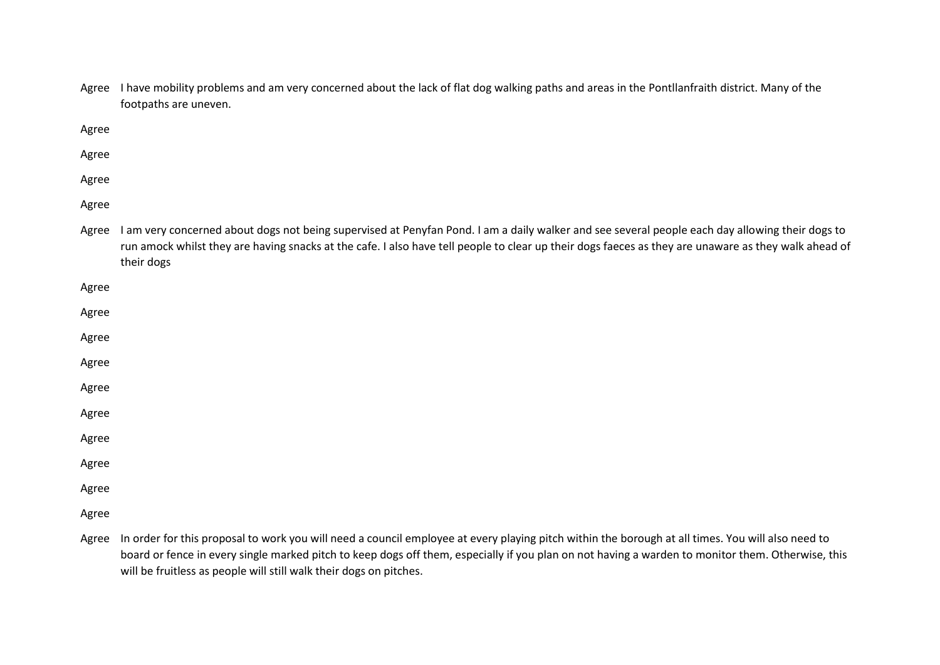|       | Agree I have mobility problems and am very concerned about the lack of flat dog walking paths and areas in the Pontllanfraith district. Many of the<br>footpaths are uneven.                                                                                                                                          |
|-------|-----------------------------------------------------------------------------------------------------------------------------------------------------------------------------------------------------------------------------------------------------------------------------------------------------------------------|
| Agree |                                                                                                                                                                                                                                                                                                                       |
| Agree |                                                                                                                                                                                                                                                                                                                       |
| Agree |                                                                                                                                                                                                                                                                                                                       |
| Agree |                                                                                                                                                                                                                                                                                                                       |
| Agree | I am very concerned about dogs not being supervised at Penyfan Pond. I am a daily walker and see several people each day allowing their dogs to<br>run amock whilst they are having snacks at the cafe. I also have tell people to clear up their dogs faeces as they are unaware as they walk ahead of<br>their dogs |
| Agree |                                                                                                                                                                                                                                                                                                                       |
| Agree |                                                                                                                                                                                                                                                                                                                       |
| Agree |                                                                                                                                                                                                                                                                                                                       |
| Agree |                                                                                                                                                                                                                                                                                                                       |
| Agree |                                                                                                                                                                                                                                                                                                                       |
| Agree |                                                                                                                                                                                                                                                                                                                       |
| Agree |                                                                                                                                                                                                                                                                                                                       |
| Agree |                                                                                                                                                                                                                                                                                                                       |
| Agree |                                                                                                                                                                                                                                                                                                                       |
| Agree |                                                                                                                                                                                                                                                                                                                       |
|       | Agree In order for this proposal to work you will need a council employee at every playing pitch within the borough at all times. You will also need to                                                                                                                                                               |

Agree In order for this proposal to work you will need a council employee at every playing pitch within the borough at all times. You will also need to board or fence in every single marked pitch to keep dogs off them, especially if you plan on not having a warden to monitor them. Otherwise, this will be fruitless as people will still walk their dogs on pitches.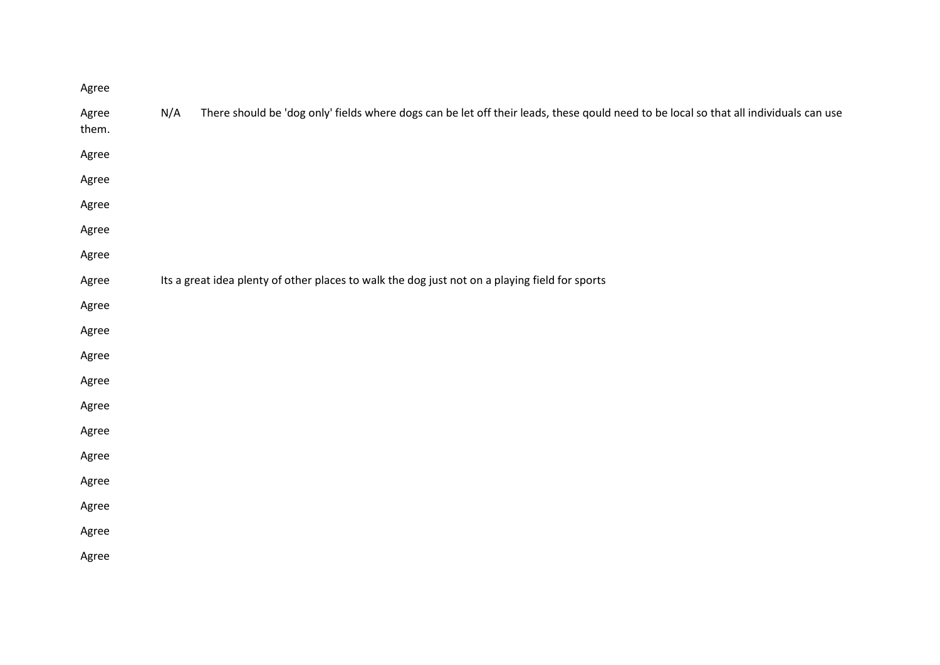| Agree          |                                                                                                                                              |
|----------------|----------------------------------------------------------------------------------------------------------------------------------------------|
| Agree<br>them. | N/A<br>There should be 'dog only' fields where dogs can be let off their leads, these qould need to be local so that all individuals can use |
| Agree          |                                                                                                                                              |
| Agree          |                                                                                                                                              |
| Agree          |                                                                                                                                              |
| Agree          |                                                                                                                                              |
| Agree          |                                                                                                                                              |
| Agree          | Its a great idea plenty of other places to walk the dog just not on a playing field for sports                                               |
| Agree          |                                                                                                                                              |
| Agree          |                                                                                                                                              |
| Agree          |                                                                                                                                              |
| Agree          |                                                                                                                                              |
| Agree          |                                                                                                                                              |
| Agree          |                                                                                                                                              |
| Agree          |                                                                                                                                              |
| Agree          |                                                                                                                                              |
| Agree          |                                                                                                                                              |
| Agree          |                                                                                                                                              |
| Agree          |                                                                                                                                              |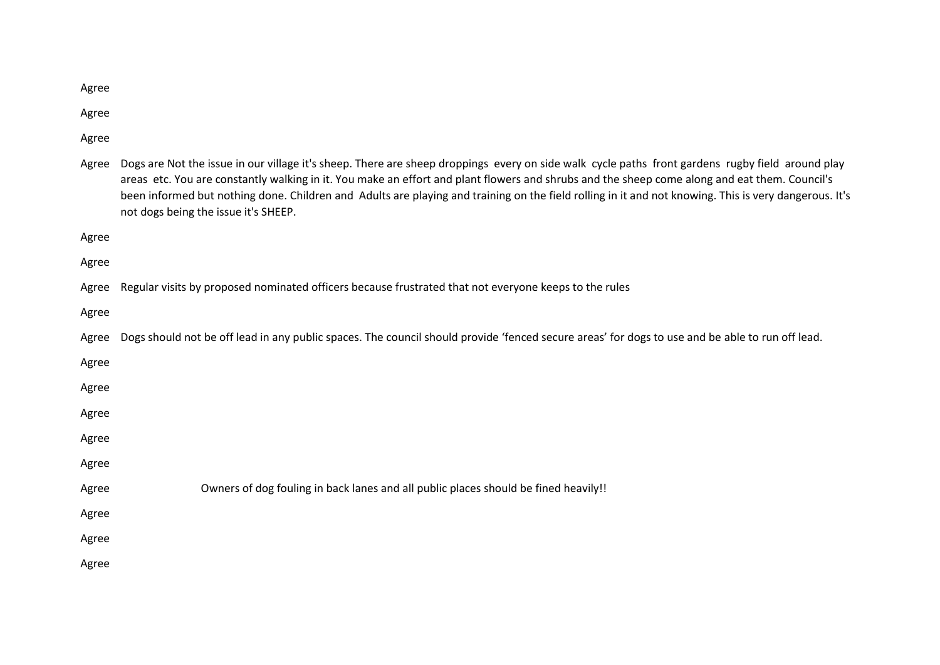Agree

Agree

Agree

| Agree | Dogs are Not the issue in our village it's sheep. There are sheep droppings every on side walk cycle paths front gardens rugby field around play<br>areas etc. You are constantly walking in it. You make an effort and plant flowers and shrubs and the sheep come along and eat them. Council's<br>been informed but nothing done. Children and Adults are playing and training on the field rolling in it and not knowing. This is very dangerous. It's<br>not dogs being the issue it's SHEEP. |
|-------|----------------------------------------------------------------------------------------------------------------------------------------------------------------------------------------------------------------------------------------------------------------------------------------------------------------------------------------------------------------------------------------------------------------------------------------------------------------------------------------------------|
| Agree |                                                                                                                                                                                                                                                                                                                                                                                                                                                                                                    |
| Agree |                                                                                                                                                                                                                                                                                                                                                                                                                                                                                                    |
| Agree | Regular visits by proposed nominated officers because frustrated that not everyone keeps to the rules                                                                                                                                                                                                                                                                                                                                                                                              |
| Agree |                                                                                                                                                                                                                                                                                                                                                                                                                                                                                                    |
| Agree | Dogs should not be off lead in any public spaces. The council should provide 'fenced secure areas' for dogs to use and be able to run off lead.                                                                                                                                                                                                                                                                                                                                                    |
| Agree |                                                                                                                                                                                                                                                                                                                                                                                                                                                                                                    |
| Agree |                                                                                                                                                                                                                                                                                                                                                                                                                                                                                                    |
| Agree |                                                                                                                                                                                                                                                                                                                                                                                                                                                                                                    |
| Agree |                                                                                                                                                                                                                                                                                                                                                                                                                                                                                                    |
| Agree |                                                                                                                                                                                                                                                                                                                                                                                                                                                                                                    |
| Agree | Owners of dog fouling in back lanes and all public places should be fined heavily!!                                                                                                                                                                                                                                                                                                                                                                                                                |
| Agree |                                                                                                                                                                                                                                                                                                                                                                                                                                                                                                    |
| Agree |                                                                                                                                                                                                                                                                                                                                                                                                                                                                                                    |
| Agree |                                                                                                                                                                                                                                                                                                                                                                                                                                                                                                    |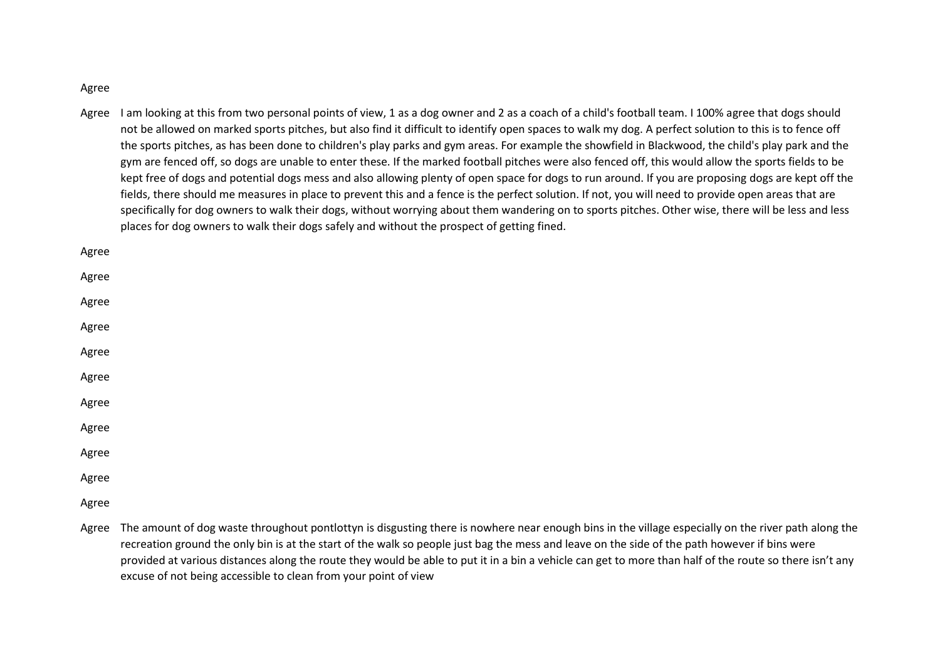Agree

Agree I am looking at this from two personal points of view, 1 as a dog owner and 2 as a coach of a child's football team. I 100% agree that dogs should not be allowed on marked sports pitches, but also find it difficult to identify open spaces to walk my dog. A perfect solution to this is to fence off the sports pitches, as has been done to children's play parks and gym areas. For example the showfield in Blackwood, the child's play park and the gym are fenced off, so dogs are unable to enter these. If the marked football pitches were also fenced off, this would allow the sports fields to be kept free of dogs and potential dogs mess and also allowing plenty of open space for dogs to run around. If you are proposing dogs are kept off the fields, there should me measures in place to prevent this and a fence is the perfect solution. If not, you will need to provide open areas that are specifically for dog owners to walk their dogs, without worrying about them wandering on to sports pitches. Other wise, there will be less and less places for dog owners to walk their dogs safely and without the prospect of getting fined.

Agree

Agree

Agree

Agree Agree

Agree

Agree

Agree

Agree

Agree

Agree

Agree The amount of dog waste throughout pontlottyn is disgusting there is nowhere near enough bins in the village especially on the river path along the recreation ground the only bin is at the start of the walk so people just bag the mess and leave on the side of the path however if bins were provided at various distances along the route they would be able to put it in a bin a vehicle can get to more than half of the route so there isn't any excuse of not being accessible to clean from your point of view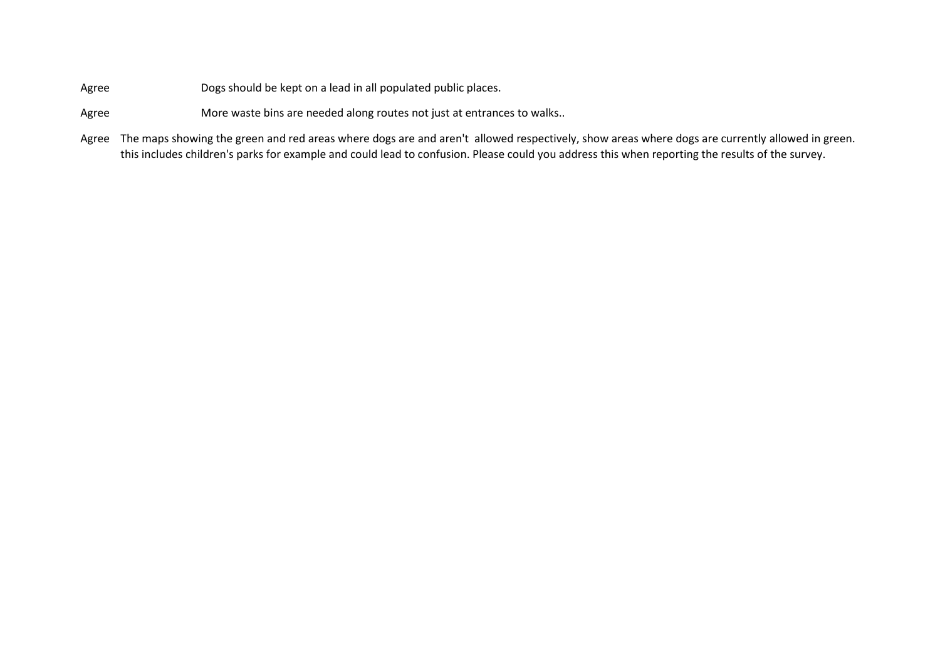Agree Dogs should be kept on a lead in all populated public places.

- Agree More waste bins are needed along routes not just at entrances to walks..
- Agree The maps showing the green and red areas where dogs are and aren't allowed respectively, show areas where dogs are currently allowed in green. this includes children's parks for example and could lead to confusion. Please could you address this when reporting the results of the survey.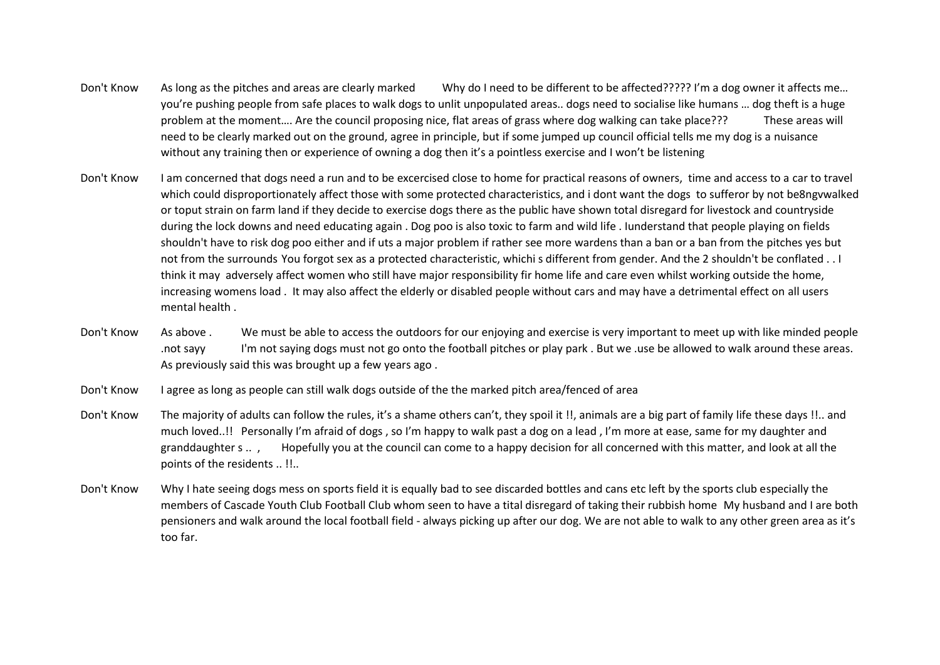- Don't Know As long as the pitches and areas are clearly marked Why do I need to be different to be affected????? I'm a dog owner it affects me... you're pushing people from safe places to walk dogs to unlit unpopulated areas.. dogs need to socialise like humans … dog theft is a huge problem at the moment…. Are the council proposing nice, flat areas of grass where dog walking can take place??? These areas will need to be clearly marked out on the ground, agree in principle, but if some jumped up council official tells me my dog is a nuisance without any training then or experience of owning a dog then it's a pointless exercise and I won't be listening
- Don't Know I am concerned that dogs need a run and to be excercised close to home for practical reasons of owners, time and access to a car to travel which could disproportionately affect those with some protected characteristics, and i dont want the dogs to sufferor by not be8ngvwalked or toput strain on farm land if they decide to exercise dogs there as the public have shown total disregard for livestock and countryside during the lock downs and need educating again . Dog poo is also toxic to farm and wild life . Iunderstand that people playing on fields shouldn't have to risk dog poo either and if uts a major problem if rather see more wardens than a ban or a ban from the pitches yes but not from the surrounds You forgot sex as a protected characteristic, whichi s different from gender. And the 2 shouldn't be conflated . . I think it may adversely affect women who still have major responsibility fir home life and care even whilst working outside the home, increasing womens load . It may also affect the elderly or disabled people without cars and may have a detrimental effect on all users mental health .
- Don't Know As above . We must be able to access the outdoors for our enjoying and exercise is very important to meet up with like minded people .not sayy I'm not saying dogs must not go onto the football pitches or play park . But we .use be allowed to walk around these areas. As previously said this was brought up a few years ago .
- Don't Know I agree as long as people can still walk dogs outside of the the marked pitch area/fenced of area
- Don't Know The majority of adults can follow the rules, it's a shame others can't, they spoil it !!, animals are a big part of family life these days !!.. and much loved..!! Personally I'm afraid of dogs , so I'm happy to walk past a dog on a lead , I'm more at ease, same for my daughter and granddaughter s .. , Hopefully you at the council can come to a happy decision for all concerned with this matter, and look at all the points of the residents .. !!..
- Don't Know Why I hate seeing dogs mess on sports field it is equally bad to see discarded bottles and cans etc left by the sports club especially the members of Cascade Youth Club Football Club whom seen to have a tital disregard of taking their rubbish home My husband and I are both pensioners and walk around the local football field - always picking up after our dog. We are not able to walk to any other green area as it's too far.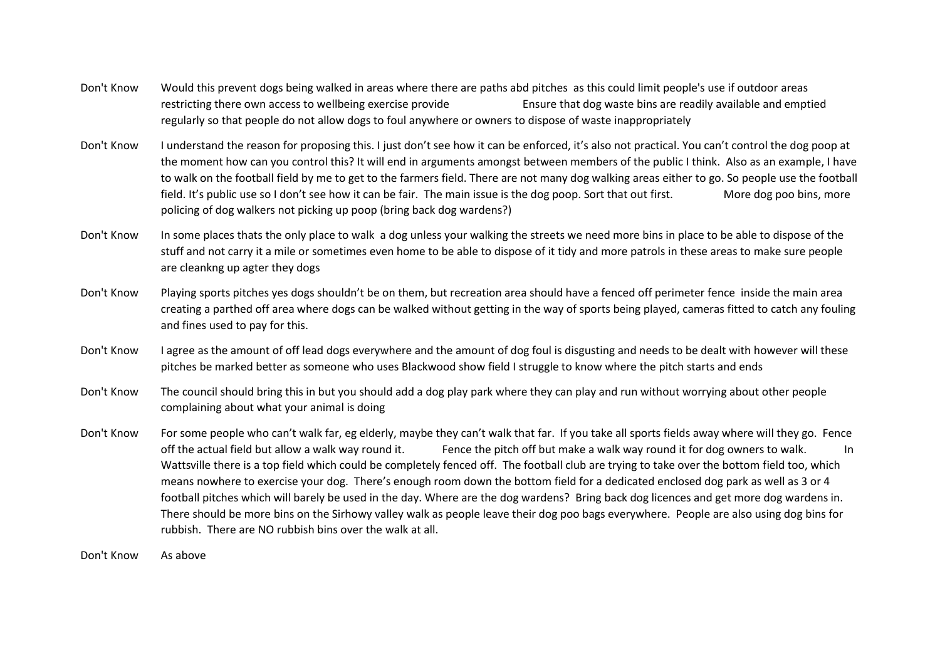- Don't Know Would this prevent dogs being walked in areas where there are paths abd pitches as this could limit people's use if outdoor areas restricting there own access to wellbeing exercise provide Ensure that dog waste bins are readily available and emptied regularly so that people do not allow dogs to foul anywhere or owners to dispose of waste inappropriately
- Don't Know I understand the reason for proposing this. I just don't see how it can be enforced, it's also not practical. You can't control the dog poop at the moment how can you control this? It will end in arguments amongst between members of the public I think. Also as an example, I have to walk on the football field by me to get to the farmers field. There are not many dog walking areas either to go. So people use the football field. It's public use so I don't see how it can be fair. The main issue is the dog poop. Sort that out first. More dog poo bins, more policing of dog walkers not picking up poop (bring back dog wardens?)
- Don't Know In some places thats the only place to walk a dog unless your walking the streets we need more bins in place to be able to dispose of the stuff and not carry it a mile or sometimes even home to be able to dispose of it tidy and more patrols in these areas to make sure people are cleankng up agter they dogs
- Don't Know Playing sports pitches yes dogs shouldn't be on them, but recreation area should have a fenced off perimeter fence inside the main area creating a parthed off area where dogs can be walked without getting in the way of sports being played, cameras fitted to catch any fouling and fines used to pay for this.
- Don't Know I agree as the amount of off lead dogs everywhere and the amount of dog foul is disgusting and needs to be dealt with however will these pitches be marked better as someone who uses Blackwood show field I struggle to know where the pitch starts and ends
- Don't Know The council should bring this in but you should add a dog play park where they can play and run without worrying about other people complaining about what your animal is doing
- Don't Know For some people who can't walk far, eg elderly, maybe they can't walk that far. If you take all sports fields away where will they go. Fence off the actual field but allow a walk way round it. Fence the pitch off but make a walk way round it for dog owners to walk. In Wattsville there is a top field which could be completely fenced off. The football club are trying to take over the bottom field too, which means nowhere to exercise your dog. There's enough room down the bottom field for a dedicated enclosed dog park as well as 3 or 4 football pitches which will barely be used in the day. Where are the dog wardens? Bring back dog licences and get more dog wardens in. There should be more bins on the Sirhowy valley walk as people leave their dog poo bags everywhere. People are also using dog bins for rubbish. There are NO rubbish bins over the walk at all.

Don't Know As above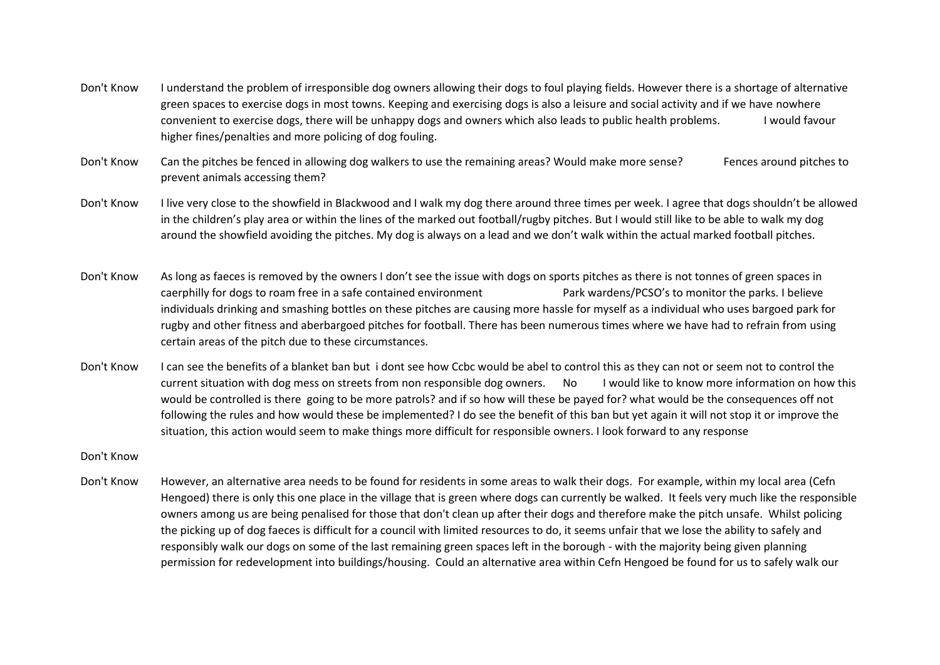- Don't Know I understand the problem of irresponsible dog owners allowing their dogs to foul playing fields. However there is a shortage of alternative green spaces to exercise dogs in most towns. Keeping and exercising dogs is also a leisure and social activity and if we have nowhere convenient to exercise dogs, there will be unhappy dogs and owners which also leads to public health problems. I would favour higher fines/penalties and more policing of dog fouling.
- Don't Know Can the pitches be fenced in allowing dog walkers to use the remaining areas? Would make more sense? Fences around pitches to prevent animals accessing them?
- Don't Know I live very close to the showfield in Blackwood and I walk my dog there around three times per week. I agree that dogs shouldn't be allowed in the children's play area or within the lines of the marked out football/rugby pitches. But I would still like to be able to walk my dog around the showfield avoiding the pitches. My dog is always on a lead and we don't walk within the actual marked football pitches.
- Don't Know As long as faeces is removed by the owners I don't see the issue with dogs on sports pitches as there is not tonnes of green spaces in caerphilly for dogs to roam free in a safe contained environment Park wardens/PCSO's to monitor the parks. I believe individuals drinking and smashing bottles on these pitches are causing more hassle for myself as a individual who uses bargoed park for rugby and other fitness and aberbargoed pitches for football. There has been numerous times where we have had to refrain from using certain areas of the pitch due to these circumstances.
- Don't Know I can see the benefits of a blanket ban but i dont see how Ccbc would be abel to control this as they can not or seem not to control the current situation with dog mess on streets from non responsible dog owners. No I would like to know more information on how this would be controlled is there going to be more patrols? and if so how will these be payed for? what would be the consequences off not following the rules and how would these be implemented? I do see the benefit of this ban but yet again it will not stop it or improve the situation, this action would seem to make things more difficult for responsible owners. I look forward to any response
- Don't Know
- Don't Know However, an alternative area needs to be found for residents in some areas to walk their dogs. For example, within my local area (Cefn Hengoed) there is only this one place in the village that is green where dogs can currently be walked. It feels very much like the responsible owners among us are being penalised for those that don't clean up after their dogs and therefore make the pitch unsafe. Whilst policing the picking up of dog faeces is difficult for a council with limited resources to do, it seems unfair that we lose the ability to safely and responsibly walk our dogs on some of the last remaining green spaces left in the borough - with the majority being given planning permission for redevelopment into buildings/housing. Could an alternative area within Cefn Hengoed be found for us to safely walk our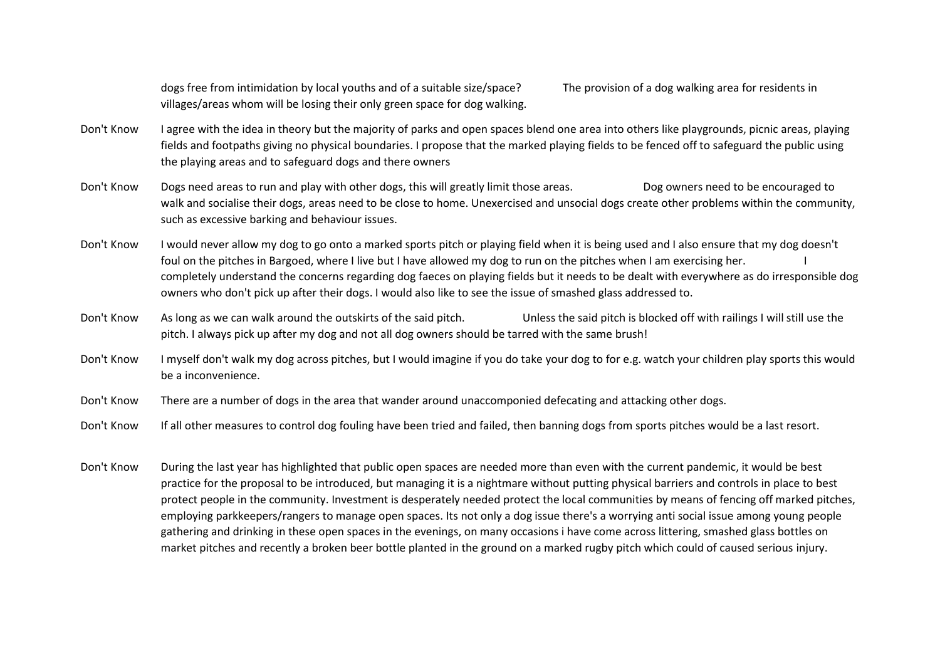dogs free from intimidation by local youths and of a suitable size/space? The provision of a dog walking area for residents in villages/areas whom will be losing their only green space for dog walking.

Don't Know I agree with the idea in theory but the majority of parks and open spaces blend one area into others like playgrounds, picnic areas, playing fields and footpaths giving no physical boundaries. I propose that the marked playing fields to be fenced off to safeguard the public using the playing areas and to safeguard dogs and there owners

Don't Know Dogs need areas to run and play with other dogs, this will greatly limit those areas. Dog owners need to be encouraged to walk and socialise their dogs, areas need to be close to home. Unexercised and unsocial dogs create other problems within the community, such as excessive barking and behaviour issues.

Don't Know I would never allow my dog to go onto a marked sports pitch or playing field when it is being used and I also ensure that my dog doesn't foul on the pitches in Bargoed, where I live but I have allowed my dog to run on the pitches when I am exercising her. completely understand the concerns regarding dog faeces on playing fields but it needs to be dealt with everywhere as do irresponsible dog owners who don't pick up after their dogs. I would also like to see the issue of smashed glass addressed to.

Don't Know As long as we can walk around the outskirts of the said pitch. Unless the said pitch is blocked off with railings I will still use the pitch. I always pick up after my dog and not all dog owners should be tarred with the same brush!

Don't Know I myself don't walk my dog across pitches, but I would imagine if you do take your dog to for e.g. watch your children play sports this would be a inconvenience.

Don't Know There are a number of dogs in the area that wander around unaccomponied defecating and attacking other dogs.

Don't Know If all other measures to control dog fouling have been tried and failed, then banning dogs from sports pitches would be a last resort.

Don't Know During the last year has highlighted that public open spaces are needed more than even with the current pandemic, it would be best practice for the proposal to be introduced, but managing it is a nightmare without putting physical barriers and controls in place to best protect people in the community. Investment is desperately needed protect the local communities by means of fencing off marked pitches, employing parkkeepers/rangers to manage open spaces. Its not only a dog issue there's a worrying anti social issue among young people gathering and drinking in these open spaces in the evenings, on many occasions i have come across littering, smashed glass bottles on market pitches and recently a broken beer bottle planted in the ground on a marked rugby pitch which could of caused serious injury.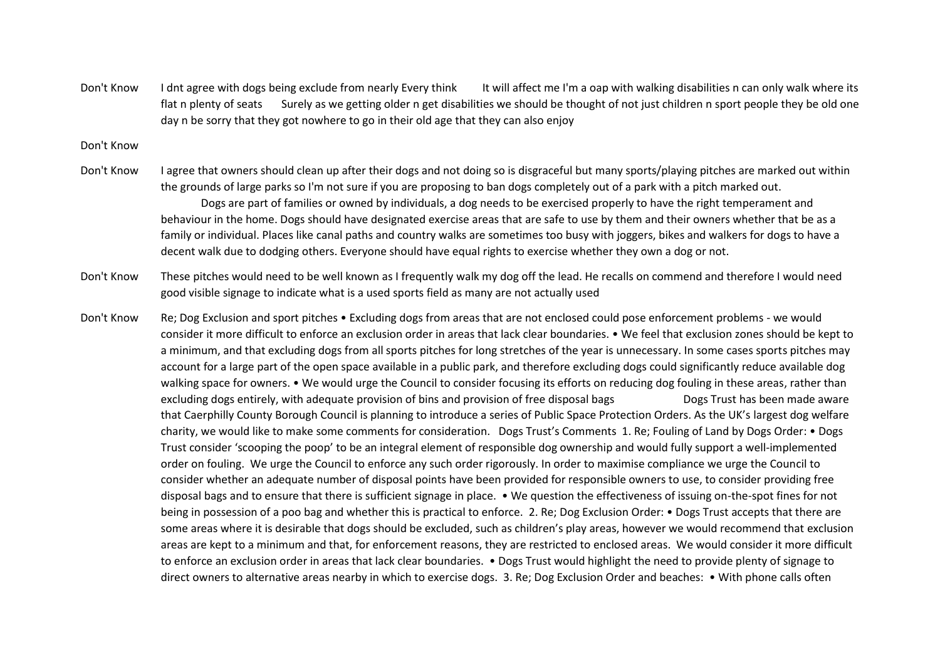Don't Know I dnt agree with dogs being exclude from nearly Every think It will affect me I'm a oap with walking disabilities n can only walk where its flat n plenty of seats Surely as we getting older n get disabilities we should be thought of not just children n sport people they be old one day n be sorry that they got nowhere to go in their old age that they can also enjoy

Don't Know

Don't Know I agree that owners should clean up after their dogs and not doing so is disgraceful but many sports/playing pitches are marked out within the grounds of large parks so I'm not sure if you are proposing to ban dogs completely out of a park with a pitch marked out. Dogs are part of families or owned by individuals, a dog needs to be exercised properly to have the right temperament and behaviour in the home. Dogs should have designated exercise areas that are safe to use by them and their owners whether that be as a family or individual. Places like canal paths and country walks are sometimes too busy with joggers, bikes and walkers for dogs to have a decent walk due to dodging others. Everyone should have equal rights to exercise whether they own a dog or not.

Don't Know These pitches would need to be well known as I frequently walk my dog off the lead. He recalls on commend and therefore I would need good visible signage to indicate what is a used sports field as many are not actually used

Don't Know Re; Dog Exclusion and sport pitches • Excluding dogs from areas that are not enclosed could pose enforcement problems - we would consider it more difficult to enforce an exclusion order in areas that lack clear boundaries. • We feel that exclusion zones should be kept to a minimum, and that excluding dogs from all sports pitches for long stretches of the year is unnecessary. In some cases sports pitches may account for a large part of the open space available in a public park, and therefore excluding dogs could significantly reduce available dog walking space for owners. • We would urge the Council to consider focusing its efforts on reducing dog fouling in these areas, rather than excluding dogs entirely, with adequate provision of bins and provision of free disposal bags Dogs Trust has been made aware that Caerphilly County Borough Council is planning to introduce a series of Public Space Protection Orders. As the UK's largest dog welfare charity, we would like to make some comments for consideration. Dogs Trust's Comments 1. Re; Fouling of Land by Dogs Order: • Dogs Trust consider 'scooping the poop' to be an integral element of responsible dog ownership and would fully support a well-implemented order on fouling. We urge the Council to enforce any such order rigorously. In order to maximise compliance we urge the Council to consider whether an adequate number of disposal points have been provided for responsible owners to use, to consider providing free disposal bags and to ensure that there is sufficient signage in place. • We question the effectiveness of issuing on-the-spot fines for not being in possession of a poo bag and whether this is practical to enforce. 2. Re; Dog Exclusion Order: • Dogs Trust accepts that there are some areas where it is desirable that dogs should be excluded, such as children's play areas, however we would recommend that exclusion areas are kept to a minimum and that, for enforcement reasons, they are restricted to enclosed areas. We would consider it more difficult to enforce an exclusion order in areas that lack clear boundaries. • Dogs Trust would highlight the need to provide plenty of signage to direct owners to alternative areas nearby in which to exercise dogs. 3. Re; Dog Exclusion Order and beaches: • With phone calls often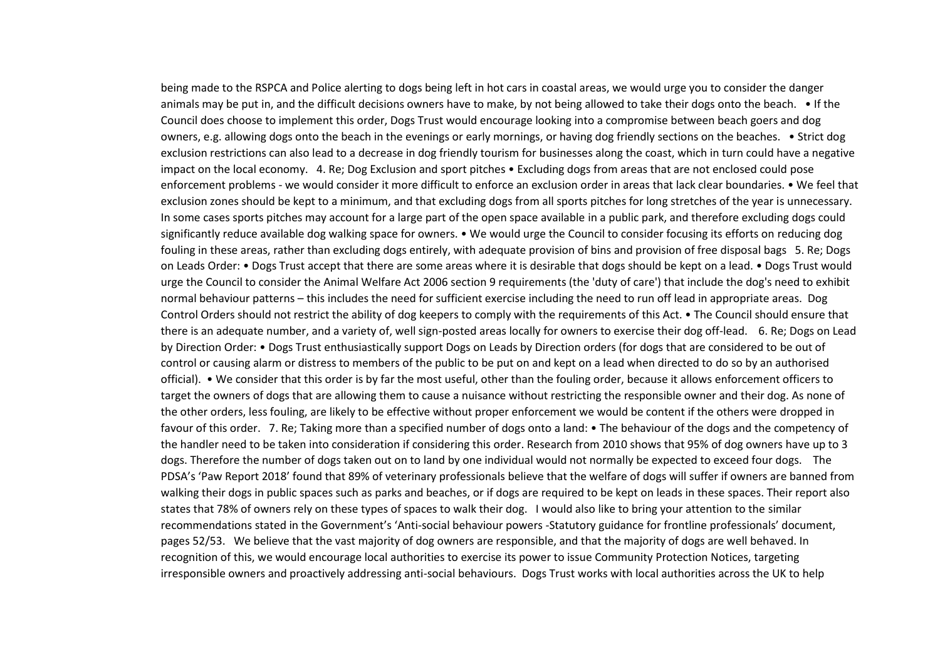being made to the RSPCA and Police alerting to dogs being left in hot cars in coastal areas, we would urge you to consider the danger animals may be put in, and the difficult decisions owners have to make, by not being allowed to take their dogs onto the beach. • If the Council does choose to implement this order, Dogs Trust would encourage looking into a compromise between beach goers and dog owners, e.g. allowing dogs onto the beach in the evenings or early mornings, or having dog friendly sections on the beaches. • Strict dog exclusion restrictions can also lead to a decrease in dog friendly tourism for businesses along the coast, which in turn could have a negative impact on the local economy. 4. Re; Dog Exclusion and sport pitches • Excluding dogs from areas that are not enclosed could pose enforcement problems - we would consider it more difficult to enforce an exclusion order in areas that lack clear boundaries. • We feel that exclusion zones should be kept to a minimum, and that excluding dogs from all sports pitches for long stretches of the year is unnecessary. In some cases sports pitches may account for a large part of the open space available in a public park, and therefore excluding dogs could significantly reduce available dog walking space for owners. • We would urge the Council to consider focusing its efforts on reducing dog fouling in these areas, rather than excluding dogs entirely, with adequate provision of bins and provision of free disposal bags 5. Re; Dogs on Leads Order: • Dogs Trust accept that there are some areas where it is desirable that dogs should be kept on a lead. • Dogs Trust would urge the Council to consider the Animal Welfare Act 2006 section 9 requirements (the 'duty of care') that include the dog's need to exhibit normal behaviour patterns – this includes the need for sufficient exercise including the need to run off lead in appropriate areas. Dog Control Orders should not restrict the ability of dog keepers to comply with the requirements of this Act. • The Council should ensure that there is an adequate number, and a variety of, well sign-posted areas locally for owners to exercise their dog off-lead. 6. Re; Dogs on Lead by Direction Order: • Dogs Trust enthusiastically support Dogs on Leads by Direction orders (for dogs that are considered to be out of control or causing alarm or distress to members of the public to be put on and kept on a lead when directed to do so by an authorised official). • We consider that this order is by far the most useful, other than the fouling order, because it allows enforcement officers to target the owners of dogs that are allowing them to cause a nuisance without restricting the responsible owner and their dog. As none of the other orders, less fouling, are likely to be effective without proper enforcement we would be content if the others were dropped in favour of this order. 7. Re; Taking more than a specified number of dogs onto a land: • The behaviour of the dogs and the competency of the handler need to be taken into consideration if considering this order. Research from 2010 shows that 95% of dog owners have up to 3 dogs. Therefore the number of dogs taken out on to land by one individual would not normally be expected to exceed four dogs. The PDSA's 'Paw Report 2018' found that 89% of veterinary professionals believe that the welfare of dogs will suffer if owners are banned from walking their dogs in public spaces such as parks and beaches, or if dogs are required to be kept on leads in these spaces. Their report also states that 78% of owners rely on these types of spaces to walk their dog. I would also like to bring your attention to the similar recommendations stated in the Government's 'Anti-social behaviour powers -Statutory guidance for frontline professionals' document, pages 52/53. We believe that the vast majority of dog owners are responsible, and that the majority of dogs are well behaved. In recognition of this, we would encourage local authorities to exercise its power to issue Community Protection Notices, targeting irresponsible owners and proactively addressing anti-social behaviours. Dogs Trust works with local authorities across the UK to help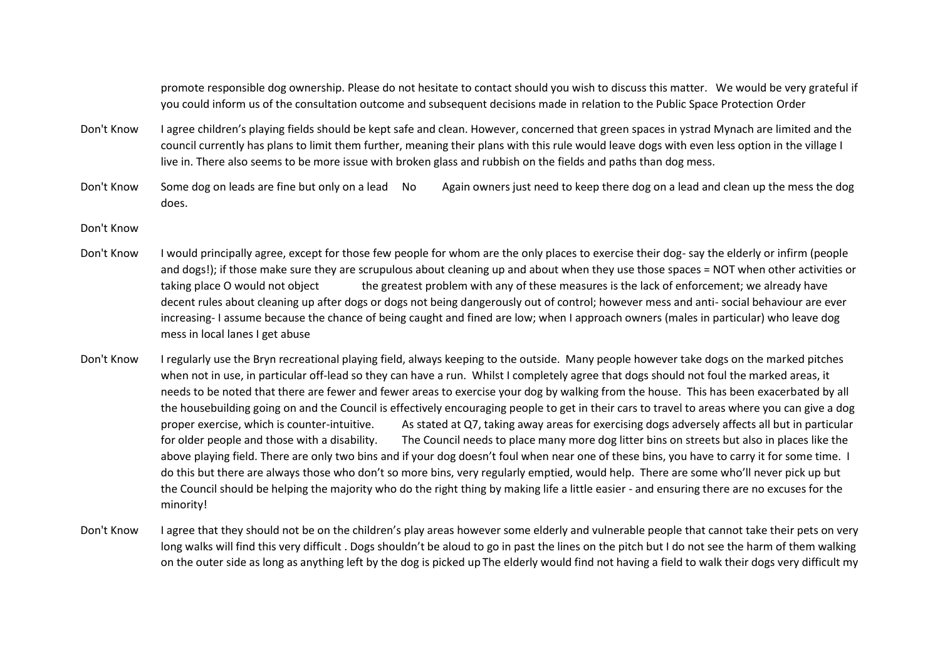promote responsible dog ownership. Please do not hesitate to contact should you wish to discuss this matter. We would be very grateful if you could inform us of the consultation outcome and subsequent decisions made in relation to the Public Space Protection Order

- Don't Know I agree children's playing fields should be kept safe and clean. However, concerned that green spaces in ystrad Mynach are limited and the council currently has plans to limit them further, meaning their plans with this rule would leave dogs with even less option in the village I live in. There also seems to be more issue with broken glass and rubbish on the fields and paths than dog mess.
- Don't Know Some dog on leads are fine but only on a lead No Again owners just need to keep there dog on a lead and clean up the mess the dog does.

## Don't Know

- Don't Know I would principally agree, except for those few people for whom are the only places to exercise their dog- say the elderly or infirm (people and dogs!); if those make sure they are scrupulous about cleaning up and about when they use those spaces = NOT when other activities or taking place O would not object the greatest problem with any of these measures is the lack of enforcement; we already have decent rules about cleaning up after dogs or dogs not being dangerously out of control; however mess and anti- social behaviour are ever increasing- I assume because the chance of being caught and fined are low; when I approach owners (males in particular) who leave dog mess in local lanes I get abuse
- Don't Know I regularly use the Bryn recreational playing field, always keeping to the outside. Many people however take dogs on the marked pitches when not in use, in particular off-lead so they can have a run. Whilst I completely agree that dogs should not foul the marked areas, it needs to be noted that there are fewer and fewer areas to exercise your dog by walking from the house. This has been exacerbated by all the housebuilding going on and the Council is effectively encouraging people to get in their cars to travel to areas where you can give a dog proper exercise, which is counter-intuitive. As stated at Q7, taking away areas for exercising dogs adversely affects all but in particular for older people and those with a disability. The Council needs to place many more dog litter bins on streets but also in places like the above playing field. There are only two bins and if your dog doesn't foul when near one of these bins, you have to carry it for some time. I do this but there are always those who don't so more bins, very regularly emptied, would help. There are some who'll never pick up but the Council should be helping the majority who do the right thing by making life a little easier - and ensuring there are no excuses for the minority!
- Don't Know I agree that they should not be on the children's play areas however some elderly and vulnerable people that cannot take their pets on very long walks will find this very difficult . Dogs shouldn't be aloud to go in past the lines on the pitch but I do not see the harm of them walking on the outer side as long as anything left by the dog is picked up The elderly would find not having a field to walk their dogs very difficult my